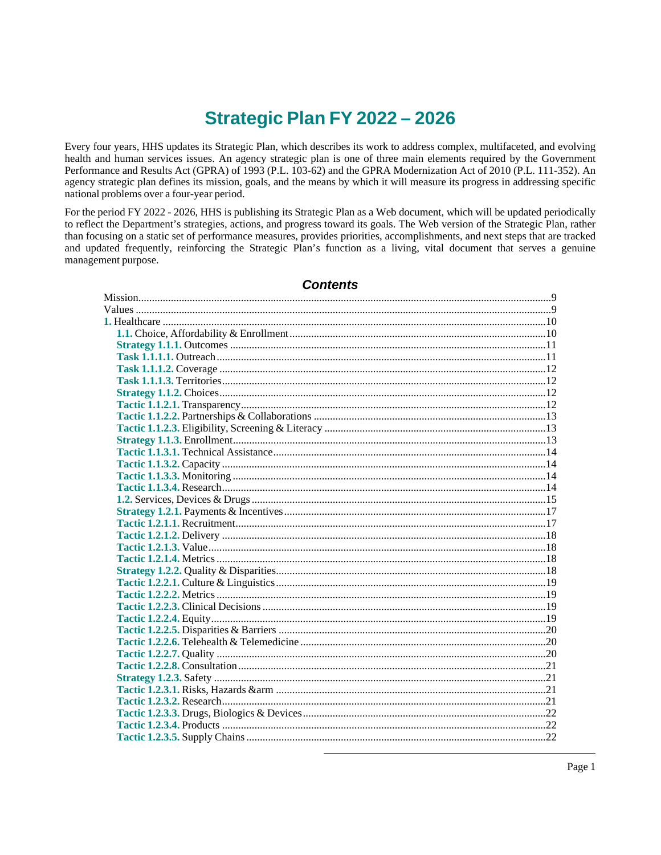# Strategic Plan FY 2022-2026

Every four years, HHS updates its Strategic Plan, which describes its work to address complex, multifaceted, and evolving health and human services issues. An agency strategic plan is one of three main elements required by the Government Performance and Results Act (GPRA) of 1993 (P.L. 103-62) and the GPRA Modernization Act of 2010 (P.L. 111-352). An agency strategic plan defines its mission, goals, and the means by which it will measure its progress in addressing specific national problems over a four-year period.

For the period FY 2022 - 2026, HHS is publishing its Strategic Plan as a Web document, which will be updated periodically to reflect the Department's strategies, actions, and progress toward its goals. The Web version of the Strategic Plan, rather than focusing on a static set of performance measures, provides priorities, accomplishments, and next steps that are tracked and updated frequently, reinforcing the Strategic Plan's function as a living, vital document that serves a genuine management purpose.

# **Contents**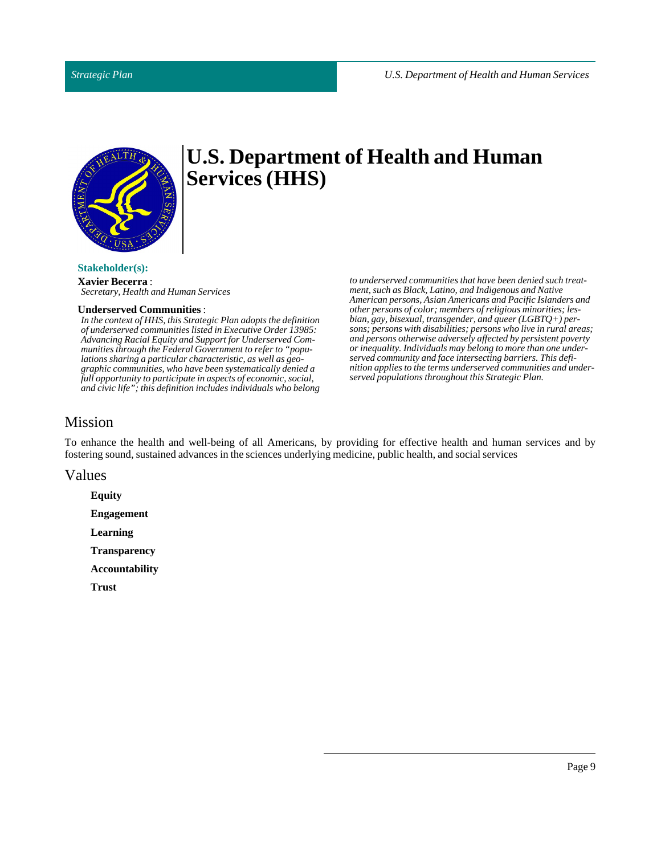

#### **Stakeholder(s):**

**Xavier Becerra** : *Secretary, Health and Human Services*

#### **Underserved Communities** :

*In the context of HHS, this Strategic Plan adopts the definition of underserved communities listed in Executive Order 13985: Advancing Racial Equity and Support for Underserved Communities through the Federal Government to refer to "populations sharing a particular characteristic, as well as geographic communities, who have been systematically denied a full opportunity to participate in aspects of economic, social, and civic life"; this definition includes individuals who belong*

*to underserved communities that have been denied such treatment, such as Black, Latino, and Indigenous and Native American persons, Asian Americans and Pacific Islanders and other persons of color; members of religious minorities; lesbian, gay, bisexual, transgender, and queer (LGBTQ+) persons; persons with disabilities; persons who live in rural areas; and persons otherwise adversely affected by persistent poverty or inequality. Individuals may belong to more than one underserved community and face intersecting barriers. This definition applies to the terms underserved communities and underserved populations throughout this Strategic Plan.*

# <span id="page-8-0"></span>Mission

To enhance the health and well-being of all Americans, by providing for effective health and human services and by fostering sound, sustained advances in the sciences underlying medicine, public health, and social services

<span id="page-8-1"></span>Values

**Equity Engagement Learning Transparency Accountability**

**Trust**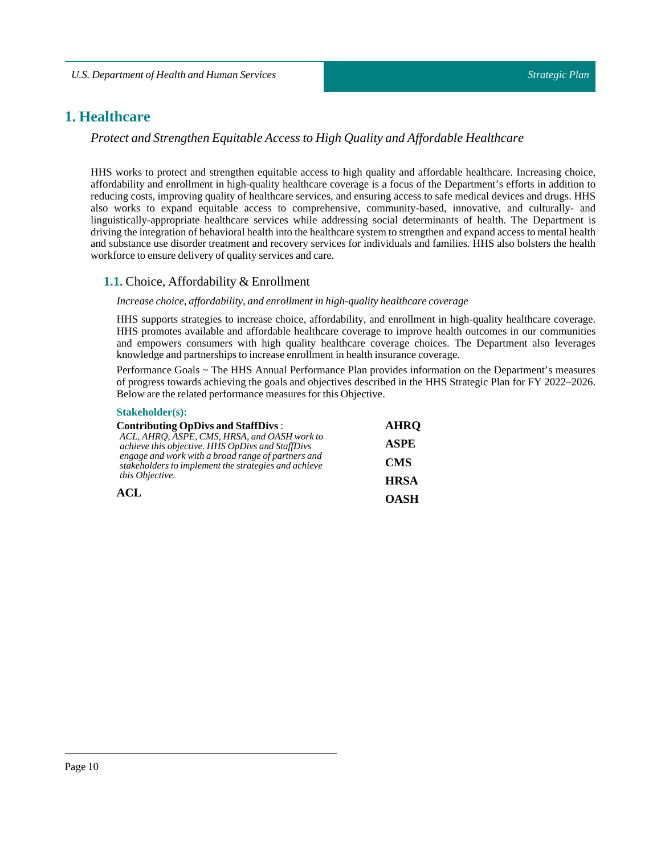# <span id="page-9-0"></span>**1. Healthcare**

*Protect and Strengthen Equitable Access to High Quality and Affordable Healthcare*

HHS works to protect and strengthen equitable access to high quality and affordable healthcare. Increasing choice, affordability and enrollment in high-quality healthcare coverage is a focus of the Department's efforts in addition to reducing costs, improving quality of healthcare services, and ensuring access to safe medical devices and drugs. HHS also works to expand equitable access to comprehensive, community-based, innovative, and culturally- and linguistically-appropriate healthcare services while addressing social determinants of health. The Department is driving the integration of behavioral health into the healthcare system to strengthen and expand access to mental health and substance use disorder treatment and recovery services for individuals and families. HHS also bolsters the health workforce to ensure delivery of quality services and care.

# <span id="page-9-1"></span>**1.1.** Choice, Affordability & Enrollment

#### *Increase choice, affordability, and enrollmentin high-quality healthcare coverage*

HHS supports strategies to increase choice, affordability, and enrollment in high-quality healthcare coverage. HHS promotes available and affordable healthcare coverage to improve health outcomes in our communities and empowers consumers with high quality healthcare coverage choices. The Department also leverages knowledge and partnerships to increase enrollment in health insurance coverage.

Performance Goals ~ The HHS Annual Performance Plan provides information on the Department's measures of progress towards achieving the goals and objectives described in the HHS Strategic Plan for FY 2022–2026. Below are the related performance measures for this Objective.

#### **Stakeholder(s):**

| <b>Contributing OpDivs and StaffDivs:</b>                                                                  | <b>AHRO</b> |
|------------------------------------------------------------------------------------------------------------|-------------|
| ACL, AHRQ, ASPE, CMS, HRSA, and OASH work to<br>achieve this objective. HHS OpDivs and StaffDivs           | <b>ASPE</b> |
| engage and work with a broad range of partners and<br>stakeholders to implement the strategies and achieve | <b>CMS</b>  |
| this Objective.                                                                                            | <b>HRSA</b> |
| ACL                                                                                                        | OASH        |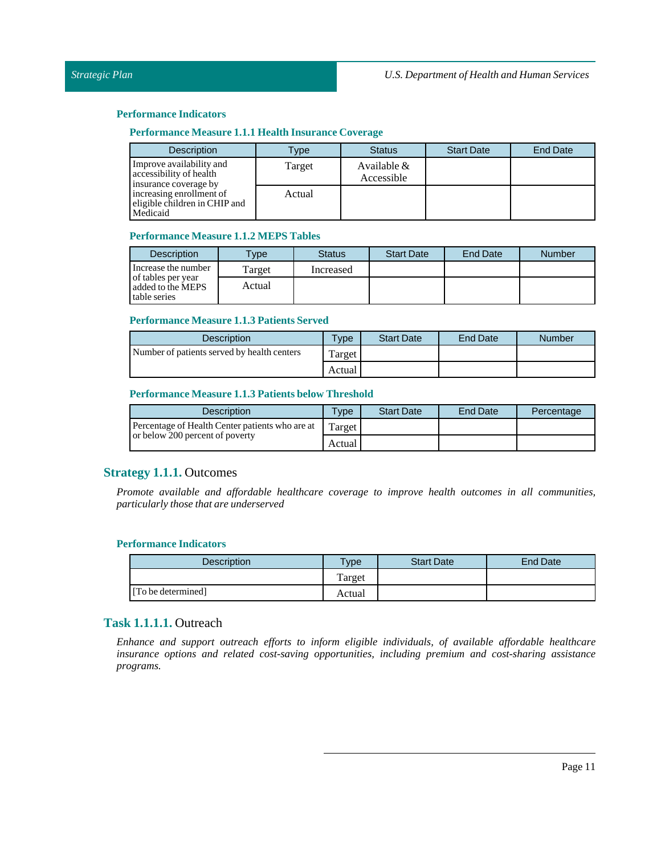# **Performance Measure 1.1.1 Health Insurance Coverage**

| <b>Description</b>                                                           | Type   | <b>Status</b>               | <b>Start Date</b> | <b>End Date</b> |
|------------------------------------------------------------------------------|--------|-----------------------------|-------------------|-----------------|
| Improve availability and<br>accessibility of health<br>insurance coverage by | Target | Available $&$<br>Accessible |                   |                 |
| increasing enrollment of<br>eligible children in CHIP and<br>Medicaid        | Actual |                             |                   |                 |

#### **Performance Measure 1.1.2 MEPS Tables**

| <b>Description</b>                                      | <b>Type</b> | <b>Status</b> | <b>Start Date</b> | End Date | <b>Number</b> |
|---------------------------------------------------------|-------------|---------------|-------------------|----------|---------------|
| Increase the number                                     | Target      | Increased     |                   |          |               |
| of tables per year<br>added to the MEPS<br>table series | Actual      |               |                   |          |               |

# **Performance Measure 1.1.3 Patients Served**

| <b>Description</b>                          | $T$ <sub>V</sub> $p$ e | <b>Start Date</b> | <b>End Date</b> | Number |
|---------------------------------------------|------------------------|-------------------|-----------------|--------|
| Number of patients served by health centers | Target <sub>1</sub>    |                   |                 |        |
|                                             | Actual                 |                   |                 |        |

# **Performance Measure 1.1.3 Patientsbelow Threshold**

| <b>Description</b>                              | Type   | <b>Start Date</b> | <b>End Date</b> | Percentage |
|-------------------------------------------------|--------|-------------------|-----------------|------------|
| Percentage of Health Center patients who are at | Target |                   |                 |            |
| or below 200 percent of poverty                 | Actual |                   |                 |            |

# <span id="page-10-0"></span>**Strategy 1.1.1.** Outcomes

*Promote available and affordable healthcare coverage to improve health outcomes in all communities, particularly those that are underserved*

#### **Performance Indicators**

| <b>Description</b> | $v_{\rm p}$ | <b>Start Date</b> | End Date |
|--------------------|-------------|-------------------|----------|
|                    | Target      |                   |          |
| [To be determined] | Actual      |                   |          |

# <span id="page-10-1"></span>**Task 1.1.1.1.** Outreach

*Enhance and support outreach efforts to inform eligible individuals, of available affordable healthcare insurance options and related cost-saving opportunities, including premium and cost-sharing assistance programs.*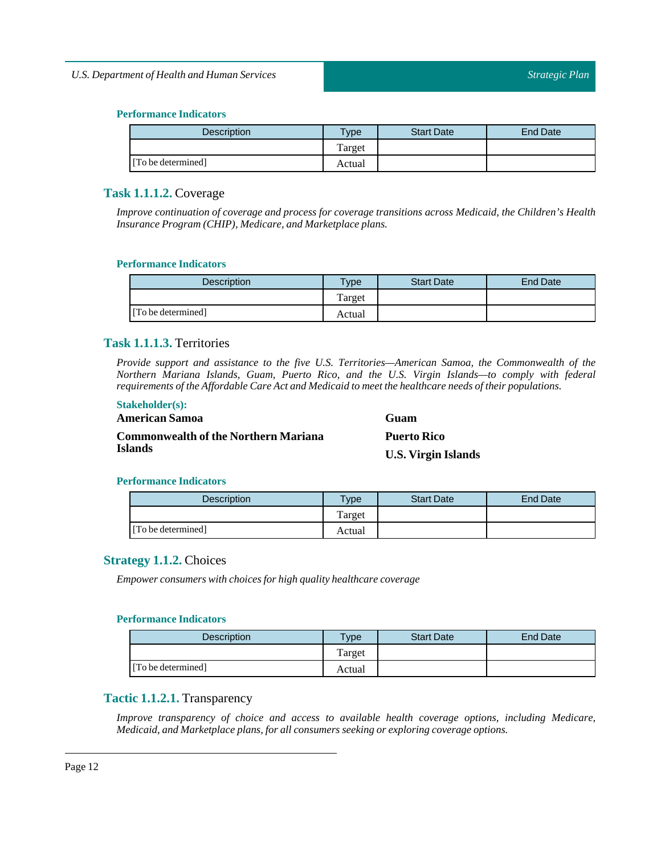| <b>Description</b> | $T$ <sub>ype</sub> | <b>Start Date</b> | End Date |
|--------------------|--------------------|-------------------|----------|
|                    | Target             |                   |          |
| [To be determined] | Actual             |                   |          |

# <span id="page-11-0"></span>**Task 1.1.1.2.** Coverage

*Improve continuation of coverage and process for coverage transitions across Medicaid, the Children's Health Insurance Program (CHIP), Medicare, and Marketplace plans.*

# **Performance Indicators**

| <b>Description</b> | <b>Vpe</b> | <b>Start Date</b> | End Date |
|--------------------|------------|-------------------|----------|
|                    | Target     |                   |          |
| [To be determined] | Actual     |                   |          |

# <span id="page-11-1"></span>**Task 1.1.1.3.** Territories

*Provide support and assistance to the five U.S. Territories—American Samoa, the Commonwealth of the Northern Mariana Islands, Guam, Puerto Rico, and the U.S. Virgin Islands—to comply with federal requirements ofthe Affordable Care Act and Medicaid to meetthe healthcare needs oftheir populations.*

# **Stakeholder(s):**

# **American Samoa Commonwealth of the Northern Mariana Islands**

**Guam Puerto Rico U.S. Virgin Islands**

# **Performance Indicators**

| <b>Description</b> | Type   | <b>Start Date</b> | <b>End Date</b> |
|--------------------|--------|-------------------|-----------------|
|                    | Target |                   |                 |
| [To be determined] | Actual |                   |                 |

# <span id="page-11-2"></span>**Strategy 1.1.2.** Choices

*Empower consumers with choices for high quality healthcare coverage*

# **Performance Indicators**

| <b>Description</b> | $T$ <sub>ype</sub> | <b>Start Date</b> | End Date |
|--------------------|--------------------|-------------------|----------|
|                    | Target             |                   |          |
| [To be determined] | Actual             |                   |          |

# <span id="page-11-3"></span>**Tactic 1.1.2.1.** Transparency

*Improve transparency of choice and access to available health coverage options, including Medicare, Medicaid, and Marketplace plans,for all consumers seeking or exploring coverage options.*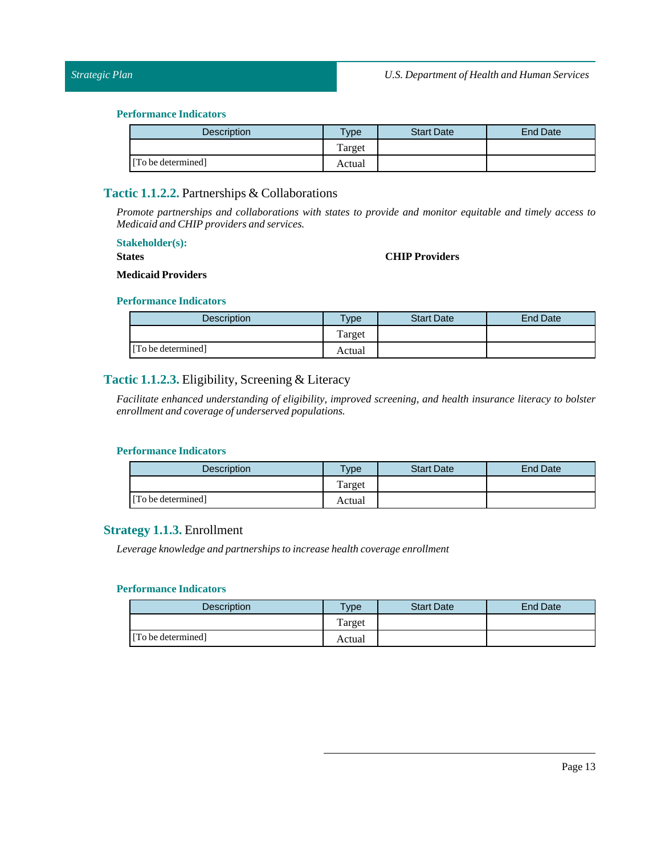| <b>Description</b> | $T$ <sub>ype</sub> | <b>Start Date</b> | End Date |
|--------------------|--------------------|-------------------|----------|
|                    | Target             |                   |          |
| [To be determined] | Actual             |                   |          |

# <span id="page-12-0"></span>**Tactic 1.1.2.2.** Partnerships & Collaborations

*Promote partnerships and collaborations with states to provide and monitor equitable and timely access to Medicaid and CHIP providers and services.*

#### **Stakeholder(s):**

**States**

#### **CHIP Providers**

#### **Medicaid Providers**

#### **Performance Indicators**

| <b>Description</b> | $TV$ pe | <b>Start Date</b> | <b>End Date</b> |
|--------------------|---------|-------------------|-----------------|
|                    | Target  |                   |                 |
| [To be determined] | Actual  |                   |                 |

# <span id="page-12-1"></span>**Tactic 1.1.2.3.** Eligibility, Screening & Literacy

*Facilitate enhanced understanding of eligibility, improved screening, and health insurance literacy to bolster enrollment and coverage of underserved populations.*

#### **Performance Indicators**

| <b>Description</b> | <b>Type</b> | <b>Start Date</b> | End Date |
|--------------------|-------------|-------------------|----------|
|                    | Target      |                   |          |
| [To be determined] | Actual      |                   |          |

# <span id="page-12-2"></span>**Strategy 1.1.3.** Enrollment

*Leverage knowledge and partnerships to increase health coverage enrollment*

| <b>Description</b> | Type   | <b>Start Date</b> | End Date |
|--------------------|--------|-------------------|----------|
|                    | Target |                   |          |
| [To be determined] | Actual |                   |          |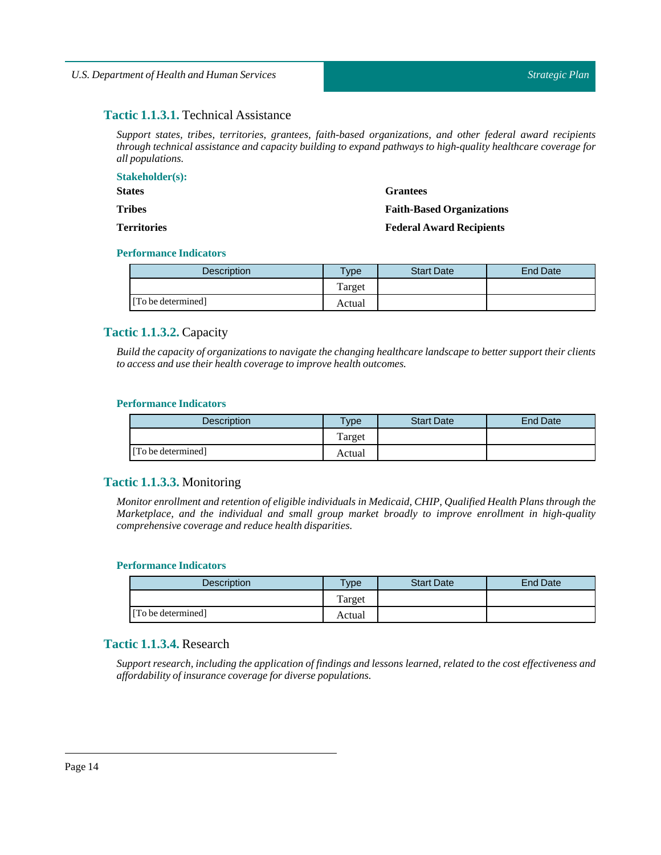# <span id="page-13-0"></span>**Tactic 1.1.3.1.** Technical Assistance

*Support states, tribes, territories, grantees, faith-based organizations, and other federal award recipients through technical assistance and capacity building to expand pathways to high-quality healthcare coverage for all populations.*

| <b>Stakeholder(s):</b> |                                  |
|------------------------|----------------------------------|
| <b>States</b>          | <b>Grantees</b>                  |
| <b>Tribes</b>          | <b>Faith-Based Organizations</b> |
| <b>Territories</b>     | <b>Federal Award Recipients</b>  |

#### **Performance Indicators**

| <b>Description</b> | Type   | <b>Start Date</b> | <b>End Date</b> |
|--------------------|--------|-------------------|-----------------|
|                    | Target |                   |                 |
| [To be determined] | Actual |                   |                 |

# <span id="page-13-1"></span>**Tactic 1.1.3.2.** Capacity

Build the capacity of organizations to navigate the changing healthcare landscape to better support their clients *to access and use their health coverage to improve health outcomes.*

#### **Performance Indicators**

| <b>Description</b> | <b>Type</b> | <b>Start Date</b> | End Date |
|--------------------|-------------|-------------------|----------|
|                    | Target      |                   |          |
| [To be determined] | Actual      |                   |          |

# <span id="page-13-2"></span>**Tactic 1.1.3.3.** Monitoring

*Monitor enrollment and retention of eligible individuals in Medicaid, CHIP, Qualified Health Plans through the Marketplace, and the individual and small group market broadly to improve enrollment in high-quality comprehensive coverage and reduce health disparities.*

#### **Performance Indicators**

| <b>Description</b> | <b>Type</b> | <b>Start Date</b> | End Date |
|--------------------|-------------|-------------------|----------|
|                    | Target      |                   |          |
| [To be determined] | Actual      |                   |          |

# <span id="page-13-3"></span>**Tactic 1.1.3.4.** Research

Support research, including the application of findings and lessons learned, related to the cost effectiveness and *affordability ofinsurance coverage for diverse populations.*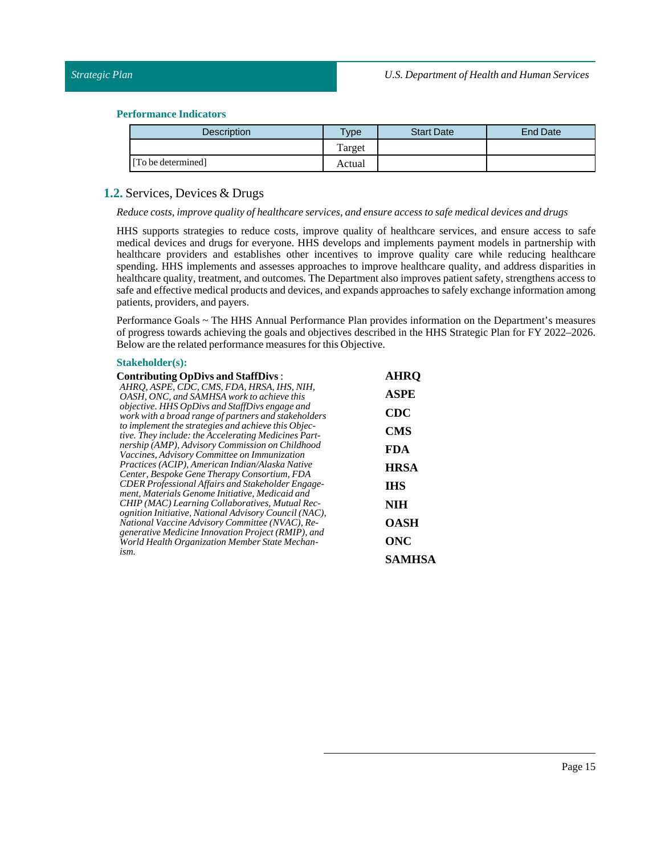| <b>Description</b> | Type   | <b>Start Date</b> | End Date |
|--------------------|--------|-------------------|----------|
|                    | Target |                   |          |
| [To be determined] | Actual |                   |          |

# <span id="page-14-0"></span>**1.2.** Services, Devices & Drugs

#### *Reduce costs,improve quality of healthcare services, and ensure access to safe medical devices and drugs*

HHS supports strategies to reduce costs, improve quality of healthcare services, and ensure access to safe medical devices and drugs for everyone. HHS develops and implements payment models in partnership with healthcare providers and establishes other incentives to improve quality care while reducing healthcare spending. HHS implements and assesses approaches to improve healthcare quality, and address disparities in healthcare quality, treatment, and outcomes. The Department also improves patient safety, strengthens access to safe and effective medical products and devices, and expands approaches to safely exchange information among patients, providers, and payers.

Performance Goals ~ The HHS Annual Performance Plan provides information on the Department's measures of progress towards achieving the goals and objectives described in the HHS Strategic Plan for FY 2022–2026. Below are the related performance measures for this Objective.

#### **Stakeholder(s):**

| <b>Contributing OpDivs and StaffDivs:</b>                                                                       | <b>AHRO</b> |
|-----------------------------------------------------------------------------------------------------------------|-------------|
| AHRO, ASPE, CDC, CMS, FDA, HRSA, IHS, NIH,<br>OASH, ONC, and SAMHSA work to achieve this                        | <b>ASPE</b> |
| <i>objective.</i> HHS OpDivs and StaffDivs engage and<br>work with a broad range of partners and stakeholders   | <b>CDC</b>  |
| to implement the strategies and achieve this Objec-<br>tive. They include: the Accelerating Medicines Part-     | <b>CMS</b>  |
| nership (AMP), Advisory Commission on Childhood<br>Vaccines, Advisory Committee on Immunization                 | <b>FDA</b>  |
| Practices (ACIP), American Indian/Alaska Native<br>Center, Bespoke Gene Therapy Consortium, FDA                 | <b>HRSA</b> |
| CDER Professional Affairs and Stakeholder Engage-                                                               | <b>IHS</b>  |
| ment, Materials Genome Initiative, Medicaid and<br>CHIP (MAC) Learning Collaboratives, Mutual Rec-              | <b>NIH</b>  |
| <i>ognition Initiative, National Advisory Council (NAC),</i><br>National Vaccine Advisory Committee (NVAC), Re- | <b>OASH</b> |
| generative Medicine Innovation Project (RMIP), and<br>World Health Organization Member State Mechan-            | ONC         |
| ism.                                                                                                            | SAMHSA      |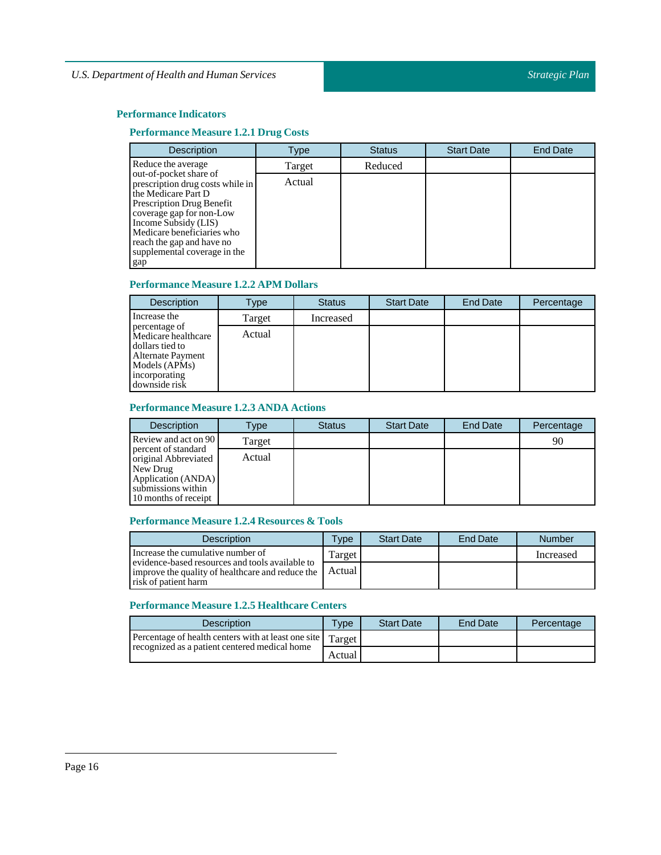# **Performance Measure 1.2.1 Drug Costs**

| <b>Description</b>                                                                                                                                                                                                                                                          | Type   | <b>Status</b> | <b>Start Date</b> | <b>End Date</b> |
|-----------------------------------------------------------------------------------------------------------------------------------------------------------------------------------------------------------------------------------------------------------------------------|--------|---------------|-------------------|-----------------|
| Reduce the average                                                                                                                                                                                                                                                          | Target | Reduced       |                   |                 |
| out-of-pocket share of<br>prescription drug costs while in<br>the Medicare Part D<br><b>Prescription Drug Benefit</b><br>coverage gap for non-Low<br>Income Subsidy (LIS)<br>Medicare beneficiaries who<br>reach the gap and have no<br>supplemental coverage in the<br>gap | Actual |               |                   |                 |

# **Performance Measure 1.2.2 APM Dollars**

| <b>Description</b>                                                                                                              | Type   | <b>Status</b> | <b>Start Date</b> | End Date | Percentage |
|---------------------------------------------------------------------------------------------------------------------------------|--------|---------------|-------------------|----------|------------|
| Increase the                                                                                                                    | Target | Increased     |                   |          |            |
| percentage of<br>Medicare healthcare<br>dollars tied to<br>Alternate Payment<br>Models (APMs)<br>incorporating<br>downside risk | Actual |               |                   |          |            |

#### **Performance Measure 1.2.3 ANDA Actions**

| <b>Description</b>                                                                                                          | Type   | <b>Status</b> | <b>Start Date</b> | End Date | Percentage |
|-----------------------------------------------------------------------------------------------------------------------------|--------|---------------|-------------------|----------|------------|
| Review and act on 90                                                                                                        | Target |               |                   |          | 90         |
| percent of standard<br>original Abbreviated<br>New Drug<br>Application (ANDA)<br>submissions within<br>10 months of receipt | Actual |               |                   |          |            |

# **Performance Measure 1.2.4 Resources & Tools**

| <b>Description</b>                                                                                                          | <b>Type</b> | <b>Start Date</b> | End Date | Number    |
|-----------------------------------------------------------------------------------------------------------------------------|-------------|-------------------|----------|-----------|
| Increase the cumulative number of                                                                                           | Target      |                   |          | Increased |
| evidence-based resources and tools available to<br>improve the quality of healthcare and reduce the<br>risk of patient harm | Actual      |                   |          |           |

# **Performance Measure 1.2.5 Healthcare Centers**

| <b>Description</b>                                           | <b>Type</b> | <b>Start Date</b> | End Date | Percentage |
|--------------------------------------------------------------|-------------|-------------------|----------|------------|
| Percentage of health centers with at least one site   Target |             |                   |          |            |
| recognized as a patient centered medical home                | Actual      |                   |          |            |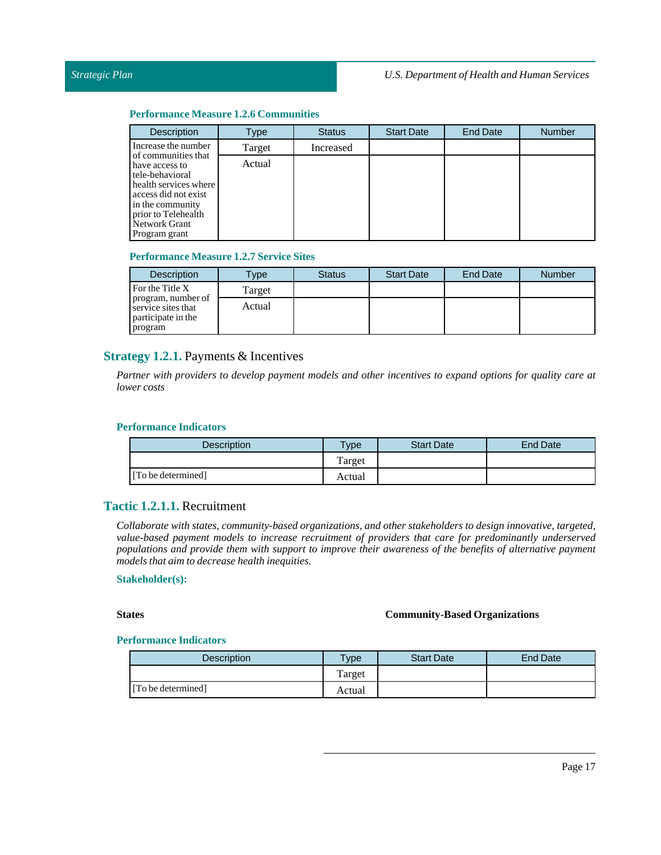#### **Performance Measure 1.2.6 Communities**

| <b>Description</b>                                                                                                                                                                     | Type   | <b>Status</b> | <b>Start Date</b> | End Date | <b>Number</b> |
|----------------------------------------------------------------------------------------------------------------------------------------------------------------------------------------|--------|---------------|-------------------|----------|---------------|
| Increase the number                                                                                                                                                                    | Target | Increased     |                   |          |               |
| of communities that<br>have access to<br>tele-behavioral<br>health services where<br>access did not exist<br>in the community<br>prior to Telehealth<br>Network Grant<br>Program grant | Actual |               |                   |          |               |

#### **Performance Measure 1.2.7 Service Sites**

| <b>Description</b>                                                        | $T$ ype | <b>Status</b> | <b>Start Date</b> | <b>End Date</b> | <b>Number</b> |
|---------------------------------------------------------------------------|---------|---------------|-------------------|-----------------|---------------|
| For the Title X                                                           | Target  |               |                   |                 |               |
| program, number of<br>service sites that<br>participate in the<br>program | Actual  |               |                   |                 |               |

# <span id="page-16-0"></span>**Strategy 1.2.1.** Payments & Incentives

Partner with providers to develop payment models and other incentives to expand options for quality care at *lower costs*

#### **Performance Indicators**

| <b>Description</b> | <b>Type</b> | <b>Start Date</b> | <b>End Date</b> |
|--------------------|-------------|-------------------|-----------------|
|                    | Target      |                   |                 |
| [To be determined] | Actual      |                   |                 |

# <span id="page-16-1"></span>**Tactic 1.2.1.1.** Recruitment

*Collaborate with states, community-based organizations, and other stakeholders to design innovative, targeted, value-based payment models to increase recruitment of providers that care for predominantly underserved populations and provide them with support to improve their awareness of the benefits of alternative payment models that aim to decrease health inequities.*

#### **Stakeholder(s):**

# **States Community-Based Organizations**

| <b>Description</b> | $T$ <sub>V</sub> $pe$ | <b>Start Date</b> | End Date |
|--------------------|-----------------------|-------------------|----------|
|                    | Target                |                   |          |
| [To be determined] | Actual                |                   |          |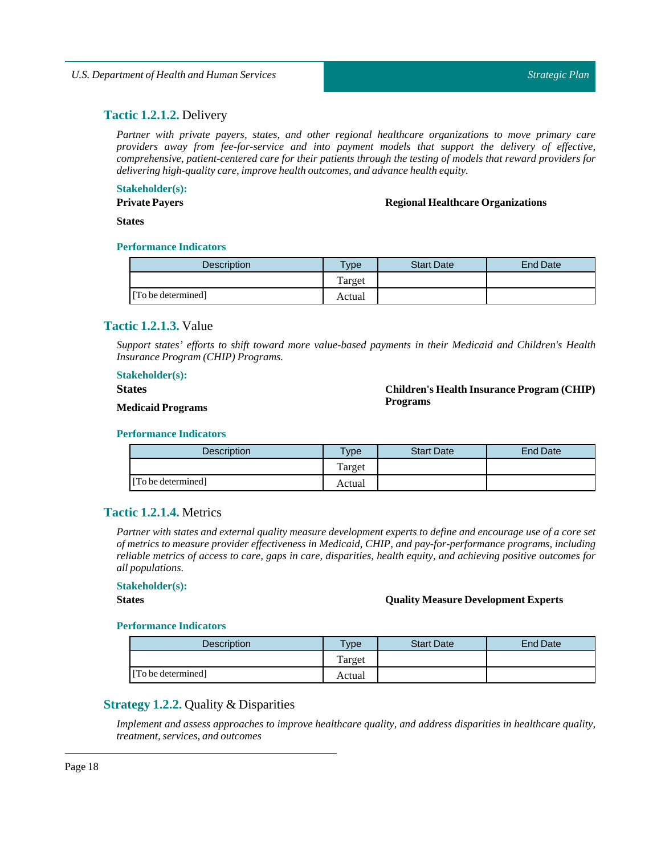# <span id="page-17-0"></span>**Tactic 1.2.1.2.** Delivery

*Partner with private payers, states, and other regional healthcare organizations to move primary care providers away from fee-for-service and into payment models that support the delivery of effective, comprehensive, patient-centered care for their patients through the testing of models that reward providers for delivering high-quality care,improve health outcomes, and advance health equity.*

#### **Stakeholder(s):**

**Private Payers**

#### **Regional Healthcare Organizations**

**States**

#### **Performance Indicators**

| <b>Description</b> | Type   | <b>Start Date</b> | <b>End Date</b> |
|--------------------|--------|-------------------|-----------------|
|                    | Target |                   |                 |
| [To be determined] | Actual |                   |                 |

# <span id="page-17-1"></span>**Tactic 1.2.1.3.** Value

*Support states' efforts to shift toward more value-based payments in their Medicaid and Children's Health Insurance Program (CHIP) Programs.*

#### **Stakeholder(s):**

#### **States**

 $Children's Health Insurance Program (CHIP)$ **Programs**

#### **Medicaid Programs**

#### **Performance Indicators**

| <b>Description</b> | $T$ ype | <b>Start Date</b> | End Date |
|--------------------|---------|-------------------|----------|
|                    | Target  |                   |          |
| [To be determined] | Actual  |                   |          |

# <span id="page-17-2"></span>**Tactic 1.2.1.4.** Metrics

Partner with states and external quality measure development experts to define and encourage use of a core set *of metrics to measure provider effectiveness in Medicaid, CHIP, and pay-for-performance programs, including* reliable metrics of access to care, gaps in care, disparities, health equity, and achieving positive outcomes for *all populations.*

#### **Stakeholder(s):**

#### **States Quality Measure Development Experts**

#### **Performance Indicators**

| <b>Description</b> | $T$ <sub>V</sub> pe | <b>Start Date</b> | <b>End Date</b> |
|--------------------|---------------------|-------------------|-----------------|
|                    | Target              |                   |                 |
| [To be determined] | Actual              |                   |                 |

# <span id="page-17-3"></span>**Strategy 1.2.2.** Quality & Disparities

*Implement and assess approaches to improve healthcare quality, and address disparities in healthcare quality, treatment, services, and outcomes*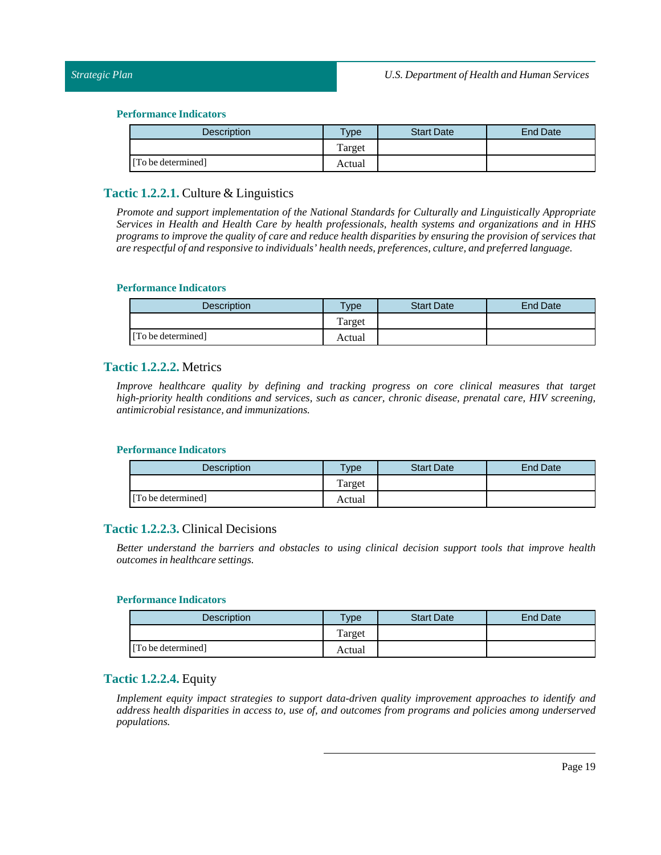| <b>Description</b> | $T$ ype | <b>Start Date</b> | End Date |
|--------------------|---------|-------------------|----------|
|                    | Target  |                   |          |
| [To be determined] | Actual  |                   |          |

# <span id="page-18-0"></span>**Tactic 1.2.2.1.** Culture & Linguistics

*Promote and support implementation of the National Standards for Culturally and Linguistically Appropriate Services in Health and Health Care by health professionals, health systems and organizations and in HHS* programs to improve the quality of care and reduce health disparities by ensuring the provision of services that *are respectful of and responsive to individuals' health needs, preferences, culture, and preferred language.*

#### **Performance Indicators**

| <b>Description</b> | <b>Type</b> | <b>Start Date</b> | End Date |
|--------------------|-------------|-------------------|----------|
|                    | Target      |                   |          |
| [To be determined] | Actual      |                   |          |

# <span id="page-18-1"></span>**Tactic 1.2.2.2.** Metrics

*Improve healthcare quality by defining and tracking progress on core clinical measures that target high-priority health conditions and services, such as cancer, chronic disease, prenatal care, HIV screening, antimicrobial resistance, and immunizations.*

#### **Performance Indicators**

| <b>Description</b> | $T$ vpe | <b>Start Date</b> | End Date |
|--------------------|---------|-------------------|----------|
|                    | Target  |                   |          |
| [To be determined] | Actual  |                   |          |

# <span id="page-18-2"></span>**Tactic 1.2.2.3.** Clinical Decisions

*Better understand the barriers and obstacles to using clinical decision support tools that improve health outcomes in healthcare settings.*

#### **Performance Indicators**

| <b>Description</b> | $T$ <sub>ype</sub> | <b>Start Date</b> | End Date |
|--------------------|--------------------|-------------------|----------|
|                    | Target             |                   |          |
| [To be determined] | Actual             |                   |          |

# <span id="page-18-3"></span>**Tactic 1.2.2.4.** Equity

*Implement equity impact strategies to support data-driven quality improvement approaches to identify and address health disparities in access to, use of, and outcomes from programs and policies among underserved populations.*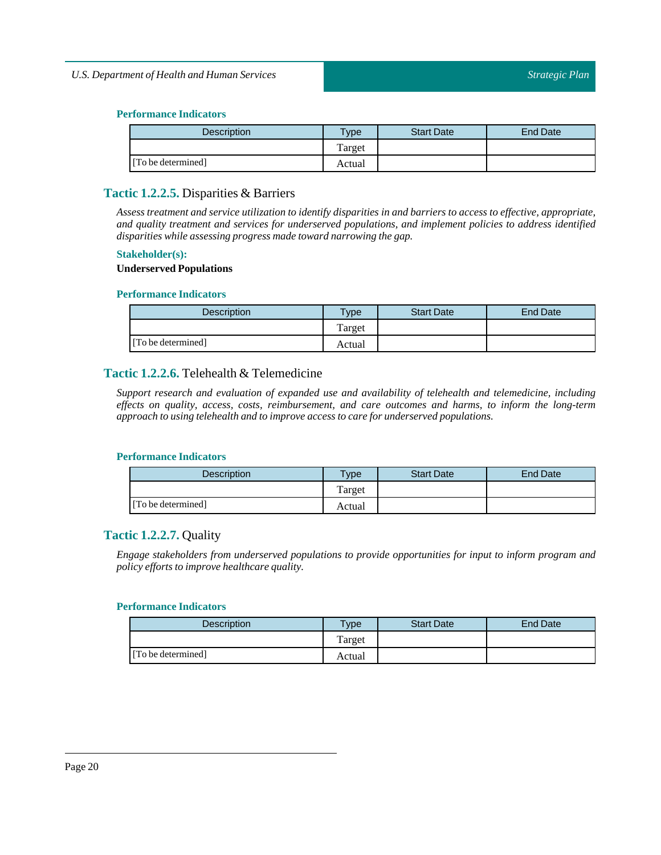| <b>Description</b> | $T$ ype | <b>Start Date</b> | End Date |
|--------------------|---------|-------------------|----------|
|                    | Target  |                   |          |
| [To be determined] | Actual  |                   |          |

# <span id="page-19-0"></span>**Tactic 1.2.2.5.** Disparities & Barriers

Assess treatment and service utilization to identify disparities in and barriers to access to effective, appropriate, *and quality treatment and services for underserved populations, and implement policies to address identified disparities while assessing progress made toward narrowing the gap.*

#### **Stakeholder(s):**

#### **Underserved Populations**

#### **Performance Indicators**

| <b>Description</b> | $v_{\rm Vpe}$ | <b>Start Date</b> | End Date |
|--------------------|---------------|-------------------|----------|
|                    | Target        |                   |          |
| [To be determined] | Actual        |                   |          |

# <span id="page-19-1"></span>**Tactic 1.2.2.6.** Telehealth & Telemedicine

*Support research and evaluation of expanded use and availability of telehealth and telemedicine, including effects on quality, access, costs, reimbursement, and care outcomes and harms, to inform the long-term approach to using telehealth and to improve access to care for underserved populations.*

#### **Performance Indicators**

| Description        | Type   | <b>Start Date</b> | End Date |
|--------------------|--------|-------------------|----------|
|                    | Target |                   |          |
| [To be determined] | Actual |                   |          |

# <span id="page-19-2"></span>**Tactic 1.2.2.7.** Quality

*Engage stakeholders from underserved populations to provide opportunities for input to inform program and policy efforts to improve healthcare quality.*

| Description        | $v_{\rm p}$ | <b>Start Date</b> | End Date |
|--------------------|-------------|-------------------|----------|
|                    | Target      |                   |          |
| [To be determined] | Actual      |                   |          |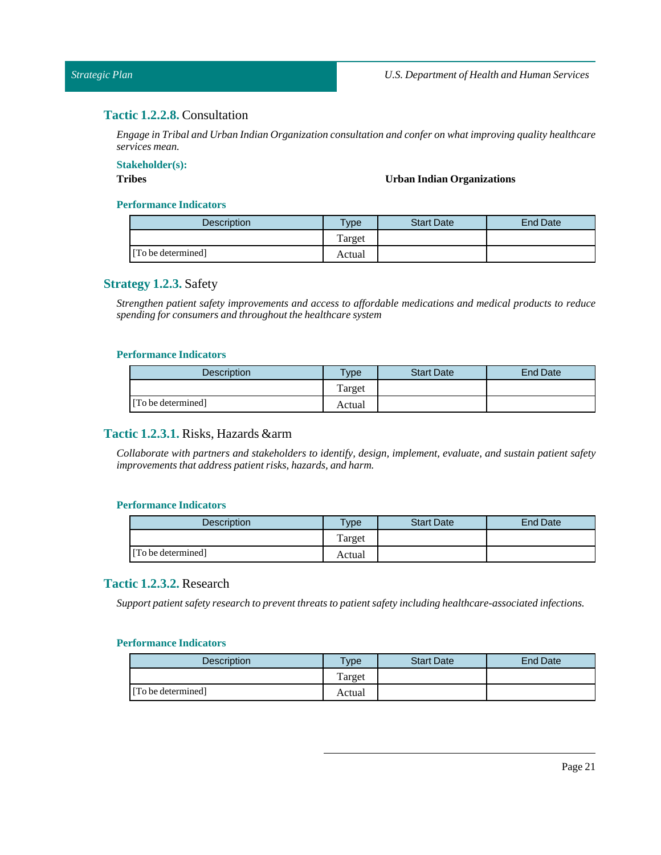# <span id="page-20-0"></span>**Tactic 1.2.2.8.** Consultation

*Engage inTribal and Urban Indian Organization consultation and confer on what improving quality healthcare services mean.*

**Stakeholder(s):**

#### **Tribes Urban Indian Organizations**

#### **Performance Indicators**

| <b>Description</b> | <b>Type</b> | <b>Start Date</b> | <b>End Date</b> |
|--------------------|-------------|-------------------|-----------------|
|                    | Target      |                   |                 |
| [To be determined] | Actual      |                   |                 |

# <span id="page-20-1"></span>**Strategy 1.2.3.** Safety

*Strengthen patient safety improvements and access to affordable medications and medical products to reduce spending for consumers and throughoutthe healthcare system*

#### **Performance Indicators**

| Description        | $v_{\rm p}$ | <b>Start Date</b> | End Date |
|--------------------|-------------|-------------------|----------|
|                    | Target      |                   |          |
| [To be determined] | Actual      |                   |          |

# <span id="page-20-2"></span>**Tactic 1.2.3.1.** Risks, Hazards &arm

*Collaborate with partners and stakeholders to identify, design, implement, evaluate, and sustain patient safety improvements that address patient risks, hazards, and harm.*

#### **Performance Indicators**

| <b>Description</b> | $TV$ pe | <b>Start Date</b> | <b>End Date</b> |
|--------------------|---------|-------------------|-----------------|
|                    | Target  |                   |                 |
| [To be determined] | Actual  |                   |                 |

# <span id="page-20-3"></span>**Tactic 1.2.3.2.** Research

*Support patient safety research to preventthreats to patient safety including healthcare-associated infections.*

| <b>Description</b> | <b>Type</b> | <b>Start Date</b> | End Date |
|--------------------|-------------|-------------------|----------|
|                    | Target      |                   |          |
| [To be determined] | Actual      |                   |          |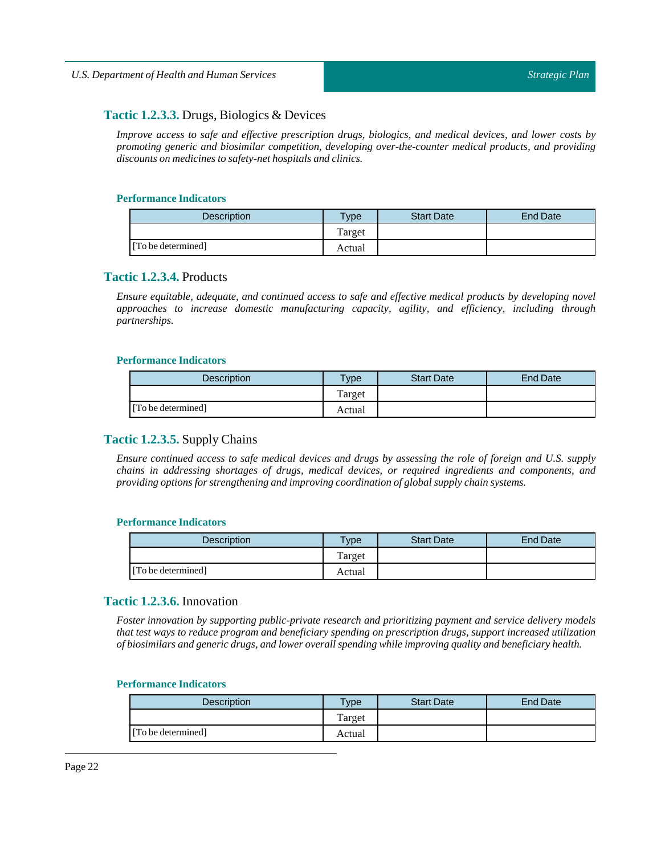# <span id="page-21-0"></span>**Tactic 1.2.3.3.** Drugs, Biologics & Devices

*Improve access to safe and effective prescription drugs, biologics, and medical devices, and lower costs by promoting generic and biosimilar competition, developing over-the-counter medical products, and providing discounts on medicines to safety-net hospitals and clinics.*

#### **Performance Indicators**

| <b>Description</b> | $T$ <sub>V</sub> $pe$ | <b>Start Date</b> | End Date |
|--------------------|-----------------------|-------------------|----------|
|                    | l'arget               |                   |          |
| [To be determined] | Actual                |                   |          |

# <span id="page-21-1"></span>**Tactic 1.2.3.4.** Products

*Ensure equitable, adequate, and continued access to safe and effective medical products by developing novel approaches to increase domestic manufacturing capacity, agility, and efficiency, including through partnerships.*

#### **Performance Indicators**

| <b>Description</b> | $T$ <sub>V</sub> $pe$ | <b>Start Date</b> | End Date |
|--------------------|-----------------------|-------------------|----------|
|                    | Target                |                   |          |
| [To be determined] | Actual                |                   |          |

# <span id="page-21-2"></span>**Tactic 1.2.3.5.** Supply Chains

Ensure continued access to safe medical devices and drugs by assessing the role of foreign and U.S. supply *chains in addressing shortages of drugs, medical devices, or required ingredients and components, and providing options for strengthening and improving coordination of global supply chain systems.*

#### **Performance Indicators**

| <b>Description</b> | $T$ <sub>ype</sub> | <b>Start Date</b> | <b>End Date</b> |
|--------------------|--------------------|-------------------|-----------------|
|                    | Target             |                   |                 |
| [To be determined] | Actual             |                   |                 |

# <span id="page-21-3"></span>**Tactic 1.2.3.6.** Innovation

*Foster innovation by supporting public-private research and prioritizing payment and service delivery models that test ways to reduce program and beneficiary spending on prescription drugs, support increased utilization of biosimilars and generic drugs, and lower overall spending while improving quality and beneficiary health.*

| Description        | $v$ pe | <b>Start Date</b> | <b>End Date</b> |
|--------------------|--------|-------------------|-----------------|
|                    | Target |                   |                 |
| [To be determined] | Actual |                   |                 |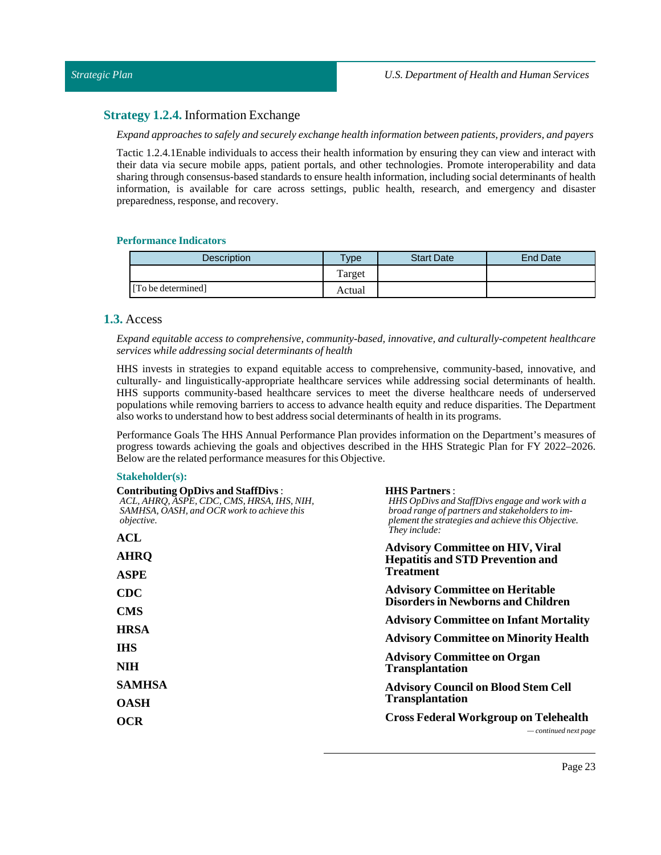#### <span id="page-22-0"></span>**Strategy 1.2.4.** Information Exchange

*Expand approaches to safely and securely exchange health information between patients, providers, and payers*

Tactic 1.2.4.1Enable individuals to access their health information by ensuring they can view and interact with their data via secure mobile apps, patient portals, and other technologies. Promote interoperability and data sharing through consensus-based standards to ensure health information, including social determinants of health information, is available for care across settings, public health, research, and emergency and disaster preparedness, response, and recovery.

#### **Performance Indicators**

| <b>Description</b> | Type   | <b>Start Date</b> | End Date |
|--------------------|--------|-------------------|----------|
|                    | Target |                   |          |
| [To be determined] | Actual |                   |          |

# <span id="page-22-1"></span>**1.3.** Access

*Expand equitable access to comprehensive, community-based, innovative, and culturally-competent healthcare services while addressing social determinants of health*

HHS invests in strategies to expand equitable access to comprehensive, community-based, innovative, and culturally- and linguistically-appropriate healthcare services while addressing social determinants of health. HHS supports community-based healthcare services to meet the diverse healthcare needs of underserved populations while removing barriers to access to advance health equity and reduce disparities. The Department also works to understand how to best address social determinants of health in its programs.

Performance Goals The HHS Annual Performance Plan provides information on the Department's measures of progress towards achieving the goals and objectives described in the HHS Strategic Plan for FY 2022–2026. Below are the related performance measures for this Objective.

#### **Stakeholder(s):**

| <b>Contributing OpDivs and StaffDivs:</b><br>ACL, AHRO, ASPE, CDC, CMS, HRSA, IHS, NIH,<br>SAMHSA, OASH, and OCR work to achieve this<br><i>objective.</i> | <b>HHS Partners:</b><br>HHS OpDivs and StaffDivs engage and work with a<br>broad range of partners and stakeholders to im-<br>plement the strategies and achieve this Objective.<br>They include:   |  |  |
|------------------------------------------------------------------------------------------------------------------------------------------------------------|-----------------------------------------------------------------------------------------------------------------------------------------------------------------------------------------------------|--|--|
| ACL                                                                                                                                                        | <b>Advisory Committee on HIV, Viral</b>                                                                                                                                                             |  |  |
| AHRQ                                                                                                                                                       | <b>Hepatitis and STD Prevention and</b><br><b>Treatment</b><br><b>Advisory Committee on Heritable</b><br><b>Disorders in Newborns and Children</b><br><b>Advisory Committee on Infant Mortality</b> |  |  |
| ASPE                                                                                                                                                       |                                                                                                                                                                                                     |  |  |
| <b>CDC</b><br><b>CMS</b>                                                                                                                                   |                                                                                                                                                                                                     |  |  |
|                                                                                                                                                            |                                                                                                                                                                                                     |  |  |
| IHS                                                                                                                                                        |                                                                                                                                                                                                     |  |  |
| NIH                                                                                                                                                        | <b>Advisory Committee on Organ</b><br><b>Transplantation</b>                                                                                                                                        |  |  |
| <b>SAMHSA</b>                                                                                                                                              | <b>Advisory Council on Blood Stem Cell</b>                                                                                                                                                          |  |  |
| OASH                                                                                                                                                       | <b>Transplantation</b>                                                                                                                                                                              |  |  |
| OCR                                                                                                                                                        | <b>Cross Federal Workgroup on Telehealth</b><br>$\sim$ continued next page                                                                                                                          |  |  |
|                                                                                                                                                            |                                                                                                                                                                                                     |  |  |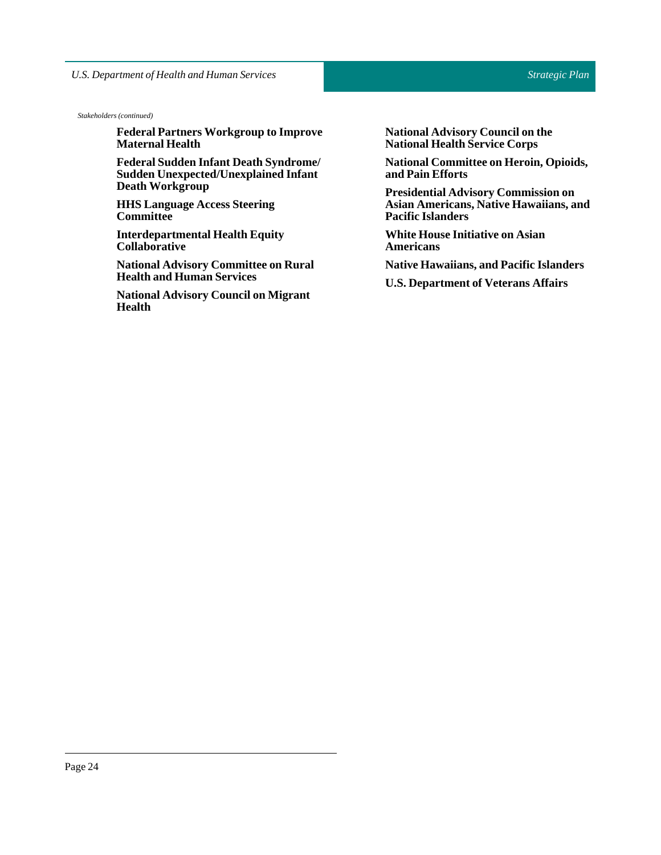*Stakeholders (continued)*

**Federal Partners Workgroup to Improve Maternal Health**

**Federal Sudden Infant Death Syndrome/ Sudden Unexpected/Unexplained Infant Death Workgroup**

**HHS Language Access Steering Committee**

**Interdepartmental Health Equity Collaborative**

**National Advisory Committee on Rural Health and Human Services**

**National Advisory Council on Migrant Health**

**National Advisory Council on the National Health Service Corps**

**National Committee on Heroin, Opioids, and Pain Efforts**

**Presidential Advisory Commission on Asian Americans, Native Hawaiians, and Pacific Islanders**

**White House Initiative on Asian Americans**

**Native Hawaiians, and Pacific Islanders**

**U.S. Department of Veterans Affairs**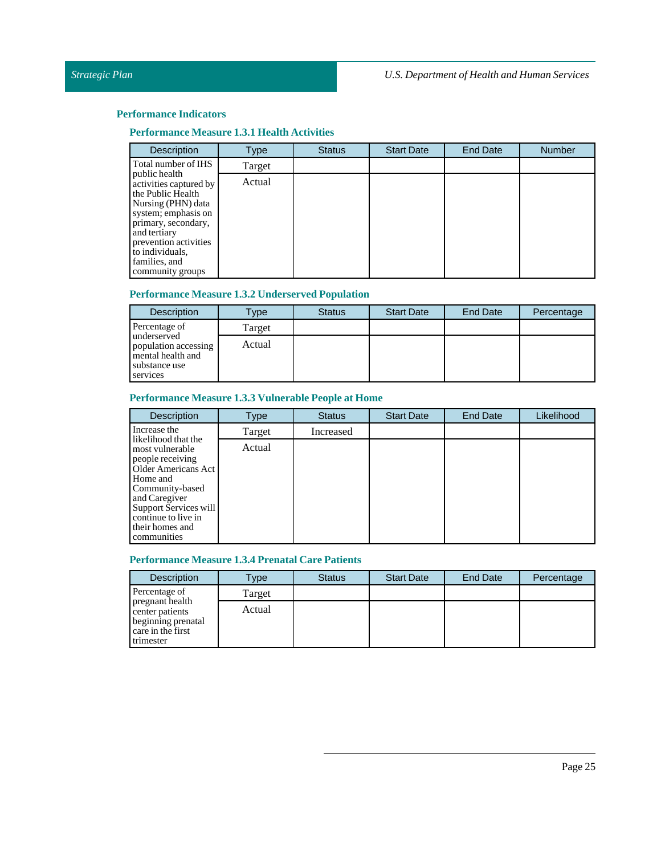# **Performance Measure 1.3.1 Health Activities**

| <b>Description</b>                                                                                                                                                                                                                | Type   | <b>Status</b> | <b>Start Date</b> | <b>End Date</b> | <b>Number</b> |
|-----------------------------------------------------------------------------------------------------------------------------------------------------------------------------------------------------------------------------------|--------|---------------|-------------------|-----------------|---------------|
| Total number of IHS                                                                                                                                                                                                               | Target |               |                   |                 |               |
| public health<br>activities captured by<br>the Public Health<br>Nursing (PHN) data<br>system; emphasis on<br>primary, secondary,<br>and tertiary<br>prevention activities<br>to individuals,<br>families, and<br>community groups | Actual |               |                   |                 |               |

# **Performance Measure 1.3.2 Underserved Population**

| <b>Description</b>                                                                    | Type   | <b>Status</b> | <b>Start Date</b> | End Date | Percentage |
|---------------------------------------------------------------------------------------|--------|---------------|-------------------|----------|------------|
| Percentage of                                                                         | Target |               |                   |          |            |
| underserved<br>population accessing<br>mental health and<br>substance use<br>services | Actual |               |                   |          |            |

# **Performance Measure 1.3.3 Vulnerable People at Home**

| <b>Description</b>                                                                                                                                                                                                  | Type   | <b>Status</b> | <b>Start Date</b> | <b>End Date</b> | Likelihood |
|---------------------------------------------------------------------------------------------------------------------------------------------------------------------------------------------------------------------|--------|---------------|-------------------|-----------------|------------|
| Increase the                                                                                                                                                                                                        | Target | Increased     |                   |                 |            |
| likelihood that the<br>most vulnerable<br>people receiving<br>Older Americans Act<br>Home and<br>Community-based<br>and Caregiver<br>Support Services will<br>continue to live in<br>their homes and<br>communities | Actual |               |                   |                 |            |

# **Performance Measure 1.3.4 Prenatal Care Patients**

| <b>Description</b>                                                                         | Type   | <b>Status</b> | <b>Start Date</b> | <b>End Date</b> | Percentage |
|--------------------------------------------------------------------------------------------|--------|---------------|-------------------|-----------------|------------|
| Percentage of                                                                              | Target |               |                   |                 |            |
| pregnant health<br>center patients<br>beginning prenatal<br>care in the first<br>trimester | Actual |               |                   |                 |            |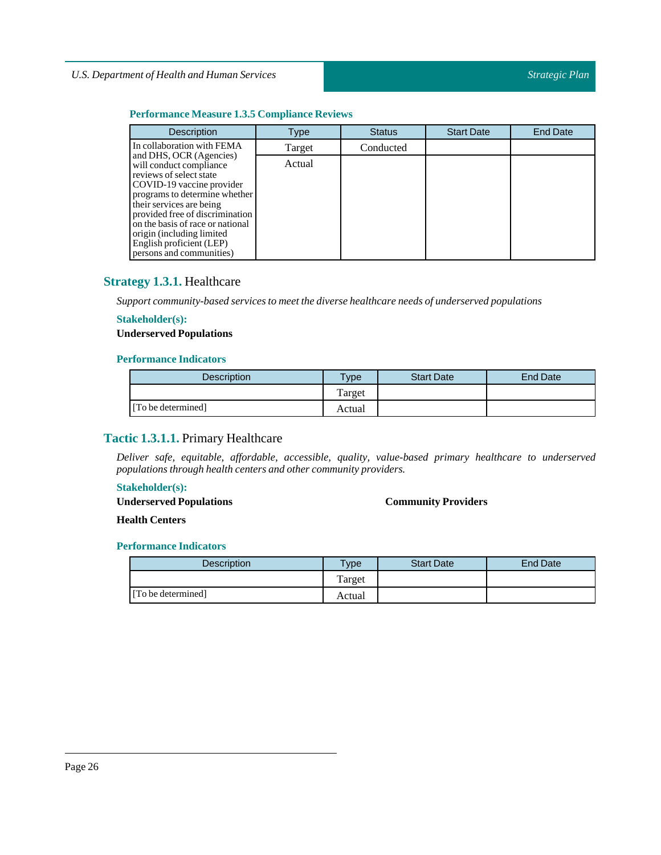# **Performance Measure 1.3.5 Compliance Reviews**

| <b>Description</b>                                                                                                                                                                                                                                                                                                                   | Type   | <b>Status</b> | <b>Start Date</b> | <b>End Date</b> |
|--------------------------------------------------------------------------------------------------------------------------------------------------------------------------------------------------------------------------------------------------------------------------------------------------------------------------------------|--------|---------------|-------------------|-----------------|
| In collaboration with FEMA                                                                                                                                                                                                                                                                                                           | Target | Conducted     |                   |                 |
| and DHS, OCR (Agencies)<br>will conduct compliance<br>reviews of select state<br>COVID-19 vaccine provider<br>programs to determine whether<br>their services are being<br>provided free of discrimination<br>on the basis of race or national<br>origin (including limited)<br>English proficient (LEP)<br>persons and communities) | Actual |               |                   |                 |

# <span id="page-25-0"></span>**Strategy 1.3.1.** Healthcare

*Support community-based services to meetthe diverse healthcare needs of underserved populations*

#### **Stakeholder(s):**

# **Underserved Populations**

#### **Performance Indicators**

| <b>Description</b> | $v_{\rm p}$ | <b>Start Date</b> | End Date |
|--------------------|-------------|-------------------|----------|
|                    | Target      |                   |          |
| [To be determined] | Actual      |                   |          |

# <span id="page-25-1"></span>**Tactic 1.3.1.1.** Primary Healthcare

*Deliver safe, equitable, affordable, accessible, quality, value-based primary healthcare to underserved populations through health centers and other community providers.*

# **Stakeholder(s):**

**Underserved Populations**

#### **Community Providers**

**Health Centers**

| <b>Description</b> | <b>Type</b> | <b>Start Date</b> | End Date |
|--------------------|-------------|-------------------|----------|
|                    | Target      |                   |          |
| [To be determined] | Actual      |                   |          |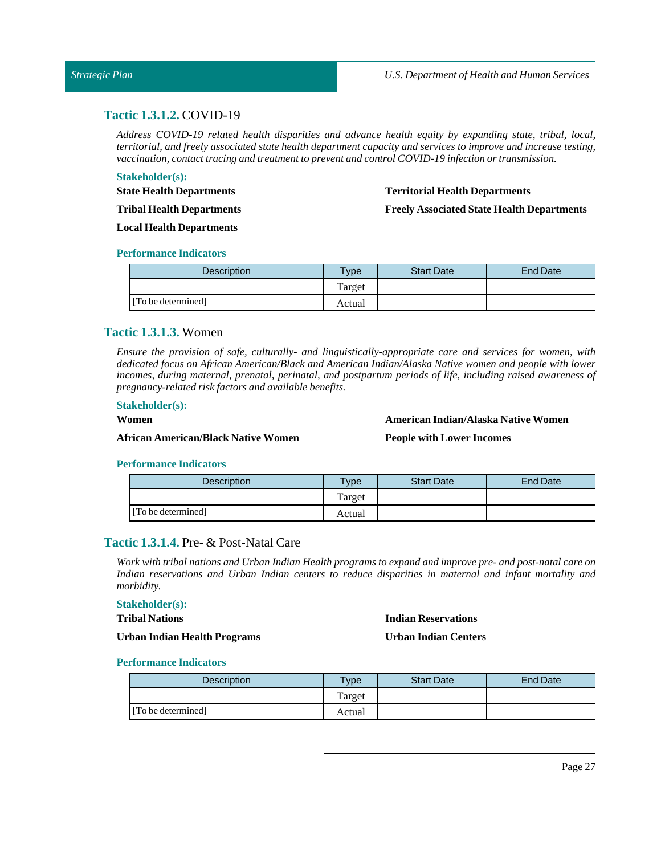# <span id="page-26-0"></span>**Tactic 1.3.1.2.** COVID-19

*Address COVID-19 related health disparities and advance health equity by expanding state, tribal, local, territorial, and freely associated state health department capacity and services to improve and increase testing, vaccination, contacttracing and treatmentto prevent and control COVID-19 infection or transmission.*

#### **Stakeholder(s):**

#### **Territorial Health Departments**

**Freely Associated State Health Departments** 

**Tribal Health Departments**

**Local Health Departments**

#### **Performance Indicators**

**State Health Departments**

| <b>Description</b> | <b>Type</b> | <b>Start Date</b> | End Date |
|--------------------|-------------|-------------------|----------|
|                    | Target      |                   |          |
| [To be determined] | Actual      |                   |          |

# <span id="page-26-1"></span>**Tactic 1.3.1.3.** Women

*Ensure the provision of safe, culturally- and linguistically-appropriate care and services for women, with dedicated focus on African American/Black and American Indian/Alaska Native women and people with lower incomes, during maternal, prenatal, perinatal, and postpartum periods of life, including raised awareness of pregnancy-related risk factors and available benefits.*

#### **Stakeholder(s):**

#### **Women**

**African American/Black Native Women**

**AmericanIndian/Alaska Native Women**

#### **People with Lower Incomes**

#### **Performance Indicators**

| Description        | $T$ ype | <b>Start Date</b> | <b>End Date</b> |
|--------------------|---------|-------------------|-----------------|
|                    | Target  |                   |                 |
| [To be determined] | Actual  |                   |                 |

# <span id="page-26-2"></span>**Tactic 1.3.1.4.** Pre- & Post-Natal Care

Work with tribal nations and Urban Indian Health programs to expand and improve pre- and post-natal care on *Indian reservations and Urban Indian centers to reduce disparities in maternal and infant mortality and morbidity.*

#### **Stakeholder(s): Tribal Nations**

#### **Indian Reservations**

**UrbanIndian Health Programs**

#### **UrbanIndian Centers**

| <b>Description</b> | Type    | <b>Start Date</b> | <b>End Date</b> |
|--------------------|---------|-------------------|-----------------|
|                    | l'arget |                   |                 |
| [To be determined] | Actual  |                   |                 |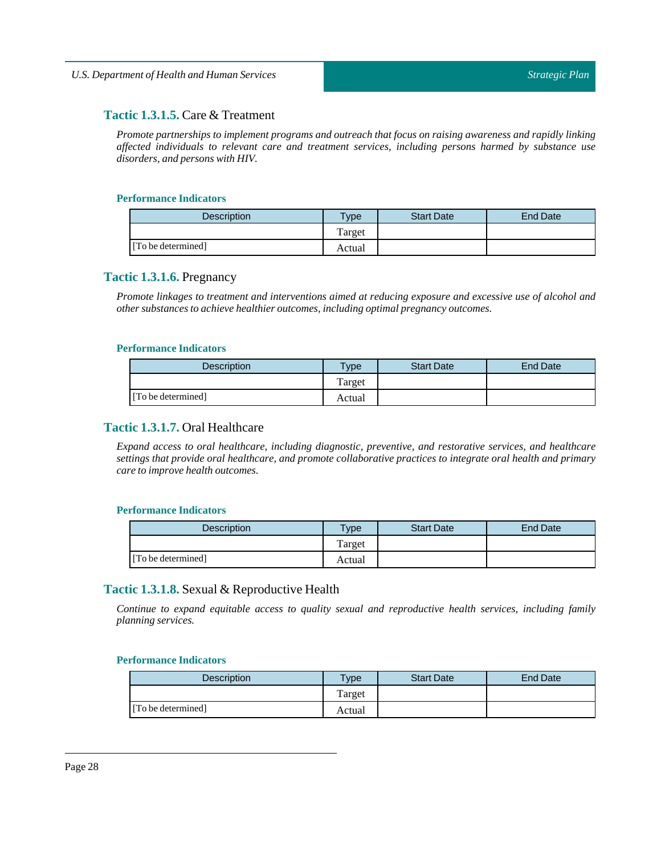# <span id="page-27-0"></span>**Tactic 1.3.1.5.** Care & Treatment

*Promote partnerships to implement programs and outreach that focus on raising awareness and rapidly linking affected individuals to relevant care and treatment services, including persons harmed by substance use disorders, and persons with HIV.*

#### **Performance Indicators**

| <b>Description</b> | <b>Type</b> | <b>Start Date</b> | End Date |
|--------------------|-------------|-------------------|----------|
|                    | Target      |                   |          |
| [To be determined] | Actual      |                   |          |

# <span id="page-27-1"></span>**Tactic 1.3.1.6.** Pregnancy

*Promote linkages to treatment and interventions aimed at reducing exposure and excessive use of alcohol and other substances to achieve healthier outcomes,including optimal pregnancy outcomes.*

#### **Performance Indicators**

| <b>Description</b> | <b>Type</b> | <b>Start Date</b> | <b>End Date</b> |
|--------------------|-------------|-------------------|-----------------|
|                    | Target      |                   |                 |
| [To be determined] | Actual      |                   |                 |

# <span id="page-27-2"></span>**Tactic 1.3.1.7.** Oral Healthcare

*Expand access to oral healthcare, including diagnostic, preventive, and restorative services, and healthcare settings that provide oral healthcare, and promote collaborative practices to integrate oral health and primary care to improve health outcomes.*

#### **Performance Indicators**

| <b>Description</b> | Type   | <b>Start Date</b> | <b>End Date</b> |
|--------------------|--------|-------------------|-----------------|
|                    | Target |                   |                 |
| [To be determined] | Actual |                   |                 |

# <span id="page-27-3"></span>**Tactic 1.3.1.8.** Sexual & Reproductive Health

*Continue to expand equitable access to quality sexual and reproductive health services, including family planning services.*

| <b>Description</b> | <b>Type</b> | <b>Start Date</b> | End Date |
|--------------------|-------------|-------------------|----------|
|                    | Target      |                   |          |
| [To be determined] | Actual      |                   |          |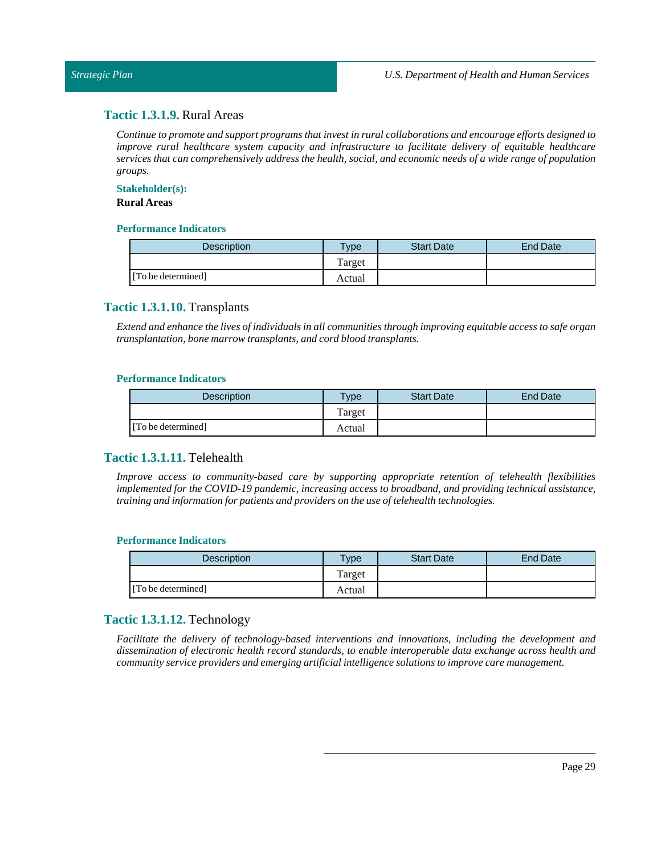# <span id="page-28-0"></span>**Tactic 1.3.1.9.** Rural Areas

*Continue to promote and support programs thatinvestin rural collaborations and encourage efforts designed to improve rural healthcare system capacity and infrastructure to facilitate delivery of equitable healthcare* services that can comprehensively address the health, social, and economic needs of a wide range of population *groups.*

#### **Stakeholder(s):**

# **Rural Areas**

#### **Performance Indicators**

| Description        | $T$ vpe | <b>Start Date</b> | End Date |
|--------------------|---------|-------------------|----------|
|                    | Target  |                   |          |
| [To be determined] | Actual  |                   |          |

# <span id="page-28-1"></span>**Tactic 1.3.1.10.** Transplants

*Extend and enhance the lives ofindividuals in all communities through improving equitable access to safe organ transplantation, bone marrow transplants, and cord blood transplants.*

#### **Performance Indicators**

| <b>Description</b> | Type   | <b>Start Date</b> | <b>End Date</b> |
|--------------------|--------|-------------------|-----------------|
|                    | Target |                   |                 |
| [To be determined] | Actual |                   |                 |

# <span id="page-28-2"></span>**Tactic 1.3.1.11.** Telehealth

*Improve access to community-based care by supporting appropriate retention of telehealth flexibilities implemented for the COVID-19 pandemic, increasing access to broadband, and providing technical assistance, training and information for patients and providers on the use oftelehealth technologies.*

#### **Performance Indicators**

| <b>Description</b> | <b>Type</b> | <b>Start Date</b> | <b>End Date</b> |
|--------------------|-------------|-------------------|-----------------|
|                    | Target      |                   |                 |
| [To be determined] | Actual      |                   |                 |

# <span id="page-28-3"></span>**Tactic 1.3.1.12.** Technology

*Facilitate the delivery of technology-based interventions and innovations, including the development and dissemination of electronic health record standards, to enable interoperable data exchange across health and community service providers and emerging artificialintelligence solutions to improve care management.*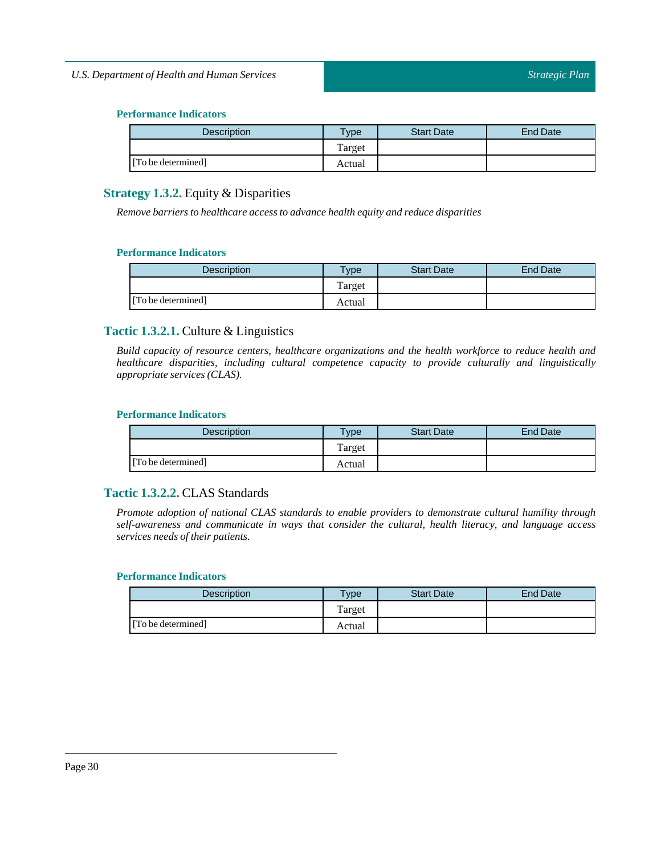| <b>Description</b> | $T$ ype | <b>Start Date</b> | End Date |
|--------------------|---------|-------------------|----------|
|                    | Target  |                   |          |
| [To be determined] | Actual  |                   |          |

# <span id="page-29-0"></span>**Strategy 1.3.2.** Equity & Disparities

*Remove barriers to healthcare access to advance health equity and reduce disparities*

# **Performance Indicators**

| <b>Description</b> | Type   | <b>Start Date</b> | End Date |
|--------------------|--------|-------------------|----------|
|                    | Target |                   |          |
| [To be determined] | Actual |                   |          |

# <span id="page-29-1"></span>**Tactic 1.3.2.1.** Culture & Linguistics

*Build capacity of resource centers, healthcare organizations and the health workforce to reduce health and healthcare disparities, including cultural competence capacity to provide culturally and linguistically appropriate services (CLAS).*

# **Performance Indicators**

| <b>Description</b> | $T$ ype | <b>Start Date</b> | <b>End Date</b> |
|--------------------|---------|-------------------|-----------------|
|                    | Target  |                   |                 |
| [To be determined] | Actual  |                   |                 |

# <span id="page-29-2"></span>**Tactic 1.3.2.2.** CLAS Standards

*Promote adoption of national CLAS standards to enable providers to demonstrate cultural humility through self-awareness and communicate in ways that consider the cultural, health literacy, and language access*  $s$ *ervices needs of their patients.* 

| <b>Description</b> | $T$ <sub>V</sub> pe | <b>Start Date</b> | End Date |
|--------------------|---------------------|-------------------|----------|
|                    | Target              |                   |          |
| [To be determined] | Actual              |                   |          |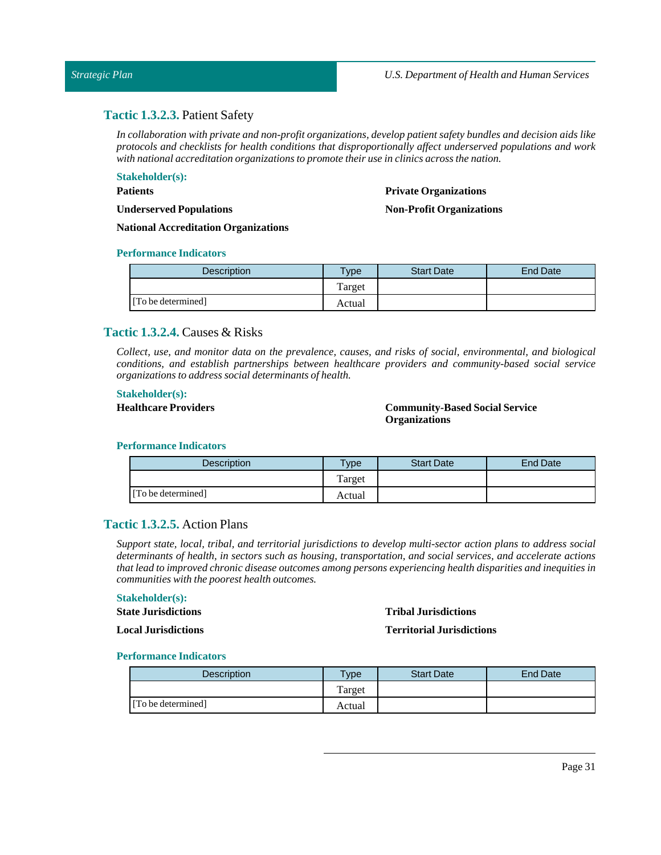# <span id="page-30-0"></span>**Tactic 1.3.2.3.** Patient Safety

*In collaboration with private and non-profit organizations, develop patient safety bundles and decision aids like protocols and checklists for health conditions that disproportionally affect underserved populations and work with national accreditation organizations to promote their use in clinics across the nation.*

# **Stakeholder(s):**

# **Patients**

**Underserved Populations**

#### **Private Organizations**

#### **Non-Profit Organizations**

**National Accreditation Organizations**

#### **Performance Indicators**

| Description        | vpe    | <b>Start Date</b> | <b>End Date</b> |
|--------------------|--------|-------------------|-----------------|
|                    | Target |                   |                 |
| [To be determined] | Actual |                   |                 |

# <span id="page-30-1"></span>**Tactic 1.3.2.4.** Causes & Risks

*Collect, use, and monitor data on the prevalence, causes, and risks of social, environmental, and biological conditions, and establish partnerships between healthcare providers and community-based social service organizations to address social determinants of health.*

#### **Stakeholder(s):**

#### **Healthcare Providers Community-Based Social Service Organizations**

#### **Performance Indicators**

| <b>Description</b> | <b>Type</b> | <b>Start Date</b> | <b>End Date</b> |
|--------------------|-------------|-------------------|-----------------|
|                    | Target      |                   |                 |
| [To be determined] | Actual      |                   |                 |

# <span id="page-30-2"></span>**Tactic 1.3.2.5.** Action Plans

*Support state, local, tribal, and territorial jurisdictions to develop multi-sector action plans to address social determinants of health, in sectors such as housing, transportation, and social services, and accelerate actions thatlead to improved chronic disease outcomes among persons experiencing health disparities and inequities in communities with the poorest health outcomes.*

#### **Stakeholder(s):**

**State Jurisdictions Local Jurisdictions**

#### **Tribal Jurisdictions**

#### **Territorial Jurisdictions**

| Description        | $T$ <sub>ype</sub> | <b>Start Date</b> | End Date |
|--------------------|--------------------|-------------------|----------|
|                    | Target             |                   |          |
| [To be determined] | Actual             |                   |          |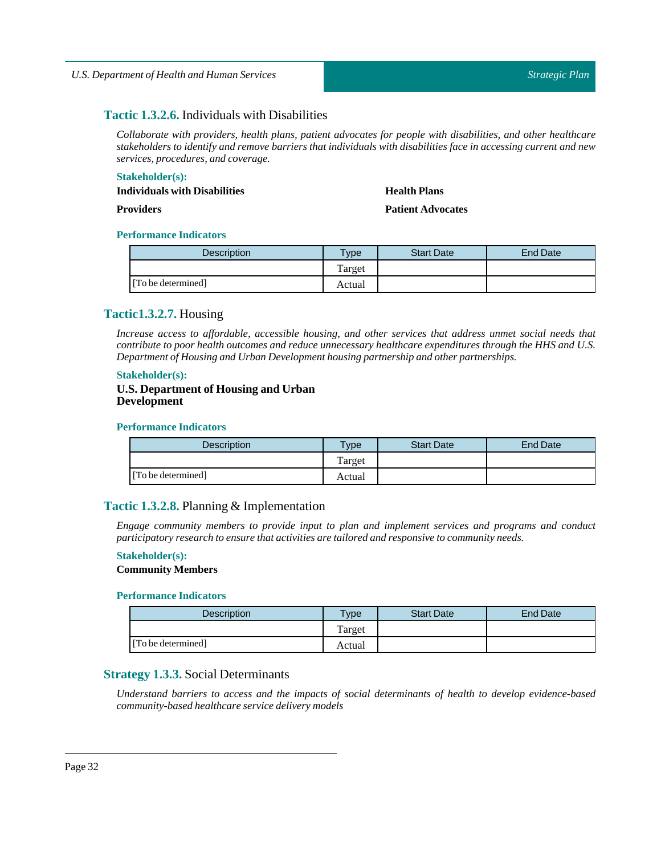# <span id="page-31-0"></span>**Tactic 1.3.2.6.** Individuals with Disabilities

*Collaborate with providers, health plans, patient advocates for people with disabilities, and other healthcare* stakeholders to identify and remove barriers that individuals with disabilities face in accessing current and new *services, procedures, and coverage.*

#### **Stakeholder(s):**

#### **Individuals with Disabilities**

# **Providers**

# **Health Plans**

**Patient Advocates**

# **Performance Indicators**

| <b>Description</b> | $T$ <sub>ype</sub> | <b>Start Date</b> | End Date |
|--------------------|--------------------|-------------------|----------|
|                    | Target             |                   |          |
| [To be determined] | Actual             |                   |          |

# <span id="page-31-1"></span>**Tactic1.3.2.7.** Housing

*Increase access to affordable, accessible housing, and other services that address unmet social needs that contribute to poor health outcomes and reduce unnecessary healthcare expenditures through the HHS and U.S. Department of Housing and Urban Development housing partnership and other partnerships.*

#### **Stakeholder(s):**

#### **U.S. Department of Housing and Urban Development**

#### **Performance Indicators**

| <b>Description</b> | $T$ vpe | <b>Start Date</b> | <b>End Date</b> |
|--------------------|---------|-------------------|-----------------|
|                    | Target  |                   |                 |
| [To be determined] | Actual  |                   |                 |

# <span id="page-31-2"></span>**Tactic 1.3.2.8.** Planning & Implementation

*Engage community members to provide input to plan and implement services and programs and conduct participatory research to ensure that activities are tailored and responsive to community needs.*

#### **Stakeholder(s):**

#### **Community Members**

#### **Performance Indicators**

| <b>Description</b> | Type   | <b>Start Date</b> | End Date |
|--------------------|--------|-------------------|----------|
|                    | Target |                   |          |
| [To be determined] | Actual |                   |          |

# <span id="page-31-3"></span>**Strategy 1.3.3.** Social Determinants

*Understand barriers to access and the impacts of social determinants of health to develop evidence-based community-based healthcare service delivery models*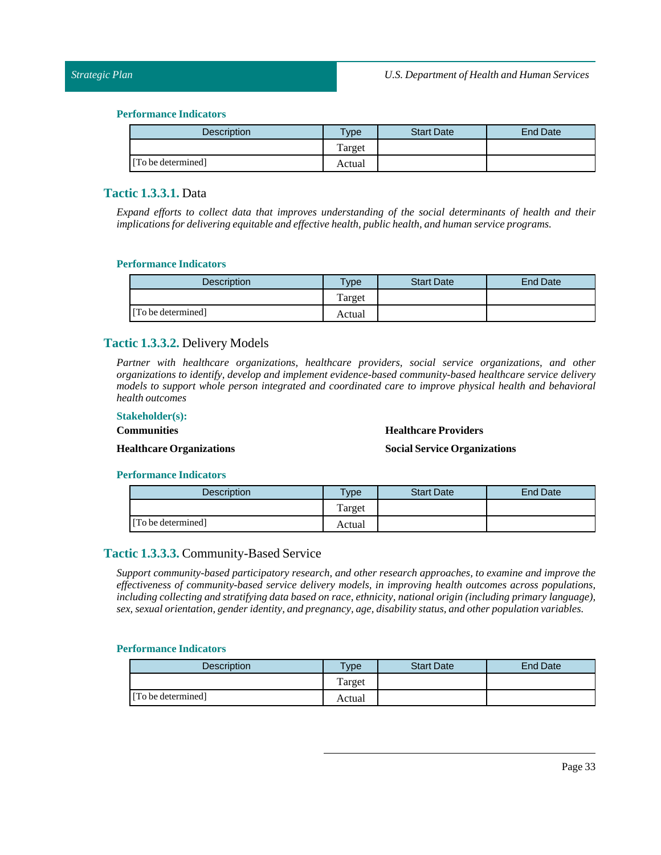| <b>Description</b> | $T$ <sub>ype</sub> | <b>Start Date</b> | <b>End Date</b> |
|--------------------|--------------------|-------------------|-----------------|
|                    | Target             |                   |                 |
| [To be determined] | Actual             |                   |                 |

# <span id="page-32-0"></span>**Tactic 1.3.3.1.** Data

*Expand efforts to collect data that improves understanding of the social determinants of health and their implications for delivering equitable and effective health, public health, and human service programs.*

#### **Performance Indicators**

| Description        | <b>Type</b> | <b>Start Date</b> | <b>End Date</b> |
|--------------------|-------------|-------------------|-----------------|
|                    | Target      |                   |                 |
| [To be determined] | Actual      |                   |                 |

# <span id="page-32-1"></span>**Tactic 1.3.3.2.** Delivery Models

*Partner with healthcare organizations, healthcare providers, social service organizations, and other organizations to identify, develop and implement evidence-based community-based healthcare service delivery models to support whole person integrated and coordinated care to improve physical health and behavioral health outcomes*

# **Stakeholder(s):**

**Communities**

#### **Healthcare Providers**

# **Healthcare Organizations**

#### **SocialService Organizations**

#### **Performance Indicators**

| Description        | Type   | <b>Start Date</b> | End Date |
|--------------------|--------|-------------------|----------|
|                    | Target |                   |          |
| [To be determined] | Actual |                   |          |

# <span id="page-32-2"></span>**Tactic 1.3.3.3.** Community-Based Service

*Support community-based participatory research, and other research approaches, to examine and improve the effectiveness of community-based service delivery models, in improving health outcomes across populations, including collecting and stratifying data based on race, ethnicity, national origin (including primary language), sex, sexual orientation, gender identity, and pregnancy, age, disability status, and other population variables.*

| Description        | $T$ <sub>ype</sub> | <b>Start Date</b> | <b>End Date</b> |
|--------------------|--------------------|-------------------|-----------------|
|                    | Target             |                   |                 |
| [To be determined] | Actual             |                   |                 |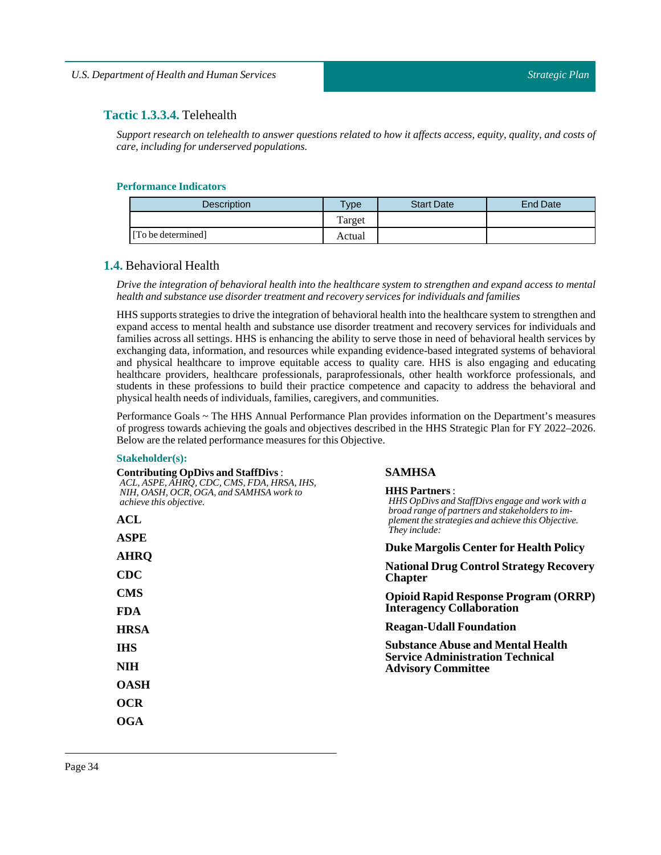# <span id="page-33-0"></span>**Tactic 1.3.3.4.** Telehealth

Support research on telehealth to answer questions related to how it affects access, equity, quality, and costs of *care,including for underserved populations.*

#### **Performance Indicators**

| <b>Description</b> | <b>Type</b> | <b>Start Date</b> | End Date |
|--------------------|-------------|-------------------|----------|
|                    | Target      |                   |          |
| [To be determined] | Actual      |                   |          |

# <span id="page-33-1"></span>**1.4.** Behavioral Health

Drive the integration of behavioral health into the healthcare system to strengthen and expand access to mental *health and substance use disorder treatment and recovery services for individuals and families*

HHSsupports strategies to drive the integration of behavioral health into the healthcare system to strengthen and expand access to mental health and substance use disorder treatment and recovery services for individuals and families across all settings. HHS is enhancing the ability to serve those in need of behavioral health services by exchanging data, information, and resources while expanding evidence-based integrated systems of behavioral and physical healthcare to improve equitable access to quality care. HHS is also engaging and educating healthcare providers, healthcare professionals, paraprofessionals, other health workforce professionals, and students in these professions to build their practice competence and capacity to address the behavioral and physical health needs of individuals, families, caregivers, and communities.

Performance Goals ~ The HHS Annual Performance Plan provides information on the Department's measures of progress towards achieving the goals and objectives described in the HHS Strategic Plan for FY 2022–2026. Below are the related performance measures for this Objective.

#### **Stakeholder(s):**

| <b>Contributing OpDivs and StaffDivs:</b>                                                                               | <b>SAMHSA</b>                                                                                                              |  |  |  |
|-------------------------------------------------------------------------------------------------------------------------|----------------------------------------------------------------------------------------------------------------------------|--|--|--|
| ACL, ASPE, AHRO, CDC, CMS, FDA, HRSA, IHS,<br>NIH, OASH, OCR, OGA, and SAMHSA work to<br><i>achieve this objective.</i> | <b>HHS Partners:</b><br>HHS OpDivs and StaffDivs engage and work with a<br>broad range of partners and stakeholders to im- |  |  |  |
| ACL                                                                                                                     | plement the strategies and achieve this Objective.<br>They include:                                                        |  |  |  |
| <b>ASPE</b>                                                                                                             | <b>Duke Margolis Center for Health Policy</b>                                                                              |  |  |  |
| <b>AHRQ</b>                                                                                                             |                                                                                                                            |  |  |  |
| $\bf CDC$                                                                                                               | <b>National Drug Control Strategy Recovery</b><br><b>Chapter</b>                                                           |  |  |  |
| <b>CMS</b>                                                                                                              | <b>Opioid Rapid Response Program (ORRP)</b>                                                                                |  |  |  |
| <b>FDA</b>                                                                                                              | <b>Interagency Collaboration</b>                                                                                           |  |  |  |
| <b>HRSA</b>                                                                                                             | <b>Reagan-Udall Foundation</b>                                                                                             |  |  |  |
| <b>IHS</b>                                                                                                              | <b>Substance Abuse and Mental Health</b><br><b>Service Administration Technical</b>                                        |  |  |  |
| <b>NIH</b>                                                                                                              | <b>Advisory Committee</b>                                                                                                  |  |  |  |
| <b>OASH</b>                                                                                                             |                                                                                                                            |  |  |  |
| <b>OCR</b>                                                                                                              |                                                                                                                            |  |  |  |
| OGA                                                                                                                     |                                                                                                                            |  |  |  |
|                                                                                                                         |                                                                                                                            |  |  |  |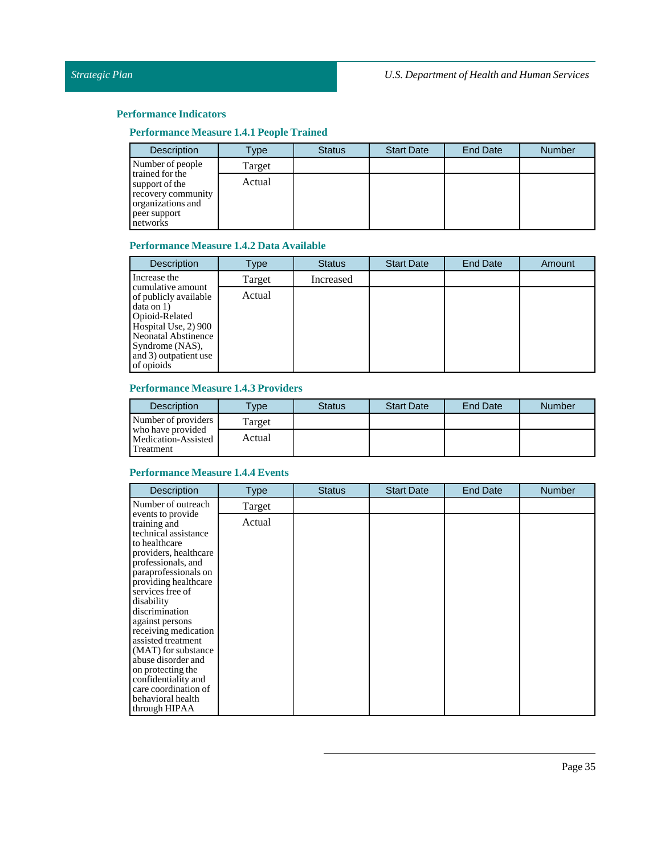# **Performance Measure 1.4.1 People Trained**

| <b>Description</b>                                                                                       | Type   | <b>Status</b> | <b>Start Date</b> | End Date | <b>Number</b> |
|----------------------------------------------------------------------------------------------------------|--------|---------------|-------------------|----------|---------------|
| Number of people                                                                                         | Target |               |                   |          |               |
| trained for the<br>support of the<br>recovery community<br>organizations and<br>peer support<br>networks | Actual |               |                   |          |               |

# **Performance Measure 1.4.2 Data Available**

| <b>Description</b>                                                                                                                                                                         | Type   | <b>Status</b> | <b>Start Date</b> | <b>End Date</b> | Amount |
|--------------------------------------------------------------------------------------------------------------------------------------------------------------------------------------------|--------|---------------|-------------------|-----------------|--------|
| Increase the                                                                                                                                                                               | Target | Increased     |                   |                 |        |
| cumulative amount<br>of publicly available<br>data on 1)<br>Opioid-Related<br>Hospital Use, 2) 900<br><b>Neonatal Abstinence</b><br>Syndrome (NAS),<br>and 3) outpatient use<br>of opioids | Actual |               |                   |                 |        |

# **Performance Measure 1.4.3 Providers**

| <b>Description</b>                                    | <b>Type</b> | <b>Status</b> | <b>Start Date</b> | <b>End Date</b> | <b>Number</b> |
|-------------------------------------------------------|-------------|---------------|-------------------|-----------------|---------------|
| Number of providers                                   | Target      |               |                   |                 |               |
| who have provided<br>Medication-Assisted<br>Treatment | Actual      |               |                   |                 |               |

# **Performance Measure 1.4.4 Events**

| <b>Description</b>                                                                                                                                                                                                                                                                                                                                                                                                                                    | <b>Type</b> | <b>Status</b> | <b>Start Date</b> | <b>End Date</b> | <b>Number</b> |
|-------------------------------------------------------------------------------------------------------------------------------------------------------------------------------------------------------------------------------------------------------------------------------------------------------------------------------------------------------------------------------------------------------------------------------------------------------|-------------|---------------|-------------------|-----------------|---------------|
| Number of outreach                                                                                                                                                                                                                                                                                                                                                                                                                                    | Target      |               |                   |                 |               |
| events to provide<br>training and<br>technical assistance<br>to healthcare<br>providers, healthcare<br>professionals, and<br>paraprofessionals on<br>providing healthcare<br>services free of<br>disability<br>discrimination<br>against persons<br>receiving medication<br>assisted treatment<br>(MAT) for substance<br>abuse disorder and<br>on protecting the<br>confidentiality and<br>care coordination of<br>behavioral health<br>through HIPAA | Actual      |               |                   |                 |               |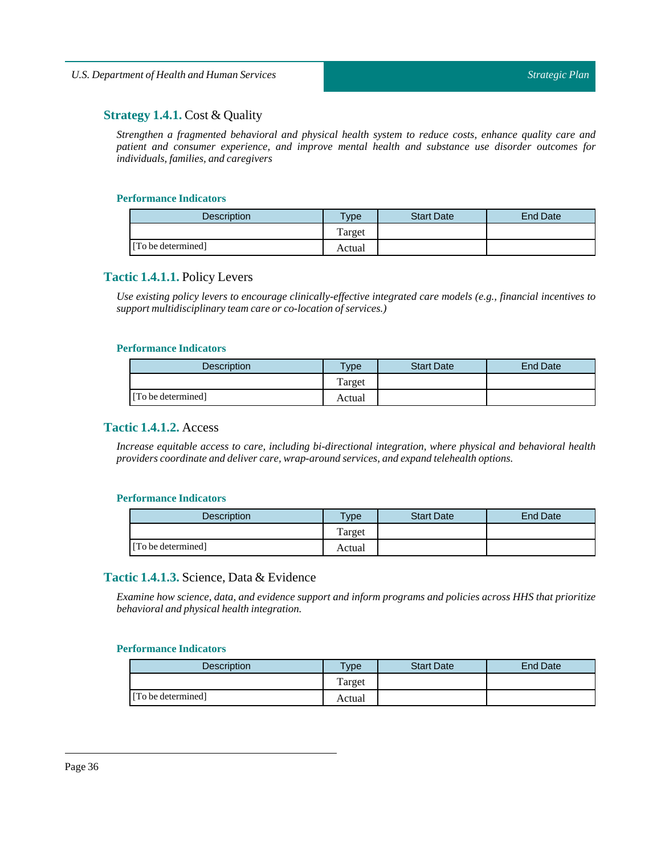# <span id="page-35-0"></span>**Strategy 1.4.1.** Cost & Quality

*Strengthen a fragmented behavioral and physical health system to reduce costs, enhance quality care and patient and consumer experience, and improve mental health and substance use disorder outcomes for individuals,families, and caregivers*

#### **Performance Indicators**

| <b>Description</b> | Type   | <b>Start Date</b> | End Date |
|--------------------|--------|-------------------|----------|
|                    | Target |                   |          |
| [To be determined] | Actual |                   |          |

# <span id="page-35-1"></span>**Tactic 1.4.1.1.** Policy Levers

*Use existing policy levers to encourage clinically-effective integrated care models (e.g., financial incentives to support multidisciplinary team care or co-location of services.)*

#### **Performance Indicators**

| <b>Description</b> | $v_{\rm p}$ | <b>Start Date</b> | End Date |
|--------------------|-------------|-------------------|----------|
|                    | Target      |                   |          |
| [To be determined] | Actual      |                   |          |

# <span id="page-35-2"></span>**Tactic 1.4.1.2.** Access

*Increase equitable access to care, including bi-directional integration, where physical and behavioral health providers coordinate and deliver care, wrap-around services, and expand telehealth options.*

#### **Performance Indicators**

| <b>Description</b> | Type   | <b>Start Date</b> | End Date |
|--------------------|--------|-------------------|----------|
|                    | Target |                   |          |
| [To be determined] | Actual |                   |          |

# <span id="page-35-3"></span>**Tactic 1.4.1.3.** Science, Data & Evidence

*Examine how science, data, and evidence support and inform programs and policies across HHS that prioritize behavioral and physical health integration.*

| <b>Description</b> | Type   | <b>Start Date</b> | <b>End Date</b> |
|--------------------|--------|-------------------|-----------------|
|                    | Target |                   |                 |
| [To be determined] | Actual |                   |                 |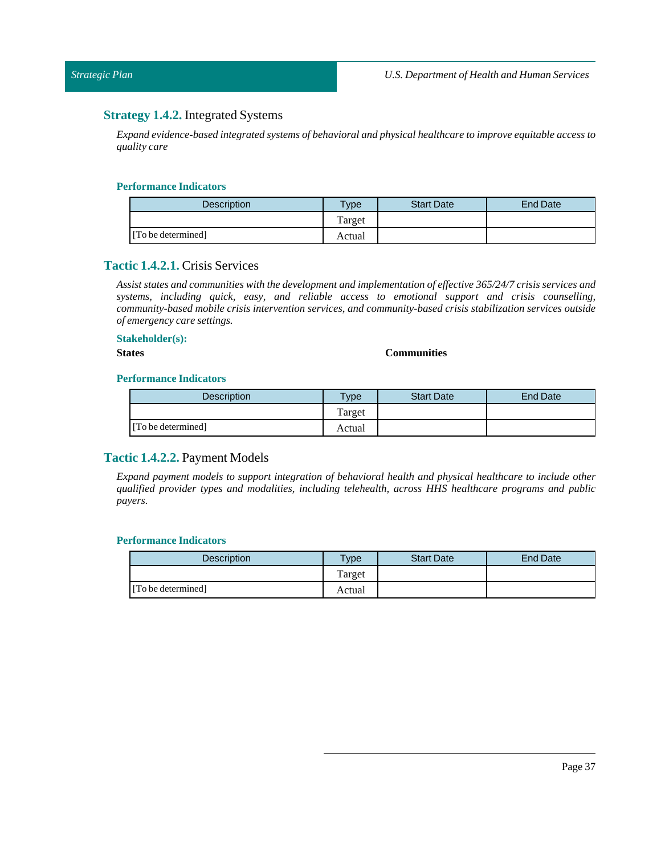# **Strategy 1.4.2.** Integrated Systems

*Expand evidence-based integrated systems of behavioral and physical healthcare to improve equitable access to quality care*

#### **Performance Indicators**

| <b>Description</b> | vpe    | <b>Start Date</b> | <b>End Date</b> |
|--------------------|--------|-------------------|-----------------|
|                    | Target |                   |                 |
| [To be determined] | Actual |                   |                 |

## **Tactic 1.4.2.1.** Crisis Services

*Assist states and communities with the development and implementation of effective 365/24/7 crisis services and systems, including quick, easy, and reliable access to emotional support and crisis counselling, community-based mobile crisis intervention services, and community-based crisis stabilization services outside of emergency care settings.*

#### **Stakeholder(s): States Communities**

#### **Performance Indicators**

| <b>Description</b> | $T$ ype | <b>Start Date</b> | End Date |
|--------------------|---------|-------------------|----------|
|                    | Target  |                   |          |
| [To be determined] | Actual  |                   |          |

# **Tactic 1.4.2.2.** Payment Models

*Expand payment models to support integration of behavioral health and physical healthcare to include other qualified provider types and modalities, including telehealth, across HHS healthcare programs and public payers.*

| <b>Description</b> | Type   | <b>Start Date</b> | End Date |
|--------------------|--------|-------------------|----------|
|                    | Target |                   |          |
| [To be determined] | Actual |                   |          |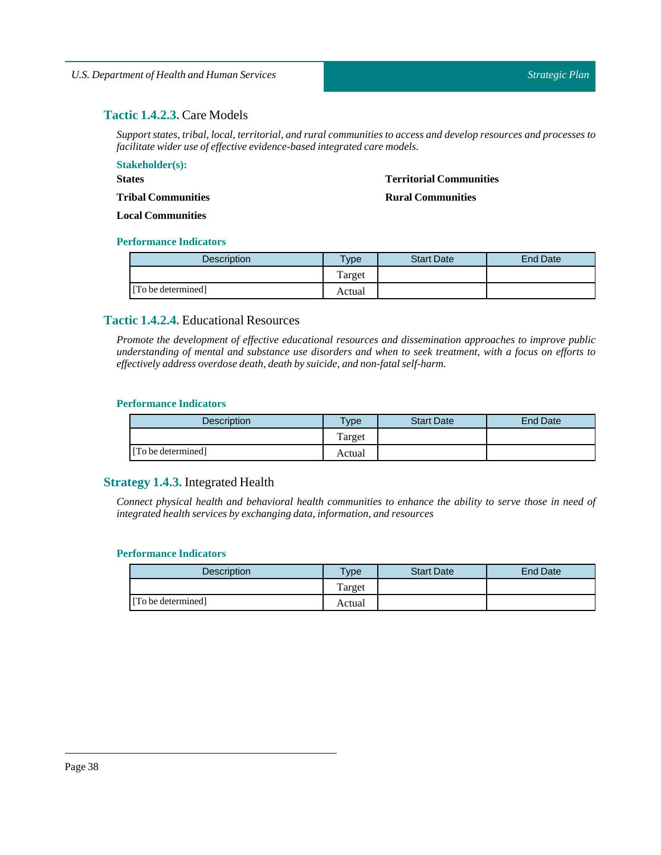# **Tactic 1.4.2.3.** Care Models

*Support states,tribal,local,territorial, and rural communities to access and develop resources and processes to facilitate wider use of effective evidence-based integrated care models.*

**Stakeholder(s): States Tribal Communities Local Communities Territorial Communities Rural Communities**

#### **Performance Indicators**

| <b>Description</b> | $T$ <sub>V</sub> $pe$ | <b>Start Date</b> | <b>End Date</b> |
|--------------------|-----------------------|-------------------|-----------------|
|                    | Target                |                   |                 |
| [To be determined] | Actual                |                   |                 |

# **Tactic 1.4.2.4.** Educational Resources

*Promote the development of effective educational resources and dissemination approaches to improve public* understanding of mental and substance use disorders and when to seek treatment, with a focus on efforts to *effectively address overdose death, death by suicide, and non-fatal self-harm.*

## **Performance Indicators**

| <b>Description</b> | <b>VDe</b> | <b>Start Date</b> | <b>End Date</b> |
|--------------------|------------|-------------------|-----------------|
|                    | Target     |                   |                 |
| [To be determined] | Actual     |                   |                 |

# **Strategy 1.4.3.** Integrated Health

Connect physical health and behavioral health communities to enhance the ability to serve those in need of *integrated health services by exchanging data,information, and resources*

| Description        | $T$ <sub>V</sub> $pe$ | <b>Start Date</b> | <b>End Date</b> |
|--------------------|-----------------------|-------------------|-----------------|
|                    | Target                |                   |                 |
| [To be determined] | Actual                |                   |                 |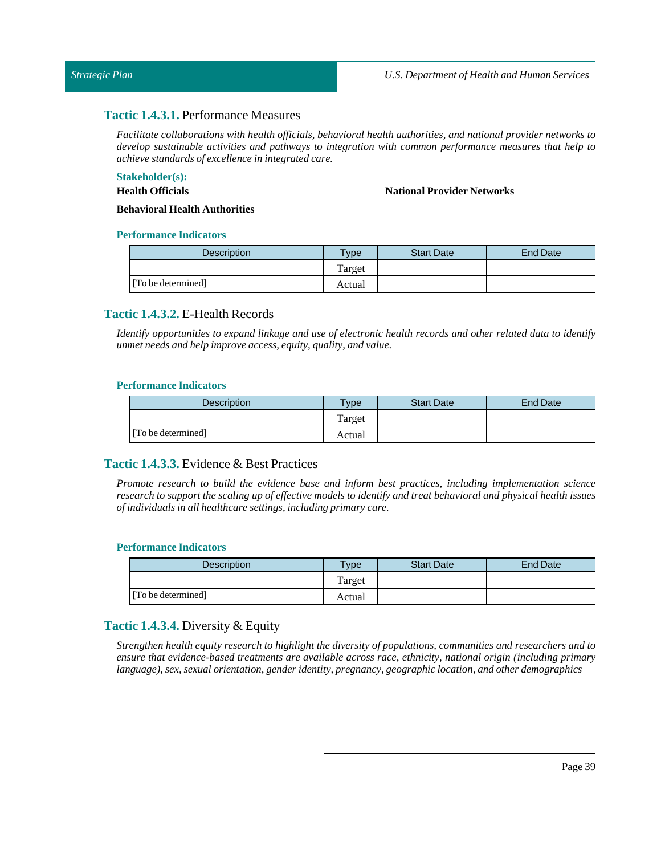## **Tactic 1.4.3.1.** Performance Measures

*Facilitate collaborations with health officials, behavioral health authorities, and national provider networks to develop sustainable activities and pathways to integration with common performance measures that help to achieve standards of excellence in integrated care.*

## **Stakeholder(s):**

**Health Officials**

**National Provider Networks**

**Behavioral Health Authorities**

#### **Performance Indicators**

| Description        | Type   | <b>Start Date</b> | <b>End Date</b> |
|--------------------|--------|-------------------|-----------------|
|                    | Target |                   |                 |
| [To be determined] | Actual |                   |                 |

## **Tactic 1.4.3.2.** E-Health Records

Identify opportunities to expand linkage and use of electronic health records and other related data to identify *unmet needs and help improve access, equity, quality, and value.*

#### **Performance Indicators**

| <b>Description</b> | $T$ <sub>V</sub> $pe$ | <b>Start Date</b> | <b>End Date</b> |
|--------------------|-----------------------|-------------------|-----------------|
|                    | Target                |                   |                 |
| [To be determined] | Actual                |                   |                 |

# **Tactic 1.4.3.3.** Evidence & Best Practices

*Promote research to build the evidence base and inform best practices, including implementation science* research to support the scaling up of effective models to identify and treat behavioral and physical health issues *ofindividuals in all healthcare settings,including primary care.*

#### **Performance Indicators**

| <b>Description</b> | $T$ <sub>V</sub> $pe$ | <b>Start Date</b> | <b>End Date</b> |
|--------------------|-----------------------|-------------------|-----------------|
|                    | Target                |                   |                 |
| [To be determined] | Actual                |                   |                 |

## **Tactic 1.4.3.4.** Diversity & Equity

*Strengthen health equity research to highlight the diversity of populations, communities and researchers and to ensure that evidence-based treatments are available across race, ethnicity, national origin (including primary language), sex, sexual orientation, gender identity, pregnancy, geographic location, and other demographics*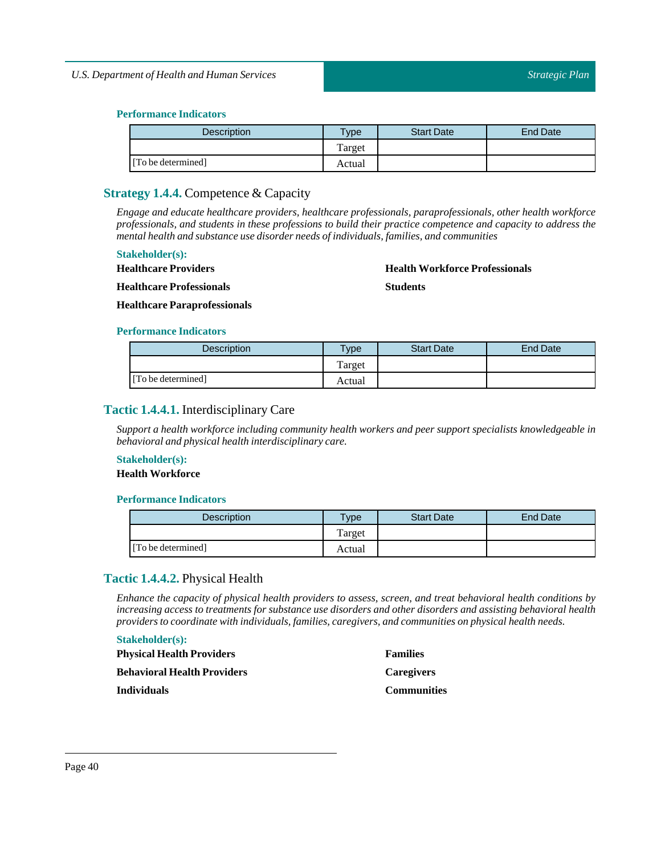| Description        | vpe    | <b>Start Date</b> | End Date |
|--------------------|--------|-------------------|----------|
|                    | Target |                   |          |
| [To be determined] | Actual |                   |          |

# **Strategy 1.4.4.** Competence & Capacity

*Engage and educate healthcare providers, healthcare professionals, paraprofessionals, other health workforce professionals, and students in these professions to build their practice competence and capacity to address the mental health and substance use disorder needs ofindividuals,families, and communities*

## **Stakeholder(s):**

**Healthcare Providers**

**Health Workforce Professionals**

**Healthcare Professionals**

**Students**

**Healthcare Paraprofessionals**

#### **Performance Indicators**

| <b>Description</b> | Type   | <b>Start Date</b> | <b>End Date</b> |
|--------------------|--------|-------------------|-----------------|
|                    | Target |                   |                 |
| [To be determined] | Actual |                   |                 |

## **Tactic 1.4.4.1.** Interdisciplinary Care

*Support a health workforce including community health workers and peer support specialists knowledgeable in behavioral and physical health interdisciplinary care.*

# **Stakeholder(s):**

## **Health Workforce**

#### **Performance Indicators**

| Description        | Type   | <b>Start Date</b> | End Date |
|--------------------|--------|-------------------|----------|
|                    | Target |                   |          |
| [To be determined] | Actual |                   |          |

# **Tactic 1.4.4.2.** Physical Health

*Enhance the capacity of physical health providers to assess, screen, and treat behavioral health conditions by increasing access to treatments for substance use disorders and other disorders and assisting behavioral health providers to coordinate with individuals,families, caregivers, and communities on physical health needs.*

## **Stakeholder(s):**

| <b>Physical Health Providers</b> | <b>Families</b>    |
|----------------------------------|--------------------|
| Behavioral Health Providers      | <b>Caregivers</b>  |
| Individuals                      | <b>Communities</b> |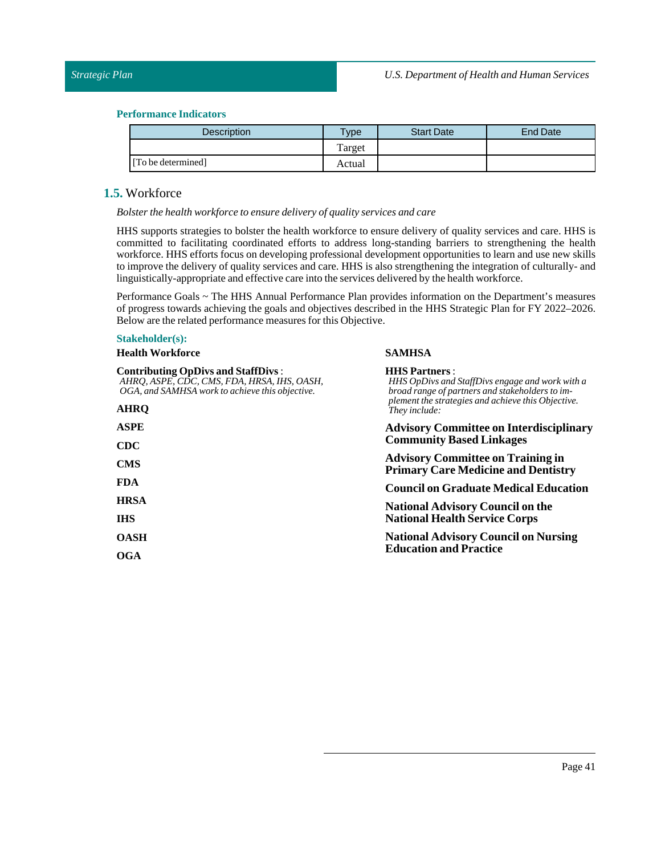| <b>Description</b> | $T$ ype | <b>Start Date</b> | <b>End Date</b> |
|--------------------|---------|-------------------|-----------------|
|                    | Target  |                   |                 |
| [To be determined] | Actual  |                   |                 |

# **1.5.** Workforce

*Bolster the health workforce to ensure delivery of quality services and care*

HHS supports strategies to bolster the health workforce to ensure delivery of quality services and care. HHS is committed to facilitating coordinated efforts to address long-standing barriers to strengthening the health workforce. HHS efforts focus on developing professional development opportunities to learn and use new skills to improve the delivery of quality services and care. HHS is also strengthening the integration of culturally- and linguistically-appropriate and effective care into the services delivered by the health workforce.

Performance Goals ~ The HHS Annual Performance Plan provides information on the Department's measures of progress towards achieving the goals and objectives described in the HHS Strategic Plan for FY 2022–2026. Below are the related performance measures for this Objective.

**SAMHSA**

#### **Stakeholder(s):**

**Health Workforce**

| <b>Contributing OpDivs and StaffDivs:</b><br>AHRO, ASPE, CDC, CMS, FDA, HRSA, IHS, OASH,<br>OGA, and SAMHSA work to achieve this objective. | <b>HHS Partners:</b><br>HHS OpDivs and StaffDivs engage and work with a<br>broad range of partners and stakeholders to im-             |  |  |
|---------------------------------------------------------------------------------------------------------------------------------------------|----------------------------------------------------------------------------------------------------------------------------------------|--|--|
| <b>AHRO</b>                                                                                                                                 | plement the strategies and achieve this Objective.<br>They include:                                                                    |  |  |
| ASPE                                                                                                                                        | <b>Advisory Committee on Interdisciplinary</b>                                                                                         |  |  |
| $\rm CDC$                                                                                                                                   | <b>Community Based Linkages</b>                                                                                                        |  |  |
| <b>CMS</b>                                                                                                                                  | <b>Advisory Committee on Training in</b><br><b>Primary Care Medicine and Dentistry</b><br><b>Council on Graduate Medical Education</b> |  |  |
| FDA.                                                                                                                                        |                                                                                                                                        |  |  |
| <b>HRSA</b>                                                                                                                                 | <b>National Advisory Council on the</b>                                                                                                |  |  |
| <b>IHS</b>                                                                                                                                  | <b>National Health Service Corps</b>                                                                                                   |  |  |
| OASH                                                                                                                                        | <b>National Advisory Council on Nursing</b>                                                                                            |  |  |
| OGA                                                                                                                                         | <b>Education and Practice</b>                                                                                                          |  |  |
|                                                                                                                                             |                                                                                                                                        |  |  |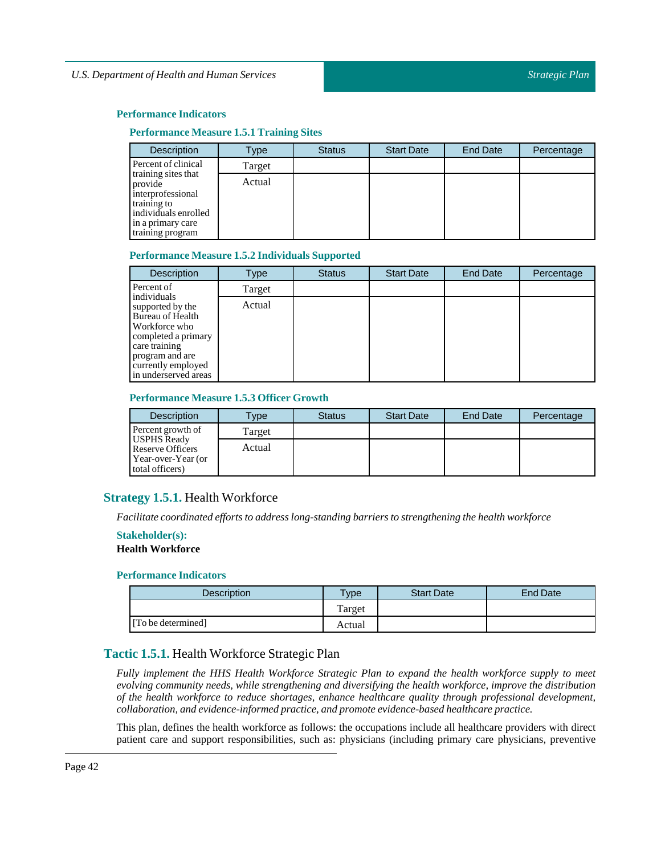#### **Performance Measure 1.5.1 Training Sites**

| <b>Description</b>                                                                                                                  | Type   | <b>Status</b> | <b>Start Date</b> | <b>End Date</b> | Percentage |
|-------------------------------------------------------------------------------------------------------------------------------------|--------|---------------|-------------------|-----------------|------------|
| Percent of clinical                                                                                                                 | Target |               |                   |                 |            |
| training sites that<br>provide<br>interprofessional<br>training to<br>individuals enrolled<br>in a primary care<br>training program | Actual |               |                   |                 |            |

#### **Performance Measure 1.5.2 Individuals Supported**

| <b>Description</b>                                                                                                                                                            | Type   | <b>Status</b> | <b>Start Date</b> | <b>End Date</b> | Percentage |
|-------------------------------------------------------------------------------------------------------------------------------------------------------------------------------|--------|---------------|-------------------|-----------------|------------|
| Percent of                                                                                                                                                                    | Target |               |                   |                 |            |
| individuals<br>supported by the<br>Bureau of Health<br>Workforce who<br>completed a primary<br>care training<br>program and are<br>currently employed<br>in underserved areas | Actual |               |                   |                 |            |

## **Performance Measure 1.5.3 Officer Growth**

| <b>Description</b>                                                                     | Type   | <b>Status</b> | <b>Start Date</b> | <b>End Date</b> | Percentage |
|----------------------------------------------------------------------------------------|--------|---------------|-------------------|-----------------|------------|
| Percent growth of                                                                      | Target |               |                   |                 |            |
| <b>USPHS Ready</b><br><b>Reserve Officers</b><br>Year-over-Year (or<br>total officers) | Actual |               |                   |                 |            |

## **Strategy 1.5.1.** Health Workforce

*Facilitate coordinated efforts to address long-standing barriers to strengthening the health workforce*

#### **Stakeholder(s):**

## **Health Workforce**

#### **Performance Indicators**

| <b>Description</b> | $T$ <sub>V</sub> $pe$ | <b>Start Date</b> | <b>End Date</b> |
|--------------------|-----------------------|-------------------|-----------------|
|                    | Target                |                   |                 |
| [To be determined] | Actual                |                   |                 |

## **Tactic 1.5.1.** Health Workforce Strategic Plan

*Fully implement the HHS Health Workforce Strategic Plan to expand the health workforce supply to meet evolving community needs, while strengthening and diversifying the health workforce, improve the distribution of the health workforce to reduce shortages, enhance healthcare quality through professional development, collaboration, and evidence-informed practice, and promote evidence-based healthcare practice.*

This plan, defines the health workforce as follows: the occupations include all healthcare providers with direct patient care and support responsibilities, such as: physicians (including primary care physicians, preventive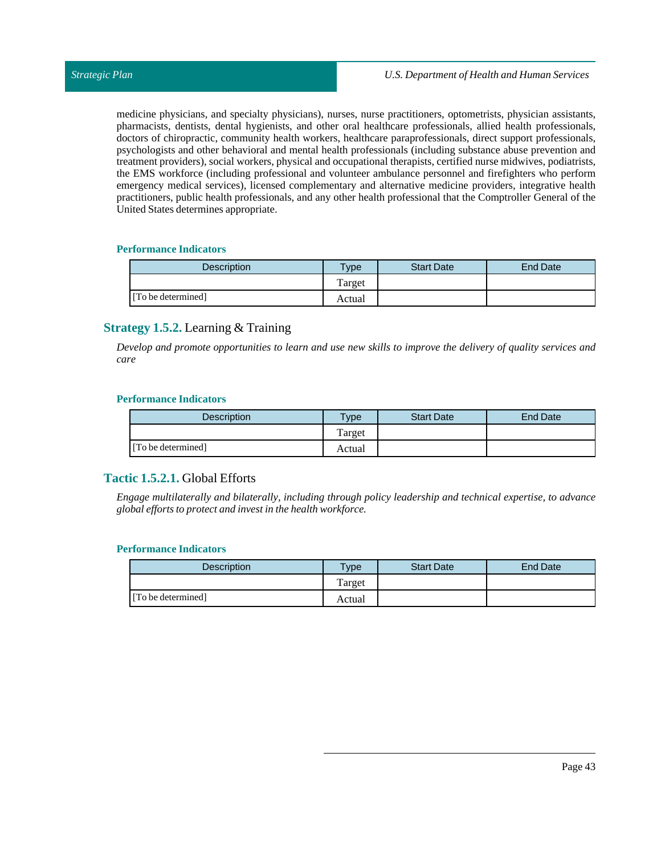medicine physicians, and specialty physicians), nurses, nurse practitioners, optometrists, physician assistants, pharmacists, dentists, dental hygienists, and other oral healthcare professionals, allied health professionals, doctors of chiropractic, community health workers, healthcare paraprofessionals, direct support professionals, psychologists and other behavioral and mental health professionals (including substance abuse prevention and treatment providers), social workers, physical and occupational therapists, certified nurse midwives, podiatrists, the EMS workforce (including professional and volunteer ambulance personnel and firefighters who perform emergency medical services), licensed complementary and alternative medicine providers, integrative health practitioners, public health professionals, and any other health professional that the Comptroller General of the United States determines appropriate.

## **Performance Indicators**

| <b>Description</b> | $T$ <sub>ype</sub> | <b>Start Date</b> | End Date |
|--------------------|--------------------|-------------------|----------|
|                    | Target             |                   |          |
| [To be determined] | Actual             |                   |          |

# **Strategy 1.5.2.** Learning & Training

Develop and promote opportunities to learn and use new skills to improve the delivery of quality services and *care*

## **Performance Indicators**

| <b>Description</b> | $T$ <sub>ype</sub> | <b>Start Date</b> | <b>End Date</b> |
|--------------------|--------------------|-------------------|-----------------|
|                    | Target             |                   |                 |
| [To be determined] | Actual             |                   |                 |

# **Tactic 1.5.2.1.** Global Efforts

*Engage multilaterally and bilaterally, including through policy leadership and technical expertise, to advance global efforts to protect and investin the health workforce.*

| <b>Description</b> | <b>VDe</b> | <b>Start Date</b> | End Date |
|--------------------|------------|-------------------|----------|
|                    | Target     |                   |          |
| [To be determined] | Actual     |                   |          |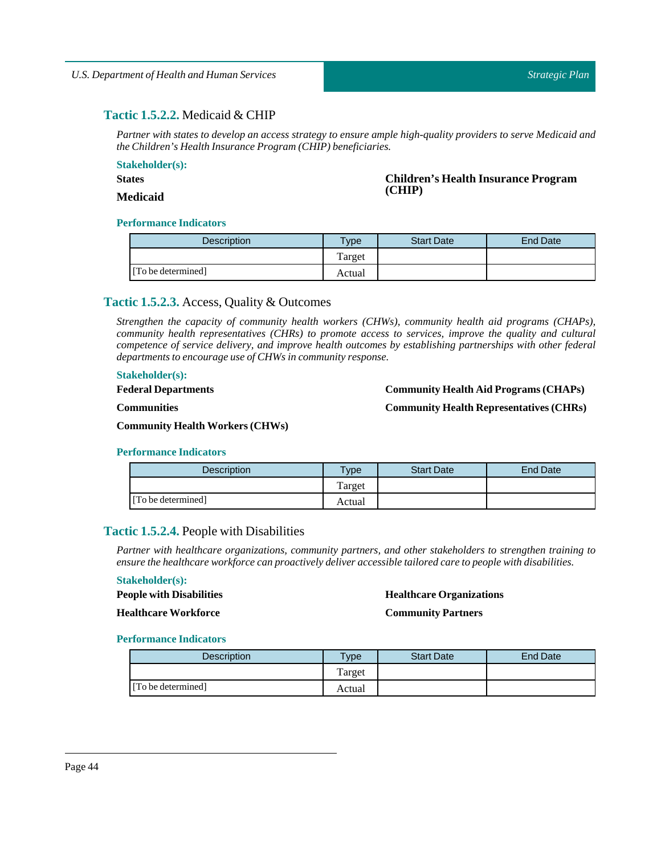# **Tactic 1.5.2.2.** Medicaid & CHIP

Partner with states to develop an access strategy to ensure ample high-quality providers to serve Medicaid and *the Children's Health Insurance Program (CHIP) beneficiaries.*

**Stakeholder(s):**

**States**

**Children's Health Insurance Program (CHIP)**

# **Medicaid**

## **Performance Indicators**

| <b>Description</b> | <b>Type</b> | <b>Start Date</b> | <b>End Date</b> |
|--------------------|-------------|-------------------|-----------------|
|                    | Target      |                   |                 |
| [To be determined] | Actual      |                   |                 |

# **Tactic 1.5.2.3.** Access, Quality & Outcomes

*Strengthen the capacity of community health workers (CHWs), community health aid programs (CHAPs), community health representatives (CHRs) to promote access to services, improve the quality and cultural competence of service delivery, and improve health outcomes by establishing partnerships with other federal departments to encourage use of CHWs in community response.*

#### **Stakeholder(s):**

**Federal Departments**

#### **Community Health Aid Programs (CHAPs)**

**Community Health Representatives (CHRs)**

**Communities**

**Community Health Workers (CHWs)**

#### **Performance Indicators**

| Description        | <b>VDe</b> | <b>Start Date</b> | <b>End Date</b> |
|--------------------|------------|-------------------|-----------------|
|                    | Target     |                   |                 |
| [To be determined] | Actual     |                   |                 |

# **Tactic 1.5.2.4.** People with Disabilities

*Partner with healthcare organizations, community partners, and other stakeholders to strengthen training to ensure the healthcare workforce can proactively deliver accessible tailored care to people with disabilities.*

## **Stakeholder(s):**

**People with Disabilities Healthcare Workforce**

#### **Healthcare Organizations**

**Community Partners**

| <b>Description</b> | <b>Type</b> | <b>Start Date</b> | <b>End Date</b> |
|--------------------|-------------|-------------------|-----------------|
|                    | Target      |                   |                 |
| [To be determined] | Actual      |                   |                 |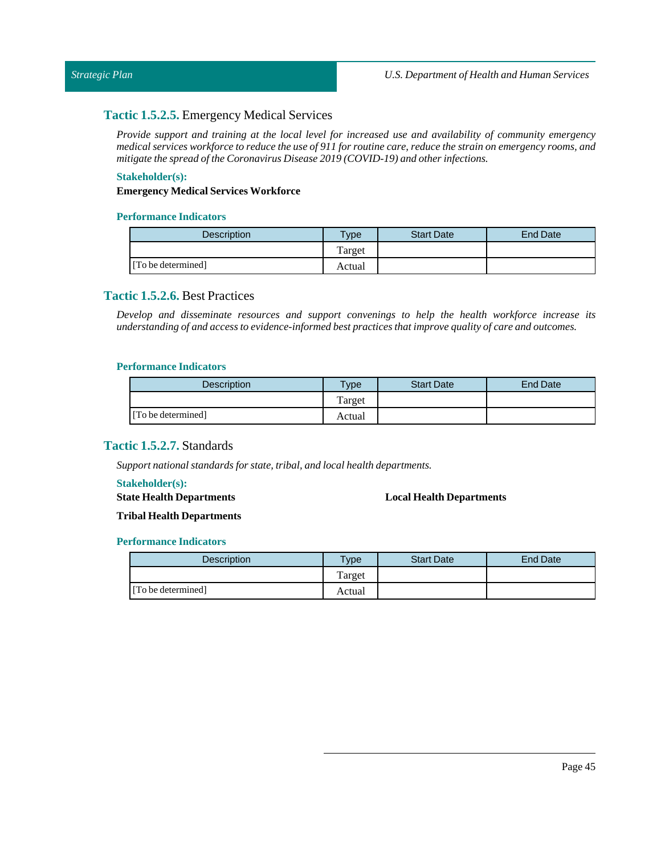## **Tactic 1.5.2.5.** Emergency Medical Services

*Provide support and training at the local level for increased use and availability of community emergency* medical services workforce to reduce the use of 911 for routine care, reduce the strain on emergency rooms, and *mitigate the spread of the Coronavirus Disease 2019* (COVID-19) and other *infections*.

## **Stakeholder(s):**

#### **Emergency Medical Services Workforce**

#### **Performance Indicators**

| <b>Description</b> | Type   | <b>Start Date</b> | <b>End Date</b> |
|--------------------|--------|-------------------|-----------------|
|                    | Target |                   |                 |
| [To be determined] | Actual |                   |                 |

## **Tactic 1.5.2.6.** Best Practices

*Develop and disseminate resources and support convenings to help the health workforce increase its understanding of and access to evidence-informed best practices thatimprove quality of care and outcomes.*

#### **Performance Indicators**

| Description        | Type   | <b>Start Date</b> | <b>End Date</b> |
|--------------------|--------|-------------------|-----------------|
|                    | Target |                   |                 |
| [To be determined] | Actual |                   |                 |

# **Tactic 1.5.2.7.** Standards

*Support national standards for state*, *tribal*, *and local health departments.* 

#### **Stakeholder(s):**

**State Health Departments**

#### **Local Health Departments**

**Tribal Health Departments**

| <b>Description</b> | <b>Type</b> | <b>Start Date</b> | <b>End Date</b> |
|--------------------|-------------|-------------------|-----------------|
|                    | Target      |                   |                 |
| [To be determined] | Actual      |                   |                 |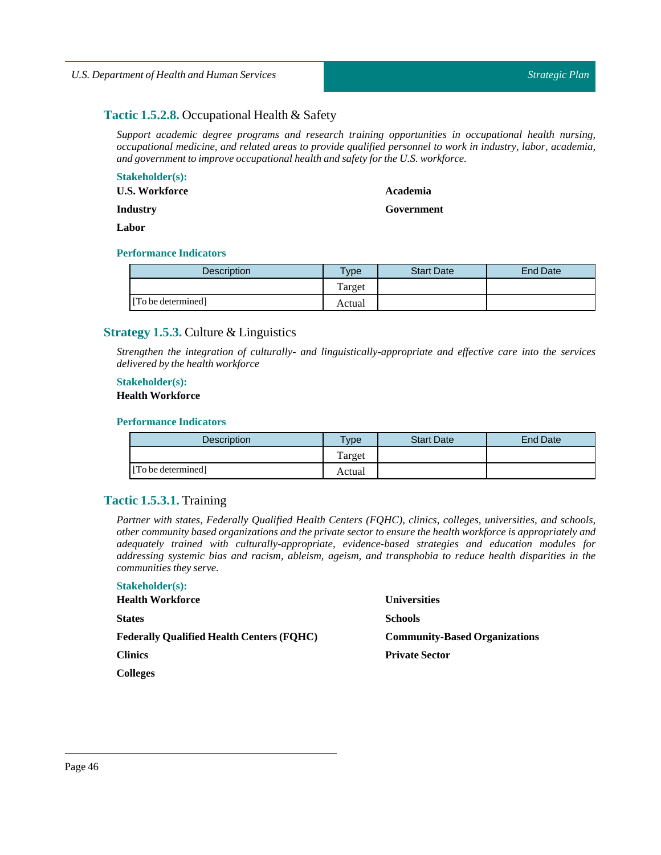## *Strategic Plan*

# **Tactic 1.5.2.8.** Occupational Health & Safety

*Support academic degree programs and research training opportunities in occupational health nursing, occupational medicine, and related areas to provide qualified personnel to work in industry, labor, academia, and governmentto improve occupational health and safety for the U.S. workforce.*

#### **Stakeholder(s):**

**U.S. Workforce**

# **Academia**

**Government**

**Industry Labor**

## **Performance Indicators**

| <b>Description</b> | <b>Type</b> | <b>Start Date</b> | <b>End Date</b> |
|--------------------|-------------|-------------------|-----------------|
|                    | Target      |                   |                 |
| [To be determined] | Actual      |                   |                 |

# **Strategy 1.5.3.** Culture & Linguistics

*Strengthen the integration of culturally- and linguistically-appropriate and effective care into the services delivered by the health workforce*

#### **Stakeholder(s):**

## **Health Workforce**

## **Performance Indicators**

| <b>Description</b> | <b>Type</b> | <b>Start Date</b> | <b>End Date</b> |
|--------------------|-------------|-------------------|-----------------|
|                    | Target      |                   |                 |
| [To be determined] | Actual      |                   |                 |

## **Tactic 1.5.3.1.** Training

*Partner with states, Federally Qualified Health Centers (FQHC), clinics, colleges, universities, and schools, other community based organizations and the private sector to ensure the health workforce is appropriately and adequately trained with culturally-appropriate, evidence-based strategies and education modules for addressing systemic bias and racism, ableism, ageism, and transphobia to reduce health disparities in the communities they serve.*

| <b>Stakeholder(s):</b>                           |                                      |
|--------------------------------------------------|--------------------------------------|
| <b>Health Workforce</b>                          | <b>Universities</b>                  |
| <b>States</b>                                    | <b>Schools</b>                       |
| <b>Federally Qualified Health Centers (FQHC)</b> | <b>Community-Based Organizations</b> |
| <b>Clinics</b>                                   | <b>Private Sector</b>                |
| <b>Colleges</b>                                  |                                      |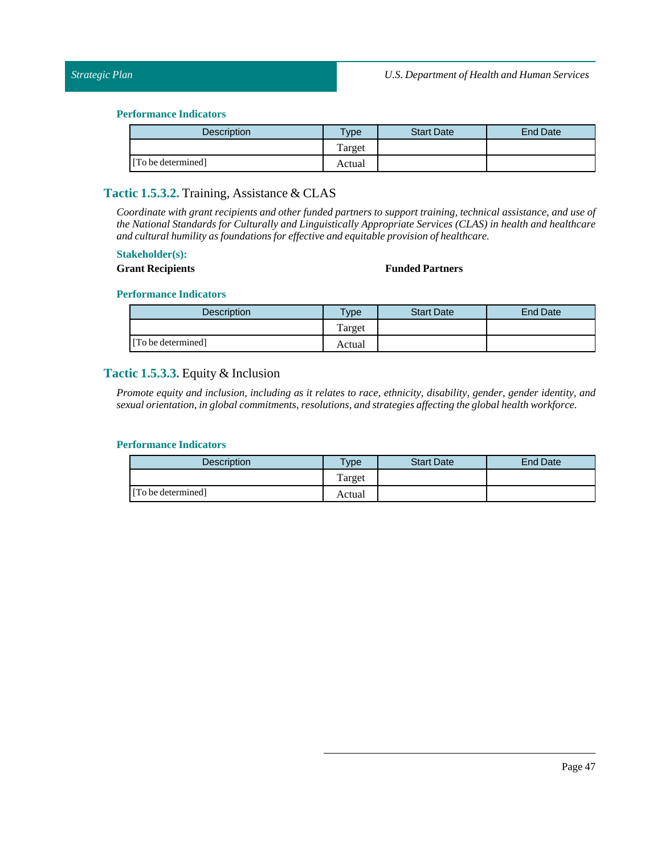| <b>Description</b> | <b>Type</b> | <b>Start Date</b> | End Date |
|--------------------|-------------|-------------------|----------|
|                    | Target      |                   |          |
| [To be determined] | Actual      |                   |          |

# **Tactic 1.5.3.2.** Training, Assistance & CLAS

*Coordinate with grant recipients and other funded partners to support training, technical assistance, and use of the National Standards for Culturally and Linguistically Appropriate Services (CLAS) in health and healthcare and cultural humility as foundations for effective and equitable provision of healthcare.*

## **Stakeholder(s):**

## **Grant Recipients Funded Partners**

#### **Performance Indicators**

| Description        | $v_{\rm p}$ | <b>Start Date</b> | <b>End Date</b> |
|--------------------|-------------|-------------------|-----------------|
|                    | Target      |                   |                 |
| [To be determined] | Actual      |                   |                 |

## **Tactic 1.5.3.3.** Equity & Inclusion

Promote equity and inclusion, including as it relates to race, ethnicity, disability, gender, gender identity, and *sexual orientation,in global commitments, resolutions, and strategies affecting the global health workforce.*

| <b>Description</b> | Type   | <b>Start Date</b> | <b>End Date</b> |
|--------------------|--------|-------------------|-----------------|
|                    | Target |                   |                 |
| [To be determined] | Actual |                   |                 |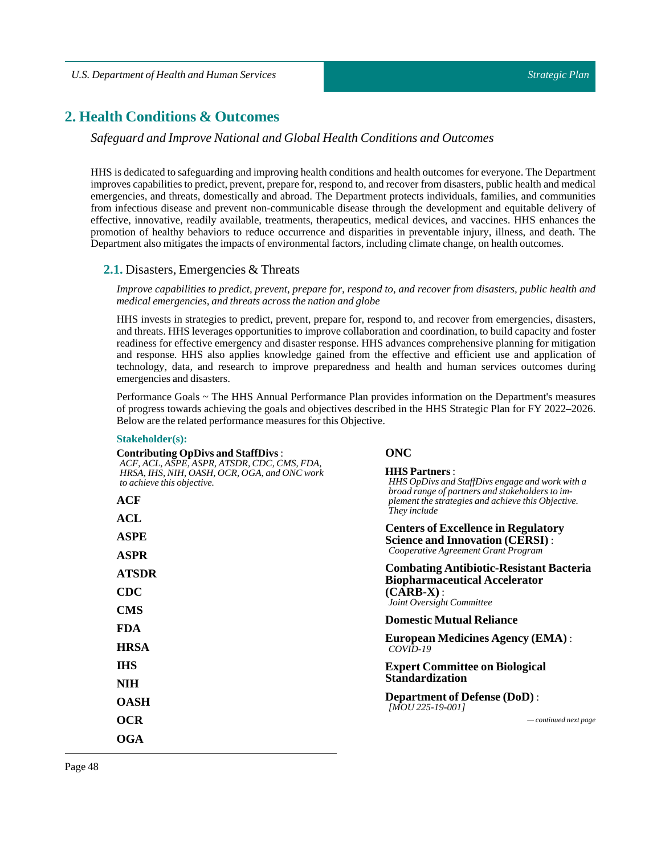# **2. Health Conditions & Outcomes**

*Safeguard and Improve National and Global Health Conditions and Outcomes*

HHSis dedicated to safeguarding and improving health conditions and health outcomes for everyone. The Department improves capabilities to predict, prevent, prepare for, respond to, and recover from disasters, public health and medical emergencies, and threats, domestically and abroad. The Department protects individuals, families, and communities from infectious disease and prevent non-communicable disease through the development and equitable delivery of effective, innovative, readily available, treatments, therapeutics, medical devices, and vaccines. HHS enhances the promotion of healthy behaviors to reduce occurrence and disparities in preventable injury, illness, and death. The Department also mitigates the impacts of environmental factors, including climate change, on health outcomes.

## **2.1.** Disasters, Emergencies & Threats

*Improve capabilities to predict, prevent, prepare for, respond to, and recover from disasters, public health and medical emergencies, and threats across the nation and globe*

HHS invests in strategies to predict, prevent, prepare for, respond to, and recover from emergencies, disasters, and threats. HHS leverages opportunities to improve collaboration and coordination, to build capacity and foster readiness for effective emergency and disaster response. HHS advances comprehensive planning for mitigation and response. HHS also applies knowledge gained from the effective and efficient use and application of technology, data, and research to improve preparedness and health and human services outcomes during emergencies and disasters.

Performance Goals ~ The HHS Annual Performance Plan provides information on the Department's measures of progress towards achieving the goals and objectives described in the HHS Strategic Plan for FY 2022–2026. Below are the related performance measures for this Objective.

## **Stakeholder(s):**

| <b>Contributing OpDivs and StaffDivs:</b>                                                                                 | ONC                                                                                                                         |
|---------------------------------------------------------------------------------------------------------------------------|-----------------------------------------------------------------------------------------------------------------------------|
| ACF, ACL, ASPE, ASPR, ATSDR, CDC, CMS, FDA,<br>HRSA, IHS, NIH, OASH, OCR, OGA, and ONC work<br>to achieve this objective. | <b>HHS Partners:</b><br>HHS OpDivs and StaffDivs engage and work with a                                                     |
| <b>ACF</b>                                                                                                                | broad range of partners and stakeholders to im-<br>plement the strategies and achieve this Objective.<br>They include       |
| ACL                                                                                                                       |                                                                                                                             |
| <b>ASPE</b>                                                                                                               | <b>Centers of Excellence in Regulatory</b><br><b>Science and Innovation (CERSI):</b><br>Cooperative Agreement Grant Program |
| <b>ASPR</b>                                                                                                               |                                                                                                                             |
| <b>ATSDR</b>                                                                                                              | <b>Combating Antibiotic-Resistant Bacteria</b><br><b>Biopharmaceutical Accelerator</b>                                      |
| <b>CDC</b>                                                                                                                | $(CARB-X)$ :<br>Joint Oversight Committee                                                                                   |
| <b>CMS</b>                                                                                                                | <b>Domestic Mutual Reliance</b>                                                                                             |
| <b>FDA</b>                                                                                                                |                                                                                                                             |
| <b>HRSA</b>                                                                                                               | <b>European Medicines Agency (EMA):</b><br>$COVID-19$                                                                       |
| <b>IHS</b>                                                                                                                | <b>Expert Committee on Biological</b>                                                                                       |
| <b>NIH</b>                                                                                                                | <b>Standardization</b>                                                                                                      |
| <b>OASH</b>                                                                                                               | <b>Department of Defense (DoD):</b><br>$[MOU 225-19-001]$                                                                   |
| OCR                                                                                                                       | $\sim$ continued next page                                                                                                  |
| OGA                                                                                                                       |                                                                                                                             |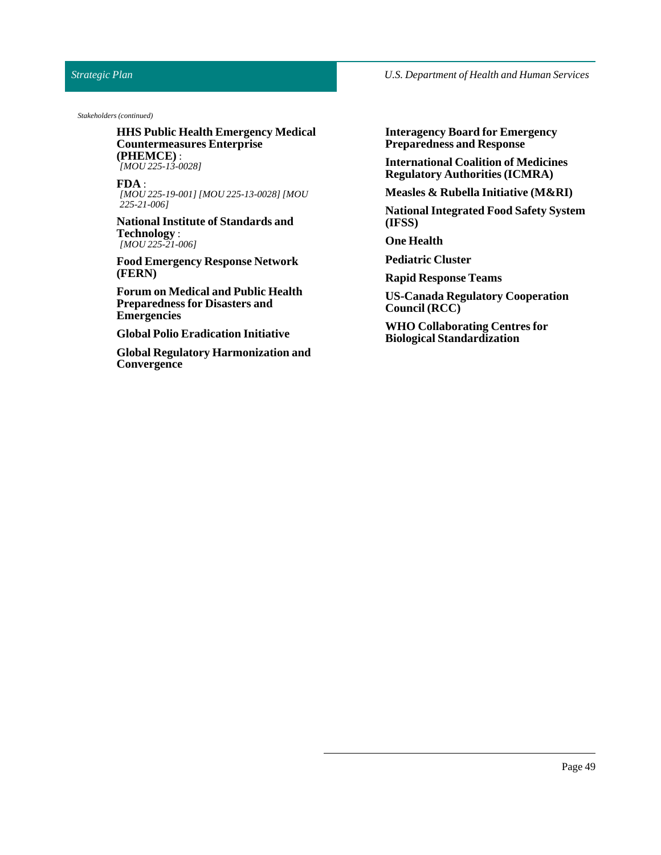## *Strategic Plan*

*U.S. Department of Health and Human Services*

*Stakeholders (continued)*

**HHS Public Health Emergency Medical Countermeasures Enterprise (PHEMCE)** : *[MOU 225-13-0028]*

**FDA** : *[MOU 225-19-001] [MOU 225-13-0028] [MOU 225-21-006]*

**National Institute of Standards and Technology** : *[MOU 225-21-006]*

**Food Emergency Response Network (FERN)**

**Forum on Medical and Public Health Preparedness for Disasters and Emergencies**

**Global Polio Eradication Initiative**

**Global Regulatory Harmonization and Convergence**

**Interagency Board for Emergency Preparedness and Response**

**International Coalition of Medicines Regulatory Authorities(ICMRA)**

**Measles & Rubella Initiative (M&RI)**

**National Integrated Food Safety System (IFSS)**

**One Health**

**Pediatric Cluster**

**Rapid Response Teams**

**US-Canada Regulatory Cooperation Council (RCC)**

**WHO Collaborating Centres for Biological Standardization**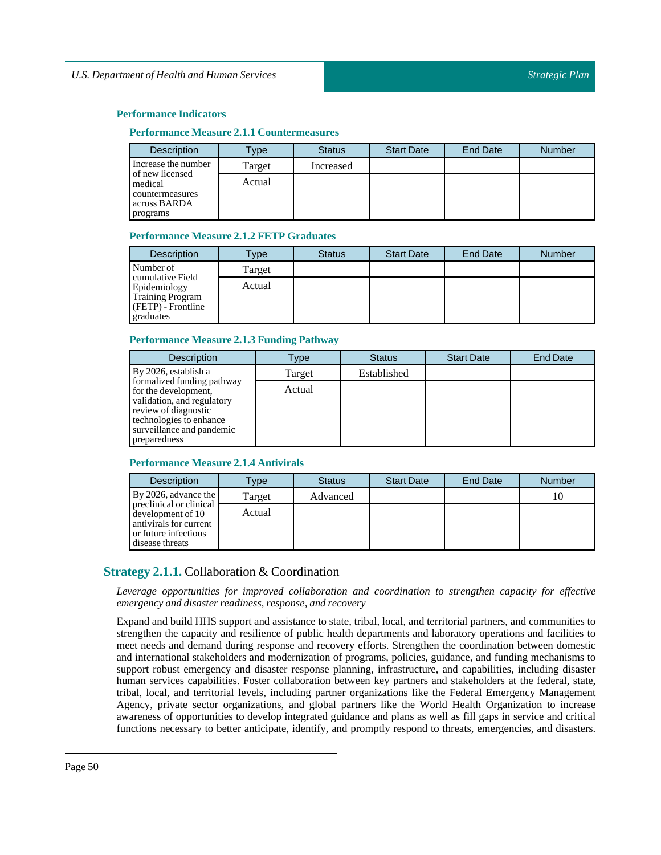#### **Performance Measure 2.1.1 Countermeasures**

| <b>Description</b>                                                        | Type   | <b>Status</b> | <b>Start Date</b> | End Date | <b>Number</b> |
|---------------------------------------------------------------------------|--------|---------------|-------------------|----------|---------------|
| Increase the number                                                       | Target | Increased     |                   |          |               |
| of new licensed<br>medical<br>countermeasures<br>across BARDA<br>programs | Actual |               |                   |          |               |

#### **Performance Measure 2.1.2 FETP Graduates**

| <b>Description</b>                                                                             | Type   | <b>Status</b> | <b>Start Date</b> | End Date | <b>Number</b> |
|------------------------------------------------------------------------------------------------|--------|---------------|-------------------|----------|---------------|
| Number of                                                                                      | Target |               |                   |          |               |
| cumulative Field<br>Epidemiology<br><b>Training Program</b><br>(FETP) - Frontline<br>graduates | Actual |               |                   |          |               |

#### **Performance Measure 2.1.3 Funding Pathway**

| <b>Description</b>                                                                                                                                                               | Type   | <b>Status</b> | <b>Start Date</b> | <b>End Date</b> |
|----------------------------------------------------------------------------------------------------------------------------------------------------------------------------------|--------|---------------|-------------------|-----------------|
| By 2026, establish a                                                                                                                                                             | Target | Established   |                   |                 |
| formalized funding pathway<br>for the development,<br>validation, and regulatory<br>review of diagnostic<br>technologies to enhance<br>surveillance and pandemic<br>preparedness | Actual |               |                   |                 |

#### **Performance Measure 2.1.4 Antivirals**

| <b>Description</b>                                                                                                | Type   | <b>Status</b> | <b>Start Date</b> | <b>End Date</b> | <b>Number</b> |
|-------------------------------------------------------------------------------------------------------------------|--------|---------------|-------------------|-----------------|---------------|
| By 2026, advance the                                                                                              | Target | Advanced      |                   |                 |               |
| preclinical or clinical<br>development of 10<br>antivirals for current<br>or future infectious<br>disease threats | Actual |               |                   |                 |               |

# **Strategy 2.1.1.** Collaboration & Coordination

*Leverage opportunities for improved collaboration and coordination to strengthen capacity for effective emergency and disaster readiness, response, and recovery*

Expand and build HHS support and assistance to state, tribal, local, and territorial partners, and communities to strengthen the capacity and resilience of public health departments and laboratory operations and facilities to meet needs and demand during response and recovery efforts. Strengthen the coordination between domestic and international stakeholders and modernization of programs, policies, guidance, and funding mechanisms to support robust emergency and disaster response planning, infrastructure, and capabilities, including disaster human services capabilities. Foster collaboration between key partners and stakeholders at the federal, state, tribal, local, and territorial levels, including partner organizations like the Federal Emergency Management Agency, private sector organizations, and global partners like the World Health Organization to increase awareness of opportunities to develop integrated guidance and plans as well as fill gaps in service and critical functions necessary to better anticipate, identify, and promptly respond to threats, emergencies, and disasters.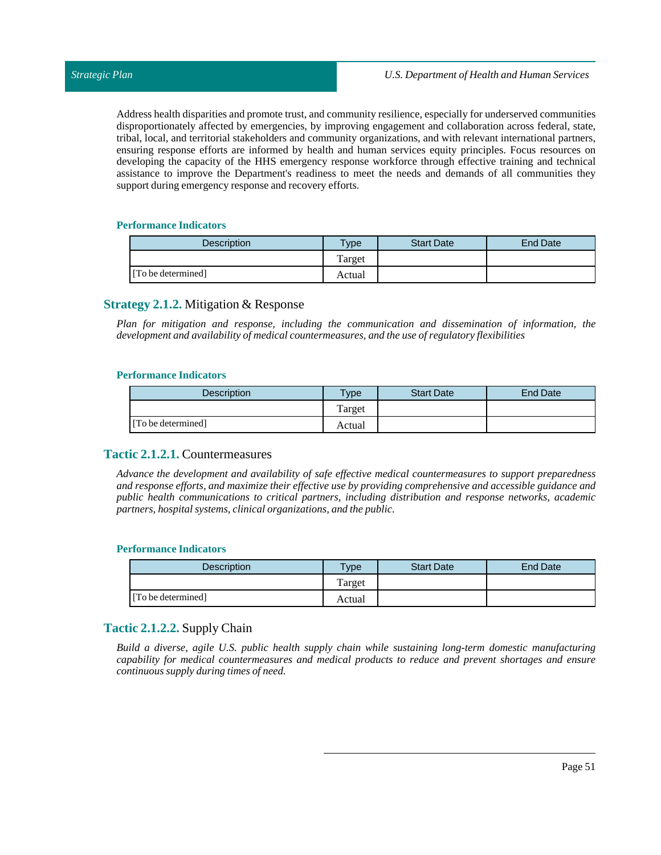Address health disparities and promote trust, and community resilience, especially for underserved communities disproportionately affected by emergencies, by improving engagement and collaboration across federal, state, tribal, local, and territorial stakeholders and community organizations, and with relevant international partners, ensuring response efforts are informed by health and human services equity principles. Focus resources on developing the capacity of the HHS emergency response workforce through effective training and technical assistance to improve the Department's readiness to meet the needs and demands of all communities they support during emergency response and recovery efforts.

## **Performance Indicators**

| <b>Description</b> | $T$ <sub>V</sub> $pe$ | <b>Start Date</b> | <b>End Date</b> |
|--------------------|-----------------------|-------------------|-----------------|
|                    | Target                |                   |                 |
| [To be determined] | Actual                |                   |                 |

## **Strategy 2.1.2.** Mitigation & Response

*Plan for mitigation and response, including the communication and dissemination of information, the development and availability of medical countermeasures, and the use of regulatory flexibilities*

## **Performance Indicators**

| <b>Description</b> | $T$ vpe | <b>Start Date</b> | <b>End Date</b> |
|--------------------|---------|-------------------|-----------------|
|                    | l'arget |                   |                 |
| [To be determined] | Actual  |                   |                 |

## **Tactic 2.1.2.1.** Countermeasures

*Advance the development and availability of safe effective medical countermeasures to support preparedness and response efforts, and maximize their effective use by providing comprehensive and accessible guidance and public health communications to critical partners, including distribution and response networks, academic partners, hospital systems, clinical organizations, and the public.*

#### **Performance Indicators**

| <b>Description</b> | Type   | <b>Start Date</b> | End Date |
|--------------------|--------|-------------------|----------|
|                    | Target |                   |          |
| [To be determined] | Actual |                   |          |

# **Tactic 2.1.2.2.** Supply Chain

*Build a diverse, agile U.S. public health supply chain while sustaining long-term domestic manufacturing capability for medical countermeasures and medical products to reduce and prevent shortages and ensure continuous supply during times of need.*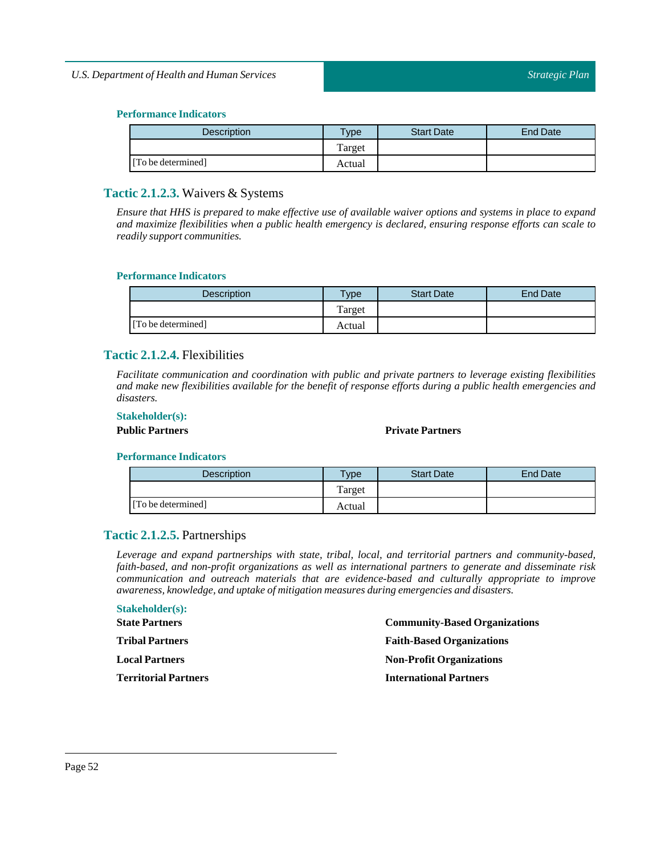| <b>Description</b> | $T$ ype | <b>Start Date</b> | End Date |
|--------------------|---------|-------------------|----------|
|                    | Target  |                   |          |
| [To be determined] | Actual  |                   |          |

# **Tactic 2.1.2.3.** Waivers & Systems

Ensure that HHS is prepared to make effective use of available waiver options and systems in place to expand *and maximize flexibilities when a public health emergency is declared, ensuring response efforts can scale to readily support communities.*

#### **Performance Indicators**

| <b>Description</b> | <b>Type</b> | <b>Start Date</b> | <b>End Date</b> |
|--------------------|-------------|-------------------|-----------------|
|                    | Target      |                   |                 |
| [To be determined] | Actual      |                   |                 |

## **Tactic 2.1.2.4.** Flexibilities

*Facilitate communication and coordination with public and private partners to leverage existing flexibilities* and make new flexibilities available for the benefit of response efforts during a public health emergencies and *disasters.*

## **Stakeholder(s):**

**Public Partners Private Partners**

## **Performance Indicators**

| <b>Description</b> | $T$ vpe | <b>Start Date</b> | <b>End Date</b> |
|--------------------|---------|-------------------|-----------------|
|                    | Target  |                   |                 |
| [To be determined] | Actual  |                   |                 |

## **Tactic 2.1.2.5.** Partnerships

*Leverage and expand partnerships with state, tribal, local, and territorial partners and community-based, faith-based, and non-profit organizations as well as international partners to generate and disseminate risk communication and outreach materials that are evidence-based and culturally appropriate to improve awareness, knowledge, and uptake of mitigation measures during emergencies and disasters.*

| <b>Stakeholder(s):</b>      |                                      |
|-----------------------------|--------------------------------------|
| <b>State Partners</b>       | <b>Community-Based Organizations</b> |
| <b>Tribal Partners</b>      | <b>Faith-Based Organizations</b>     |
| <b>Local Partners</b>       | <b>Non-Profit Organizations</b>      |
| <b>Territorial Partners</b> | <b>International Partners</b>        |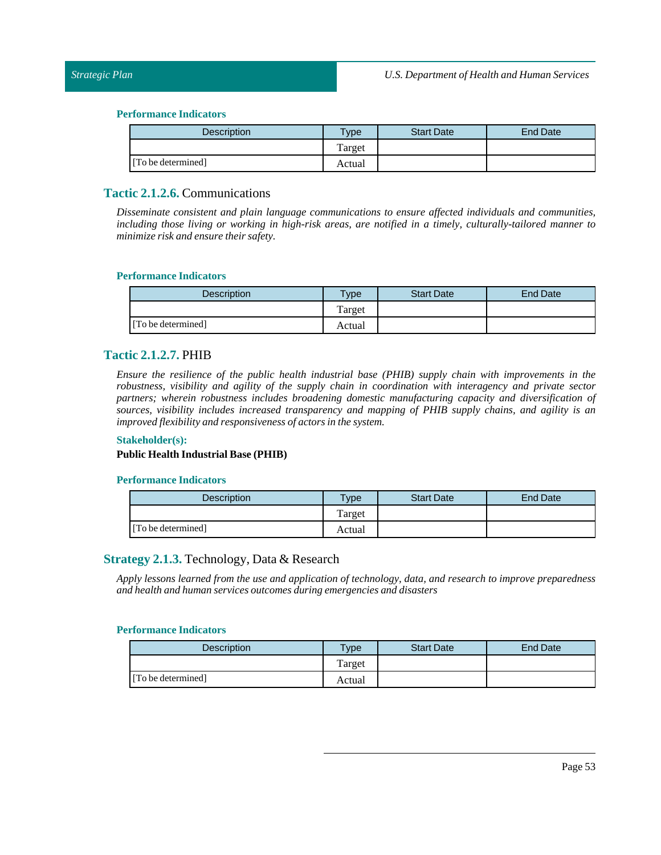| <b>Description</b> | $T$ ype | <b>Start Date</b> | End Date |
|--------------------|---------|-------------------|----------|
|                    | Target  |                   |          |
| [To be determined] | Actual  |                   |          |

# **Tactic 2.1.2.6.** Communications

*Disseminate consistent and plain language communications to ensure affected individuals and communities, including those living or working in high-risk areas, are notified in a timely, culturally-tailored manner to minimize risk and ensure their safety.*

#### **Performance Indicators**

| <b>Description</b> | $T$ <sub>ype</sub> | <b>Start Date</b> | <b>End Date</b> |
|--------------------|--------------------|-------------------|-----------------|
|                    | Target             |                   |                 |
| [To be determined] | Actual             |                   |                 |

## **Tactic 2.1.2.7.** PHIB

*Ensure the resilience of the public health industrial base (PHIB) supply chain with improvements in the robustness, visibility and agility of the supply chain in coordination with interagency and private sector partners; wherein robustness includes broadening domestic manufacturing capacity and diversification of sources, visibility includes increased transparency and mapping of PHIB supply chains, and agility is an improved flexibility and responsiveness of actors in the system.*

#### **Stakeholder(s):**

#### **Public Health Industrial Base (PHIB)**

#### **Performance Indicators**

| Description        | $T$ <sub>V</sub> $pe$ | <b>Start Date</b> | End Date |
|--------------------|-----------------------|-------------------|----------|
|                    | Target                |                   |          |
| [To be determined] | Actual                |                   |          |

## **Strategy 2.1.3.** Technology, Data & Research

*Apply lessons learned from the use and application of technology, data, and research to improve preparedness and health and human services outcomes during emergencies and disasters*

| <b>Description</b> | $T$ <sub>V</sub> $pe$ | <b>Start Date</b> | End Date |
|--------------------|-----------------------|-------------------|----------|
|                    | Target                |                   |          |
| [To be determined] | Actual                |                   |          |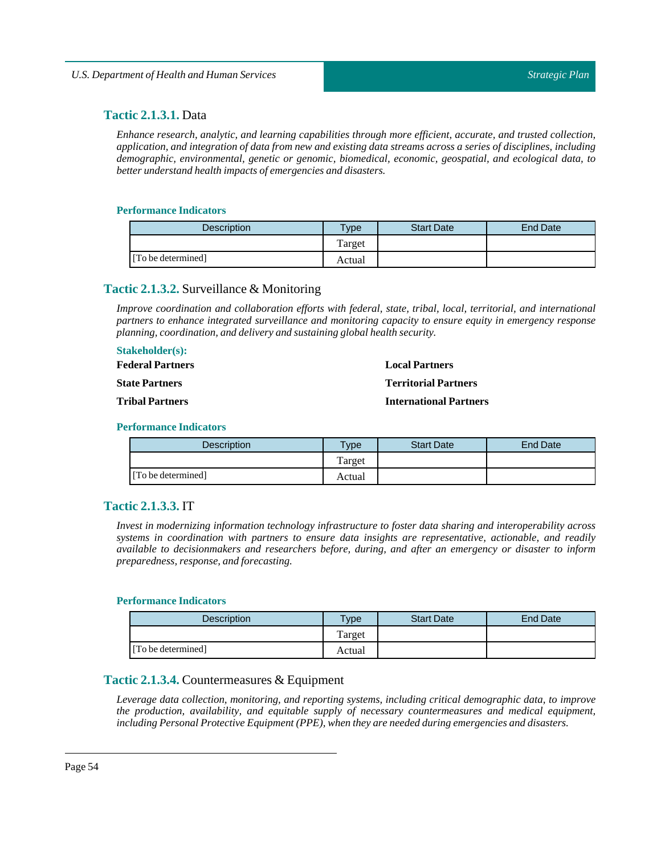## **Tactic 2.1.3.1.** Data

*Enhance research, analytic, and learning capabilities through more efficient, accurate, and trusted collection,* application, and integration of data from new and existing data streams across a series of disciplines, including *demographic, environmental, genetic or genomic, biomedical, economic, geospatial, and ecological data, to better understand health impacts of emergencies and disasters.*

#### **Performance Indicators**

| <b>Description</b> | $T$ <sub>V</sub> $pe$ | <b>Start Date</b> | <b>End Date</b> |
|--------------------|-----------------------|-------------------|-----------------|
|                    | Target                |                   |                 |
| [To be determined] | Actual                |                   |                 |

# **Tactic 2.1.3.2.** Surveillance & Monitoring

*Improve coordination and collaboration efforts with federal, state, tribal, local, territorial, and international partners to enhance integrated surveillance and monitoring capacity to ensure equity in emergency response planning, coordination, and delivery and sustaining global health security.*

#### **Stakeholder(s):**

| <b>Federal Partners</b> | <b>Local Partners</b>         |
|-------------------------|-------------------------------|
| <b>State Partners</b>   | <b>Territorial Partners</b>   |
| <b>Tribal Partners</b>  | <b>International Partners</b> |

#### **Performance Indicators**

| <b>Description</b> | <b>Type</b> | <b>Start Date</b> | <b>End Date</b> |
|--------------------|-------------|-------------------|-----------------|
|                    | Target      |                   |                 |
| [To be determined] | Actual      |                   |                 |

## **Tactic 2.1.3.3.** IT

*Invest in modernizing information technology infrastructure to foster data sharing and interoperability across systems in coordination with partners to ensure data insights are representative, actionable, and readily available to decisionmakers and researchers before, during, and after an emergency or disaster to inform preparedness, response, and forecasting.*

#### **Performance Indicators**

| <b>Description</b> | <b>Type</b> | <b>Start Date</b> | End Date |
|--------------------|-------------|-------------------|----------|
|                    | Target      |                   |          |
| [To be determined] | Actual      |                   |          |

## **Tactic 2.1.3.4.** Countermeasures & Equipment

*Leverage data collection, monitoring, and reporting systems, including critical demographic data, to improve the production, availability, and equitable supply of necessary countermeasures and medical equipment, including Personal Protective Equipment (PPE), when they are needed during emergencies and disasters.*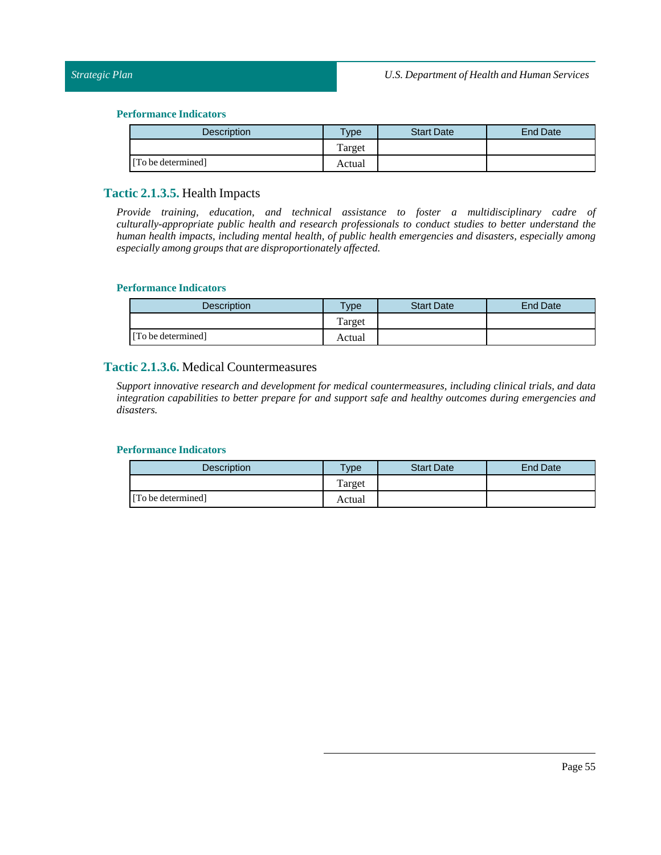| Description        | Type   | <b>Start Date</b> | End Date |
|--------------------|--------|-------------------|----------|
|                    | Target |                   |          |
| [To be determined] | Actual |                   |          |

## **Tactic 2.1.3.5.** Health Impacts

*Provide training, education, and technical assistance to foster a multidisciplinary cadre of culturally-appropriate public health and research professionals to conduct studies to better understand the human health impacts, including mental health, of public health emergencies and disasters, especially among especially among groups that are disproportionately affected.*

#### **Performance Indicators**

| Description        | $v_{\rm p}$ | <b>Start Date</b> | End Date |
|--------------------|-------------|-------------------|----------|
|                    | Target      |                   |          |
| [To be determined] | Actual      |                   |          |

## **Tactic 2.1.3.6.** Medical Countermeasures

*Support innovative research and development for medical countermeasures, including clinical trials, and data integration capabilities to better prepare for and support safe and healthy outcomes during emergencies and disasters.*

| <b>Description</b> | $T$ <sub>ype</sub> | <b>Start Date</b> | End Date |
|--------------------|--------------------|-------------------|----------|
|                    | Target             |                   |          |
| [To be determined] | Actual             |                   |          |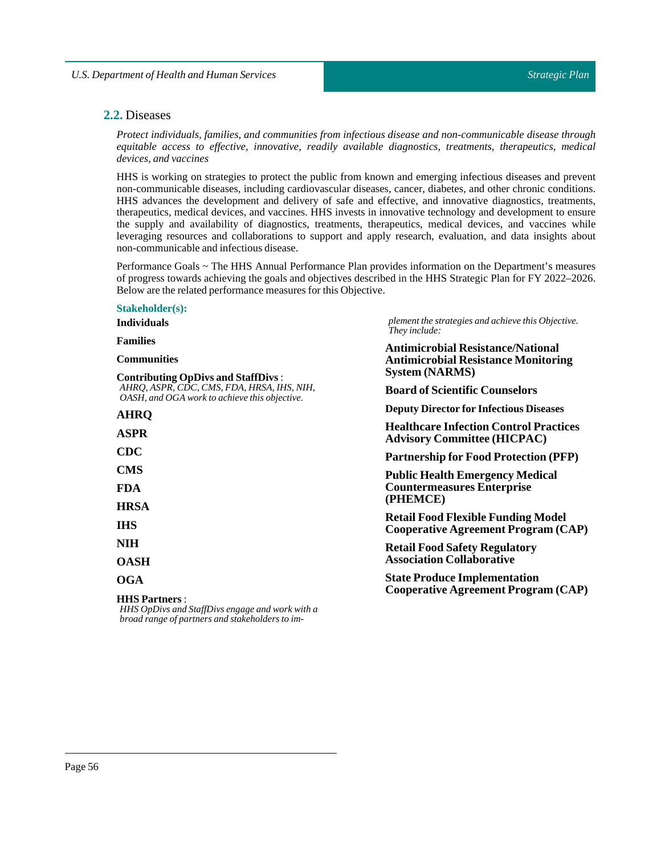## **2.2.** Diseases

*Protect individuals, families, and communities from infectious disease and non-communicable disease through equitable access to effective, innovative, readily available diagnostics, treatments, therapeutics, medical devices, and vaccines*

HHS is working on strategies to protect the public from known and emerging infectious diseases and prevent non-communicable diseases, including cardiovascular diseases, cancer, diabetes, and other chronic conditions. HHS advances the development and delivery of safe and effective, and innovative diagnostics, treatments, therapeutics, medical devices, and vaccines. HHS invests in innovative technology and development to ensure the supply and availability of diagnostics, treatments, therapeutics, medical devices, and vaccines while leveraging resources and collaborations to support and apply research, evaluation, and data insights about non-communicable and infectious disease.

Performance Goals ~ The HHS Annual Performance Plan provides information on the Department's measures of progress towards achieving the goals and objectives described in the HHS Strategic Plan for FY 2022–2026. Below are the related performance measures for this Objective.

#### **Stakeholder(s):**

| plement the strategies and achieve this Objective.<br>They include:<br><b>Antimicrobial Resistance/National</b> |  |  |                                            |
|-----------------------------------------------------------------------------------------------------------------|--|--|--------------------------------------------|
|                                                                                                                 |  |  | <b>Antimicrobial Resistance Monitoring</b> |
| <b>System (NARMS)</b>                                                                                           |  |  |                                            |
| <b>Board of Scientific Counselors</b>                                                                           |  |  |                                            |
| <b>Deputy Director for Infectious Diseases</b>                                                                  |  |  |                                            |
| <b>Healthcare Infection Control Practices</b>                                                                   |  |  |                                            |
| <b>Advisory Committee (HICPAC)</b>                                                                              |  |  |                                            |
| <b>Partnership for Food Protection (PFP)</b>                                                                    |  |  |                                            |
|                                                                                                                 |  |  |                                            |
| <b>Public Health Emergency Medical</b><br><b>Countermeasures Enterprise</b>                                     |  |  |                                            |
| (PHEMCE)                                                                                                        |  |  |                                            |
| <b>Retail Food Flexible Funding Model</b>                                                                       |  |  |                                            |
| <b>Cooperative Agreement Program (CAP)</b>                                                                      |  |  |                                            |
| <b>Retail Food Safety Regulatory</b>                                                                            |  |  |                                            |
| <b>Association Collaborative</b>                                                                                |  |  |                                            |
| <b>State Produce Implementation</b>                                                                             |  |  |                                            |
| <b>Cooperative Agreement Program (CAP)</b>                                                                      |  |  |                                            |
|                                                                                                                 |  |  |                                            |

*HHS OpDivs and StaffDivs engage and work with a broad range of partners and stakeholders to im-*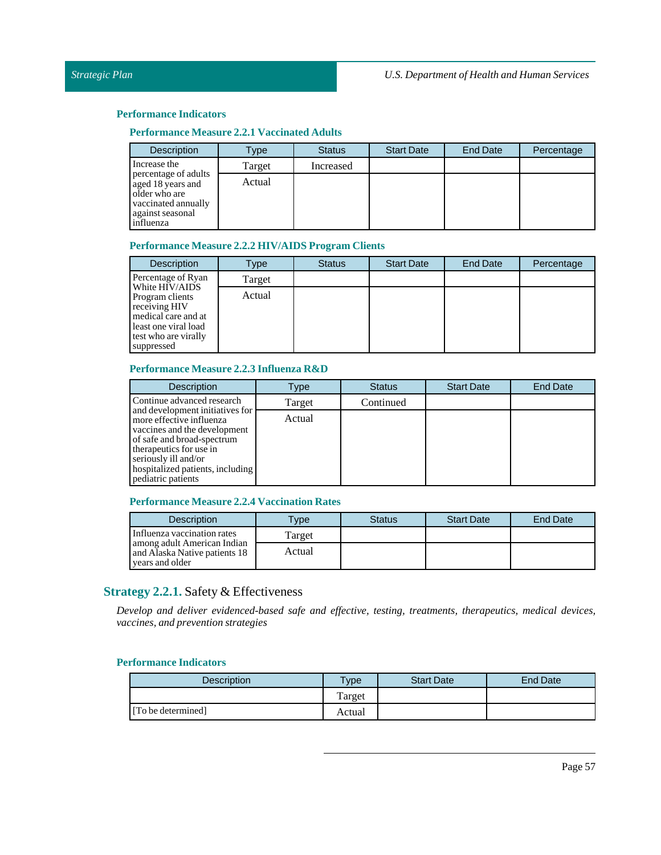## **Performance Measure 2.2.1 Vaccinated Adults**

| <b>Description</b>                                                                                                 | Type   | <b>Status</b> | <b>Start Date</b> | End Date | Percentage |
|--------------------------------------------------------------------------------------------------------------------|--------|---------------|-------------------|----------|------------|
| Increase the                                                                                                       | Target | Increased     |                   |          |            |
| percentage of adults<br>aged 18 years and<br>older who are<br>vaccinated annually<br>against seasonal<br>influenza | Actual |               |                   |          |            |

#### **Performance Measure 2.2.2 HIV/AIDS Program Clients**

| <b>Description</b>                                                                                                                      | Type   | <b>Status</b> | <b>Start Date</b> | End Date | Percentage |
|-----------------------------------------------------------------------------------------------------------------------------------------|--------|---------------|-------------------|----------|------------|
| Percentage of Ryan                                                                                                                      | Target |               |                   |          |            |
| White HIV/AIDS<br>Program clients<br>receiving HIV<br>medical care and at<br>least one viral load<br>test who are virally<br>suppressed | Actual |               |                   |          |            |

## **Performance Measure 2.2.3 Influenza R&D**

| <b>Description</b>                                                                                                                                                                                                                     | Type   | <b>Status</b> | <b>Start Date</b> | <b>End Date</b> |
|----------------------------------------------------------------------------------------------------------------------------------------------------------------------------------------------------------------------------------------|--------|---------------|-------------------|-----------------|
| Continue advanced research                                                                                                                                                                                                             | Target | Continued     |                   |                 |
| and development initiatives for<br>more effective influenza<br>vaccines and the development<br>of safe and broad-spectrum<br>therapeutics for use in<br>seriously ill and/or<br>hospitalized patients, including<br>pediatric patients | Actual |               |                   |                 |

#### **Performance Measure 2.2.4 Vaccination Rates**

| <b>Description</b>                                                              | <b>Type</b> | <b>Status</b> | <b>Start Date</b> | <b>End Date</b> |
|---------------------------------------------------------------------------------|-------------|---------------|-------------------|-----------------|
| Influenza vaccination rates                                                     | Target      |               |                   |                 |
| among adult American Indian<br>and Alaska Native patients 18<br>vears and older | Actual      |               |                   |                 |

# **Strategy 2.2.1.** Safety & Effectiveness

*Develop and deliver evidenced-based safe and effective, testing, treatments, therapeutics, medical devices, vaccines, and prevention strategies*

| Description        | vpe    | <b>Start Date</b> | End Date |
|--------------------|--------|-------------------|----------|
|                    | Target |                   |          |
| [To be determined] | Actual |                   |          |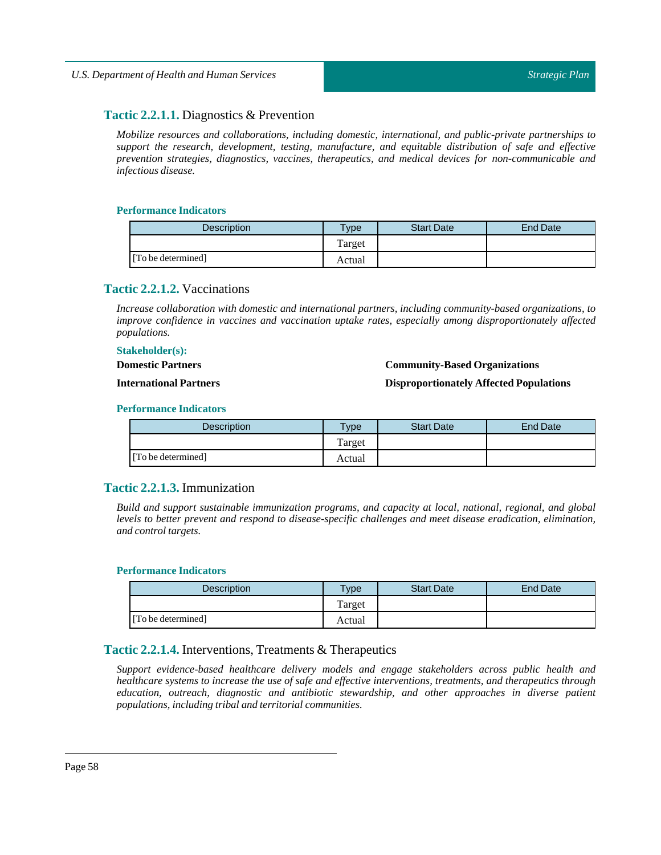# **Tactic 2.2.1.1.** Diagnostics & Prevention

*Mobilize resources and collaborations, including domestic, international, and public-private partnerships to support the research, development, testing, manufacture, and equitable distribution of safe and effective prevention strategies, diagnostics, vaccines, therapeutics, and medical devices for non-communicable and infectious disease.*

#### **Performance Indicators**

| <b>Description</b> | $T$ vpe | <b>Start Date</b> | <b>End Date</b> |
|--------------------|---------|-------------------|-----------------|
|                    | Target  |                   |                 |
| [To be determined] | Actual  |                   |                 |

## **Tactic 2.2.1.2.** Vaccinations

*Increase collaboration with domestic and international partners, including community-based organizations, to improve confidence in vaccines and vaccination uptake rates, especially among disproportionately affected populations.*

#### **Stakeholder(s):**

**Domestic Partners**

#### **Community-Based Organizations**

**International Partners**

# **Disproportionately Affected Populations**

#### **Performance Indicators**

| <b>Description</b> | $T$ <sub>V</sub> $pe$ | <b>Start Date</b> | <b>End Date</b> |
|--------------------|-----------------------|-------------------|-----------------|
|                    | Target                |                   |                 |
| [To be determined] | Actual                |                   |                 |

# **Tactic 2.2.1.3.** Immunization

*Build and support sustainable immunization programs, and capacity at local, national, regional, and global levels to better prevent and respond to disease-specific challenges and meet disease eradication, elimination,*  $and control targets.$ 

#### **Performance Indicators**

| Description        | $v$ pe | <b>Start Date</b> | <b>End Date</b> |
|--------------------|--------|-------------------|-----------------|
|                    | Target |                   |                 |
| [To be determined] | Actual |                   |                 |

# **Tactic 2.2.1.4.** Interventions, Treatments & Therapeutics

*Support evidence-based healthcare delivery models and engage stakeholders across public health and healthcare systems to increase the use of safe and effective interventions, treatments, and therapeutics through education, outreach, diagnostic and antibiotic stewardship, and other approaches in diverse patient populations,including tribal and territorial communities.*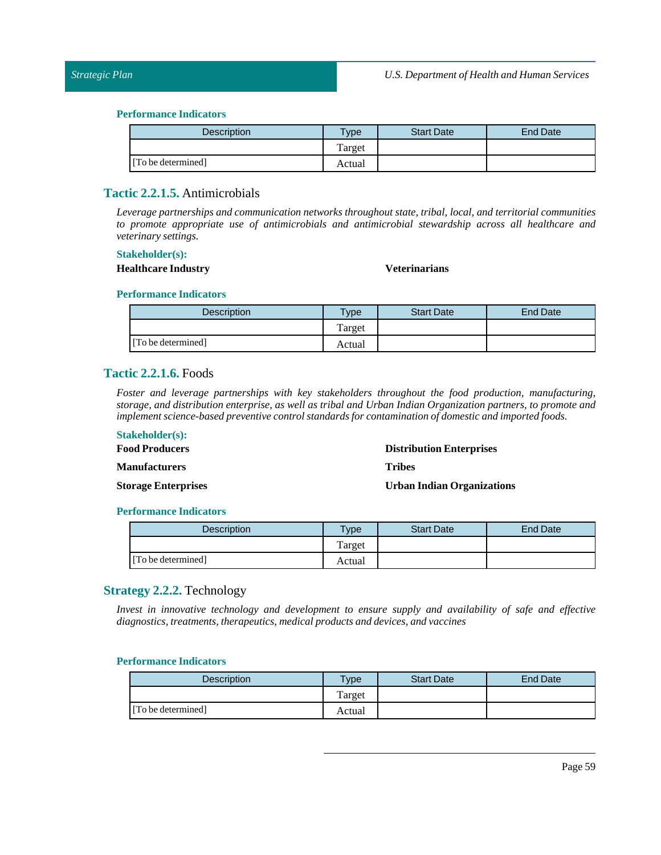| Description        | <b>Type</b> | <b>Start Date</b> | <b>End Date</b> |
|--------------------|-------------|-------------------|-----------------|
|                    | Target      |                   |                 |
| [To be determined] | Actual      |                   |                 |

# **Tactic 2.2.1.5.** Antimicrobials

*Leverage partnerships and communication networks throughout state, tribal, local, and territorial communities to promote appropriate use of antimicrobials and antimicrobial stewardship across all healthcare and veterinary settings.*

#### **Stakeholder(s):**

## **Healthcare Industry Veterinarians**

#### **Performance Indicators**

| <b>Description</b> | $T$ <sub>V</sub> $pe$ | <b>Start Date</b> | End Date |
|--------------------|-----------------------|-------------------|----------|
|                    | Target                |                   |          |
| [To be determined] | Actual                |                   |          |

## **Tactic 2.2.1.6.** Foods

*Foster and leverage partnerships with key stakeholders throughout the food production, manufacturing, storage, and distribution enterprise, as well as tribal and Urban Indian Organization partners, to promote and implement science-based preventive control standards for contamination of domestic and imported foods.*

## **Stakeholder(s): Food Producers**

**Manufacturers**

**Distribution Enterprises**

**Tribes**

**UrbanIndian Organizations**

#### **Performance Indicators**

**Storage Enterprises**

| <b>Description</b> | $T$ ype | <b>Start Date</b> | <b>End Date</b> |
|--------------------|---------|-------------------|-----------------|
|                    | Target  |                   |                 |
| [To be determined] | Actual  |                   |                 |

# **Strategy 2.2.2.** Technology

*Invest in innovative technology and development to ensure supply and availability of safe and effective diagnostics,treatments,therapeutics, medical products and devices, and vaccines*

| <b>Description</b> | vpe    | <b>Start Date</b> | <b>End Date</b> |
|--------------------|--------|-------------------|-----------------|
|                    | Target |                   |                 |
| [To be determined] | Actual |                   |                 |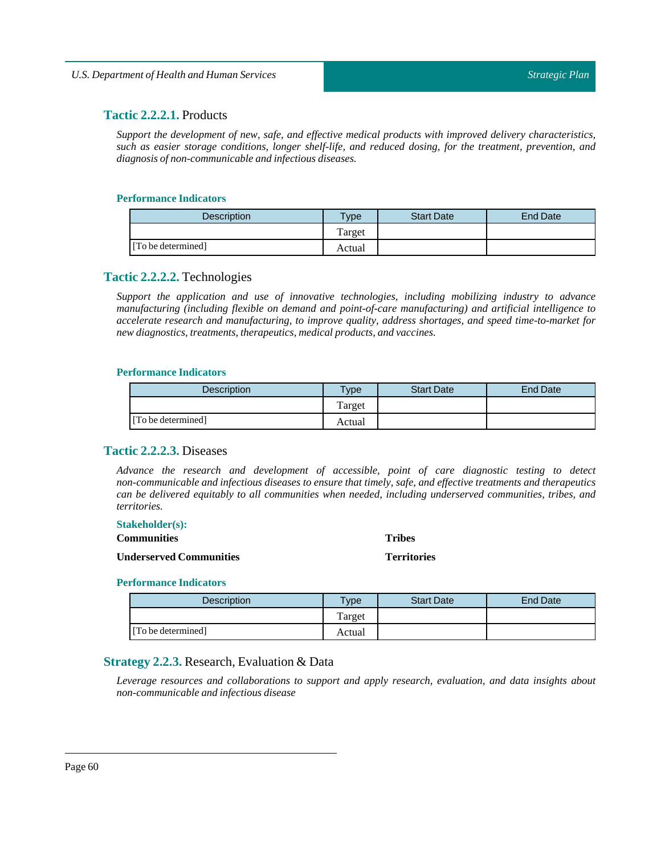# **Tactic 2.2.2.1.** Products

*Support the development of new, safe, and effective medical products with improved delivery characteristics, such as easier storage conditions, longer shelf-life, and reduced dosing, for the treatment, prevention, and diagnosis of non-communicable and infectious diseases.*

## **Performance Indicators**

| Description        | $T$ <sub>ype</sub> | <b>Start Date</b> | End Date |
|--------------------|--------------------|-------------------|----------|
|                    | Target             |                   |          |
| [To be determined] | Actual             |                   |          |

## **Tactic 2.2.2.2.** Technologies

*Support the application and use of innovative technologies, including mobilizing industry to advance manufacturing (including flexible on demand and point-of-care manufacturing) and artificial intelligence to accelerate research and manufacturing, to improve quality, address shortages, and speed time-to-market for new diagnostics, treatments, therapeutics, medical products, and vaccines.* 

#### **Performance Indicators**

| Description        | <b>Type</b> | <b>Start Date</b> | <b>End Date</b> |
|--------------------|-------------|-------------------|-----------------|
|                    | Target      |                   |                 |
| [To be determined] | Actual      |                   |                 |

# **Tactic 2.2.2.3.** Diseases

*Advance the research and development of accessible, point of care diagnostic testing to detect non-communicable and infectious diseases to ensure that timely, safe, and effective treatments and therapeutics can be delivered equitably to all communities when needed, including underserved communities, tribes, and territories.*

> **Tribes Territories**

#### **Stakeholder(s):**

**Communities**

#### **Underserved Communities**

#### **Performance Indicators**

| <b>Description</b> | $\tau_{\text{Vpe}}$ | <b>Start Date</b> | <b>End Date</b> |
|--------------------|---------------------|-------------------|-----------------|
|                    | Target              |                   |                 |
| [To be determined] | Actual              |                   |                 |

# **Strategy 2.2.3.** Research, Evaluation & Data

*Leverage resources and collaborations to support and apply research, evaluation, and data insights about non-communicable and infectious disease*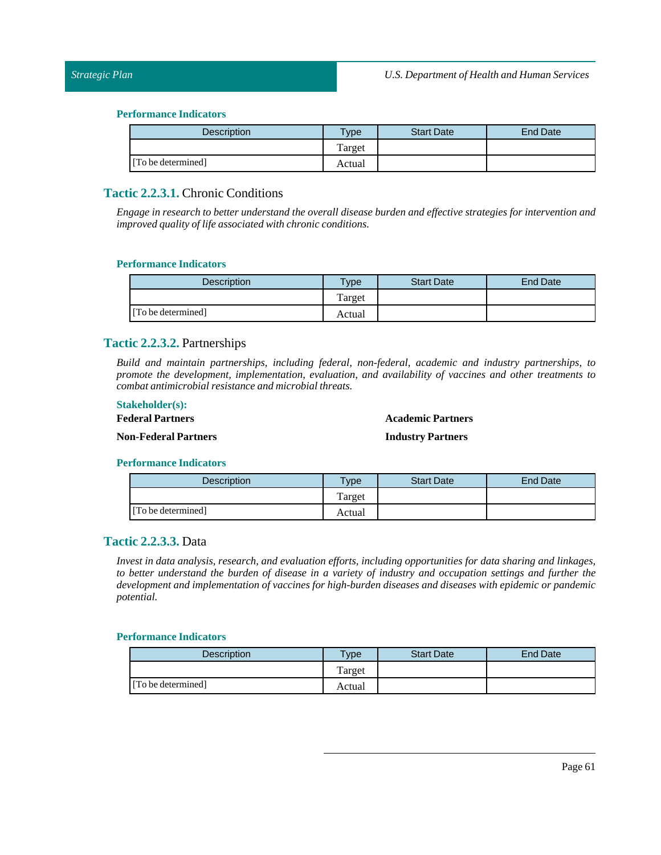| <b>Description</b> | $T$ ype | <b>Start Date</b> | End Date |
|--------------------|---------|-------------------|----------|
|                    | Target  |                   |          |
| [To be determined] | Actual  |                   |          |

# **Tactic 2.2.3.1.** Chronic Conditions

*Engage in research to better understand the overall disease burden and effective strategies for intervention and improved* quality of life associated with chronic conditions.

#### **Performance Indicators**

| <b>Description</b> | Type   | <b>Start Date</b> | <b>End Date</b> |
|--------------------|--------|-------------------|-----------------|
|                    | Target |                   |                 |
| [To be determined] | Actual |                   |                 |

## **Tactic 2.2.3.2.** Partnerships

*Build and maintain partnerships, including federal, non-federal, academic and industry partnerships, to promote the development, implementation, evaluation, and availability of vaccines and other treatments to combat antimicrobial resistance and microbialthreats.*

#### **Stakeholder(s):**

## **Federal Partners**

## **Academic Partners**

**Non-Federal Partners**

**Industry Partners**

#### **Performance Indicators**

| Description        | <b>Type</b> | <b>Start Date</b> | End Date |
|--------------------|-------------|-------------------|----------|
|                    | Target      |                   |          |
| [To be determined] | Actual      |                   |          |

# **Tactic 2.2.3.3.** Data

*Invest in data analysis, research, and evaluation efforts, including opportunities for data sharing and linkages,* to better understand the burden of disease in a variety of industry and occupation settings and further the *development and implementation of vaccines for high-burden diseases and diseases with epidemic or pandemic potential.*

| <b>Description</b> | <b>Vpe</b> | <b>Start Date</b> | End Date |
|--------------------|------------|-------------------|----------|
|                    | Target     |                   |          |
| [To be determined] | Actual     |                   |          |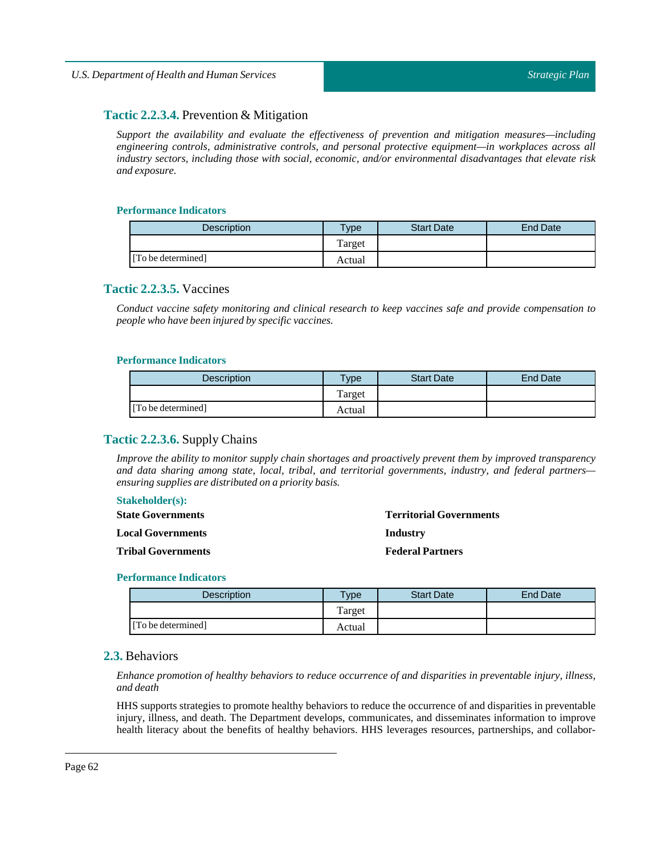# **Tactic 2.2.3.4.** Prevention & Mitigation

*Support the availability and evaluate the effectiveness of prevention and mitigation measures—including engineering controls, administrative controls, and personal protective equipment—in workplaces across all industry sectors, including those with social, economic, and/or environmental disadvantages that elevate risk and exposure.*

#### **Performance Indicators**

| <b>Description</b> | $T$ vpe | <b>Start Date</b> | End Date |
|--------------------|---------|-------------------|----------|
|                    | Target  |                   |          |
| [To be determined] | Actual  |                   |          |

## **Tactic 2.2.3.5.** Vaccines

*Conduct vaccine safety monitoring and clinical research to keep vaccines safe and provide compensation to people who have been injured by specific vaccines.*

#### **Performance Indicators**

| <b>Description</b> | <b>Type</b> | <b>Start Date</b> | <b>End Date</b> |
|--------------------|-------------|-------------------|-----------------|
|                    | Target      |                   |                 |
| [To be determined] | Actual      |                   |                 |

## **Tactic 2.2.3.6.** Supply Chains

*Improve the ability to monitor supply chain shortages and proactively prevent them by improved transparency and data sharing among state, local, tribal, and territorial governments, industry, and federal partners ensuring supplies are distributed on a priority basis.*

#### **Stakeholder(s):**

| <b>State Governments</b>  | <b>Territorial Governments</b> |
|---------------------------|--------------------------------|
| <b>Local Governments</b>  | Industry                       |
| <b>Tribal Governments</b> | <b>Federal Partners</b>        |

#### **Performance Indicators**

| <b>Description</b> | $TV$ pe | <b>Start Date</b> | End Date |
|--------------------|---------|-------------------|----------|
|                    | Target  |                   |          |
| [To be determined] | Actual  |                   |          |

## **2.3.** Behaviors

*Enhance promotion of healthy behaviors to reduce occurrence of and disparities in preventable injury, illness, and death*

HHS supports strategies to promote healthy behaviors to reduce the occurrence of and disparities in preventable injury, illness, and death. The Department develops, communicates, and disseminates information to improve health literacy about the benefits of healthy behaviors. HHS leverages resources, partnerships, and collabor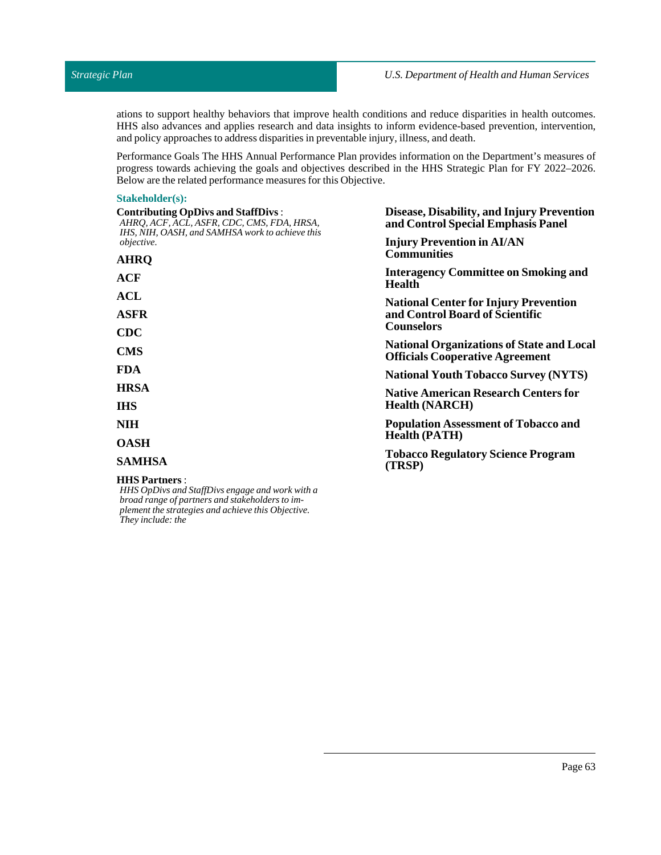ations to support healthy behaviors that improve health conditions and reduce disparities in health outcomes. HHS also advances and applies research and data insights to inform evidence-based prevention, intervention, and policy approaches to address disparities in preventable injury, illness, and death.

Performance Goals The HHS Annual Performance Plan provides information on the Department's measures of progress towards achieving the goals and objectives described in the HHS Strategic Plan for FY 2022–2026. Below are the related performance measures for this Objective.

#### **Stakeholder(s):**

*plement the strategies and achieve this Objective.*

*They include: the*

| <b>Contributing OpDivs and StaffDivs:</b><br>AHRQ, ACF, ACL, ASFR, CDC, CMS, FDA, HRSA,<br>IHS, NIH, OASH, and SAMHSA work to achieve this | Disease, Disability, and Injury Prevention<br>and Control Special Emphasis Panel                                                                                                                                                                                                                                  |  |  |
|--------------------------------------------------------------------------------------------------------------------------------------------|-------------------------------------------------------------------------------------------------------------------------------------------------------------------------------------------------------------------------------------------------------------------------------------------------------------------|--|--|
| <i>objective.</i>                                                                                                                          | <b>Injury Prevention in AI/AN</b>                                                                                                                                                                                                                                                                                 |  |  |
| AHRQ                                                                                                                                       | <b>Communities</b>                                                                                                                                                                                                                                                                                                |  |  |
| ACF                                                                                                                                        | <b>Interagency Committee on Smoking and</b><br><b>Health</b><br><b>National Center for Injury Prevention</b><br>and Control Board of Scientific<br><b>Counselors</b><br><b>National Organizations of State and Local</b><br><b>Officials Cooperative Agreement</b><br><b>National Youth Tobacco Survey (NYTS)</b> |  |  |
| ACL                                                                                                                                        |                                                                                                                                                                                                                                                                                                                   |  |  |
| ASFR                                                                                                                                       |                                                                                                                                                                                                                                                                                                                   |  |  |
| $\bf CDC$                                                                                                                                  |                                                                                                                                                                                                                                                                                                                   |  |  |
| <b>CMS</b>                                                                                                                                 |                                                                                                                                                                                                                                                                                                                   |  |  |
| FDA                                                                                                                                        |                                                                                                                                                                                                                                                                                                                   |  |  |
| HRSA                                                                                                                                       | <b>Native American Research Centers for</b>                                                                                                                                                                                                                                                                       |  |  |
| IHS                                                                                                                                        | <b>Health (NARCH)</b>                                                                                                                                                                                                                                                                                             |  |  |
| NIH                                                                                                                                        | <b>Population Assessment of Tobacco and</b>                                                                                                                                                                                                                                                                       |  |  |
| <b>OASH</b>                                                                                                                                | <b>Health (PATH)</b>                                                                                                                                                                                                                                                                                              |  |  |
| SAMHSA                                                                                                                                     | <b>Tobacco Regulatory Science Program</b><br>(TRSP)                                                                                                                                                                                                                                                               |  |  |
| <b>HHS Partners :</b><br>HHS OpDivs and StaffDivs engage and work with a<br>broad range of partners and stakeholders to im-                |                                                                                                                                                                                                                                                                                                                   |  |  |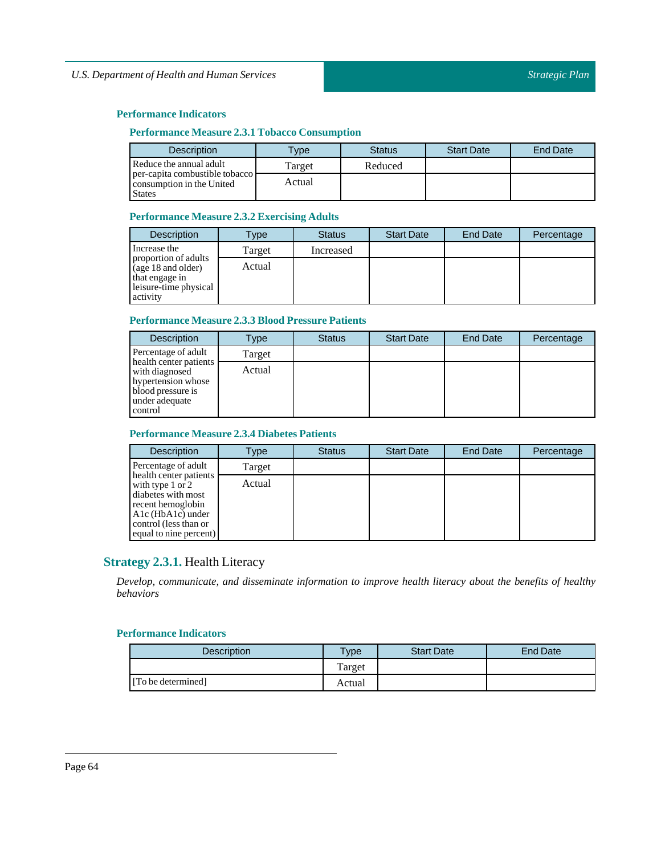## **Performance Indicators**

## **Performance Measure 2.3.1 Tobacco Consumption**

| <b>Description</b>                                                           | <b>Type</b> | <b>Status</b> | <b>Start Date</b> | <b>End Date</b> |
|------------------------------------------------------------------------------|-------------|---------------|-------------------|-----------------|
| Reduce the annual adult                                                      | Target      | Reduced       |                   |                 |
| per-capita combustible tobacco<br>consumption in the United<br><b>States</b> | Actual      |               |                   |                 |

## **Performance Measure 2.3.2 Exercising Adults**

| <b>Description</b>                                                                                | Type   | <b>Status</b> | <b>Start Date</b> | <b>End Date</b> | Percentage |
|---------------------------------------------------------------------------------------------------|--------|---------------|-------------------|-----------------|------------|
| Increase the                                                                                      | Target | Increased     |                   |                 |            |
| proportion of adults<br>(age 18 and older)<br>that engage in<br>leisure-time physical<br>activity | Actual |               |                   |                 |            |

## **Performance Measure 2.3.3 Blood Pressure Patients**

| <b>Description</b>                                                                                               | Type   | <b>Status</b> | <b>Start Date</b> | End Date | Percentage |
|------------------------------------------------------------------------------------------------------------------|--------|---------------|-------------------|----------|------------|
| Percentage of adult                                                                                              | Target |               |                   |          |            |
| health center patients<br>with diagnosed<br>hypertension whose<br>blood pressure is<br>under adequate<br>control | Actual |               |                   |          |            |

## **Performance Measure 2.3.4 Diabetes Patients**

| <b>Description</b>                                                                                                                                                  | Type   | <b>Status</b> | <b>Start Date</b> | <b>End Date</b> | Percentage |
|---------------------------------------------------------------------------------------------------------------------------------------------------------------------|--------|---------------|-------------------|-----------------|------------|
| Percentage of adult                                                                                                                                                 | Target |               |                   |                 |            |
| health center patients<br>with type $1$ or $2$<br>diabetes with most<br>recent hemoglobin<br>$A1c$ (HbA1c) under<br>control (less than or<br>equal to nine percent) | Actual |               |                   |                 |            |

# **Strategy 2.3.1.** Health Literacy

*Develop, communicate, and disseminate information to improve health literacy about the benefits of healthy behaviors*

| Description        | $v$ pe | <b>Start Date</b> | <b>End Date</b> |
|--------------------|--------|-------------------|-----------------|
|                    | Target |                   |                 |
| [To be determined] | Actual |                   |                 |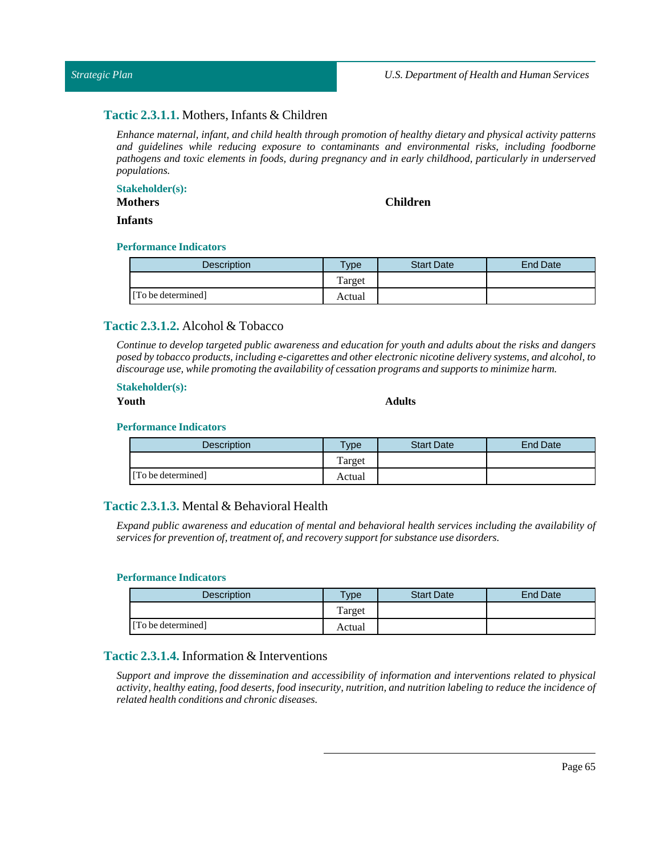## *Strategic Plan*

## **Tactic 2.3.1.1.** Mothers, Infants & Children

*Enhance maternal, infant, and child health through promotion of healthy dietary and physical activity patterns and guidelines while reducing exposure to contaminants and environmental risks, including foodborne pathogens and toxic elements in foods, during pregnancy and in early childhood, particularly in underserved populations.*

#### **Stakeholder(s):**

**Mothers**

## **Children**

**Infants**

## **Performance Indicators**

| <b>Description</b> | $T$ <sub>ype</sub> | <b>Start Date</b> | <b>End Date</b> |
|--------------------|--------------------|-------------------|-----------------|
|                    | Target             |                   |                 |
| [To be determined] | Actual             |                   |                 |

## **Tactic 2.3.1.2.** Alcohol & Tobacco

Continue to develop targeted public awareness and education for youth and adults about the risks and dangers *posed by tobacco products,including e-cigarettes and other electronic nicotine delivery systems, and alcohol, to discourage use, while promoting the availability of cessation programs and supports to minimize harm.*

#### **Stakeholder(s):**

#### **Youth Adults**

#### **Performance Indicators**

| <b>Description</b> | <b>Type</b> | <b>Start Date</b> | <b>End Date</b> |
|--------------------|-------------|-------------------|-----------------|
|                    | Target      |                   |                 |
| [To be determined] | Actual      |                   |                 |

## **Tactic 2.3.1.3.** Mental & Behavioral Health

*Expand public awareness and education of mental and behavioral health services including the availability of services for prevention of,treatment of, and recovery supportfor substance use disorders.*

#### **Performance Indicators**

| Description        | Type   | <b>Start Date</b> | <b>End Date</b> |
|--------------------|--------|-------------------|-----------------|
|                    | Target |                   |                 |
| [To be determined] | Actual |                   |                 |

# **Tactic 2.3.1.4.** Information & Interventions

*Support and improve the dissemination and accessibility of information and interventions related to physical* activity, healthy eating, food deserts, food insecurity, nutrition, and nutrition labeling to reduce the incidence of *related health conditions and chronic diseases.*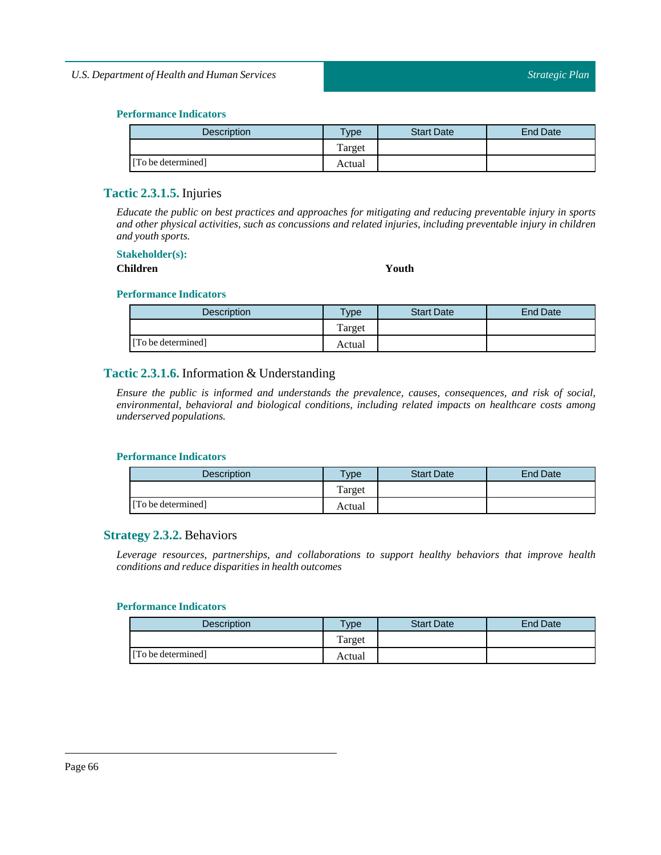| <b>Description</b> | $T$ <sub>ype</sub> | <b>Start Date</b> | End Date |
|--------------------|--------------------|-------------------|----------|
|                    | Target             |                   |          |
| [To be determined] | Actual             |                   |          |

## **Tactic 2.3.1.5.** Injuries

*Educate the public on best practices and approaches for mitigating and reducing preventable injury in sports and other physical activities, such as concussions and related injuries, including preventable injury in children and youth sports.*

#### **Stakeholder(s):**

**Children Youth**

## **Performance Indicators**

| Description        | $T$ ype | <b>Start Date</b> | End Date |
|--------------------|---------|-------------------|----------|
|                    | Target  |                   |          |
| [To be determined] | Actual  |                   |          |

# **Tactic 2.3.1.6.** Information & Understanding

*Ensure the public is informed and understands the prevalence, causes, consequences, and risk of social, environmental, behavioral and biological conditions, including related impacts on healthcare costs among underserved populations.*

#### **Performance Indicators**

| <b>Description</b> | $v$ pe | <b>Start Date</b> | End Date |
|--------------------|--------|-------------------|----------|
|                    | Target |                   |          |
| [To be determined] | Actual |                   |          |

## **Strategy 2.3.2.** Behaviors

*Leverage resources, partnerships, and collaborations to support healthy behaviors that improve health conditions and reduce disparities in health outcomes*

| <b>Description</b> | $v_{\rm p}$ | <b>Start Date</b> | End Date |
|--------------------|-------------|-------------------|----------|
|                    | Target      |                   |          |
| [To be determined] | Actual      |                   |          |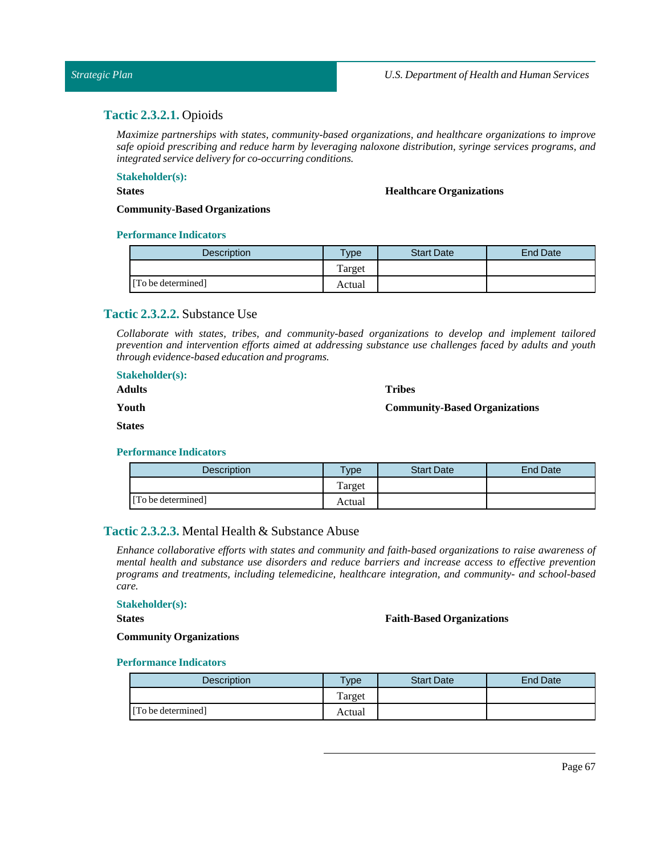# **Tactic 2.3.2.1.** Opioids

*Maximize partnerships with states, community-based organizations, and healthcare organizations to improve safe opioid prescribing and reduce harm by leveraging naloxone distribution, syringe services programs, and integrated service delivery for co-occurring conditions.*

# **Stakeholder(s):**

## **States**

**Healthcare Organizations**

**Community-Based Organizations**

#### **Performance Indicators**

| Description        | <b>Vpe</b> | <b>Start Date</b> | <b>End Date</b> |
|--------------------|------------|-------------------|-----------------|
|                    | Target     |                   |                 |
| [To be determined] | Actual     |                   |                 |

## **Tactic 2.3.2.2.** Substance Use

*Collaborate with states, tribes, and community-based organizations to develop and implement tailored prevention and intervention efforts aimed at addressing substance use challenges faced by adults and youth through evidence-based education and programs.*

| <b>Stakeholder(s):</b><br><b>Adults</b> | <b>Tribes</b>                        |
|-----------------------------------------|--------------------------------------|
| Youth                                   | <b>Community-Based Organizations</b> |
| <b>States</b>                           |                                      |
|                                         |                                      |

#### **Performance Indicators**

| <b>Description</b> | <b>Type</b> | <b>Start Date</b> | End Date |
|--------------------|-------------|-------------------|----------|
|                    | Target      |                   |          |
| [To be determined] | Actual      |                   |          |

## **Tactic 2.3.2.3.** Mental Health & Substance Abuse

*Enhance collaborative efforts with states and community and faith-based organizations to raise awareness of mental health and substance use disorders and reduce barriers and increase access to effective prevention programs and treatments, including telemedicine, healthcare integration, and community- and school-based care.*

## **Stakeholder(s):**

**States**

#### **Faith-Based Organizations**

#### **Community Organizations**

| <b>Description</b> | $T$ <sub>V</sub> $pe$ | <b>Start Date</b> | <b>End Date</b> |
|--------------------|-----------------------|-------------------|-----------------|
|                    | Target                |                   |                 |
| [To be determined] | Actual                |                   |                 |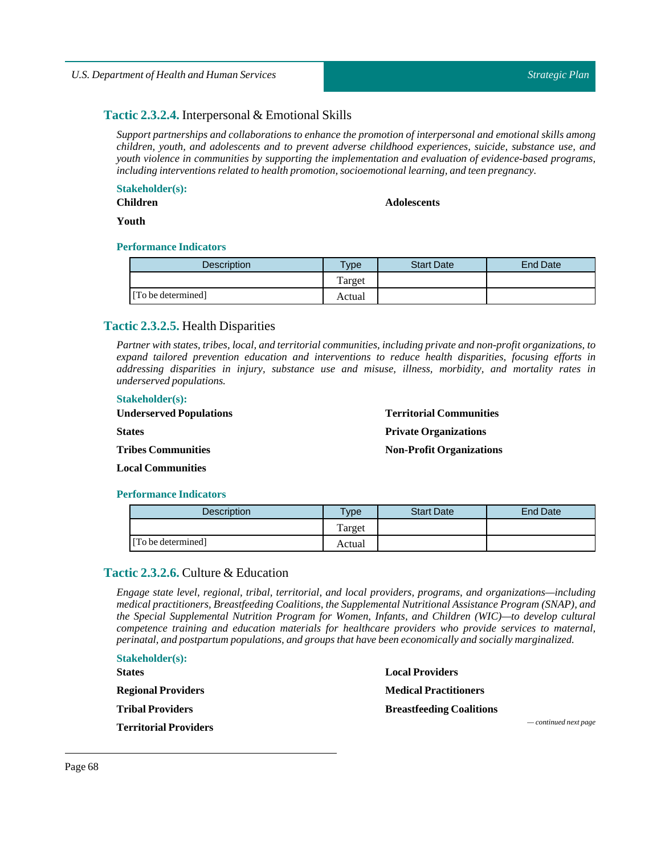# **Tactic 2.3.2.4.** Interpersonal & Emotional Skills

*Support partnerships and collaborations to enhance the promotion of interpersonal and emotional skills among children, youth, and adolescents and to prevent adverse childhood experiences, suicide, substance use, and youth violence in communities by supporting the implementation and evaluation of evidence-based programs, including interventions related to health promotion, socioemotionallearning, and teen pregnancy.*

**Stakeholder(s):**

**Children**

**Adolescents**

**Youth**

#### **Performance Indicators**

| Description        | $T$ <sub>ype</sub> | <b>Start Date</b> | End Date |
|--------------------|--------------------|-------------------|----------|
|                    | Target             |                   |          |
| [To be determined] | Actual             |                   |          |

## **Tactic 2.3.2.5.** Health Disparities

*Partner with states, tribes, local, and territorial communities, including private and non-profit organizations, to expand tailored prevention education and interventions to reduce health disparities, focusing efforts in addressing disparities in injury, substance use and misuse, illness, morbidity, and mortality rates in underserved populations.*

#### **Stakeholder(s):**

| <b>Underserved Populations</b> | <b>Territorial Communities</b>  |
|--------------------------------|---------------------------------|
| <b>States</b>                  | <b>Private Organizations</b>    |
| <b>Tribes Communities</b>      | <b>Non-Profit Organizations</b> |
|                                |                                 |

**Local Communities**

#### **Performance Indicators**

| Description        | $v_{\rm p}$ | <b>Start Date</b> | <b>End Date</b> |
|--------------------|-------------|-------------------|-----------------|
|                    | Target      |                   |                 |
| [To be determined] | Actual      |                   |                 |

# **Tactic 2.3.2.6.** Culture & Education

*Engage state level, regional, tribal, territorial, and local providers, programs, and organizations—including medical practitioners, Breastfeeding Coalitions, the Supplemental Nutritional Assistance Program (SNAP), and the Special Supplemental Nutrition Program for Women, Infants, and Children (WIC)—to develop cultural competence training and education materials for healthcare providers who provide services to maternal, perinatal, and postpartum populations, and groups that have been economically and socially marginalized.*

| <b>Stakeholder(s):</b>       |                                 |
|------------------------------|---------------------------------|
| <b>States</b>                | <b>Local Providers</b>          |
| <b>Regional Providers</b>    | <b>Medical Practitioners</b>    |
| <b>Tribal Providers</b>      | <b>Breastfeeding Coalitions</b> |
| <b>Territorial Providers</b> | $\sim$ continued next page      |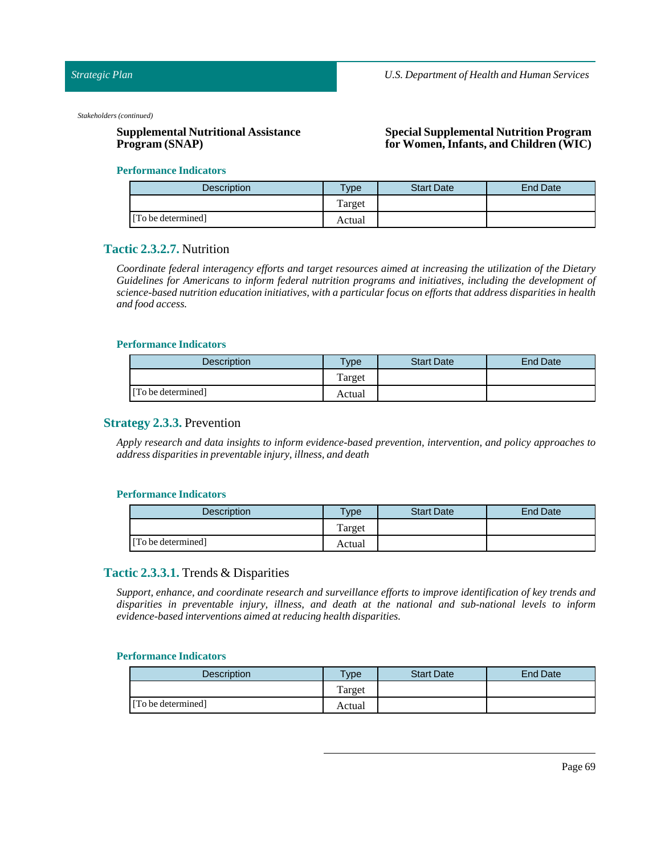*Stakeholders (continued)*

# **Supplemental Nutritional Assistance Program (SNAP)**

## **Special Supplemental Nutrition Program for Women,Infants, and Children (WIC)**

#### **Performance Indicators**

| <b>Description</b> | <b>Type</b> | <b>Start Date</b> | <b>End Date</b> |
|--------------------|-------------|-------------------|-----------------|
|                    | Target      |                   |                 |
| [To be determined] | Actual      |                   |                 |

# **Tactic 2.3.2.7.** Nutrition

*Coordinate federal interagency efforts and target resources aimed at increasing the utilization of the Dietary Guidelines for Americans to inform federal nutrition programs and initiatives, including the development of science-based nutrition education initiatives, with a particular focus on efforts that address disparities in health and food access.*

#### **Performance Indicators**

| <b>Description</b> | Type   | <b>Start Date</b> | <b>End Date</b> |
|--------------------|--------|-------------------|-----------------|
|                    | Target |                   |                 |
| [To be determined] | Actual |                   |                 |

## **Strategy 2.3.3.** Prevention

*Apply research and data insights to inform evidence-based prevention, intervention, and policy approaches to address disparities in preventable injury,illness, and death*

#### **Performance Indicators**

| <b>Description</b> | $T$ <sub>V</sub> pe | <b>Start Date</b> | End Date |
|--------------------|---------------------|-------------------|----------|
|                    | Target              |                   |          |
| [To be determined] | Actual              |                   |          |

## **Tactic 2.3.3.1.** Trends & Disparities

*Support, enhance, and coordinate research and surveillance efforts to improve identification of key trends and disparities in preventable injury, illness, and death at the national and sub-national levels to inform evidence-based interventions aimed at reducing health disparities.*

| Description        | <b>Vpe</b> | <b>Start Date</b> | <b>End Date</b> |
|--------------------|------------|-------------------|-----------------|
|                    | Target     |                   |                 |
| [To be determined] | Actual     |                   |                 |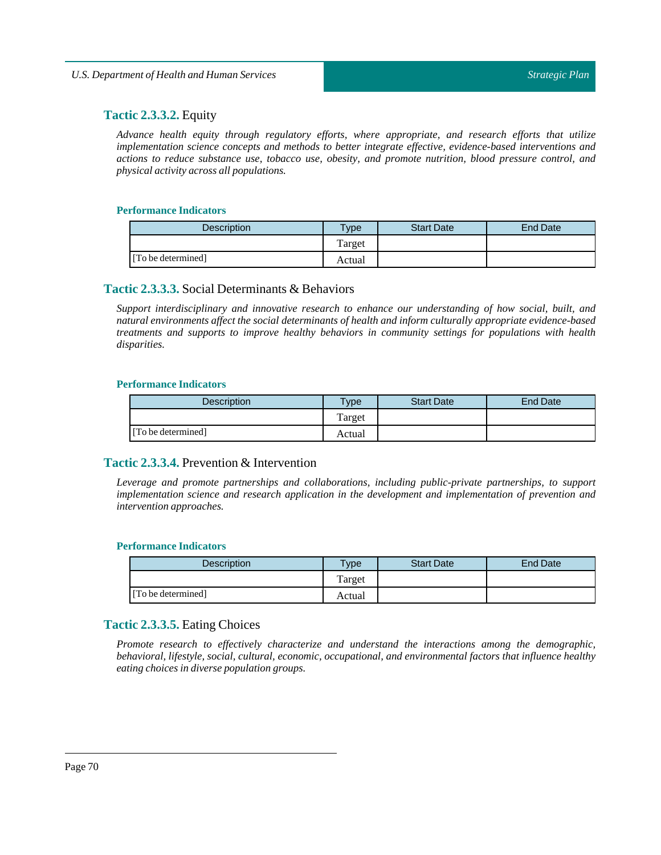# **Tactic 2.3.3.2.** Equity

*Advance health equity through regulatory efforts, where appropriate, and research efforts that utilize implementation science concepts and methods to better integrate effective, evidence-based interventions and actions to reduce substance use, tobacco use, obesity, and promote nutrition, blood pressure control, and physical activity across all populations.*

## **Performance Indicators**

| <b>Description</b> | $T$ vpe | <b>Start Date</b> | <b>End Date</b> |
|--------------------|---------|-------------------|-----------------|
|                    | Target  |                   |                 |
| [To be determined] | Actual  |                   |                 |

## **Tactic 2.3.3.3.** Social Determinants & Behaviors

*Support interdisciplinary and innovative research to enhance our understanding of how social, built, and natural environments affect the social determinants of health and inform culturally appropriate evidence-based treatments and supports to improve healthy behaviors in community settings for populations with health disparities.*

## **Performance Indicators**

| <b>Description</b> | <b>Type</b> | <b>Start Date</b> | <b>End Date</b> |
|--------------------|-------------|-------------------|-----------------|
|                    | Target      |                   |                 |
| [To be determined] | Actual      |                   |                 |

# **Tactic 2.3.3.4.** Prevention & Intervention

*Leverage and promote partnerships and collaborations, including public-private partnerships, to support implementation science and research application in the development and implementation of prevention and intervention approaches.*

## **Performance Indicators**

| <b>Description</b> | $T$ <sub>ype</sub> | <b>Start Date</b> | End Date |
|--------------------|--------------------|-------------------|----------|
|                    | Target             |                   |          |
| [To be determined] | Actual             |                   |          |

# **Tactic 2.3.3.5.** Eating Choices

*Promote research to effectively characterize and understand the interactions among the demographic, behavioral, lifestyle, social, cultural, economic, occupational, and environmental factors that influence healthy eating choices in diverse population groups.*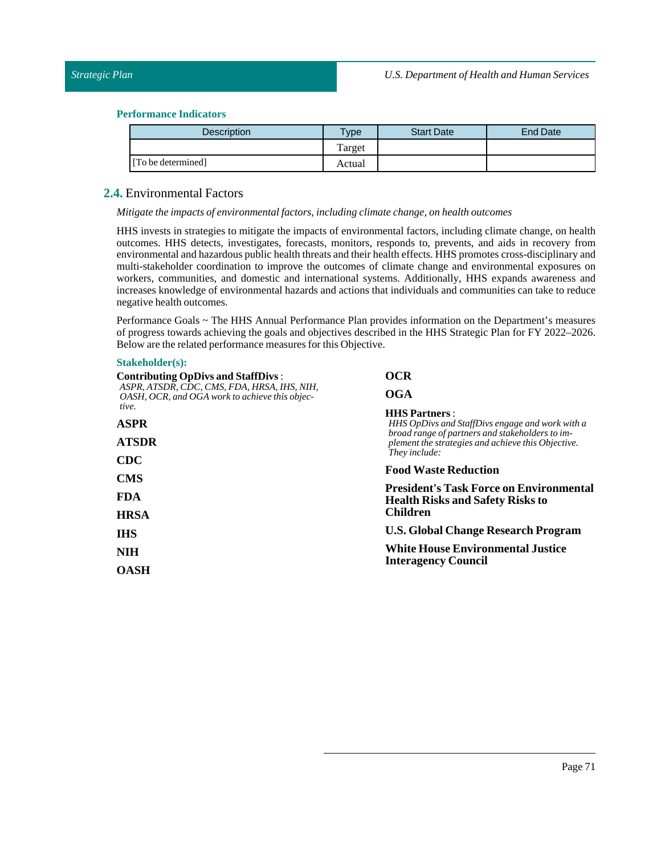| Description        | $v_{\rm p}$ | <b>Start Date</b> | <b>End Date</b> |
|--------------------|-------------|-------------------|-----------------|
|                    | Target      |                   |                 |
| [To be determined] | Actual      |                   |                 |

## **2.4.** Environmental Factors

*Mitigate the impacts of environmentalfactors,including climate change, on health outcomes*

HHS invests in strategies to mitigate the impacts of environmental factors, including climate change, on health outcomes. HHS detects, investigates, forecasts, monitors, responds to, prevents, and aids in recovery from environmental and hazardous public health threats and their health effects. HHS promotes cross-disciplinary and multi-stakeholder coordination to improve the outcomes of climate change and environmental exposures on workers, communities, and domestic and international systems. Additionally, HHS expands awareness and increases knowledge of environmental hazards and actions that individuals and communities can take to reduce negative health outcomes.

Performance Goals ~ The HHS Annual Performance Plan provides information on the Department's measures of progress towards achieving the goals and objectives described in the HHS Strategic Plan for FY 2022–2026. Below are the related performance measures for this Objective.

#### **Stakeholder(s):**

| <b>Contributing OpDivs and StaffDivs:</b>                                                     | <b>OCR</b><br><b>OGA</b>                                                                                                                                                                                                                                                                                                                                                               |  |  |
|-----------------------------------------------------------------------------------------------|----------------------------------------------------------------------------------------------------------------------------------------------------------------------------------------------------------------------------------------------------------------------------------------------------------------------------------------------------------------------------------------|--|--|
| ASPR, ATSDR, CDC, CMS, FDA, HRSA, IHS, NIH,<br>OASH, OCR, and OGA work to achieve this objec- |                                                                                                                                                                                                                                                                                                                                                                                        |  |  |
| tive.<br><b>ASPR</b>                                                                          | <b>HHS Partners:</b><br>HHS OpDivs and StaffDivs engage and work with a                                                                                                                                                                                                                                                                                                                |  |  |
| <b>ATSDR</b>                                                                                  | broad range of partners and stakeholders to im-<br>plement the strategies and achieve this Objective.<br>They include:<br><b>Food Waste Reduction</b><br><b>President's Task Force on Environmental</b><br><b>Health Risks and Safety Risks to</b><br>Children<br><b>U.S. Global Change Research Program</b><br><b>White House Environmental Justice</b><br><b>Interagency Council</b> |  |  |
| <b>CDC</b>                                                                                    |                                                                                                                                                                                                                                                                                                                                                                                        |  |  |
| <b>CMS</b><br><b>FDA</b>                                                                      |                                                                                                                                                                                                                                                                                                                                                                                        |  |  |
| <b>HRSA</b>                                                                                   |                                                                                                                                                                                                                                                                                                                                                                                        |  |  |
| <b>IHS</b>                                                                                    |                                                                                                                                                                                                                                                                                                                                                                                        |  |  |
| <b>NIH</b>                                                                                    |                                                                                                                                                                                                                                                                                                                                                                                        |  |  |
| <b>OASH</b>                                                                                   |                                                                                                                                                                                                                                                                                                                                                                                        |  |  |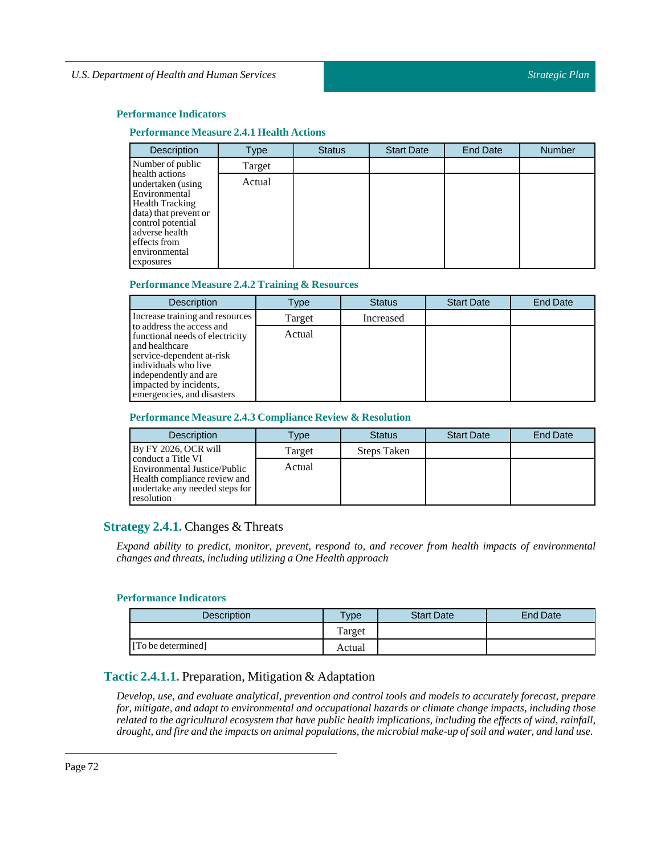#### **Performance Measure 2.4.1 Health Actions**

| Description                                                                                                                                                                                  | Type   | <b>Status</b> | <b>Start Date</b> | <b>End Date</b> | Number |
|----------------------------------------------------------------------------------------------------------------------------------------------------------------------------------------------|--------|---------------|-------------------|-----------------|--------|
| Number of public                                                                                                                                                                             | Target |               |                   |                 |        |
| health actions<br>undertaken (using<br>Environmental<br><b>Health Tracking</b><br>data) that prevent or<br>control potential<br>adverse health<br>effects from<br>environmental<br>exposures | Actual |               |                   |                 |        |

#### **Performance Measure 2.4.2 Training & Resources**

| <b>Description</b>                                                                                                                                                                       | Type   | <b>Status</b> | <b>Start Date</b> | <b>End Date</b> |
|------------------------------------------------------------------------------------------------------------------------------------------------------------------------------------------|--------|---------------|-------------------|-----------------|
| Increase training and resources<br>to address the access and                                                                                                                             | Target | Increased     |                   |                 |
| functional needs of electricity<br>and healthcare<br>service-dependent at-risk<br>individuals who live<br>independently and are.<br>impacted by incidents,<br>emergencies, and disasters | Actual |               |                   |                 |

## **Performance Measure 2.4.3 Compliance Review & Resolution**

| <b>Description</b>                                                                                                                 | $T$ vpe | <b>Status</b> | <b>Start Date</b> | <b>End Date</b> |
|------------------------------------------------------------------------------------------------------------------------------------|---------|---------------|-------------------|-----------------|
| By FY 2026, OCR will                                                                                                               | Target  | Steps Taken   |                   |                 |
| conduct a Title VI<br>Environmental Justice/Public<br>Health compliance review and<br>undertake any needed steps for<br>resolution | Actual  |               |                   |                 |

## **Strategy 2.4.1.** Changes & Threats

*Expand ability to predict, monitor, prevent, respond to, and recover from health impacts of environmental changes and threats,including utilizing a One Health approach*

#### **Performance Indicators**

| <b>Description</b> | Type   | <b>Start Date</b> | End Date |
|--------------------|--------|-------------------|----------|
|                    | Target |                   |          |
| [To be determined] | Actual |                   |          |

# **Tactic 2.4.1.1.** Preparation, Mitigation & Adaptation

*Develop, use, and evaluate analytical, prevention and control tools and models to accurately forecast, prepare for, mitigate, and adapt to environmental and occupational hazards or climate change impacts, including those* related to the agricultural ecosystem that have public health implications, including the effects of wind, rainfall, drought, and fire and the impacts on animal populations, the microbial make-up of soil and water, and land use.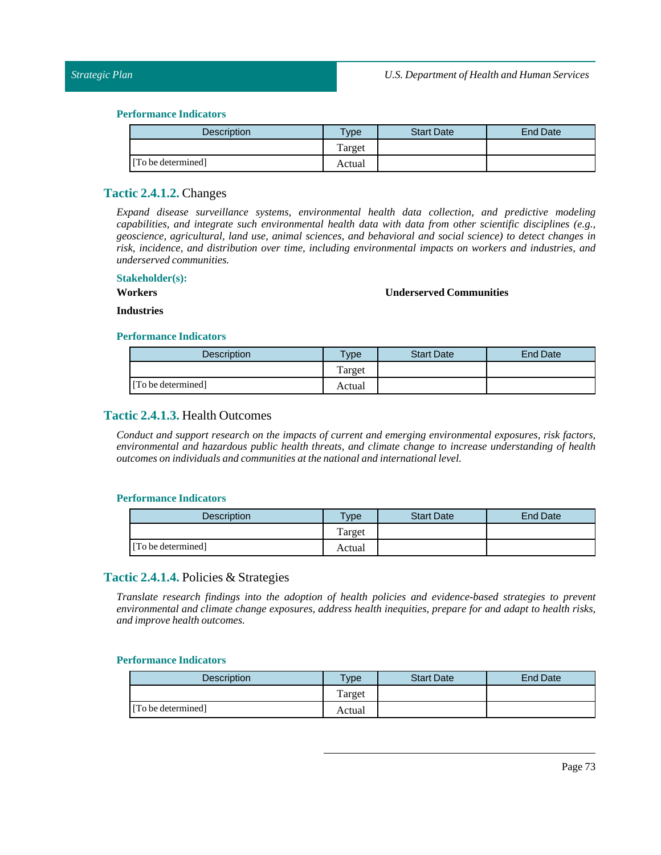| Description        | Type   | <b>Start Date</b> | End Date |
|--------------------|--------|-------------------|----------|
|                    | Target |                   |          |
| [To be determined] | Actual |                   |          |

# **Tactic 2.4.1.2.** Changes

*Expand disease surveillance systems, environmental health data collection, and predictive modeling capabilities, and integrate such environmental health data with data from other scientific disciplines (e.g., geoscience, agricultural, land use, animal sciences, and behavioral and social science) to detect changes in risk, incidence, and distribution over time, including environmental impacts on workers and industries, and underserved communities.*

### **Stakeholder(s):**

**Workers**

#### **Underserved Communities**

**Industries**

#### **Performance Indicators**

| Description        | Type   | <b>Start Date</b> | End Date |
|--------------------|--------|-------------------|----------|
|                    | Target |                   |          |
| [To be determined] | Actual |                   |          |

# **Tactic 2.4.1.3.** Health Outcomes

*Conduct and support research on the impacts of current and emerging environmental exposures, risk factors, environmental and hazardous public health threats, and climate change to increase understanding of health outcomes on individuals and communities atthe national and internationallevel.*

#### **Performance Indicators**

| <b>Description</b> | $T$ ype | <b>Start Date</b> | End Date |
|--------------------|---------|-------------------|----------|
|                    | Target  |                   |          |
| [To be determined] | Actual  |                   |          |

# **Tactic 2.4.1.4.** Policies & Strategies

*Translate research findings into the adoption of health policies and evidence-based strategies to prevent environmental and climate change exposures, address health inequities, prepare for and adapt to health risks, and improve health outcomes.*

| <b>Description</b> | $T$ <sub>V</sub> $pe$ | <b>Start Date</b> | End Date |
|--------------------|-----------------------|-------------------|----------|
|                    | Target                |                   |          |
| [To be determined] | Actual                |                   |          |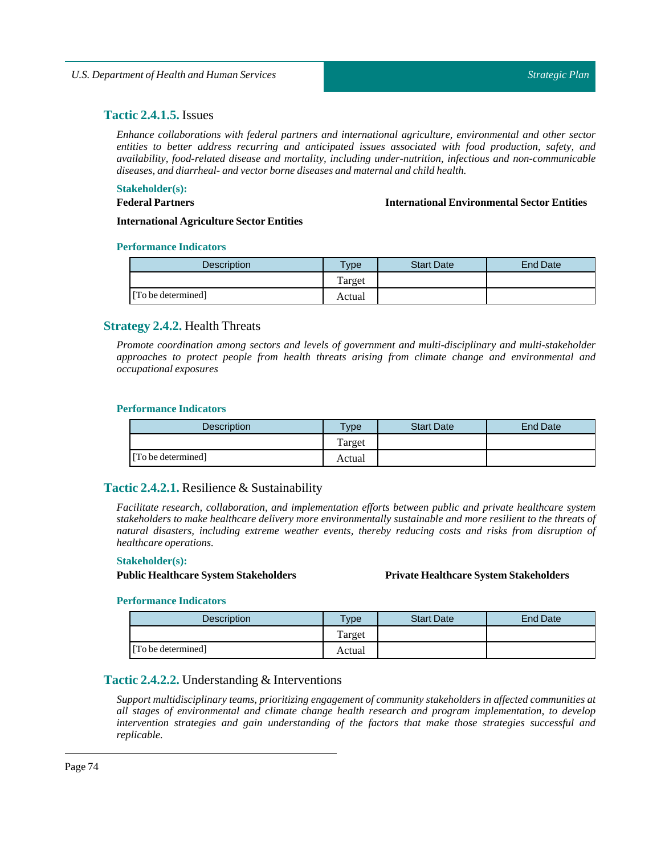# **Tactic 2.4.1.5.** Issues

*Enhance collaborations with federal partners and international agriculture, environmental and other sector entities to better address recurring and anticipated issues associated with food production, safety, and availability, food-related disease and mortality, including under-nutrition, infectious and non-communicable diseases, and diarrheal- and vector borne diseases and maternal and child health.*

#### **Stakeholder(s):**

#### **Federal Partners**

**International EnvironmentalSector Entities**

**International Agriculture Sector Entities** 

#### **Performance Indicators**

| <b>Description</b> | $T$ ype | <b>Start Date</b> | End Date |
|--------------------|---------|-------------------|----------|
|                    | Target  |                   |          |
| [To be determined] | Actual  |                   |          |

# **Strategy 2.4.2.** Health Threats

*Promote coordination among sectors and levels of government and multi-disciplinary and multi-stakeholder approaches to protect people from health threats arising from climate change and environmental and occupational exposures*

#### **Performance Indicators**

| <b>Description</b> | $TV$ pe | <b>Start Date</b> | <b>End Date</b> |
|--------------------|---------|-------------------|-----------------|
|                    | Target  |                   |                 |
| [To be determined] | Actual  |                   |                 |

# **Tactic 2.4.2.1.** Resilience & Sustainability

*Facilitate research, collaboration, and implementation efforts between public and private healthcare system stakeholders to make healthcare delivery more environmentally sustainable and more resilient to the threats of natural disasters, including extreme weather events, thereby reducing costs and risks from disruption of healthcare operations.*

#### **Stakeholder(s):**

#### **Public HealthcareSystem Stakeholders Private HealthcareSystem Stakeholders**

#### **Performance Indicators**

| <b>Description</b> | $T$ ype | <b>Start Date</b> | End Date |
|--------------------|---------|-------------------|----------|
|                    | Target  |                   |          |
| [To be determined] | Actual  |                   |          |

# **Tactic 2.4.2.2.** Understanding & Interventions

*Support multidisciplinary teams, prioritizing engagement of community stakeholders in affected communities at all stages of environmental and climate change health research and program implementation, to develop intervention strategies and gain understanding of the factors that make those strategies successful and replicable.*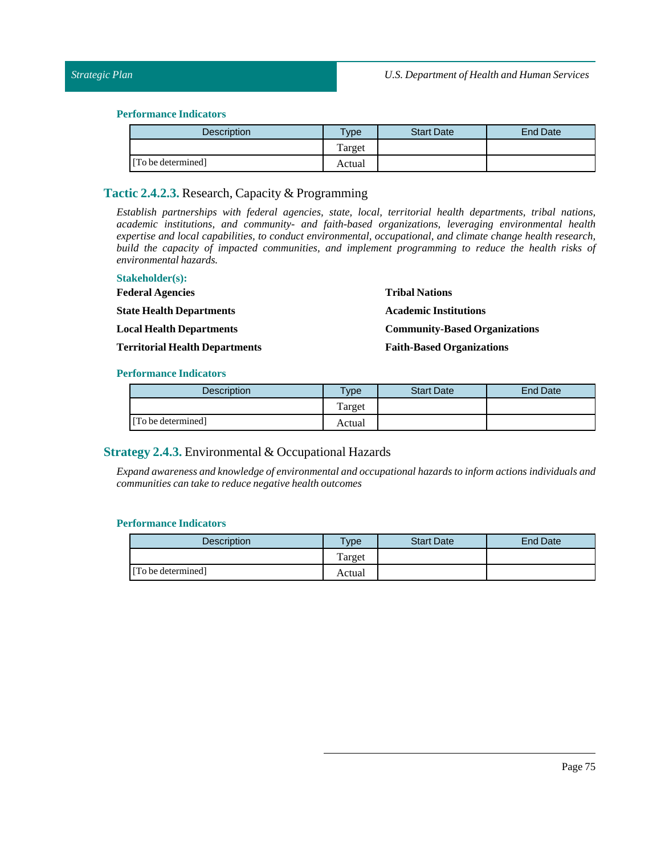# *Strategic Plan*

#### **Performance Indicators**

| Description        | <b>Type</b> | <b>Start Date</b> | End Date |
|--------------------|-------------|-------------------|----------|
|                    | Target      |                   |          |
| [To be determined] | Actual      |                   |          |

# **Tactic 2.4.2.3.** Research, Capacity & Programming

*Establish partnerships with federal agencies, state, local, territorial health departments, tribal nations, academic institutions, and community- and faith-based organizations, leveraging environmental health expertise and local capabilities, to conduct environmental, occupational, and climate change health research, build the capacity of impacted communities, and implement programming to reduce the health risks of environmental hazards.*

| <b>Stakeholder(s):</b>                |                                      |
|---------------------------------------|--------------------------------------|
| <b>Federal Agencies</b>               | <b>Tribal Nations</b>                |
| <b>State Health Departments</b>       | <b>Academic Institutions</b>         |
| <b>Local Health Departments</b>       | <b>Community-Based Organizations</b> |
| <b>Territorial Health Departments</b> | <b>Faith-Based Organizations</b>     |

#### **Performance Indicators**

| <b>Description</b> | <b>Vpe</b> | <b>Start Date</b> | End Date |
|--------------------|------------|-------------------|----------|
|                    | Target     |                   |          |
| [To be determined] | Actual     |                   |          |

# **Strategy 2.4.3.** Environmental & Occupational Hazards

*Expand awareness and knowledge of environmental and occupational hazards to inform actions individuals and communities can take to reduce negative health outcomes*

| Description        | <b>VDe</b> | <b>Start Date</b> | <b>End Date</b> |
|--------------------|------------|-------------------|-----------------|
|                    | Target     |                   |                 |
| [To be determined] | Actual     |                   |                 |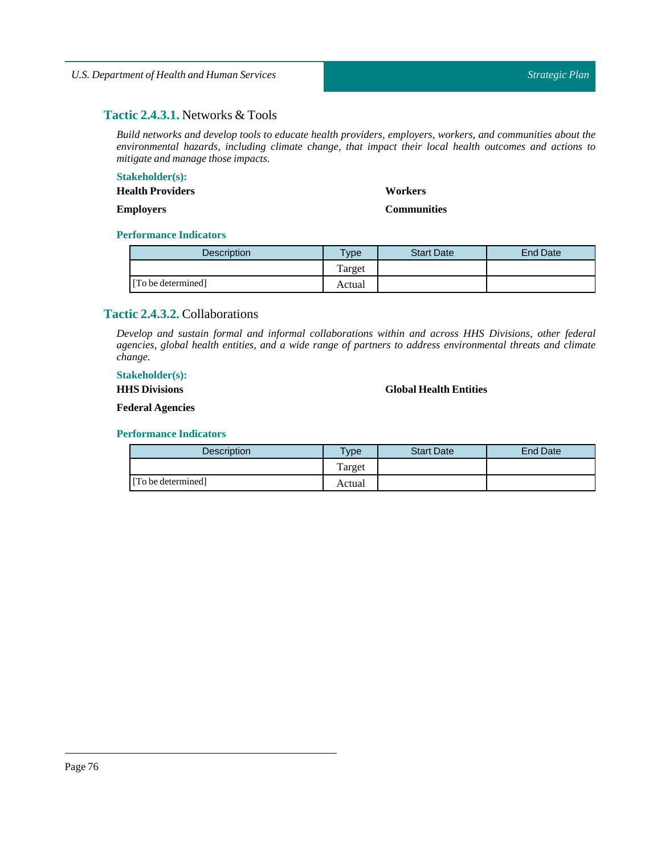# **Tactic 2.4.3.1.** Networks & Tools

*Build networks and develop tools to educate health providers, employers, workers, and communities about the environmental hazards, including climate change, that impact their local health outcomes and actions to mitigate and manage those impacts.*

# **Stakeholder(s):**

**Health Providers**

#### **Employers**

#### **Workers**

**Communities**

# **Performance Indicators**

| <b>Description</b> | Type   | <b>Start Date</b> | End Date |
|--------------------|--------|-------------------|----------|
|                    | Target |                   |          |
| [To be determined] | Actual |                   |          |

# **Tactic 2.4.3.2.** Collaborations

*Develop and sustain formal and informal collaborations within and across HHS Divisions, other federal agencies, global health entities, and a wide range of partners to address environmental threats and climate change.*

# **Stakeholder(s):**

**HHS Divisions**

# **Global Health Entities**

**Federal Agencies**

| <b>Description</b> | $T$ vpe | <b>Start Date</b> | End Date |
|--------------------|---------|-------------------|----------|
|                    | Target  |                   |          |
| [To be determined] | Actual  |                   |          |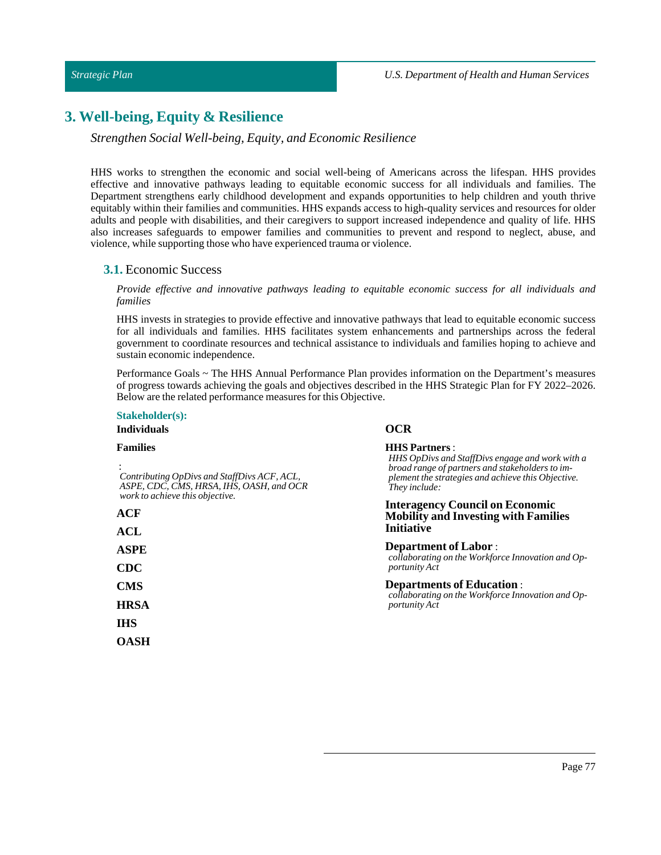# **3. Well-being, Equity & Resilience**

## *Strengthen Social Well-being, Equity, and Economic Resilience*

HHS works to strengthen the economic and social well-being of Americans across the lifespan. HHS provides effective and innovative pathways leading to equitable economic success for all individuals and families. The Department strengthens early childhood development and expands opportunities to help children and youth thrive equitably within their families and communities. HHS expands access to high-quality services and resources for older adults and people with disabilities, and their caregivers to support increased independence and quality of life. HHS also increases safeguards to empower families and communities to prevent and respond to neglect, abuse, and violence, while supporting those who have experienced trauma or violence.

#### **3.1.** Economic Success

*Provide effective and innovative pathways leading to equitable economic success for all individuals and families*

HHS invests in strategies to provide effective and innovative pathways that lead to equitable economic success for all individuals and families. HHS facilitates system enhancements and partnerships across the federal government to coordinate resources and technical assistance to individuals and families hoping to achieve and sustain economic independence.

Performance Goals ~ The HHS Annual Performance Plan provides information on the Department's measures of progress towards achieving the goals and objectives described in the HHS Strategic Plan for FY 2022–2026. Below are the related performance measures for this Objective.

# **Stakeholder(s):**

# **Individuals**

#### **Families**

: *Contributing OpDivs and StaffDivs ACF, ACL, ASPE, CDC, CMS, HRSA, IHS, OASH, and OCR work to achieve this objective.*

| ١<br>P | I. | f |  |
|--------|----|---|--|
|        |    |   |  |

**ASPE CDC CMS HRSA**

**IHS OASH**

#### **OCR**

#### **HHS Partners** :

*HHS OpDivs and StaffDivs engage and work with a broad range of partners and stakeholders to implement the strategies and achieve this Objective. They include:*

#### **Interagency Council on Economic Mobility and Investing with Families Initiative**

**Department of Labor** : *collaborating on the Workforce Innovation and Opportunity Act*

**Departments of Education** : *collaborating on the Workforce Innovation and Opportunity Act*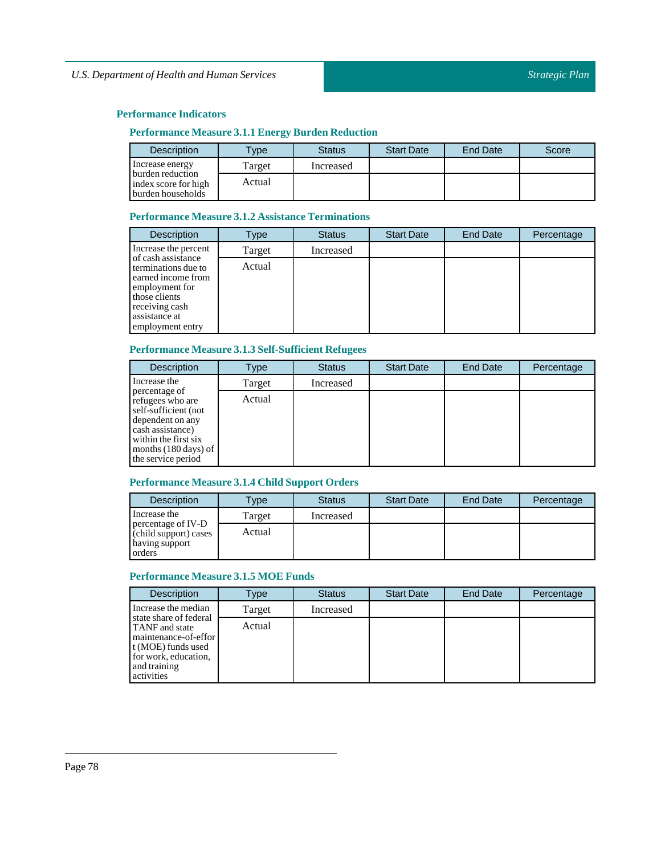# **Performance Measure 3.1.1 Energy Burden Reduction**

| <b>Description</b>                                            | <b>Type</b> | <b>Status</b> | <b>Start Date</b> | <b>End Date</b> | Score |
|---------------------------------------------------------------|-------------|---------------|-------------------|-----------------|-------|
| Increase energy                                               | Target      | Increased     |                   |                 |       |
| burden reduction<br>index score for high<br>burden households | Actual      |               |                   |                 |       |

# **Performance Measure 3.1.2 Assistance Terminations**

| <b>Description</b>                                                                                                                                        | Type   | <b>Status</b> | <b>Start Date</b> | <b>End Date</b> | Percentage |
|-----------------------------------------------------------------------------------------------------------------------------------------------------------|--------|---------------|-------------------|-----------------|------------|
| Increase the percent                                                                                                                                      | Target | Increased     |                   |                 |            |
| of cash assistance<br>terminations due to<br>earned income from<br>employment for<br>those clients<br>receiving cash<br>assistance at<br>employment entry | Actual |               |                   |                 |            |

# **Performance Measure 3.1.3Self-Sufficient Refugees**

| <b>Description</b>                                                                                                                                                                | Type   | <b>Status</b> | <b>Start Date</b> | <b>End Date</b> | Percentage |
|-----------------------------------------------------------------------------------------------------------------------------------------------------------------------------------|--------|---------------|-------------------|-----------------|------------|
| Increase the                                                                                                                                                                      | Target | Increased     |                   |                 |            |
| percentage of<br>refugees who are<br>self-sufficient (not<br>dependent on any<br>cash assistance)<br>within the first six<br>months $(180 \text{ days})$ of<br>the service period | Actual |               |                   |                 |            |

# **Performance Measure 3.1.4 Child Support Orders**

| <b>Description</b>                                                      | Type   | <b>Status</b> | <b>Start Date</b> | <b>End Date</b> | Percentage |
|-------------------------------------------------------------------------|--------|---------------|-------------------|-----------------|------------|
| Increase the                                                            | Target | Increased     |                   |                 |            |
| percentage of IV-D<br>(child support) cases<br>having support<br>orders | Actual |               |                   |                 |            |

# **Performance Measure 3.1.5 MOE Funds**

| <b>Description</b>                                                                                                                                  | Type   | <b>Status</b> | <b>Start Date</b> | <b>End Date</b> | Percentage |
|-----------------------------------------------------------------------------------------------------------------------------------------------------|--------|---------------|-------------------|-----------------|------------|
| Increase the median                                                                                                                                 | Target | Increased     |                   |                 |            |
| state share of federal<br><b>TANF</b> and state<br>maintenance-of-effor<br>t (MOE) funds used<br>for work, education,<br>and training<br>activities | Actual |               |                   |                 |            |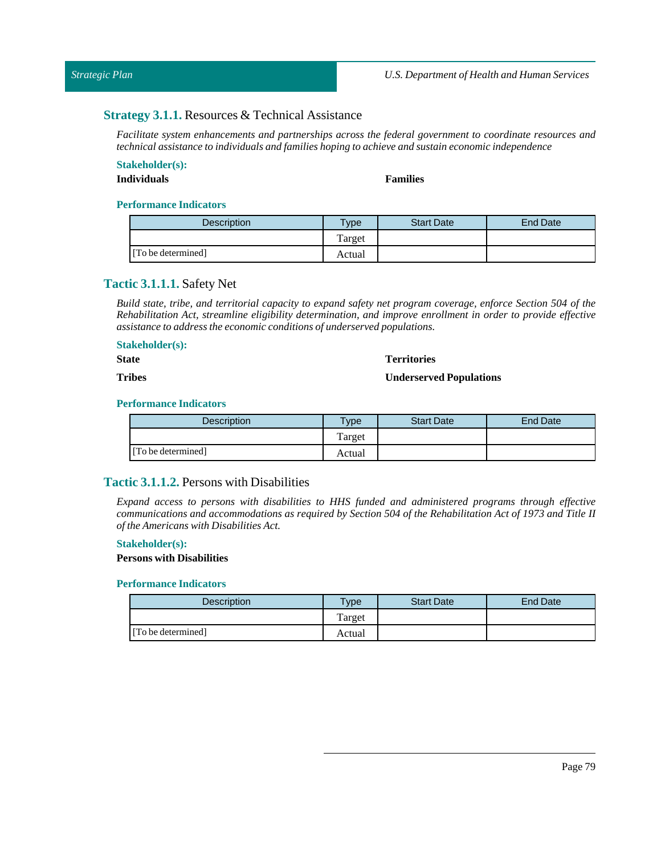# **Strategy 3.1.1.** Resources & Technical Assistance

*Facilitate system enhancements and partnerships across the federal government to coordinate resources and technical assistance to individuals and families hoping to achieve and sustain economic independence*

# **Stakeholder(s):**

# **Individuals Families**

#### **Performance Indicators**

| <b>Description</b> | $v$ pe | <b>Start Date</b> | End Date |
|--------------------|--------|-------------------|----------|
|                    | Target |                   |          |
| [To be determined] | Actual |                   |          |

# **Tactic 3.1.1.1.** Safety Net

Build state, tribe, and territorial capacity to expand safety net program coverage, enforce Section 504 of the *Rehabilitation Act, streamline eligibility determination, and improve enrollment in order to provide effective assistance to address the economic conditions of underserved populations.*

# **Stakeholder(s):**

**State**

#### **Territories**

#### **Tribes**

# **Underserved Populations**

#### **Performance Indicators**

| <b>Description</b> | $T$ vpe | <b>Start Date</b> | End Date |
|--------------------|---------|-------------------|----------|
|                    | Target  |                   |          |
| [To be determined] | Actual  |                   |          |

# **Tactic 3.1.1.2.** Persons with Disabilities

*Expand access to persons with disabilities to HHS funded and administered programs through effective* communications and accommodations as required by Section 504 of the Rehabilitation Act of 1973 and Title II *ofthe Americans with Disabilities Act.*

#### **Stakeholder(s):**

### **Persons with Disabilities**

| <b>Description</b> | $v_{\rm p}$ | <b>Start Date</b> | End Date |
|--------------------|-------------|-------------------|----------|
|                    | Target      |                   |          |
| [To be determined] | Actual      |                   |          |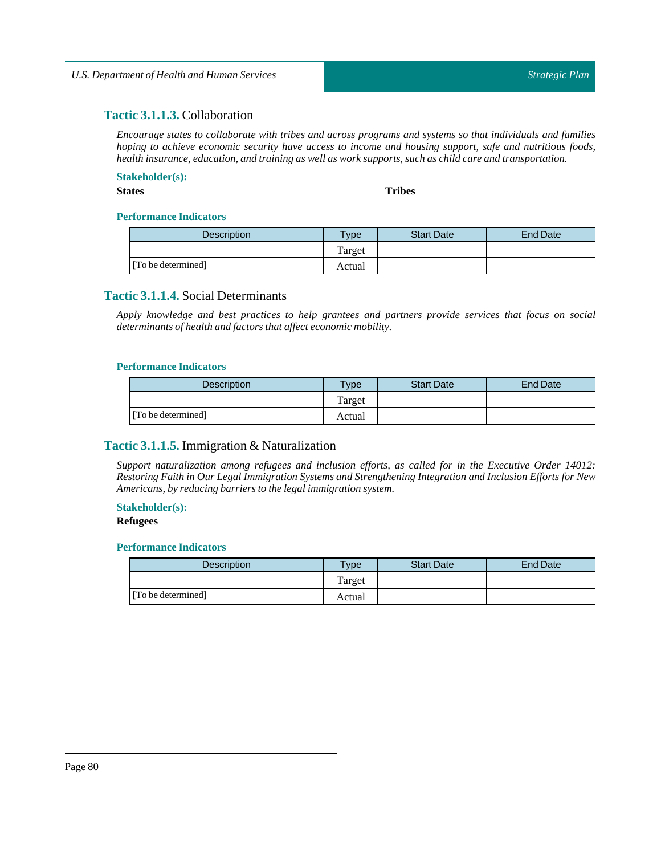# **Tactic 3.1.1.3.** Collaboration

*Encourage states to collaborate with tribes and across programs and systems so that individuals and families hoping to achieve economic security have access to income and housing support, safe and nutritious foods, health insurance, education, and training as well as work supports, such as child care and transportation.*

### **Stakeholder(s):**

**States Tribes**

#### **Performance Indicators**

| <b>Description</b> | Type   | <b>Start Date</b> | End Date |
|--------------------|--------|-------------------|----------|
|                    | Target |                   |          |
| [To be determined] | Actual |                   |          |

# **Tactic 3.1.1.4.** Social Determinants

*Apply knowledge and best practices to help grantees and partners provide services that focus on social determinants of health and factors that affect economic mobility.*

#### **Performance Indicators**

| <b>Description</b> | Type   | <b>Start Date</b> | End Date |
|--------------------|--------|-------------------|----------|
|                    | Target |                   |          |
| [To be determined] | Actual |                   |          |

# **Tactic 3.1.1.5.** Immigration & Naturalization

*Support naturalization among refugees and inclusion efforts, as called for in the Executive Order 14012: Restoring Faith in Our Legal Immigration Systems and Strengthening Integration and Inclusion Efforts for New Americans, by reducing barriers to the legalimmigration system.*

#### **Stakeholder(s):**

#### **Refugees**

| <b>Description</b> | $v_{\rm p}$ | <b>Start Date</b> | End Date |
|--------------------|-------------|-------------------|----------|
|                    | Target      |                   |          |
| [To be determined] | Actual      |                   |          |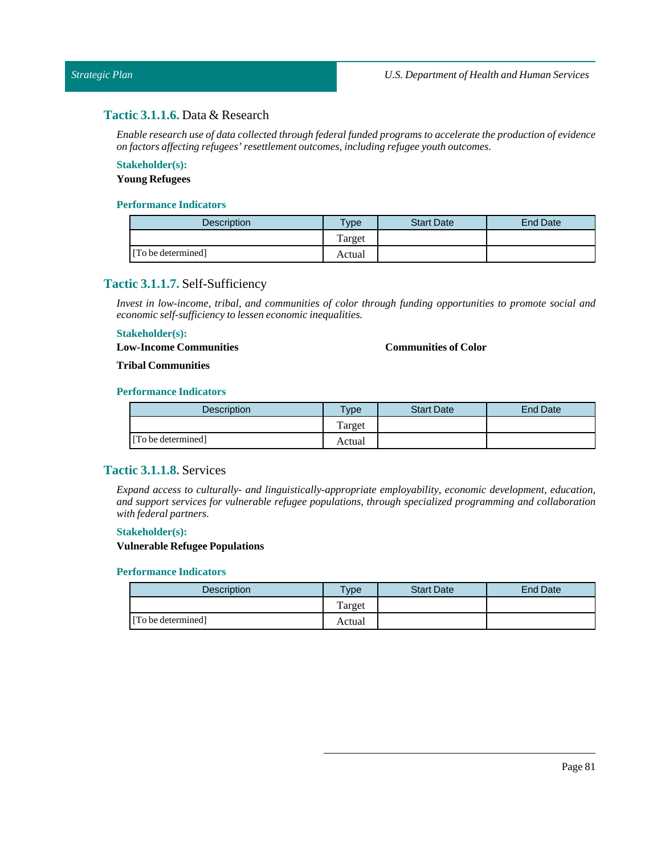# **Tactic 3.1.1.6.** Data & Research

*Enable research use of data collected through federal funded programs to accelerate the production of evidence on factors affecting refugees' resettlement outcomes,including refugee youth outcomes.*

# **Stakeholder(s):**

# **Young Refugees**

### **Performance Indicators**

| <b>Description</b> | $T$ <sub>ype</sub> | <b>Start Date</b> | <b>End Date</b> |
|--------------------|--------------------|-------------------|-----------------|
|                    | Target             |                   |                 |
| [To be determined] | Actual             |                   |                 |

# **Tactic 3.1.1.7.** Self-Sufficiency

*Invest in low-income, tribal, and communities of color through funding opportunities to promote social and economic self-sufficiency to lessen economic inequalities.*

#### **Stakeholder(s):**

**Low-Income Communities**

## **Communities of Color**

#### **Tribal Communities**

### **Performance Indicators**

| <b>Description</b> | $T$ <sub>V</sub> pe | <b>Start Date</b> | <b>End Date</b> |
|--------------------|---------------------|-------------------|-----------------|
|                    | Target              |                   |                 |
| [To be determined] | Actual              |                   |                 |

# **Tactic 3.1.1.8.** Services

*Expand access to culturally- and linguistically-appropriate employability, economic development, education, and support services for vulnerable refugee populations, through specialized programming and collaboration with federal partners.*

#### **Stakeholder(s):**

#### **Vulnerable Refugee Populations**

| <b>Description</b> | $T$ <sub>ype</sub> | <b>Start Date</b> | <b>End Date</b> |
|--------------------|--------------------|-------------------|-----------------|
|                    | Target             |                   |                 |
| [To be determined] | Actual             |                   |                 |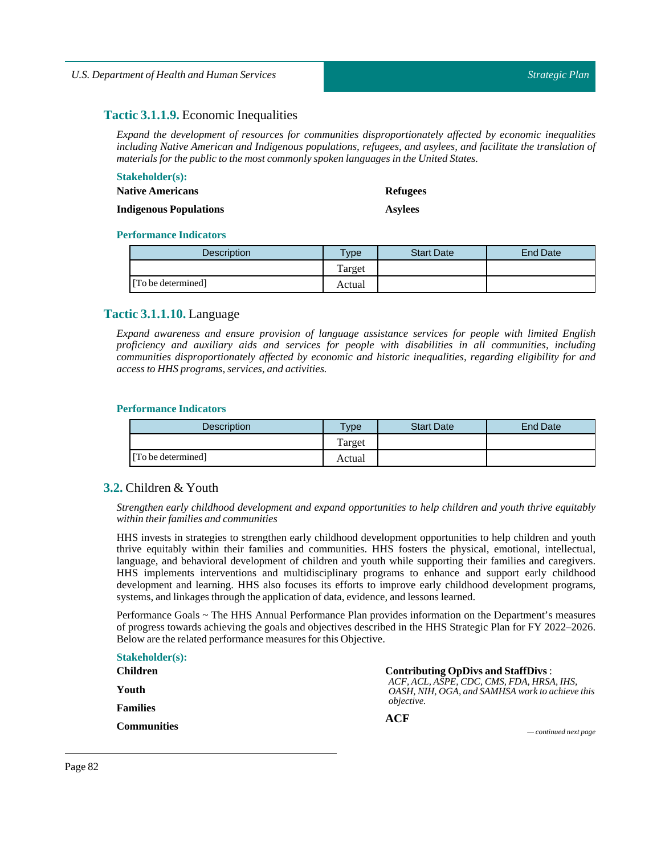# **Tactic 3.1.1.9.** Economic Inequalities

*Expand the development of resources for communities disproportionately affected by economic inequalities including Native American and Indigenous populations, refugees, and asylees, and facilitate the translation of materials for the public to the most commonly spoken languages in the United States.*

### **Stakeholder(s): Native Americans**

**Refugees**

**Indigenous Populations**

**Asylees**

#### **Performance Indicators**

| <b>Description</b> | Type   | <b>Start Date</b> | End Date |
|--------------------|--------|-------------------|----------|
|                    | Target |                   |          |
| [To be determined] | Actual |                   |          |

# **Tactic 3.1.1.10.** Language

*Expand awareness and ensure provision of language assistance services for people with limited English proficiency and auxiliary aids and services for people with disabilities in all communities, including communities disproportionately affected by economic and historic inequalities, regarding eligibility for and access to HHS programs, services, and activities.*

#### **Performance Indicators**

| Description        | vpe    | <b>Start Date</b> | <b>End Date</b> |
|--------------------|--------|-------------------|-----------------|
|                    | Target |                   |                 |
| [To be determined] | Actual |                   |                 |

# **3.2.** Children & Youth

*Strengthen early childhood development and expand opportunities to help children and youth thrive equitably within their families and communities*

HHS invests in strategies to strengthen early childhood development opportunities to help children and youth thrive equitably within their families and communities. HHS fosters the physical, emotional, intellectual, language, and behavioral development of children and youth while supporting their families and caregivers. HHS implements interventions and multidisciplinary programs to enhance and support early childhood development and learning. HHS also focuses its efforts to improve early childhood development programs, systems, and linkages through the application of data, evidence, and lessons learned.

Performance Goals ~ The HHS Annual Performance Plan provides information on the Department's measures of progress towards achieving the goals and objectives described in the HHS Strategic Plan for FY 2022–2026. Below are the related performance measures for this Objective.

| <b>Stakeholder(s):</b> |                                                                                              |
|------------------------|----------------------------------------------------------------------------------------------|
| <b>Children</b>        | <b>Contributing OpDivs and StaffDivs:</b>                                                    |
| Youth                  | ACF. ACL. ASPE. CDC. CMS. FDA. HRSA. IHS.<br>OASH, NIH, OGA, and SAMHSA work to achieve this |
| <b>Families</b>        | <i>objective.</i><br>ACF                                                                     |
| <b>Communities</b>     | $\sim$ continued next page                                                                   |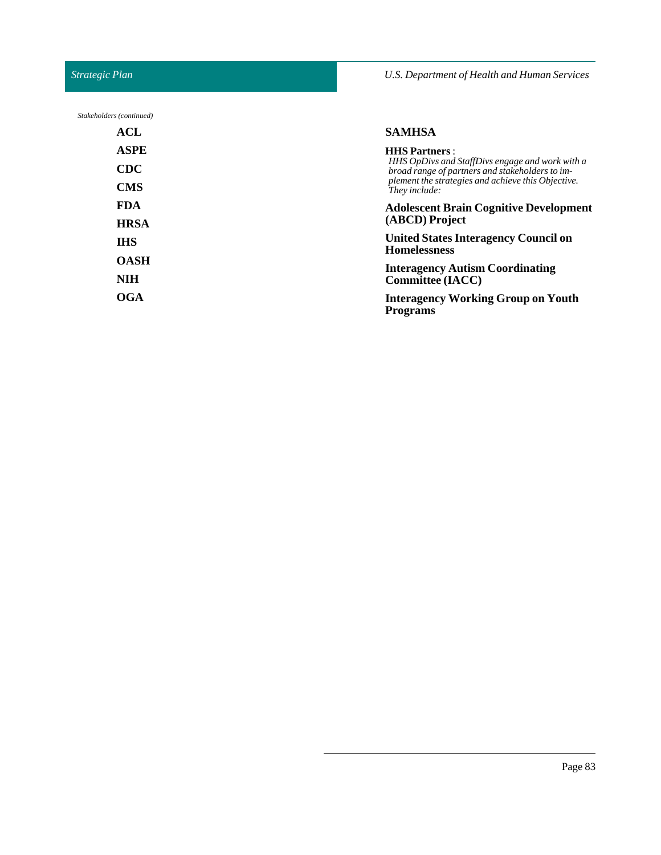# *Strategic Plan*

*Stakeholders (continued)*

# *U.S. Department of Health and Human Services*

| ACL         | <b>SAMHSA</b>                                                           |  |  |
|-------------|-------------------------------------------------------------------------|--|--|
| <b>ASPE</b> | <b>HHS Partners:</b><br>HHS OpDivs and StaffDivs engage and work with a |  |  |
| <b>CDC</b>  | broad range of partners and stakeholders to im-                         |  |  |
| <b>CMS</b>  | plement the strategies and achieve this Objective.<br>They include:     |  |  |
| <b>FDA</b>  | <b>Adolescent Brain Cognitive Development</b>                           |  |  |
| <b>HRSA</b> | (ABCD) Project                                                          |  |  |
| <b>IHS</b>  | <b>United States Interagency Council on</b><br><b>Homelessness</b>      |  |  |
| <b>OASH</b> | <b>Interagency Autism Coordinating</b>                                  |  |  |
| <b>NIH</b>  | <b>Committee (IACC)</b>                                                 |  |  |
| <b>OGA</b>  | <b>Interagency Working Group on Youth</b><br><b>Programs</b>            |  |  |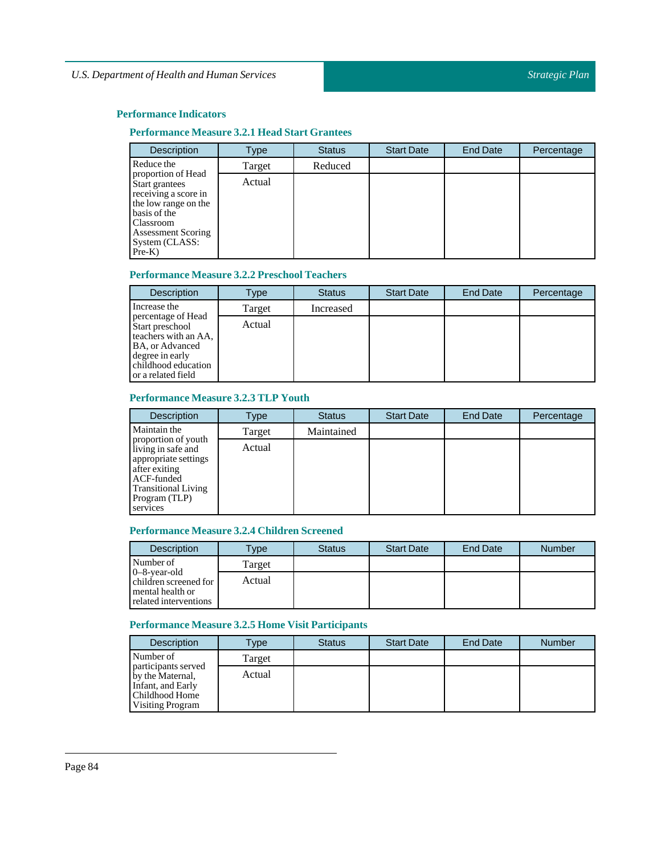# **Performance Measure 3.2.1 Head Start Grantees**

| <b>Description</b>                                                                                                                                                           | Type   | <b>Status</b> | <b>Start Date</b> | End Date | Percentage |
|------------------------------------------------------------------------------------------------------------------------------------------------------------------------------|--------|---------------|-------------------|----------|------------|
| Reduce the                                                                                                                                                                   | Target | Reduced       |                   |          |            |
| proportion of Head<br>Start grantees<br>receiving a score in<br>the low range on the<br>basis of the<br>Classroom<br><b>Assessment Scoring</b><br>System (CLASS:<br>$Pre-K)$ | Actual |               |                   |          |            |

# **Performance Measure 3.2.2 Preschool Teachers**

| <b>Description</b>                                                                                                                               | Type   | <b>Status</b> | <b>Start Date</b> | End Date | Percentage |
|--------------------------------------------------------------------------------------------------------------------------------------------------|--------|---------------|-------------------|----------|------------|
| Increase the                                                                                                                                     | Target | Increased     |                   |          |            |
| percentage of Head<br>Start preschool<br>teachers with an AA,<br>BA, or Advanced<br>degree in early<br>childhood education<br>or a related field | Actual |               |                   |          |            |

# **Performance Measure 3.2.3 TLP Youth**

| <b>Description</b>                                                                                                                                          | Type   | <b>Status</b> | <b>Start Date</b> | <b>End Date</b> | Percentage |
|-------------------------------------------------------------------------------------------------------------------------------------------------------------|--------|---------------|-------------------|-----------------|------------|
| Maintain the                                                                                                                                                | Target | Maintained    |                   |                 |            |
| proportion of youth<br>living in safe and<br>appropriate settings<br>after exiting<br>ACF-funded<br><b>Transitional Living</b><br>Program (TLP)<br>services | Actual |               |                   |                 |            |

# **Performance Measure 3.2.4 Children Screened**

| <b>Description</b>                                                                    | $T$ ype | <b>Status</b> | <b>Start Date</b> | <b>End Date</b> | <b>Number</b> |
|---------------------------------------------------------------------------------------|---------|---------------|-------------------|-----------------|---------------|
| Number of                                                                             | Target  |               |                   |                 |               |
| $0-8$ -year-old<br>children screened for<br>mental health or<br>related interventions | Actual  |               |                   |                 |               |

# **Performance Measure 3.2.5 Home Visit Participants**

| <b>Description</b>                                                                                        | Type   | <b>Status</b> | <b>Start Date</b> | <b>End Date</b> | <b>Number</b> |
|-----------------------------------------------------------------------------------------------------------|--------|---------------|-------------------|-----------------|---------------|
| Number of                                                                                                 | Target |               |                   |                 |               |
| participants served<br>by the Maternal,<br>Infant, and Early<br>Childhood Home<br><b>Visiting Program</b> | Actual |               |                   |                 |               |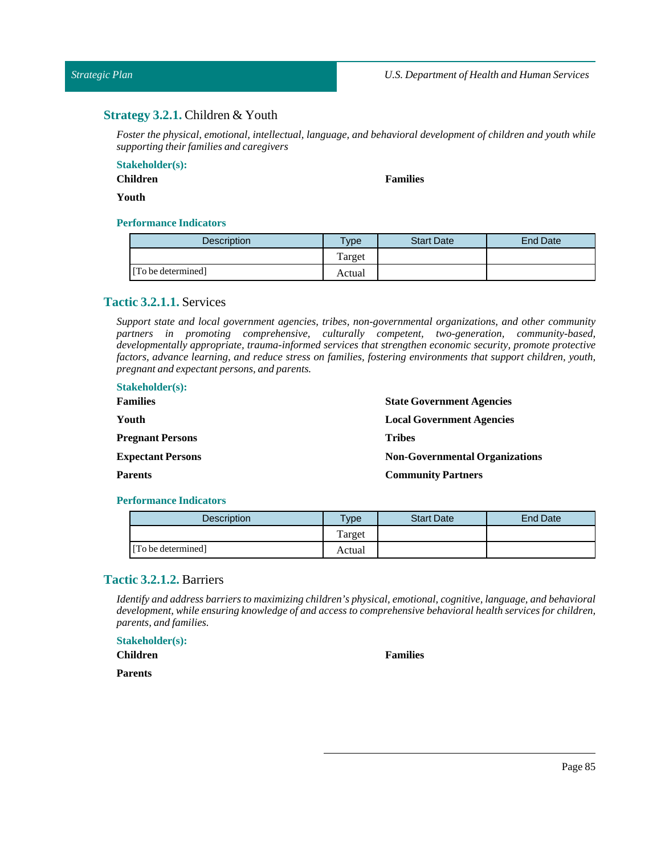# **Strategy 3.2.1.** Children & Youth

*Foster the physical, emotional, intellectual, language, and behavioral development of children and youth while supporting their families and caregivers*

#### **Stakeholder(s):**

**Children**

**Families**

#### **Youth**

# **Performance Indicators**

| Description        | vpe    | <b>Start Date</b> | End Date |
|--------------------|--------|-------------------|----------|
|                    | Target |                   |          |
| [To be determined] | Actual |                   |          |

# **Tactic 3.2.1.1.** Services

*Support state and local government agencies, tribes, non-governmental organizations, and other community partners in promoting comprehensive, culturally competent, two-generation, community-based, developmentally appropriate, trauma-informed services that strengthen economic security, promote protective factors, advance learning, and reduce stress on families, fostering environments that support children, youth, pregnant and expectant persons, and parents.*

| <b>State Government Agencies</b>      |
|---------------------------------------|
| <b>Local Government Agencies</b>      |
| <b>Tribes</b>                         |
| <b>Non-Governmental Organizations</b> |
| <b>Community Partners</b>             |
|                                       |

#### **Performance Indicators**

| <b>Description</b> | $T$ <sub>ype</sub> | <b>Start Date</b> | <b>End Date</b> |
|--------------------|--------------------|-------------------|-----------------|
|                    | Target             |                   |                 |
| [To be determined] | Actual             |                   |                 |

# **Tactic 3.2.1.2.** Barriers

*Identify and address barriers to maximizing children's physical, emotional, cognitive, language, and behavioral development, while ensuring knowledge of and access to comprehensive behavioral health services for children, parents, and families.*

**Stakeholder(s): Children**

**Parents**

#### **Families**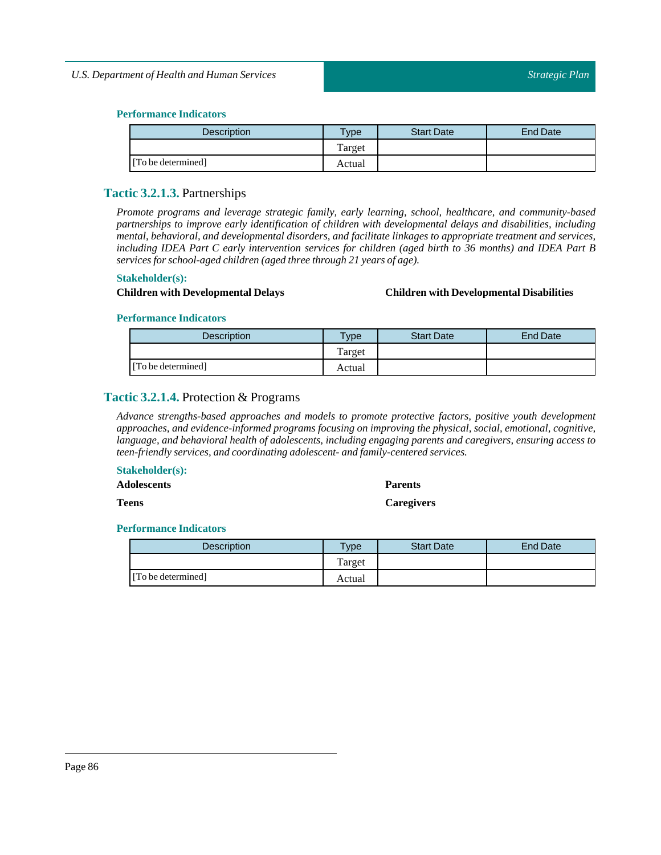| <b>Description</b> | $T$ ype | <b>Start Date</b> | End Date |
|--------------------|---------|-------------------|----------|
|                    | Target  |                   |          |
| [To be determined] | Actual  |                   |          |

# **Tactic 3.2.1.3.** Partnerships

*Promote programs and leverage strategic family, early learning, school, healthcare, and community-based partnerships to improve early identification of children with developmental delays and disabilities, including mental, behavioral, and developmental disorders, and facilitate linkages to appropriate treatment and services,* including IDEA Part C early intervention services for children (aged birth to 36 months) and IDEA Part B *services for school-aged children (aged three through 21 years of age).*

#### **Stakeholder(s):**

#### **Children with Developmental Delays Children with Developmental Disabilities**

#### **Performance Indicators**

| <b>Description</b> | $v_{\rm p}$ | <b>Start Date</b> | End Date |
|--------------------|-------------|-------------------|----------|
|                    | Target      |                   |          |
| [To be determined] | Actual      |                   |          |

# **Tactic 3.2.1.4.** Protection & Programs

*Advance strengths-based approaches and models to promote protective factors, positive youth development approaches, and evidence-informed programs focusing on improving the physical, social, emotional, cognitive, language, and behavioral health of adolescents, including engaging parents and caregivers, ensuring access to teen-friendly services, and coordinating adolescent- and family-centered services.*

#### **Stakeholder(s):**

**Teens**

**Parents**

**Caregivers**

| <b>Description</b> | <b>Vpe</b> | <b>Start Date</b> | End Date |
|--------------------|------------|-------------------|----------|
|                    | Target     |                   |          |
| [To be determined] | Actual     |                   |          |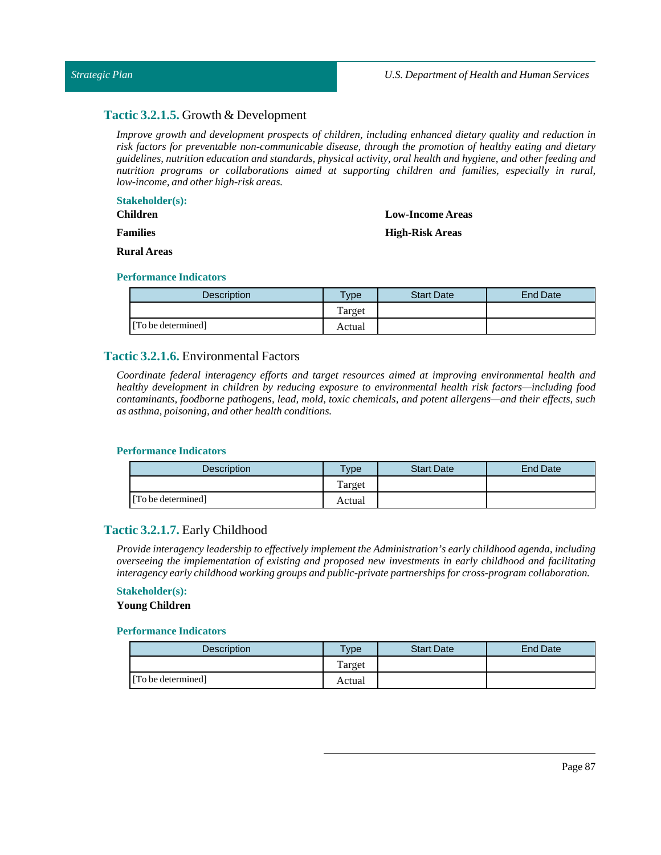#### *Strategic Plan*

# **Tactic 3.2.1.5.** Growth & Development

*Improve growth and development prospects of children, including enhanced dietary quality and reduction in risk factors for preventable non-communicable disease, through the promotion of healthy eating and dietary guidelines, nutrition education and standards, physical activity, oral health and hygiene, and other feeding and nutrition programs or collaborations aimed at supporting children and families, especially in rural, low-income, and other high-risk areas.*

# **Stakeholder(s):**

**Children**

**Families**

# **Low-Income Areas High-Risk Areas**

**Rural Areas**

#### **Performance Indicators**

| Description        | vpe <sup>-</sup> | <b>Start Date</b> | End Date |
|--------------------|------------------|-------------------|----------|
|                    | Target           |                   |          |
| [To be determined] | Actual           |                   |          |

# **Tactic 3.2.1.6.** Environmental Factors

*Coordinate federal interagency efforts and target resources aimed at improving environmental health and healthy development in children by reducing exposure to environmental health risk factors—including food contaminants, foodborne pathogens, lead, mold, toxic chemicals, and potent allergens—and their effects, such as asthma, poisoning, and other health conditions.*

#### **Performance Indicators**

| <b>Description</b> | $T$ vpe | <b>Start Date</b> | End Date |
|--------------------|---------|-------------------|----------|
|                    | Target  |                   |          |
| [To be determined] | Actual  |                   |          |

# **Tactic 3.2.1.7.** Early Childhood

*Provide interagency leadership to effectively implement the Administration's early childhood agenda, including overseeing the implementation of existing and proposed new investments in early childhood and facilitating interagency early childhood working groups and public-private partnerships for cross-program collaboration.*

# **Stakeholder(s):**

**Young Children**

| <b>Description</b> | $T$ ype | <b>Start Date</b> | <b>End Date</b> |
|--------------------|---------|-------------------|-----------------|
|                    | Target  |                   |                 |
| [To be determined] | Actual  |                   |                 |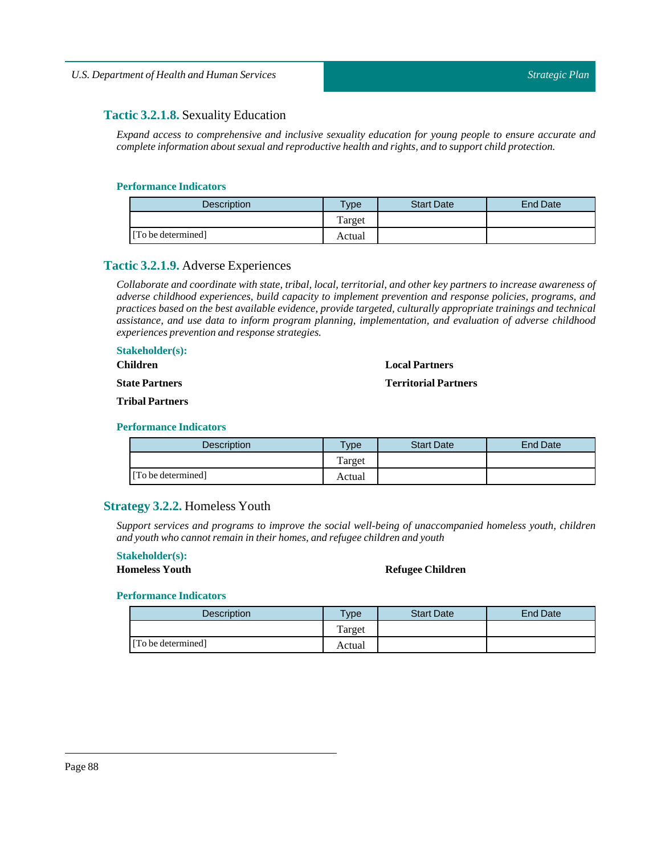# **Tactic 3.2.1.8.** Sexuality Education

*Expand access to comprehensive and inclusive sexuality education for young people to ensure accurate and complete information about sexual and reproductive health and rights, and to support child protection.*

#### **Performance Indicators**

| <b>Description</b> | Type   | <b>Start Date</b> | End Date |
|--------------------|--------|-------------------|----------|
|                    | Target |                   |          |
| [To be determined] | Actual |                   |          |

# **Tactic 3.2.1.9.** Adverse Experiences

Collaborate and coordinate with state, tribal, local, territorial, and other key partners to increase awareness of *adverse childhood experiences, build capacity to implement prevention and response policies, programs, and practices based on the best available evidence, provide targeted, culturally appropriate trainings and technical assistance, and use data to inform program planning, implementation, and evaluation of adverse childhood experiences prevention and response strategies.*

#### **Stakeholder(s):**

**Children**

### **State Partners**

**Tribal Partners**

#### **Performance Indicators**

| Description        | Type   | <b>Start Date</b> | <b>End Date</b> |
|--------------------|--------|-------------------|-----------------|
|                    | Target |                   |                 |
| [To be determined] | Actual |                   |                 |

# **Strategy 3.2.2.** Homeless Youth

*Support services and programs to improve the social well-being of unaccompanied homeless youth, children and youth who cannot remain in their homes, and refugee children and youth*

# **Stakeholder(s):**

#### **Homeless Youth Refugee Children**

**Local Partners Territorial Partners**

| <b>Description</b> | <b>Type</b> | <b>Start Date</b> | End Date |
|--------------------|-------------|-------------------|----------|
|                    | Target      |                   |          |
| [To be determined] | Actual      |                   |          |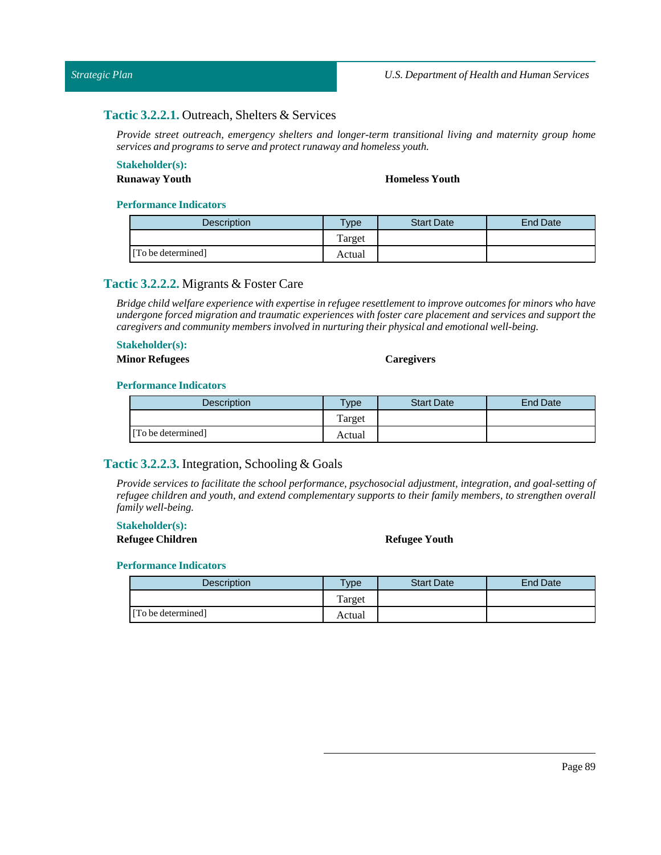# **Tactic 3.2.2.1.** Outreach, Shelters & Services

*Provide street outreach, emergency shelters and longer-term transitional living and maternity group home services and programs to serve and protect runaway and homeless youth.*

# **Stakeholder(s):**

#### **Runaway Youth Homeless Youth**

#### **Performance Indicators**

| <b>Description</b> | $v_{\rm p}$ | <b>Start Date</b> | <b>End Date</b> |
|--------------------|-------------|-------------------|-----------------|
|                    | Target      |                   |                 |
| [To be determined] | Actual      |                   |                 |

# **Tactic 3.2.2.2.** Migrants & Foster Care

*Bridge child welfare experience with expertise in refugee resettlementto improve outcomes for minors who have undergone forced migration and traumatic experiences with foster care placement and services and support the caregivers and community members involved in nurturing their physical and emotional well-being.*

# **Stakeholder(s):**

#### **Minor Refugees Caregivers**

#### **Performance Indicators**

| <b>Description</b> | $T$ ype | <b>Start Date</b> | End Date |
|--------------------|---------|-------------------|----------|
|                    | Target  |                   |          |
| [To be determined] | Actual  |                   |          |

# **Tactic 3.2.2.3.** Integration, Schooling & Goals

*Provide services to facilitate the school performance, psychosocial adjustment, integration, and goal-setting of refugee children and youth, and extend complementary supports to their family members, to strengthen overall family well-being.*

#### **Stakeholder(s):**

**Refugee Children Refugee Youth**

| <b>Description</b> | $T$ <sub>V</sub> pe | <b>Start Date</b> | <b>End Date</b> |
|--------------------|---------------------|-------------------|-----------------|
|                    | m<br>l'arget        |                   |                 |
| [To be determined] | Actual              |                   |                 |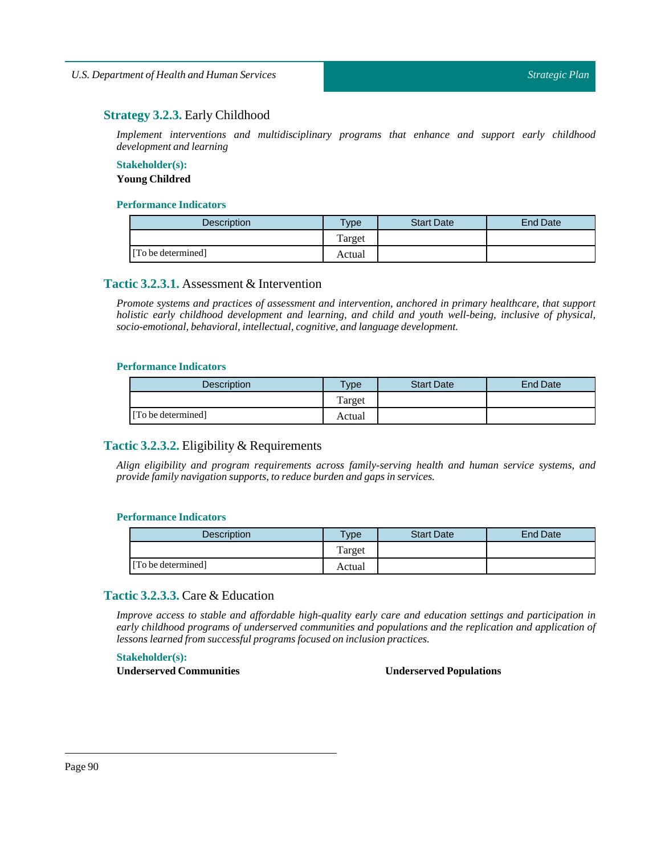# **Strategy 3.2.3.** Early Childhood

*Implement interventions and multidisciplinary programs that enhance and support early childhood development and learning*

# **Stakeholder(s): Young Childred**

#### **Performance Indicators**

| <b>Description</b> | <b>Type</b> | <b>Start Date</b> | <b>End Date</b> |
|--------------------|-------------|-------------------|-----------------|
|                    | Target      |                   |                 |
| [To be determined] | Actual      |                   |                 |

# **Tactic 3.2.3.1.** Assessment & Intervention

*Promote systems and practices of assessment and intervention, anchored in primary healthcare, that support holistic early childhood development and learning, and child and youth well-being, inclusive of physical, socio-emotional, behavioral,intellectual, cognitive, and language development.*

#### **Performance Indicators**

| <b>Description</b> | $v$ pe | <b>Start Date</b> | End Date |
|--------------------|--------|-------------------|----------|
|                    | Target |                   |          |
| [To be determined] | Actual |                   |          |

# **Tactic 3.2.3.2.** Eligibility & Requirements

*Align eligibility and program requirements across family-serving health and human service systems, and provide family navigation supports, to reduce burden and gaps in services.* 

#### **Performance Indicators**

| Description        | Type   | <b>Start Date</b> | End Date |
|--------------------|--------|-------------------|----------|
|                    | Target |                   |          |
| [To be determined] | Actual |                   |          |

# **Tactic 3.2.3.3.** Care & Education

*Improve access to stable and affordable high-quality early care and education settings and participation in early childhood programs of underserved communities and populations and the replication and application of lessons learned from successful programs focused on inclusion practices.*

**Stakeholder(s):**

**Underserved Communities Underserved Populations**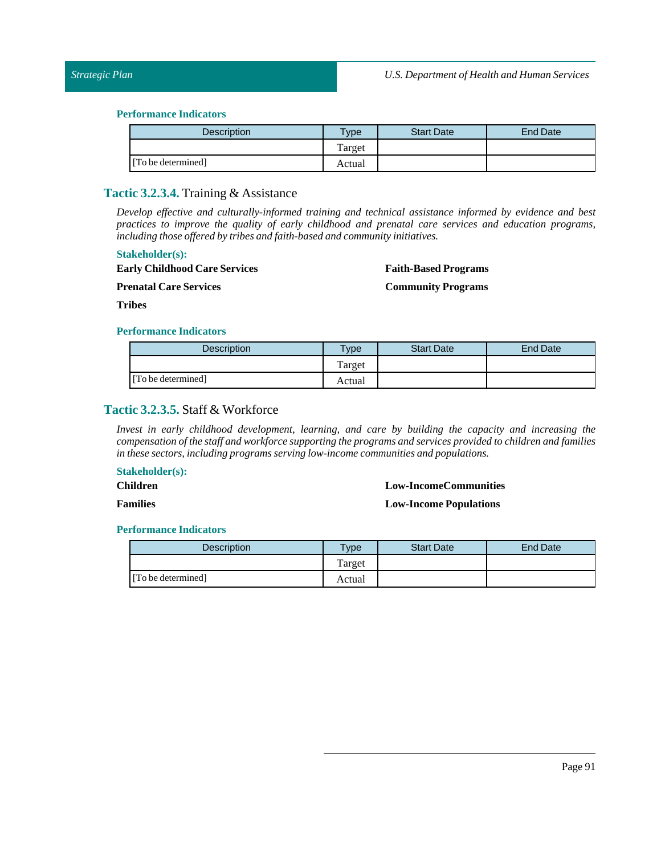| <b>Description</b> | Type   | <b>Start Date</b> | End Date |
|--------------------|--------|-------------------|----------|
|                    | Target |                   |          |
| [To be determined] | Actual |                   |          |

## **Tactic 3.2.3.4.** Training & Assistance

*Develop effective and culturally-informed training and technical assistance informed by evidence and best practices to improve the quality of early childhood and prenatal care services and education programs, including those offered by tribes and faith-based and community initiatives.*

#### **Stakeholder(s):**

**Early Childhood Care Services** 

**Faith-Based Programs**

**Prenatal Care Services** 

**Community Programs**

**Tribes**

#### **Performance Indicators**

| <b>Description</b> | $v_{\rm p}$ | <b>Start Date</b> | End Date |
|--------------------|-------------|-------------------|----------|
|                    | Target      |                   |          |
| [To be determined] | Actual      |                   |          |

# **Tactic 3.2.3.5.** Staff & Workforce

*Invest in early childhood development, learning, and care by building the capacity and increasing the compensation ofthe staff and workforce supporting the programs and services provided to children and families in these sectors,including programs serving low-income communities and populations.*

#### **Stakeholder(s):**

**Children**

#### **Low-IncomeCommunities**

**Families**

#### **Low-Income Populations**

| <b>Description</b> | $T$ vpe | <b>Start Date</b> | <b>End Date</b> |
|--------------------|---------|-------------------|-----------------|
|                    | Target  |                   |                 |
| [To be determined] | Actual  |                   |                 |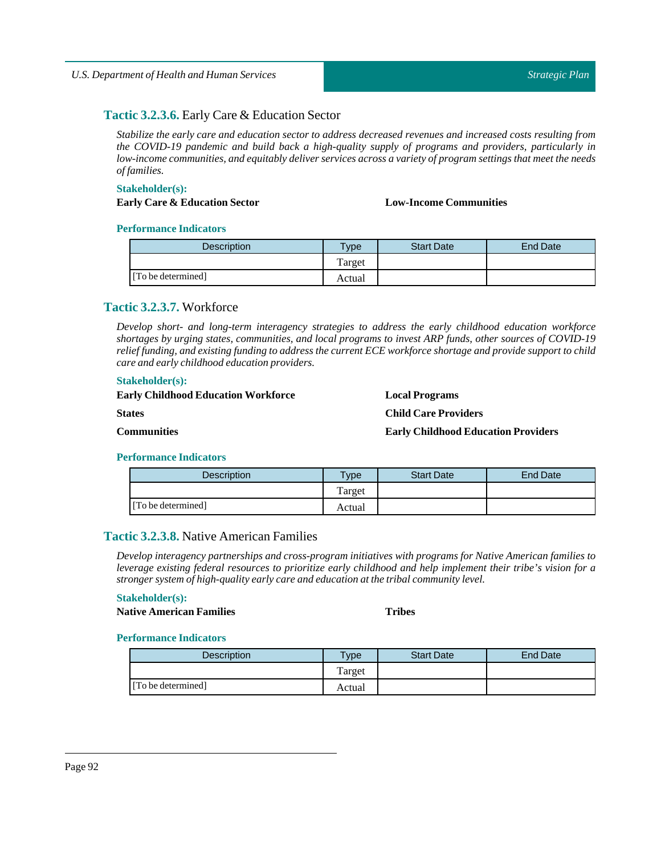# **Tactic 3.2.3.6.** Early Care & Education Sector

*Stabilize the early care and education sector to address decreased revenues and increased costs resulting from the COVID-19 pandemic and build back a high-quality supply of programs and providers, particularly in low-income communities, and equitably deliver services across a variety of program settings that meet the needs offamilies.*

#### **Stakeholder(s):**

# **Early Care & EducationSector Low-Income Communities**

#### **Performance Indicators**

| <b>Description</b> | <b>Vpe</b> | <b>Start Date</b> | End Date |
|--------------------|------------|-------------------|----------|
|                    | Target     |                   |          |
| [To be determined] | Actual     |                   |          |

# **Tactic 3.2.3.7.** Workforce

*Develop short- and long-term interagency strategies to address the early childhood education workforce shortages by urging states, communities, and local programs to invest ARP funds, other sources of COVID-19* relief funding, and existing funding to address the current ECE workforce shortage and provide support to child *care and early childhood education providers.*

#### **Stakeholder(s):**

| <b>Early Childhood Education Workforce</b> | <b>Local Programs</b>                      |
|--------------------------------------------|--------------------------------------------|
| <b>States</b>                              | <b>Child Care Providers</b>                |
| <b>Communities</b>                         | <b>Early Childhood Education Providers</b> |

#### **Performance Indicators**

| Description        | vpe    | <b>Start Date</b> | End Date |
|--------------------|--------|-------------------|----------|
|                    | Target |                   |          |
| [To be determined] | Actual |                   |          |

# **Tactic 3.2.3.8.** Native American Families

*Develop interagency partnerships and cross-program initiatives with programs for Native American families to leverage existing federal resources to prioritize early childhood and help implement their tribe's vision for a stronger system of high-quality early care and education atthe tribal community level.*

#### **Stakeholder(s):**

**Native American Families Tribes**

| <b>Description</b> | vpe    | <b>Start Date</b> | End Date |
|--------------------|--------|-------------------|----------|
|                    | Target |                   |          |
| [To be determined] | Actual |                   |          |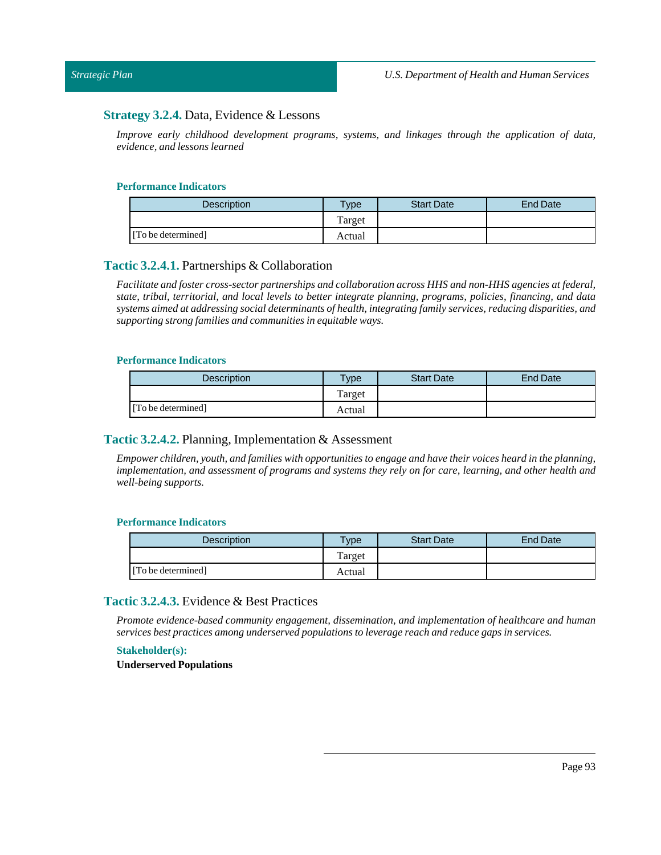# **Strategy 3.2.4.** Data, Evidence & Lessons

*Improve early childhood development programs, systems, and linkages through the application of data, evidence, and lessons learned*

#### **Performance Indicators**

| Description        | $v$ pe | <b>Start Date</b> | <b>End Date</b> |
|--------------------|--------|-------------------|-----------------|
|                    | Target |                   |                 |
| [To be determined] | Actual |                   |                 |

#### **Tactic 3.2.4.1.** Partnerships & Collaboration

*Facilitate and foster cross-sector partnerships and collaboration across HHS and non-HHS agencies at federal, state, tribal, territorial, and local levels to better integrate planning, programs, policies, financing, and data systems aimed at addressing social determinants of health,integrating family services, reducing disparities, and supporting strong families and communities in equitable ways.*

#### **Performance Indicators**

| <b>Description</b> | <b>Type</b> | <b>Start Date</b> | End Date |
|--------------------|-------------|-------------------|----------|
|                    | Target      |                   |          |
| [To be determined] | Actual      |                   |          |

# **Tactic 3.2.4.2.** Planning, Implementation & Assessment

Empower children, youth, and families with opportunities to engage and have their voices heard in the planning, implementation, and assessment of programs and systems they rely on for care, learning, and other health and *well-being supports.*

#### **Performance Indicators**

| <b>Description</b> | <b>Type</b> | <b>Start Date</b> | End Date |
|--------------------|-------------|-------------------|----------|
|                    | Target      |                   |          |
| [To be determined] | Actual      |                   |          |

# **Tactic 3.2.4.3.** Evidence & Best Practices

*Promote evidence-based community engagement, dissemination, and implementation of healthcare and human services best practices among underserved populations to leverage reach and reduce gaps in services.*

#### **Stakeholder(s):**

**Underserved Populations**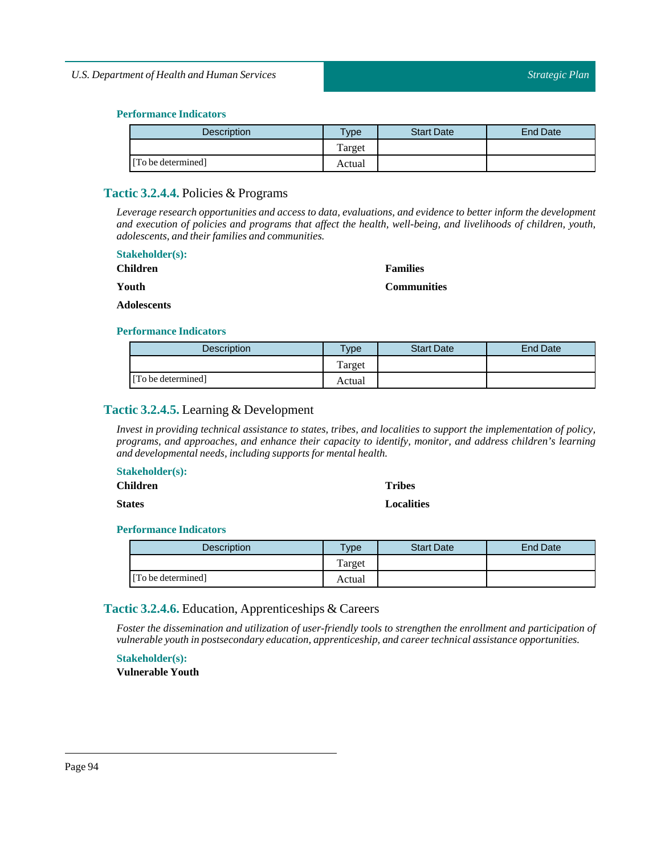| <b>Description</b> | $T$ ype | <b>Start Date</b> | End Date |
|--------------------|---------|-------------------|----------|
|                    | Target  |                   |          |
| [To be determined] | Actual  |                   |          |

# **Tactic 3.2.4.4.** Policies & Programs

*Leverage research opportunities and access to data, evaluations, and evidence to better inform the development and execution of policies and programs that affect the health, well-being, and livelihoods of children, youth, adolescents, and their families and communities.*

| <b>Stakeholder(s):</b> |                    |
|------------------------|--------------------|
| <b>Children</b>        | <b>Families</b>    |
| Youth                  | <b>Communities</b> |
| <b>Adolescents</b>     |                    |

#### **Performance Indicators**

| <b>Description</b> | $T$ <sub>ype</sub> | <b>Start Date</b> | End Date |
|--------------------|--------------------|-------------------|----------|
|                    | Target             |                   |          |
| [To be determined] | Actual             |                   |          |

# **Tactic 3.2.4.5.** Learning & Development

Invest in providing technical assistance to states, tribes, and localities to support the implementation of policy, *programs, and approaches, and enhance their capacity to identify, monitor, and address children's learning and developmental needs,including supports for mental health.*

#### **Stakeholder(s):**

**Children**

**States**

**Tribes Localities**

# **Performance Indicators**

| <b>Description</b> | <b>VDe</b> | <b>Start Date</b> | End Date |
|--------------------|------------|-------------------|----------|
|                    | Target     |                   |          |
| [To be determined] | Actual     |                   |          |

# **Tactic 3.2.4.6.** Education, Apprenticeships & Careers

*Foster the dissemination and utilization of user-friendly tools to strengthen the enrollment and participation of vulnerable youth in postsecondary education, apprenticeship, and career technical assistance opportunities.*

**Stakeholder(s):**

**Vulnerable Youth**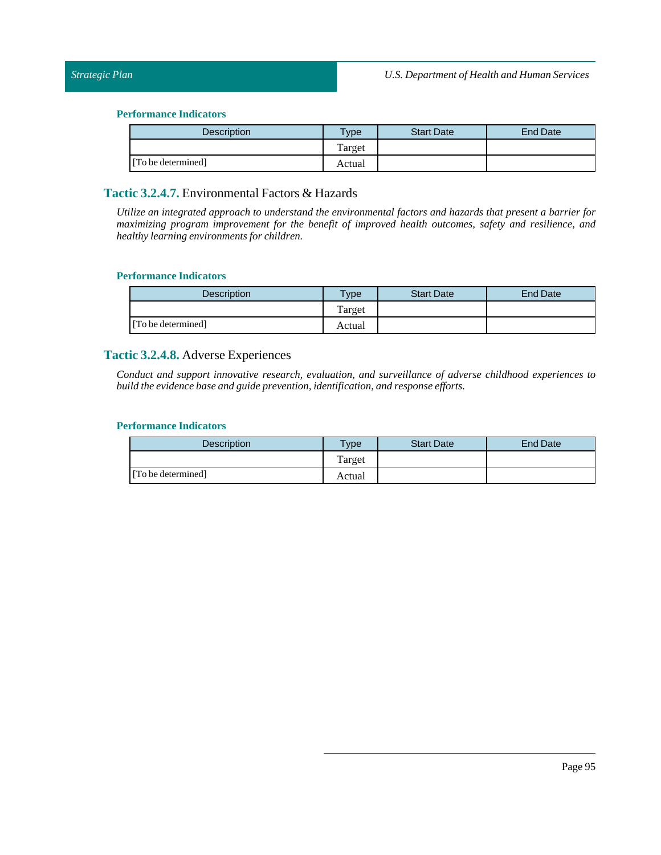| <b>Description</b> | $T$ ype | <b>Start Date</b> | End Date |
|--------------------|---------|-------------------|----------|
|                    | Target  |                   |          |
| [To be determined] | Actual  |                   |          |

# **Tactic 3.2.4.7.** Environmental Factors & Hazards

*Utilize an integrated approach to understand the environmental factors and hazards that present a barrier for maximizing program improvement for the benefit of improved health outcomes, safety and resilience, and healthy learning environments for children.*

#### **Performance Indicators**

| <b>Description</b> | Type   | <b>Start Date</b> | End Date |
|--------------------|--------|-------------------|----------|
|                    | Target |                   |          |
| [To be determined] | Actual |                   |          |

# **Tactic 3.2.4.8.** Adverse Experiences

*Conduct and support innovative research, evaluation, and surveillance of adverse childhood experiences to build the evidence base and guide prevention,identification, and response efforts.*

| <b>Description</b> | $T$ ype | <b>Start Date</b> | <b>End Date</b> |
|--------------------|---------|-------------------|-----------------|
|                    | Target  |                   |                 |
| [To be determined] | Actual  |                   |                 |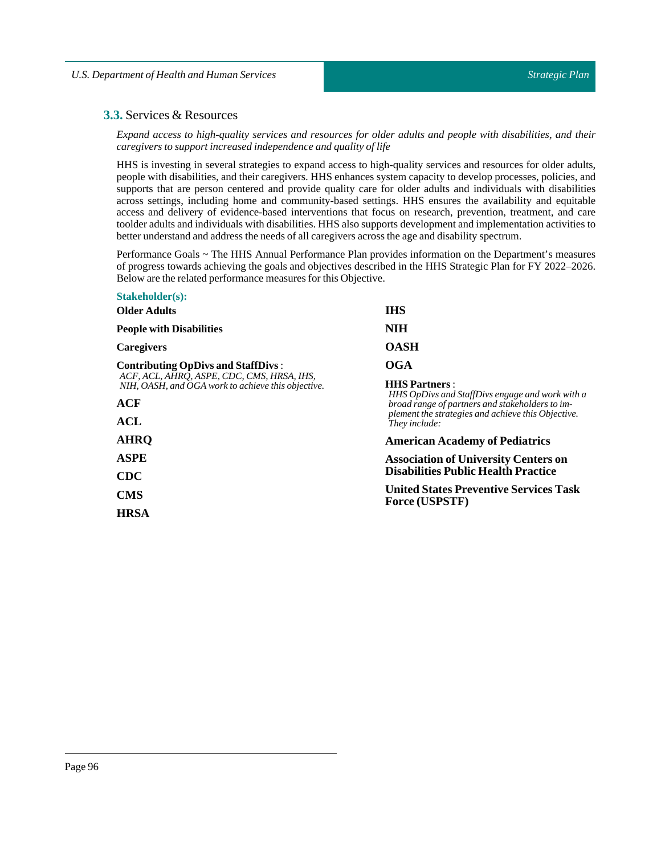# **3.3.** Services & Resources

*Expand access to high-quality services and resources for older adults and people with disabilities, and their caregivers to supportincreased independence and quality oflife*

HHS is investing in several strategies to expand access to high-quality services and resources for older adults, people with disabilities, and their caregivers. HHS enhances system capacity to develop processes, policies, and supports that are person centered and provide quality care for older adults and individuals with disabilities across settings, including home and community-based settings. HHS ensures the availability and equitable access and delivery of evidence-based interventions that focus on research, prevention, treatment, and care toolder adults and individuals with disabilities. HHS also supports development and implementation activities to better understand and address the needs of all caregivers across the age and disability spectrum.

Performance Goals ~ The HHS Annual Performance Plan provides information on the Department's measures of progress towards achieving the goals and objectives described in the HHS Strategic Plan for FY 2022–2026. Below are the related performance measures for this Objective.

| <b>Stakeholder(s):</b>                                                                           |                                                                                                                                                                                                   |  |  |
|--------------------------------------------------------------------------------------------------|---------------------------------------------------------------------------------------------------------------------------------------------------------------------------------------------------|--|--|
| <b>Older Adults</b>                                                                              | <b>IHS</b>                                                                                                                                                                                        |  |  |
| <b>People with Disabilities</b>                                                                  | NIH                                                                                                                                                                                               |  |  |
| Caregivers                                                                                       | <b>OASH</b>                                                                                                                                                                                       |  |  |
| <b>Contributing OpDivs and StaffDivs:</b>                                                        | OGA                                                                                                                                                                                               |  |  |
| ACF, ACL, AHRO, ASPE, CDC, CMS, HRSA, IHS,<br>NIH, OASH, and OGA work to achieve this objective. | <b>HHS Partners:</b><br>HHS OpDivs and StaffDivs engage and work with a<br>broad range of partners and stakeholders to im-<br>plement the strategies and achieve this Objective.<br>They include: |  |  |
| ACF                                                                                              |                                                                                                                                                                                                   |  |  |
| ACL                                                                                              |                                                                                                                                                                                                   |  |  |
| <b>AHRO</b>                                                                                      | <b>American Academy of Pediatrics</b>                                                                                                                                                             |  |  |
| <b>ASPE</b>                                                                                      | <b>Association of University Centers on</b>                                                                                                                                                       |  |  |
| <b>CDC</b>                                                                                       | <b>Disabilities Public Health Practice</b>                                                                                                                                                        |  |  |
| <b>CMS</b>                                                                                       | <b>United States Preventive Services Task</b><br><b>Force (USPSTF)</b>                                                                                                                            |  |  |
| <b>HRSA</b>                                                                                      |                                                                                                                                                                                                   |  |  |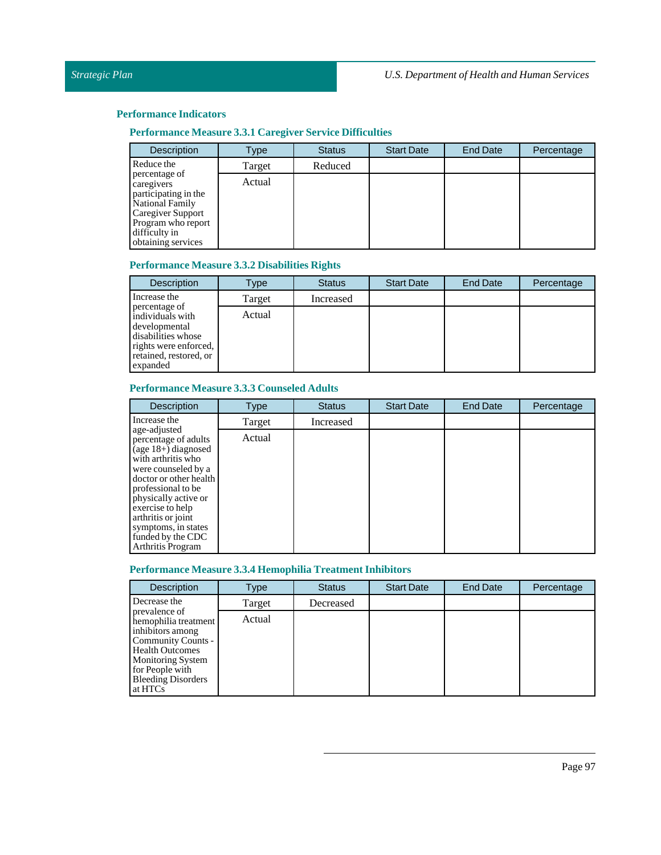# **Performance Measure 3.3.1 Caregiver Service Difficulties**

| <b>Description</b>                                                                                                                                       | Type   | <b>Status</b> | <b>Start Date</b> | <b>End Date</b> | Percentage |
|----------------------------------------------------------------------------------------------------------------------------------------------------------|--------|---------------|-------------------|-----------------|------------|
| Reduce the                                                                                                                                               | Target | Reduced       |                   |                 |            |
| percentage of<br>caregivers<br>participating in the<br>National Family<br>Caregiver Support<br>Program who report<br>difficulty in<br>obtaining services | Actual |               |                   |                 |            |

### **Performance Measure 3.3.2 Disabilities Rights**

| <b>Description</b>                                                                                                                      | Type   | <b>Status</b> | <b>Start Date</b> | End Date | Percentage |
|-----------------------------------------------------------------------------------------------------------------------------------------|--------|---------------|-------------------|----------|------------|
| Increase the                                                                                                                            | Target | Increased     |                   |          |            |
| percentage of<br>individuals with<br>developmental<br>disabilities whose<br>rights were enforced.<br>retained, restored, or<br>expanded | Actual |               |                   |          |            |

# **Performance Measure 3.3.3 Counseled Adults**

| <b>Description</b>                                                                                                                                                                                                                                                                            | <b>Type</b> | <b>Status</b> | <b>Start Date</b> | <b>End Date</b> | Percentage |
|-----------------------------------------------------------------------------------------------------------------------------------------------------------------------------------------------------------------------------------------------------------------------------------------------|-------------|---------------|-------------------|-----------------|------------|
| Increase the                                                                                                                                                                                                                                                                                  | Target      | Increased     |                   |                 |            |
| age-adjusted<br>percentage of adults<br>$(age 18+)$ diagnosed<br>with arthritis who<br>were counseled by a<br>doctor or other health<br>professional to be<br>physically active or<br>exercise to help<br>arthritis or joint<br>symptoms, in states<br>funded by the CDC<br>Arthritis Program | Actual      |               |                   |                 |            |

# **Performance Measure 3.3.4 Hemophilia Treatment Inhibitors**

| <b>Description</b>                                                                                                                                                                               | Type   | <b>Status</b> | <b>Start Date</b> | <b>End Date</b> | Percentage |
|--------------------------------------------------------------------------------------------------------------------------------------------------------------------------------------------------|--------|---------------|-------------------|-----------------|------------|
| Decrease the                                                                                                                                                                                     | Target | Decreased     |                   |                 |            |
| prevalence of<br>hemophilia treatment<br>inhibitors among<br>Community Counts -<br><b>Health Outcomes</b><br><b>Monitoring System</b><br>for People with<br><b>Bleeding Disorders</b><br>at HTCs | Actual |               |                   |                 |            |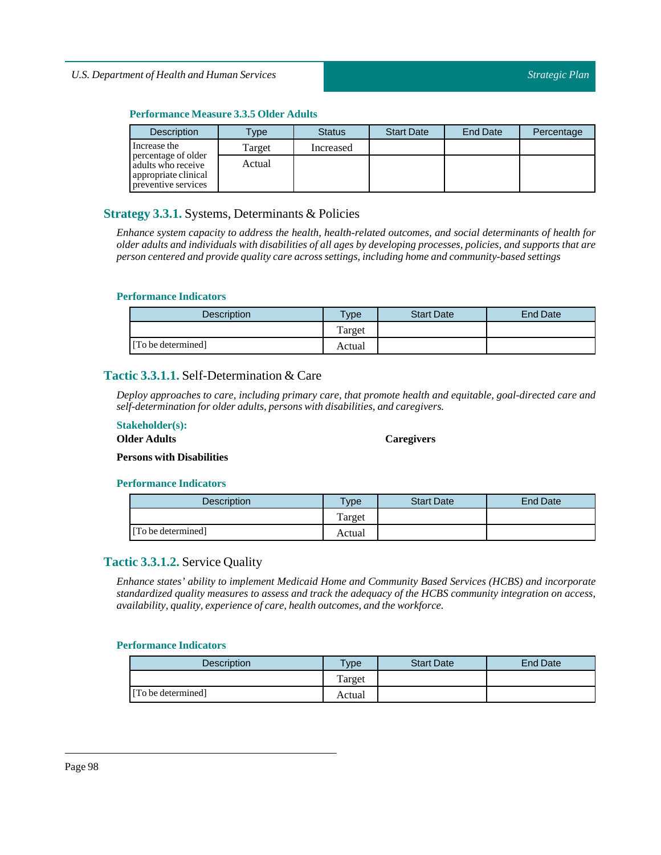#### **Performance Measure 3.3.5 Older Adults**

| <b>Description</b>                                                                       | <b>Type</b> | <b>Status</b> | <b>Start Date</b> | <b>End Date</b> | Percentage |
|------------------------------------------------------------------------------------------|-------------|---------------|-------------------|-----------------|------------|
| Increase the                                                                             | Target      | Increased     |                   |                 |            |
| percentage of older<br>adults who receive<br>appropriate clinical<br>preventive services | Actual      |               |                   |                 |            |

# **Strategy 3.3.1.** Systems, Determinants & Policies

*Enhance system capacity to address the health, health-related outcomes, and social determinants of health for* older adults and individuals with disabilities of all ages by developing processes, policies, and supports that are *person centered and provide quality care across settings,including home and community-based settings*

#### **Performance Indicators**

| <b>Description</b> | <b>Vpe</b> | <b>Start Date</b> | <b>End Date</b> |
|--------------------|------------|-------------------|-----------------|
|                    | Target     |                   |                 |
| [To be determined] | Actual     |                   |                 |

# **Tactic 3.3.1.1.** Self-Determination & Care

*Deploy approaches to care, including primary care, that promote health and equitable, goal-directed care and self-determination for older adults, persons with disabilities, and caregivers.*

#### **Stakeholder(s):**

#### **Older Adults**

#### **Caregivers**

**Persons with Disabilities**

#### **Performance Indicators**

| <b>Description</b> | $T$ <sub>ype</sub> | <b>Start Date</b> | <b>End Date</b> |
|--------------------|--------------------|-------------------|-----------------|
|                    | Target             |                   |                 |
| [To be determined] | Actual             |                   |                 |

# **Tactic 3.3.1.2.** Service Quality

*Enhance states' ability to implement Medicaid Home and Community Based Services (HCBS) and incorporate standardized quality measures to assess and track the adequacy of the HCBS community integration on access, availability, quality, experience of care, health outcomes, and the workforce.*

| <b>Description</b> | $v_{\rm p}$ | <b>Start Date</b> | <b>End Date</b> |
|--------------------|-------------|-------------------|-----------------|
|                    | Target      |                   |                 |
| [To be determined] | Actual      |                   |                 |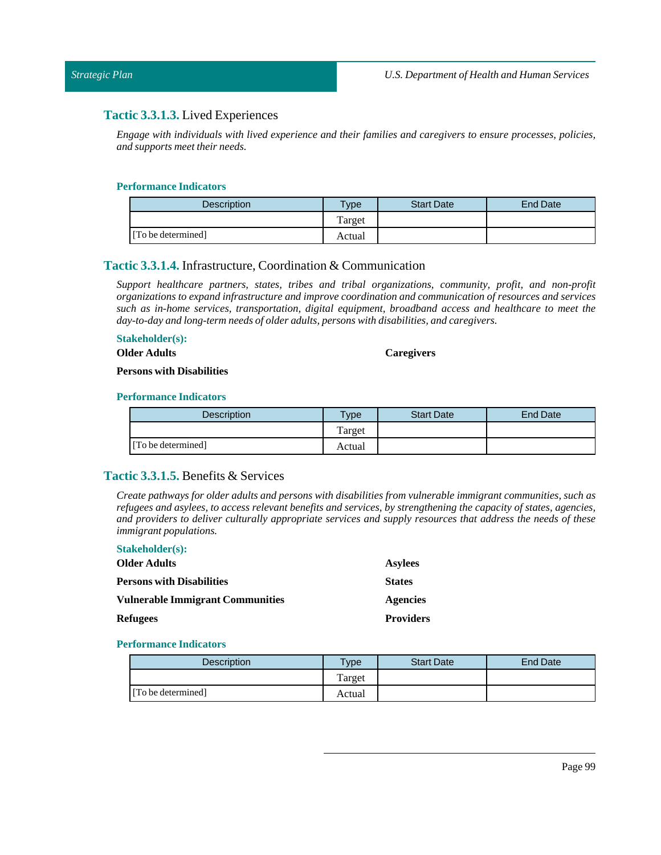# **Tactic 3.3.1.3.** Lived Experiences

*Engage with individuals with lived experience and their families and caregivers to ensure processes, policies,*  $and$  *supports meet their needs.* 

#### **Performance Indicators**

| <b>Description</b> | $T$ <sub>V</sub> $pe$ | <b>Start Date</b> | End Date |
|--------------------|-----------------------|-------------------|----------|
|                    | Target                |                   |          |
| [To be determined] | Actual                |                   |          |

#### **Tactic 3.3.1.4.** Infrastructure, Coordination & Communication

*Support healthcare partners, states, tribes and tribal organizations, community, profit, and non-profit organizations to expand infrastructure and improve coordination and communication of resources and services such as in-home services, transportation, digital equipment, broadband access and healthcare to meet the day-to-day and long-term needs of older adults, persons with disabilities, and caregivers.*

#### **Stakeholder(s):**

**Older Adults**

#### **Caregivers**

**Persons with Disabilities**

#### **Performance Indicators**

| <b>Description</b> | <b>Type</b> | <b>Start Date</b> | End Date |
|--------------------|-------------|-------------------|----------|
|                    | Target      |                   |          |
| [To be determined] | Actual      |                   |          |

# **Tactic 3.3.1.5.** Benefits & Services

*Create pathways for older adults and persons with disabilities from vulnerable immigrant communities, such as* refugees and asylees, to access relevant benefits and services, by strengthening the capacity of states, agencies, *and providers to deliver culturally appropriate services and supply resources that address the needs of these immigrant populations.*

| <b>Stakeholder(s):</b>                  |                  |
|-----------------------------------------|------------------|
| <b>Older Adults</b>                     | <b>Asylees</b>   |
| <b>Persons with Disabilities</b>        | <b>States</b>    |
| <b>Vulnerable Immigrant Communities</b> | <b>Agencies</b>  |
| <b>Refugees</b>                         | <b>Providers</b> |

| <b>Description</b> | <b>Type</b> | <b>Start Date</b> | End Date |
|--------------------|-------------|-------------------|----------|
|                    | Target      |                   |          |
| [To be determined] | Actual      |                   |          |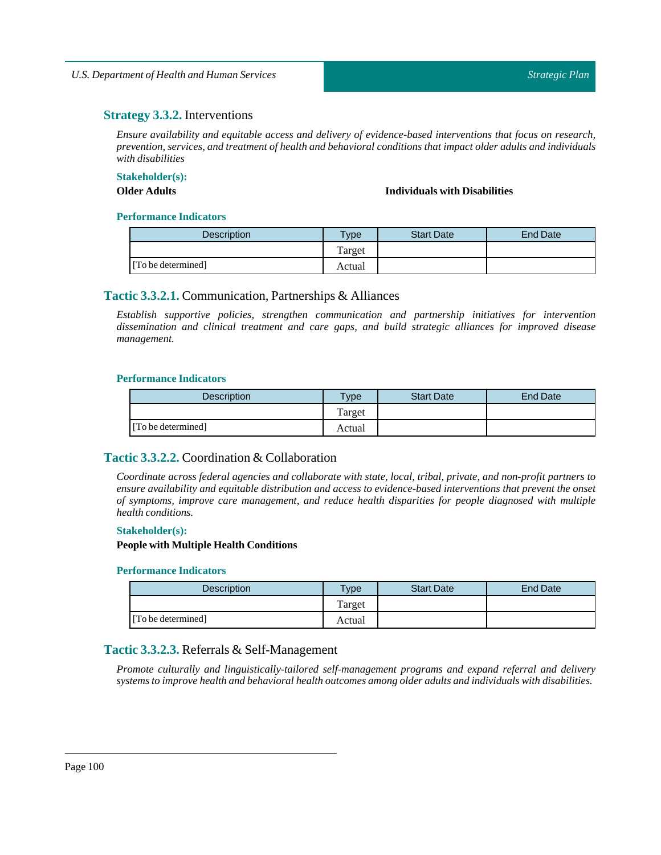# **Strategy 3.3.2.** Interventions

*Ensure availability and equitable access and delivery of evidence-based interventions that focus on research, prevention, services, and treatment of health and behavioral conditions that impact older adults and individuals with disabilities*

#### **Stakeholder(s):**

**Older Adults Individuals with Disabilities**

#### **Performance Indicators**

| <b>Description</b> | <b>Type</b> | <b>Start Date</b> | <b>End Date</b> |
|--------------------|-------------|-------------------|-----------------|
|                    | Target      |                   |                 |
| [To be determined] | Actual      |                   |                 |

# **Tactic 3.3.2.1.** Communication, Partnerships & Alliances

*Establish supportive policies, strengthen communication and partnership initiatives for intervention dissemination and clinical treatment and care gaps, and build strategic alliances for improved disease management.*

#### **Performance Indicators**

| <b>Description</b> | $T$ vpe | <b>Start Date</b> | <b>End Date</b> |
|--------------------|---------|-------------------|-----------------|
|                    | Target  |                   |                 |
| [To be determined] | Actual  |                   |                 |

# **Tactic 3.3.2.2.** Coordination & Collaboration

*Coordinate across federal agencies and collaborate with state, local, tribal, private, and non-profit partners to ensure availability and equitable distribution and access to evidence-based interventions that prevent the onset of symptoms, improve care management, and reduce health disparities for people diagnosed with multiple health conditions.*

#### **Stakeholder(s):**

#### **People with Multiple Health Conditions**

### **Performance Indicators**

| <b>Description</b> | <b>Type</b> | <b>Start Date</b> | End Date |
|--------------------|-------------|-------------------|----------|
|                    | Target      |                   |          |
| [To be determined] | Actual      |                   |          |

# **Tactic 3.3.2.3.** Referrals & Self-Management

*Promote culturally and linguistically-tailored self-management programs and expand referral and delivery systems to improve health and behavioral health outcomes among older adults and individuals with disabilities.*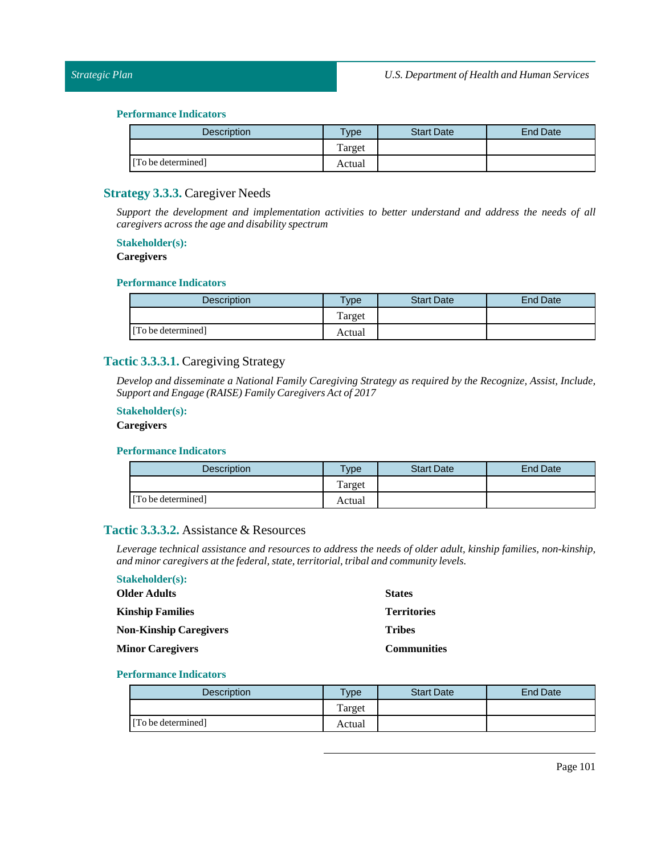| <b>Description</b> | Type   | <b>Start Date</b> | <b>End Date</b> |
|--------------------|--------|-------------------|-----------------|
|                    | Target |                   |                 |
| [To be determined] | Actual |                   |                 |

# **Strategy 3.3.3.** Caregiver Needs

*Support the development and implementation activities to better understand and address the needs of all caregivers across the age and disability spectrum*

### **Stakeholder(s):**

# **Caregivers**

#### **Performance Indicators**

| <b>Description</b> | $T$ vpe | <b>Start Date</b> | End Date |
|--------------------|---------|-------------------|----------|
|                    | Target  |                   |          |
| [To be determined] | Actual  |                   |          |

# **Tactic 3.3.3.1.** Caregiving Strategy

*Develop and disseminate a National Family Caregiving Strategy as required by the Recognize, Assist, Include, Support and Engage (RAISE) Family Caregivers Act of 2017*

### **Stakeholder(s):**

#### **Caregivers**

#### **Performance Indicators**

| Description        | $T$ <sub>V</sub> $pe$ | <b>Start Date</b> | End Date |
|--------------------|-----------------------|-------------------|----------|
|                    | Target                |                   |          |
| [To be determined] | Actual                |                   |          |

# **Tactic 3.3.3.2.** Assistance & Resources

*Leverage technical assistance and resources to address the needs of older adult, kinship families, non-kinship, and minor caregivers at the federal, state, territorial, tribal and <i>community levels.* 

# **Stakeholder(s):**

| Older Adults                  | <b>States</b>      |
|-------------------------------|--------------------|
| <b>Kinship Families</b>       | <b>Territories</b> |
| <b>Non-Kinship Caregivers</b> | <b>Tribes</b>      |
| <b>Minor Caregivers</b>       | <b>Communities</b> |

| <b>Description</b> | $T$ ype | <b>Start Date</b> | End Date |
|--------------------|---------|-------------------|----------|
|                    | Target  |                   |          |
| [To be determined] | Actual  |                   |          |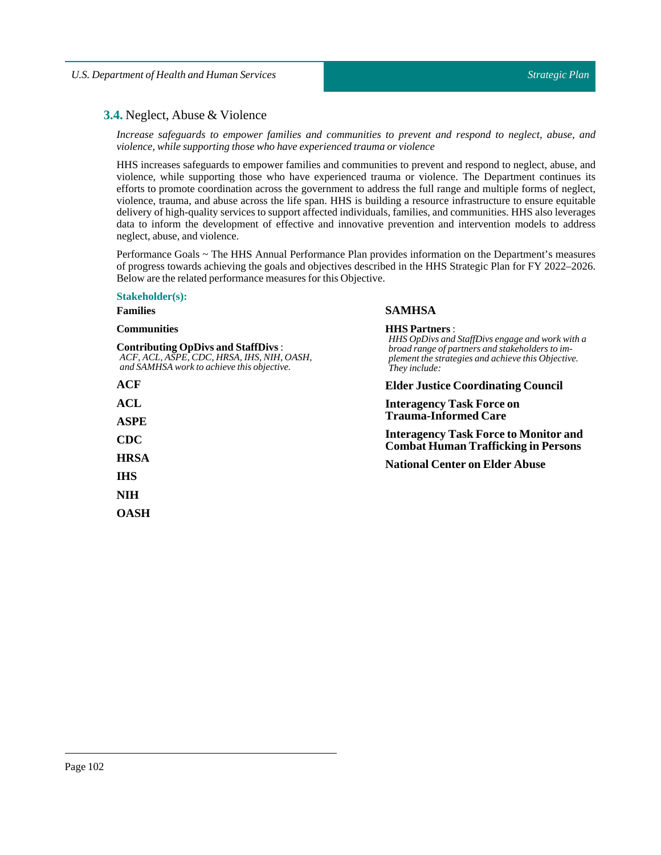# **3.4.** Neglect, Abuse & Violence

*Increase safeguards to empower families and communities to prevent and respond to neglect, abuse, and violence, while supporting those who have experienced trauma or violence*

HHS increases safeguards to empower families and communities to prevent and respond to neglect, abuse, and violence, while supporting those who have experienced trauma or violence. The Department continues its efforts to promote coordination across the government to address the full range and multiple forms of neglect, violence, trauma, and abuse across the life span. HHS is building a resource infrastructure to ensure equitable delivery of high-quality services to support affected individuals, families, and communities. HHS also leverages data to inform the development of effective and innovative prevention and intervention models to address neglect, abuse, and violence.

Performance Goals ~ The HHS Annual Performance Plan provides information on the Department's measures of progress towards achieving the goals and objectives described in the HHS Strategic Plan for FY 2022–2026. Below are the related performance measures for this Objective.

**SAMHSA**

**HHS Partners** :

### **Stakeholder(s):**

# **Families**

#### **Communities**

| <b>Contributing OpDivs and StaffDivs:</b><br>ACF, ACL, ASPE, CDC, HRSA, IHS, NIH, OASH,<br>and SAMHSA work to achieve this objective. | HHS OpDivs and StaffDivs engage and work with a<br>broad range of partners and stakeholders to im-<br>plement the strategies and achieve this Objective.<br>They include: |  |  |
|---------------------------------------------------------------------------------------------------------------------------------------|---------------------------------------------------------------------------------------------------------------------------------------------------------------------------|--|--|
| ACF                                                                                                                                   | <b>Elder Justice Coordinating Council</b>                                                                                                                                 |  |  |
| ACL                                                                                                                                   | <b>Interagency Task Force on</b>                                                                                                                                          |  |  |
| <b>ASPE</b>                                                                                                                           | <b>Trauma-Informed Care</b>                                                                                                                                               |  |  |
| <b>CDC</b>                                                                                                                            | <b>Interagency Task Force to Monitor and</b><br><b>Combat Human Trafficking in Persons</b><br><b>National Center on Elder Abuse</b>                                       |  |  |
| <b>HRSA</b>                                                                                                                           |                                                                                                                                                                           |  |  |
| <b>IHS</b>                                                                                                                            |                                                                                                                                                                           |  |  |
| <b>NIH</b>                                                                                                                            |                                                                                                                                                                           |  |  |
| <b>OASH</b>                                                                                                                           |                                                                                                                                                                           |  |  |
|                                                                                                                                       |                                                                                                                                                                           |  |  |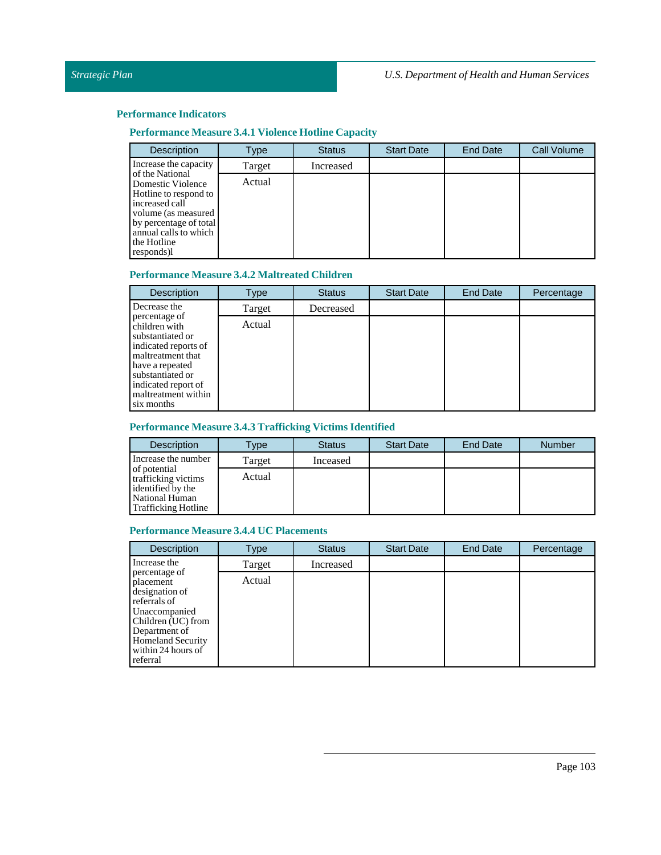# **Performance Measure 3.4.1 Violence Hotline Capacity**

| <b>Description</b>                                                                                                                                                 | Type   | <b>Status</b> | <b>Start Date</b> | <b>End Date</b> | <b>Call Volume</b> |
|--------------------------------------------------------------------------------------------------------------------------------------------------------------------|--------|---------------|-------------------|-----------------|--------------------|
| Increase the capacity<br>of the National                                                                                                                           | Target | Increased     |                   |                 |                    |
| Domestic Violence<br>Hotline to respond to<br>increased call<br>volume (as measured<br>by percentage of total<br>annual calls to which<br>the Hotline<br>responds) | Actual |               |                   |                 |                    |

# **Performance Measure 3.4.2 Maltreated Children**

| <b>Description</b>                                                                                                                                                                                 | Type   | <b>Status</b> | <b>Start Date</b> | End Date | Percentage |
|----------------------------------------------------------------------------------------------------------------------------------------------------------------------------------------------------|--------|---------------|-------------------|----------|------------|
| Decrease the                                                                                                                                                                                       | Target | Decreased     |                   |          |            |
| percentage of<br>children with<br>substantiated or<br>indicated reports of<br>maltreatment that<br>have a repeated<br>substantiated or<br>indicated report of<br>maltreatment within<br>six months | Actual |               |                   |          |            |

# **Performance Measure 3.4.3 Trafficking Victims Identified**

| <b>Description</b>                                                                                       | Type   | <b>Status</b> | <b>Start Date</b> | End Date | <b>Number</b> |
|----------------------------------------------------------------------------------------------------------|--------|---------------|-------------------|----------|---------------|
| Increase the number                                                                                      | Target | Inceased      |                   |          |               |
| of potential<br>trafficking victims<br>identified by the<br>National Human<br><b>Trafficking Hotline</b> | Actual |               |                   |          |               |

# **Performance Measure 3.4.4 UC Placements**

| <b>Description</b>                                                                                                                                                                 | Type   | <b>Status</b> | <b>Start Date</b> | <b>End Date</b> | Percentage |
|------------------------------------------------------------------------------------------------------------------------------------------------------------------------------------|--------|---------------|-------------------|-----------------|------------|
| Increase the                                                                                                                                                                       | Target | Increased     |                   |                 |            |
| percentage of<br>placement<br>designation of<br>referrals of<br>Unaccompanied<br>Children (UC) from<br>Department of<br><b>Homeland Security</b><br>within 24 hours of<br>referral | Actual |               |                   |                 |            |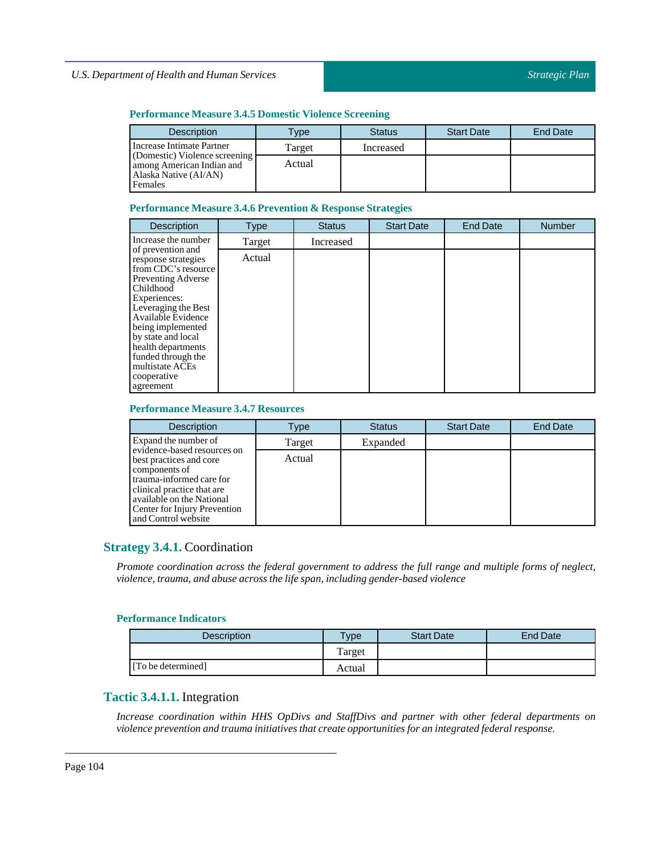### **Performance Measure 3.4.5 Domestic Violence Screening**

| <b>Description</b>                                                                             | Type   | Status    | <b>Start Date</b> | <b>End Date</b> |
|------------------------------------------------------------------------------------------------|--------|-----------|-------------------|-----------------|
| Increase Intimate Partner                                                                      | Target | Increased |                   |                 |
| (Domestic) Violence screening<br>among American Indian and<br>Alaska Native (AI/AN)<br>Females | Actual |           |                   |                 |

### **Performance Measure 3.4.6 Prevention & Response Strategies**

| <b>Description</b>                                                                                                                                                                                                                                                                                           | Type   | <b>Status</b> | <b>Start Date</b> | <b>End Date</b> | <b>Number</b> |
|--------------------------------------------------------------------------------------------------------------------------------------------------------------------------------------------------------------------------------------------------------------------------------------------------------------|--------|---------------|-------------------|-----------------|---------------|
| Increase the number                                                                                                                                                                                                                                                                                          | Target | Increased     |                   |                 |               |
| of prevention and<br>response strategies<br>from CDC's resource<br><b>Preventing Adverse</b><br>Childhood<br>Experiences:<br>Leveraging the Best<br>Available Evidence<br>being implemented<br>by state and local<br>health departments<br>funded through the<br>multistate ACEs<br>cooperative<br>agreement | Actual |               |                   |                 |               |

## **Performance Measure 3.4.7 Resources**

| <b>Description</b>                                                                                                                                                                     | Type   | <b>Status</b> | <b>Start Date</b> | <b>End Date</b> |
|----------------------------------------------------------------------------------------------------------------------------------------------------------------------------------------|--------|---------------|-------------------|-----------------|
| Expand the number of<br>evidence-based resources on                                                                                                                                    | Target | Expanded      |                   |                 |
| best practices and core<br>components of<br>trauma-informed care for<br>clinical practice that are<br>available on the National<br>Center for Injury Prevention<br>and Control website | Actual |               |                   |                 |

# **Strategy 3.4.1.** Coordination

*Promote coordination across the federal government to address the full range and multiple forms of neglect, violence,trauma, and abuse across the life span,including gender-based violence*

# **Performance Indicators**

| <b>Description</b> | Type   | <b>Start Date</b> | <b>End Date</b> |
|--------------------|--------|-------------------|-----------------|
|                    | Target |                   |                 |
| [To be determined] | Actual |                   |                 |

# **Tactic 3.4.1.1.** Integration

*Increase coordination within HHS OpDivs and StaffDivs and partner with other federal departments on violence prevention and trauma initiatives that create opportunities for an integrated federal response.*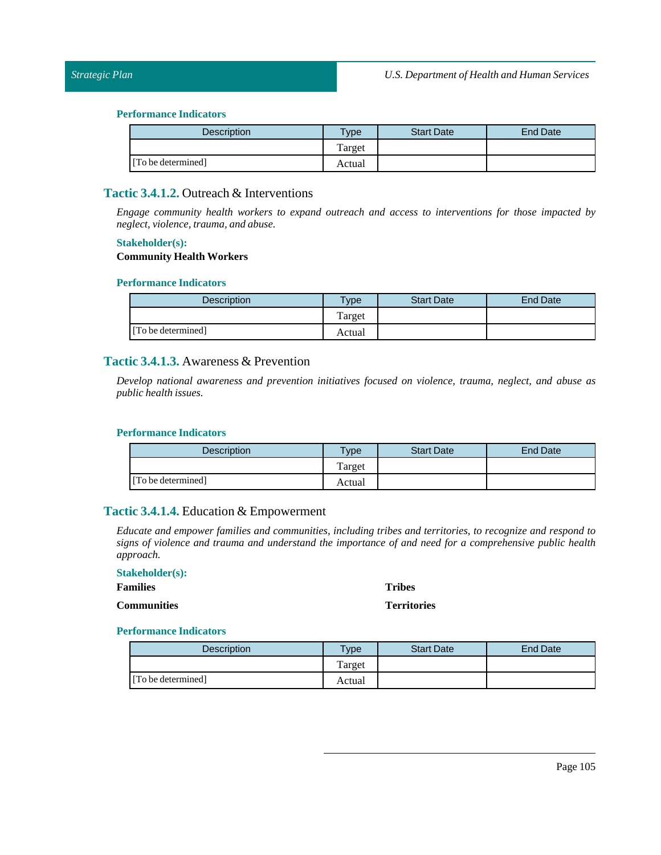| Description        | <b>Type</b> | <b>Start Date</b> | <b>End Date</b> |
|--------------------|-------------|-------------------|-----------------|
|                    | Target      |                   |                 |
| [To be determined] | Actual      |                   |                 |

# **Tactic 3.4.1.2.** Outreach & Interventions

*Engage community health workers to expand outreach and access to interventions for those impacted by*  $neglect, violence, trauma, and abuse.$ 

## **Stakeholder(s):**

### **Community Health Workers**

#### **Performance Indicators**

| <b>Description</b> | Type   | <b>Start Date</b> | <b>End Date</b> |
|--------------------|--------|-------------------|-----------------|
|                    | Target |                   |                 |
| [To be determined] | Actual |                   |                 |

# **Tactic 3.4.1.3.** Awareness & Prevention

*Develop national awareness and prevention initiatives focused on violence, trauma, neglect, and abuse as public health issues.*

#### **Performance Indicators**

| Description        | <b>Type</b> | <b>Start Date</b> | End Date |
|--------------------|-------------|-------------------|----------|
|                    | Target      |                   |          |
| [To be determined] | Actual      |                   |          |

# **Tactic 3.4.1.4.** Education & Empowerment

*Educate and empower families and communities, including tribes and territories, to recognize and respond to signs of violence and trauma and understand the importance of and need for a comprehensive public health approach.*

| <b>Stakeholder(s):</b> |                    |
|------------------------|--------------------|
| <b>Families</b>        | <b>Tribes</b>      |
| <b>Communities</b>     | <b>Territories</b> |

| <b>Description</b> | Type   | <b>Start Date</b> | <b>End Date</b> |
|--------------------|--------|-------------------|-----------------|
|                    | Target |                   |                 |
| [To be determined] | Actual |                   |                 |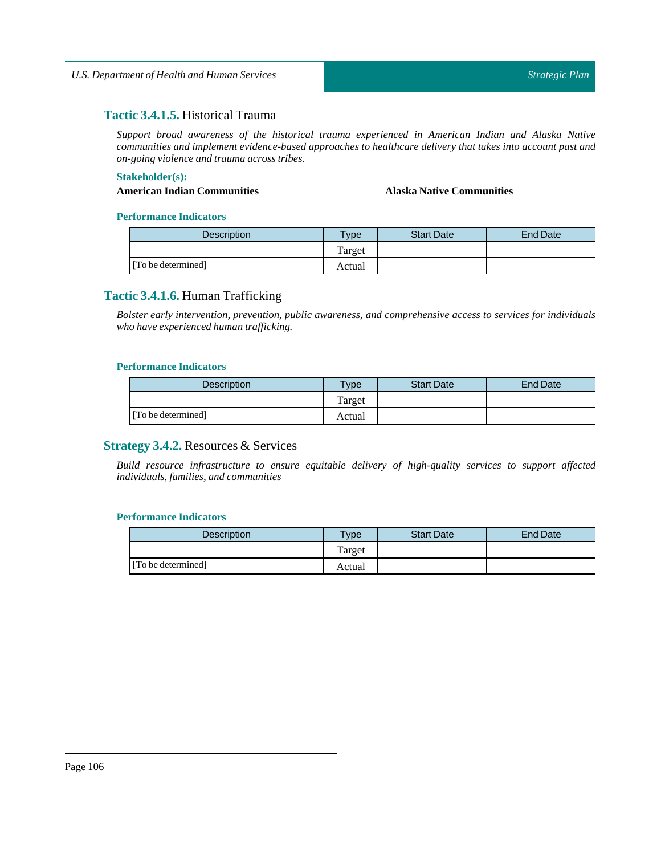# **Tactic 3.4.1.5.** Historical Trauma

*Support broad awareness of the historical trauma experienced in American Indian and Alaska Native communities and implement evidence-based approaches to healthcare delivery that takes into account past and on-going violence and trauma across tribes.*

#### **Stakeholder(s):**

#### **AmericanIndian Communities Alaska Native Communities**

#### **Performance Indicators**

| <b>Description</b> | Type   | <b>Start Date</b> | <b>End Date</b> |
|--------------------|--------|-------------------|-----------------|
|                    | Target |                   |                 |
| [To be determined] | Actual |                   |                 |

# **Tactic 3.4.1.6.** Human Trafficking

*Bolster early intervention, prevention, public awareness, and comprehensive access to services for individuals who have experienced human trafficking.*

#### **Performance Indicators**

| <b>Description</b> | $T$ <sub>V</sub> $pe$ | <b>Start Date</b> | <b>End Date</b> |
|--------------------|-----------------------|-------------------|-----------------|
|                    | Target                |                   |                 |
| [To be determined] | Actual                |                   |                 |

# **Strategy 3.4.2.** Resources & Services

*Build resource infrastructure to ensure equitable delivery of high-quality services to support affected individuals,families, and communities*

| Description        | $T$ ype | <b>Start Date</b> | End Date |
|--------------------|---------|-------------------|----------|
|                    | Target  |                   |          |
| [To be determined] | Actual  |                   |          |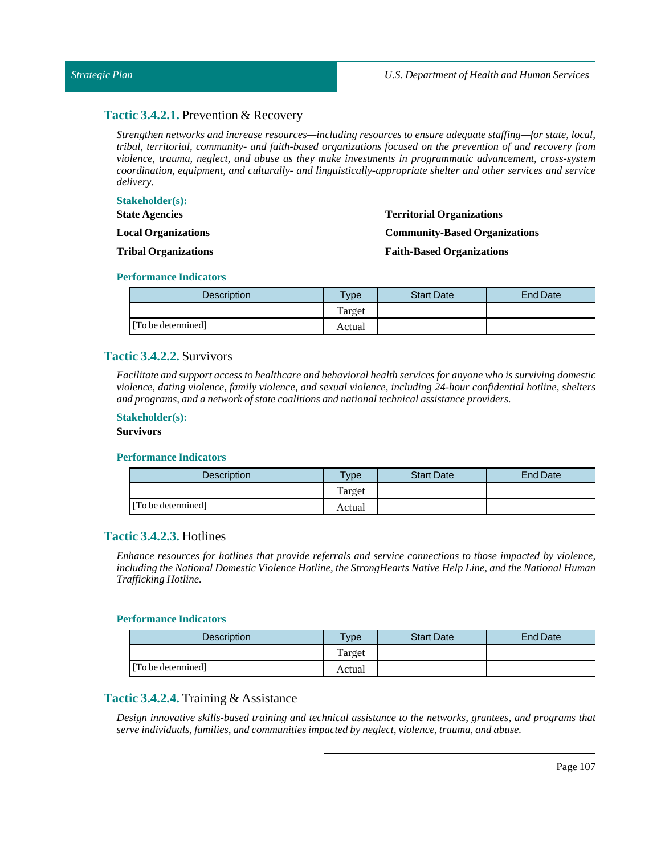#### *Strategic Plan*

# **Tactic 3.4.2.1.** Prevention & Recovery

*Strengthen networks and increase resources—including resources to ensure adequate staffing—for state, local, tribal, territorial, community- and faith-based organizations focused on the prevention of and recovery from violence, trauma, neglect, and abuse as they make investments in programmatic advancement, cross-system coordination, equipment, and culturally- and linguistically-appropriate shelter and other services and service delivery.*

#### **Stakeholder(s): State Agencies Local Organizations Tribal Organizations Territorial Organizations Community-Based Organizations Faith-Based Organizations**

#### **Performance Indicators**

| <b>Description</b> | $T$ <sub>ype</sub> | <b>Start Date</b> | End Date |
|--------------------|--------------------|-------------------|----------|
|                    | Target             |                   |          |
| [To be determined] | Actual             |                   |          |

# **Tactic 3.4.2.2.** Survivors

*Facilitate and support access to healthcare and behavioral health services for anyone who is surviving domestic violence, dating violence, family violence, and sexual violence, including 24-hour confidential hotline, shelters and programs, and a network of state coalitions and nationaltechnical assistance providers.*

#### **Stakeholder(s):**

#### **Survivors**

#### **Performance Indicators**

| <b>Description</b> | <b>Type</b> | <b>Start Date</b> | End Date |
|--------------------|-------------|-------------------|----------|
|                    | Target      |                   |          |
| [To be determined] | Actual      |                   |          |

# **Tactic 3.4.2.3.** Hotlines

*Enhance resources for hotlines that provide referrals and service connections to those impacted by violence, including the National Domestic Violence Hotline, the StrongHearts Native Help Line, and the National Human Trafficking Hotline.*

#### **Performance Indicators**

| <b>Description</b> | <b>Type</b> | <b>Start Date</b> | <b>End Date</b> |
|--------------------|-------------|-------------------|-----------------|
|                    | Target      |                   |                 |
| [To be determined] | Actual      |                   |                 |

#### **Tactic 3.4.2.4.** Training & Assistance

*Design innovative skills-based training and technical assistance to the networks, grantees, and programs that*  $s$ erve *individuals, families, and communities impacted by neglect, violence, trauma, and abuse.*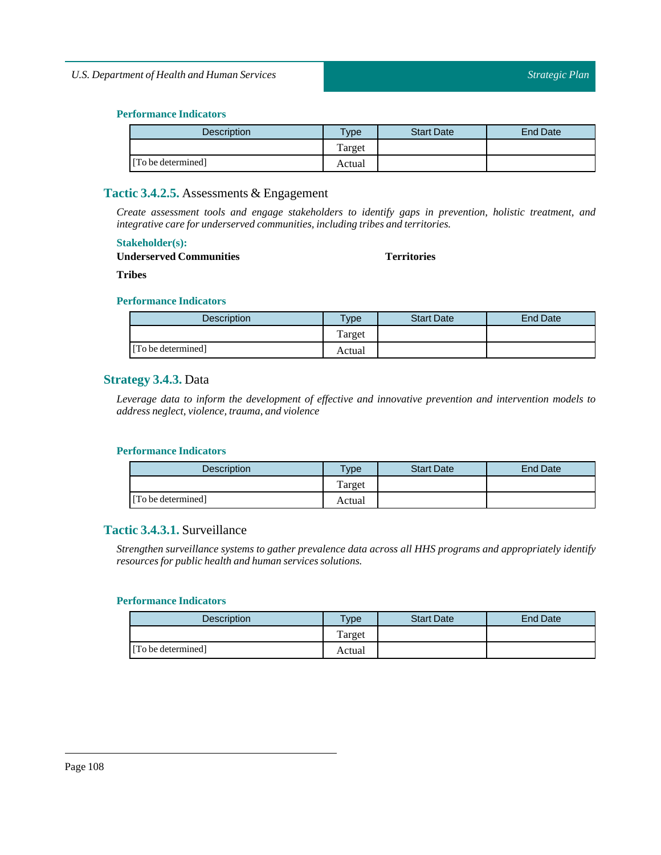| <b>Description</b> | <b>Type</b> | <b>Start Date</b> | End Date |
|--------------------|-------------|-------------------|----------|
|                    | Target      |                   |          |
| [To be determined] | Actual      |                   |          |

# **Tactic 3.4.2.5.** Assessments & Engagement

*Create assessment tools and engage stakeholders to identify gaps in prevention, holistic treatment, and integrative care for underserved communities,including tribes and territories.*

#### **Stakeholder(s):**

#### **Underserved Communities**

#### **Territories**

**Tribes**

#### **Performance Indicators**

| <b>Description</b> | $TV$ pe | <b>Start Date</b> | End Date |
|--------------------|---------|-------------------|----------|
|                    | Target  |                   |          |
| [To be determined] | Actual  |                   |          |

# **Strategy 3.4.3.** Data

*Leverage data to inform the development of effective and innovative prevention and intervention models to*  $address$  *neglect, violence, trauma, and violence* 

#### **Performance Indicators**

| Description        | <b>Type</b> | <b>Start Date</b> | End Date |
|--------------------|-------------|-------------------|----------|
|                    | Target      |                   |          |
| [To be determined] | Actual      |                   |          |

# **Tactic 3.4.3.1.** Surveillance

*Strengthen surveillance systems to gather prevalence data across all HHS programs and appropriately identify resources for public health and human services solutions.*

| <b>Description</b> | $T$ <sub>ype</sub> | <b>Start Date</b> | End Date |
|--------------------|--------------------|-------------------|----------|
|                    | Target             |                   |          |
| [To be determined] | Actual             |                   |          |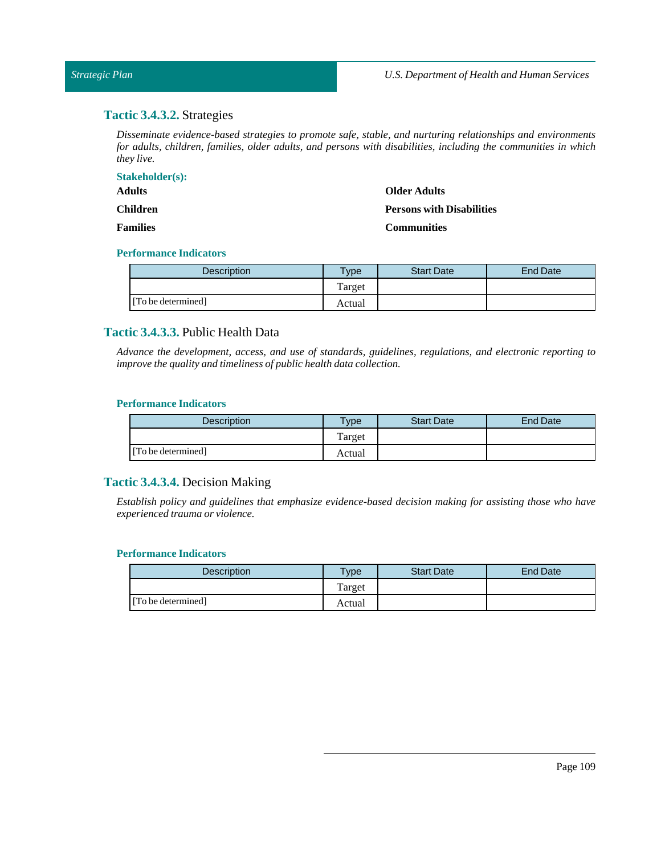# **Tactic 3.4.3.2.** Strategies

*Disseminate evidence-based strategies to promote safe, stable, and nurturing relationships and environments for adults, children, families, older adults, and persons with disabilities, including the communities in which they live.*

| <b>Stakeholder(s):</b> |                                  |
|------------------------|----------------------------------|
| <b>Adults</b>          | <b>Older Adults</b>              |
| <b>Children</b>        | <b>Persons with Disabilities</b> |
| <b>Families</b>        | <b>Communities</b>               |

#### **Performance Indicators**

| <b>Description</b> | Type   | <b>Start Date</b> | <b>End Date</b> |
|--------------------|--------|-------------------|-----------------|
|                    | Target |                   |                 |
| [To be determined] | Actual |                   |                 |

# **Tactic 3.4.3.3.** Public Health Data

*Advance the development, access, and use of standards, guidelines, regulations, and electronic reporting to improve the quality and timeliness of public health data collection.*

# **Performance Indicators**

| <b>Description</b> | <b>Type</b> | <b>Start Date</b> | End Date |
|--------------------|-------------|-------------------|----------|
|                    | Target      |                   |          |
| [To be determined] | Actual      |                   |          |

# **Tactic 3.4.3.4.** Decision Making

*Establish policy and guidelines that emphasize evidence-based decision making for assisting those who have experienced trauma or violence.*

| <b>Description</b> | <b>Type</b> | <b>Start Date</b> | End Date |
|--------------------|-------------|-------------------|----------|
|                    | Target      |                   |          |
| [To be determined] | Actual      |                   |          |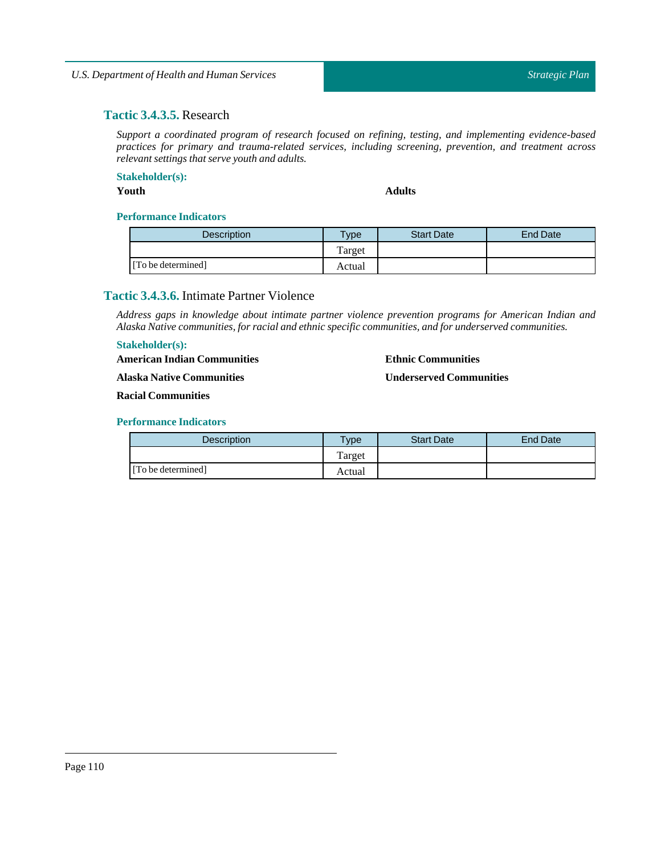# **Tactic 3.4.3.5.** Research

*Support a coordinated program of research focused on refining, testing, and implementing evidence-based practices for primary and trauma-related services, including screening, prevention, and treatment across relevant settings that serve youth and adults.*

**Stakeholder(s):**

**Youth Adults**

**Ethnic Communities**

**Underserved Communities**

# **Performance Indicators**

| <b>Description</b> | $v_{\rm p}$ | <b>Start Date</b> | End Date |
|--------------------|-------------|-------------------|----------|
|                    | Target      |                   |          |
| [To be determined] | Actual      |                   |          |

# **Tactic 3.4.3.6.** Intimate Partner Violence

*Address gaps in knowledge about intimate partner violence prevention programs for American Indian and Alaska Native communities,for racial and ethnic specific communities, and for underserved communities.*

# **Stakeholder(s):**

**AmericanIndian Communities**

**Alaska Native Communities**

**Racial Communities**

| Description        | Type   | <b>Start Date</b> | End Date |
|--------------------|--------|-------------------|----------|
|                    | Target |                   |          |
| [To be determined] | Actual |                   |          |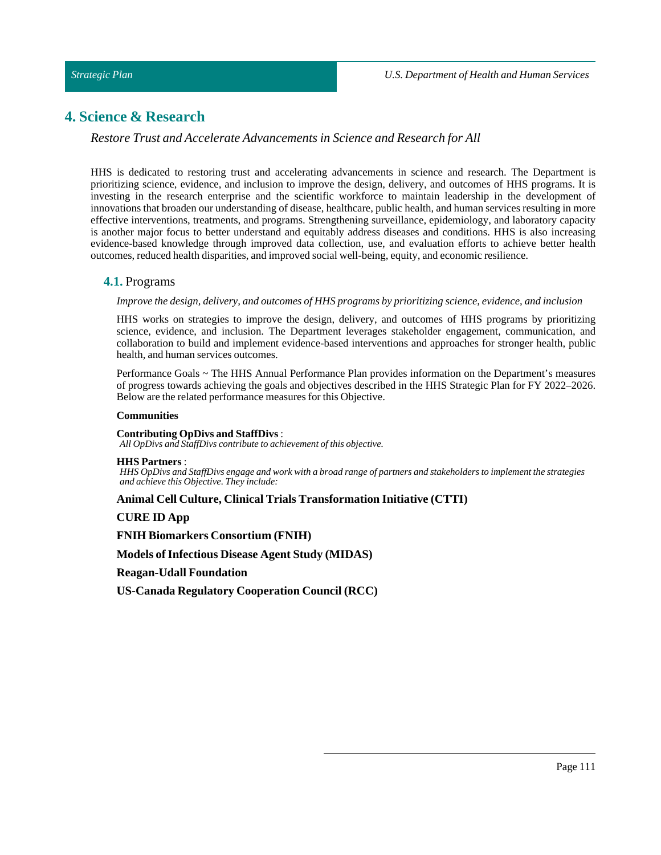# **4. Science & Research**

## *Restore Trust and Accelerate Advancements in Science and Research for All*

HHS is dedicated to restoring trust and accelerating advancements in science and research. The Department is prioritizing science, evidence, and inclusion to improve the design, delivery, and outcomes of HHS programs. It is investing in the research enterprise and the scientific workforce to maintain leadership in the development of innovations that broaden our understanding of disease, healthcare, public health, and human services resulting in more effective interventions, treatments, and programs. Strengthening surveillance, epidemiology, and laboratory capacity is another major focus to better understand and equitably address diseases and conditions. HHS is also increasing evidence-based knowledge through improved data collection, use, and evaluation efforts to achieve better health outcomes, reduced health disparities, and improved social well-being, equity, and economic resilience.

#### **4.1.** Programs

#### *Improve the design, delivery, and outcomes of HHS programs by prioritizing science, evidence, and inclusion*

HHS works on strategies to improve the design, delivery, and outcomes of HHS programs by prioritizing science, evidence, and inclusion. The Department leverages stakeholder engagement, communication, and collaboration to build and implement evidence-based interventions and approaches for stronger health, public health, and human services outcomes.

Performance Goals ~ The HHS Annual Performance Plan provides information on the Department's measures of progress towards achieving the goals and objectives described in the HHS Strategic Plan for FY 2022–2026. Below are the related performance measures for this Objective.

#### **Communities**

#### **Contributing OpDivs and StaffDivs**:

*All OpDivs and StaffDivs contribute to achievement of this objective.*

#### **HHS Partners** :

HHS OpDivs and StaffDivs engage and work with a broad range of partners and stakeholders to implement the strategies *and achieve this Objective. They include:*

## **Animal Cell Culture, Clinical Trials Transformation Initiative (CTTI)**

#### **CURE ID App**

**FNIH Biomarkers Consortium (FNIH)**

**Models ofInfectious Disease Agent Study (MIDAS)**

**Reagan-Udall Foundation**

**US-Canada Regulatory Cooperation Council (RCC)**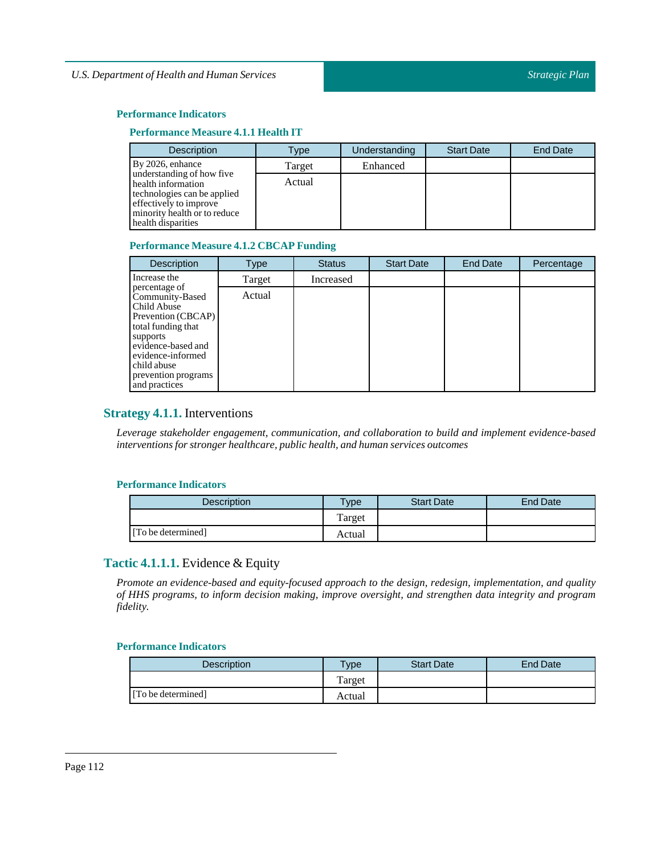## **Performance Indicators**

# **Performance Measure 4.1.1 Health IT**

| Description                                                                                                                                                    | Type   | Understanding | <b>Start Date</b> | <b>End Date</b> |
|----------------------------------------------------------------------------------------------------------------------------------------------------------------|--------|---------------|-------------------|-----------------|
| By 2026, enhance                                                                                                                                               | Target | Enhanced      |                   |                 |
| understanding of how five<br>health information<br>technologies can be applied<br>effectively to improve<br>minority health or to reduce<br>health disparities | Actual |               |                   |                 |

# **Performance Measure 4.1.2 CBCAP Funding**

| <b>Description</b>                                                                                                                                                                                        | Type   | <b>Status</b> | <b>Start Date</b> | End Date | Percentage |
|-----------------------------------------------------------------------------------------------------------------------------------------------------------------------------------------------------------|--------|---------------|-------------------|----------|------------|
| Increase the                                                                                                                                                                                              | Target | Increased     |                   |          |            |
| percentage of<br>Community-Based<br>Child Abuse<br>Prevention (CBCAP)<br>total funding that<br>supports<br>evidence-based and<br>evidence-informed<br>child abuse<br>prevention programs<br>and practices | Actual |               |                   |          |            |

# **Strategy 4.1.1.** Interventions

*Leverage stakeholder engagement, communication, and collaboration to build and implement evidence-based interventions for stronger healthcare, public health, and human services outcomes*

#### **Performance Indicators**

| <b>Description</b> | <b>Type</b> | <b>Start Date</b> | End Date |
|--------------------|-------------|-------------------|----------|
|                    | Target      |                   |          |
| [To be determined] | Actual      |                   |          |

# **Tactic 4.1.1.1.** Evidence & Equity

*Promote an evidence-based and equity-focused approach to the design, redesign, implementation, and quality of HHS programs, to inform decision making, improve oversight, and strengthen data integrity and program fidelity.*

| <b>Description</b> | Гуре   | <b>Start Date</b> | End Date |
|--------------------|--------|-------------------|----------|
|                    | Target |                   |          |
| [To be determined] | Actual |                   |          |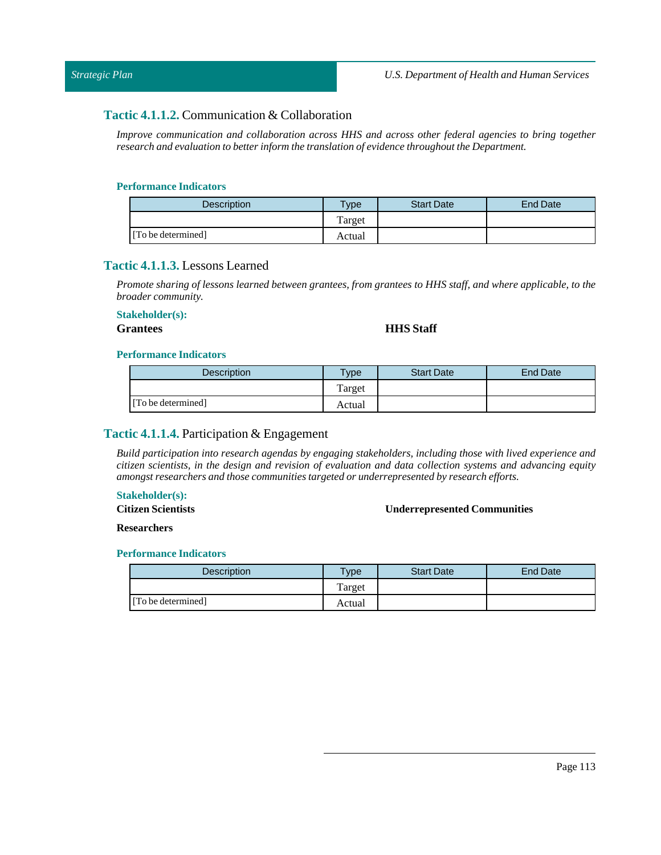# **Tactic 4.1.1.2.** Communication & Collaboration

*Improve communication and collaboration across HHS and across other federal agencies to bring together research and evaluation to better inform the translation of evidence throughoutthe Department.*

## **Performance Indicators**

| <b>Description</b> | <b>Type</b> | <b>Start Date</b> | End Date |
|--------------------|-------------|-------------------|----------|
|                    | Target      |                   |          |
| [To be determined] | Actual      |                   |          |

# **Tactic 4.1.1.3.** Lessons Learned

Promote sharing of lessons learned between grantees, from grantees to HHS staff, and where applicable, to the *broader community.*

## **Stakeholder(s):**

## **Grantees HHS Staff**

#### **Performance Indicators**

| Description        | <b>Type</b> | <b>Start Date</b> | <b>End Date</b> |
|--------------------|-------------|-------------------|-----------------|
|                    | Target      |                   |                 |
| [To be determined] | Actual      |                   |                 |

# **Tactic 4.1.1.4.** Participation & Engagement

*Build participation into research agendas by engaging stakeholders, including those with lived experience and citizen scientists, in the design and revision of evaluation and data collection systems and advancing equity amongst researchers and those communities targeted or underrepresented by research efforts.*

## **Stakeholder(s):**

**Citizen Scientists** 

#### **Underrepresented Communities**

**Researchers**

| Description        | Type   | <b>Start Date</b> | End Date |
|--------------------|--------|-------------------|----------|
|                    | Target |                   |          |
| [To be determined] | Actual |                   |          |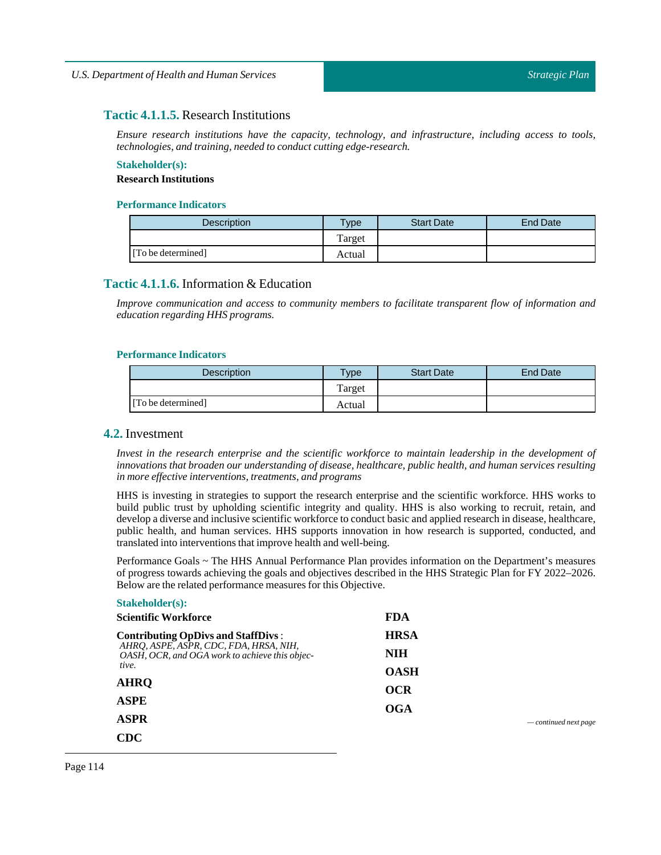# **Tactic 4.1.1.5.** Research Institutions

*Ensure research institutions have the capacity, technology, and infrastructure, including access to tools, technologies, and training, needed to conduct cutting edge-research.*

## **Stakeholder(s): Research Institutions**

#### **Performance Indicators**

| <b>Description</b> | $T$ <sub>V</sub> $pe$ | <b>Start Date</b> | End Date |
|--------------------|-----------------------|-------------------|----------|
|                    | Target                |                   |          |
| [To be determined] | Actual                |                   |          |

# **Tactic 4.1.1.6.** Information & Education

*Improve communication and access to community members to facilitate transparent flow of information and education regarding HHS programs.*

#### **Performance Indicators**

| Description        | Type   | <b>Start Date</b> | End Date |
|--------------------|--------|-------------------|----------|
|                    | Target |                   |          |
| [To be determined] | Actual |                   |          |

## **4.2.** Investment

*Invest in the research enterprise and the scientific workforce to maintain leadership in the development of innovations that broaden our understanding of disease, healthcare, public health, and human services resulting in more effective interventions,treatments, and programs*

HHS is investing in strategies to support the research enterprise and the scientific workforce. HHS works to build public trust by upholding scientific integrity and quality. HHS is also working to recruit, retain, and develop a diverse and inclusive scientific workforce to conduct basic and applied research in disease, healthcare, public health, and human services. HHS supports innovation in how research is supported, conducted, and translated into interventions that improve health and well-being.

Performance Goals ~ The HHS Annual Performance Plan provides information on the Department's measures of progress towards achieving the goals and objectives described in the HHS Strategic Plan for FY 2022–2026. Below are the related performance measures for this Objective.

| <b>Stakeholder(s):</b>                                                                   |             |
|------------------------------------------------------------------------------------------|-------------|
| <b>Scientific Workforce</b>                                                              | <b>FDA</b>  |
| <b>Contributing OpDivs and StaffDivs:</b>                                                | <b>HRSA</b> |
| AHRQ, ASPE, ASPR, CDC, FDA, HRSA, NIH,<br>OASH, OCR, and OGA work to achieve this objec- | NIH         |
| tive.                                                                                    | <b>OASH</b> |
| <b>AHRO</b>                                                                              | <b>OCR</b>  |
| <b>ASPE</b>                                                                              | OGA         |
| <b>ASPR</b>                                                                              |             |
| <b>CDC</b>                                                                               |             |

*— continued next page*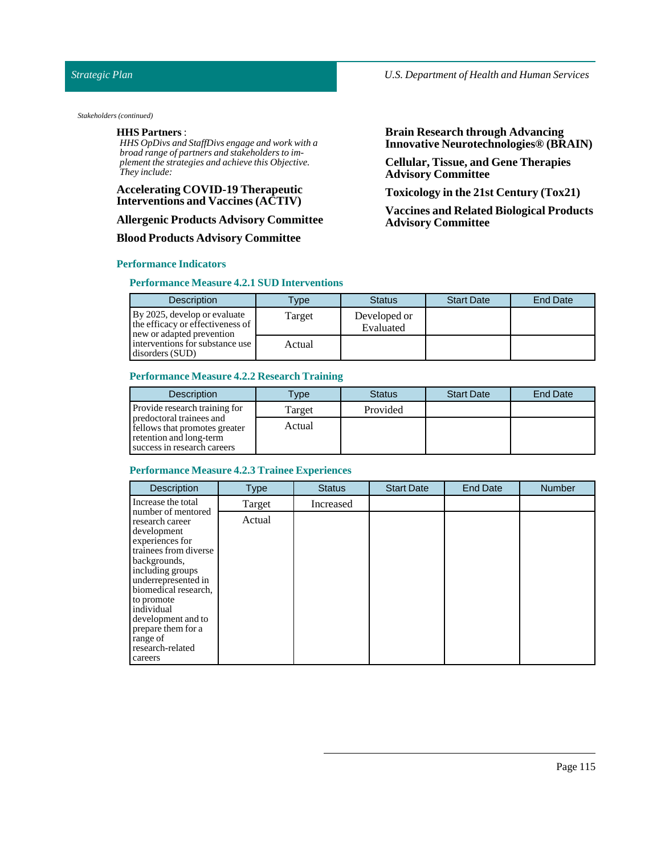#### *Stakeholders (continued)*

#### **HHS Partners** :

*HHS OpDivs and StaffDivs engage and work with a broad range of partners and stakeholders to implement the strategies and achieve this Objective. They include:*

## **Accelerating COVID-19 Therapeutic Interventions and Vaccines (ACTIV)**

#### **Allergenic Products Advisory Committee**

#### **Blood Products Advisory Committee**

#### **Performance Indicators**

#### **Performance Measure 4.2.1SUD Interventions**

# **Brain Research through Advancing Innovative Neurotechnologies® (BRAIN)**

**Cellular, Tissue, and Gene Therapies Advisory Committee**

**Toxicology in the 21st Century (Tox21)**

**Vaccines and Related Biological Products Advisory Committee**

| <b>Description</b>                                                                            | vpe <sup>1</sup> | <b>Status</b>             | <b>Start Date</b> | <b>End Date</b> |
|-----------------------------------------------------------------------------------------------|------------------|---------------------------|-------------------|-----------------|
| By 2025, develop or evaluate<br>the efficacy or effectiveness of<br>new or adapted prevention | Target           | Developed or<br>Evaluated |                   |                 |
| interventions for substance use<br>disorders (SUD)                                            | Actual           |                           |                   |                 |

#### **Performance Measure 4.2.2 Research Training**

| <b>Description</b>                                                                                                  | <b>Type</b> | <b>Status</b> | <b>Start Date</b> | <b>End Date</b> |
|---------------------------------------------------------------------------------------------------------------------|-------------|---------------|-------------------|-----------------|
| Provide research training for                                                                                       | Target      | Provided      |                   |                 |
| predoctoral trainees and<br>fellows that promotes greater<br>retention and long-term<br>success in research careers | Actual      |               |                   |                 |

# **Performance Measure 4.2.3 Trainee Experiences**

| Description                                                                                                                                                                                                                                                                                            | <b>Type</b> | <b>Status</b> | <b>Start Date</b> | <b>End Date</b> | <b>Number</b> |
|--------------------------------------------------------------------------------------------------------------------------------------------------------------------------------------------------------------------------------------------------------------------------------------------------------|-------------|---------------|-------------------|-----------------|---------------|
| Increase the total                                                                                                                                                                                                                                                                                     | Target      | Increased     |                   |                 |               |
| number of mentored<br>research career<br>development<br>experiences for<br>trainees from diverse<br>backgrounds,<br>including groups<br>underrepresented in<br>biomedical research,<br>to promote<br>individual<br>development and to<br>prepare them for a<br>range of<br>research-related<br>careers | Actual      |               |                   |                 |               |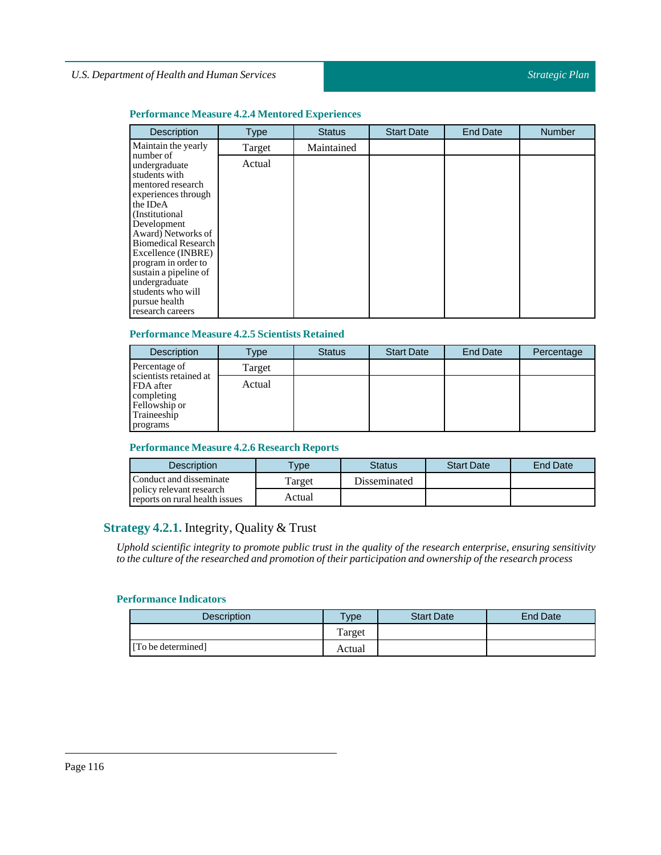## **Performance Measure 4.2.4 Mentored Experiences**

| Description                                                                                                                                                                                                                                                                                                                                | <b>Type</b> | <b>Status</b> | <b>Start Date</b> | <b>End Date</b> | <b>Number</b> |
|--------------------------------------------------------------------------------------------------------------------------------------------------------------------------------------------------------------------------------------------------------------------------------------------------------------------------------------------|-------------|---------------|-------------------|-----------------|---------------|
| Maintain the yearly                                                                                                                                                                                                                                                                                                                        | Target      | Maintained    |                   |                 |               |
| number of<br>undergraduate<br>students with<br>mentored research<br>experiences through<br>the IDeA<br>(Institutional)<br>Development<br>Award) Networks of<br><b>Biomedical Research</b><br>Excellence (INBRE)<br>program in order to<br>sustain a pipeline of<br>undergraduate<br>students who will<br>pursue health<br>research careers | Actual      |               |                   |                 |               |

# **Performance Measure 4.2.5Scientists Retained**

| <b>Description</b>                                                                            | Type   | <b>Status</b> | <b>Start Date</b> | <b>End Date</b> | Percentage |
|-----------------------------------------------------------------------------------------------|--------|---------------|-------------------|-----------------|------------|
| Percentage of                                                                                 | Target |               |                   |                 |            |
| scientists retained at<br>FDA after<br>completing<br>Fellowship or<br>Traineeship<br>programs | Actual |               |                   |                 |            |

## **Performance Measure 4.2.6 Research Reports**

| <b>Description</b>                                         | $T$ ype | Status       | <b>Start Date</b> | <b>End Date</b> |
|------------------------------------------------------------|---------|--------------|-------------------|-----------------|
| Conduct and disseminate                                    | Target  | Disseminated |                   |                 |
| policy relevant research<br>reports on rural health issues | Actual  |              |                   |                 |

# **Strategy 4.2.1.** Integrity, Quality & Trust

Uphold scientific integrity to promote public trust in the quality of the research enterprise, ensuring sensitivity *to the culture ofthe researched and promotion oftheir participation and ownership ofthe research process*

| Description        | $T$ ype | <b>Start Date</b> | End Date |
|--------------------|---------|-------------------|----------|
|                    | Target  |                   |          |
| [To be determined] | Actual  |                   |          |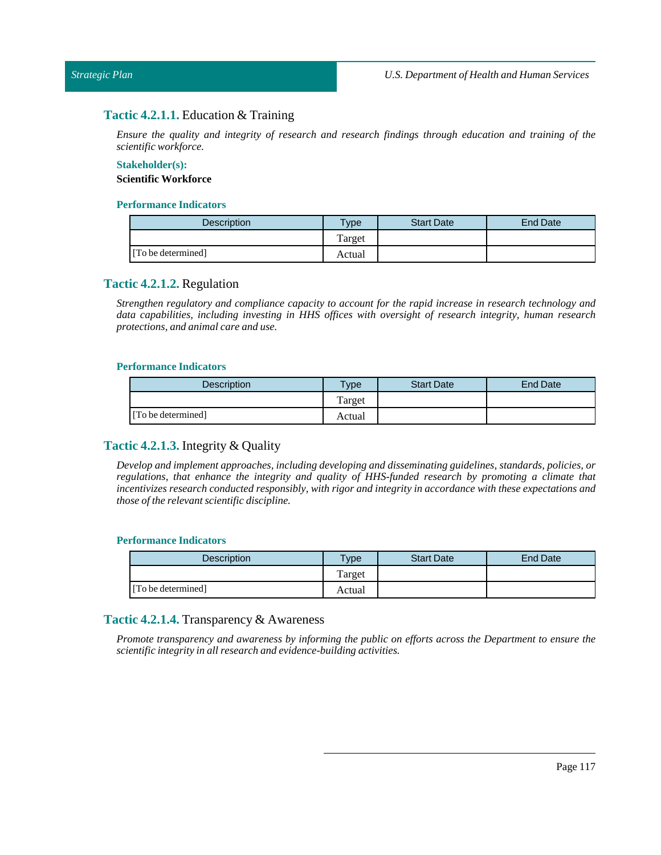# **Tactic 4.2.1.1.** Education & Training

*Ensure the quality and integrity of research and research findings through education and training of the scientific workforce.*

#### **Stakeholder(s): Scientific Workforce**

#### **Performance Indicators**

| Description        | $v_{\rm p}$ | <b>Start Date</b> | End Date |
|--------------------|-------------|-------------------|----------|
|                    | Target      |                   |          |
| [To be determined] | Actual      |                   |          |

# **Tactic 4.2.1.2.** Regulation

*Strengthen regulatory and compliance capacity to account for the rapid increase in research technology and data capabilities, including investing in HHS offices with oversight of research integrity, human research protections, and animal care and use.*

#### **Performance Indicators**

| <b>Description</b> | $T$ ype | <b>Start Date</b> | <b>End Date</b> |
|--------------------|---------|-------------------|-----------------|
|                    | Target  |                   |                 |
| [To be determined] | Actual  |                   |                 |

# **Tactic 4.2.1.3.** Integrity & Quality

*Develop and implement approaches, including developing and disseminating guidelines, standards, policies, or regulations, that enhance the integrity and quality of HHS-funded research by promoting a climate that incentivizes research conducted responsibly, with rigor and integrity in accordance with these expectations and those ofthe relevant scientific discipline.*

## **Performance Indicators**

| Description        | $v$ pe | <b>Start Date</b> | End Date |
|--------------------|--------|-------------------|----------|
|                    | Target |                   |          |
| [To be determined] | Actual |                   |          |

# **Tactic 4.2.1.4.** Transparency & Awareness

*Promote transparency and awareness by informing the public on efforts across the Department to ensure the scientific integrity in all research and evidence-building activities.*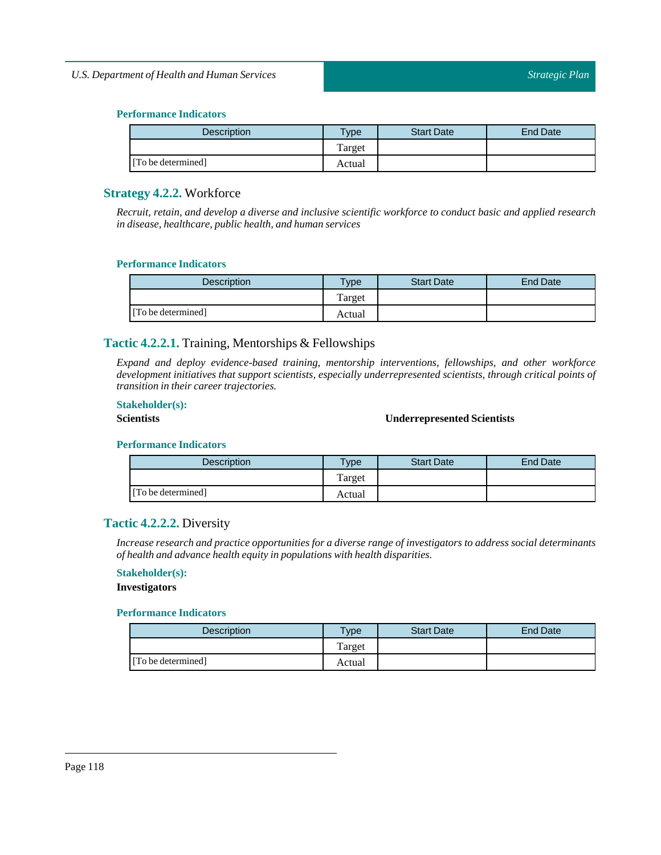| <b>Description</b> | $T$ <sub>ype</sub> | <b>Start Date</b> | End Date |
|--------------------|--------------------|-------------------|----------|
|                    | Target             |                   |          |
| [To be determined] | Actual             |                   |          |

# **Strategy 4.2.2.** Workforce

*Recruit, retain, and develop a diverse and inclusive scientific workforce to conduct basic and applied research in disease, healthcare, public health, and human services*

## **Performance Indicators**

| <b>Description</b> | <b>Type</b> | <b>Start Date</b> | <b>End Date</b> |
|--------------------|-------------|-------------------|-----------------|
|                    | Target      |                   |                 |
| [To be determined] | Actual      |                   |                 |

# **Tactic 4.2.2.1.** Training, Mentorships & Fellowships

*Expand and deploy evidence-based training, mentorship interventions, fellowships, and other workforce development initiatives that support scientists, especially underrepresented scientists, through critical points of transition in their career trajectories.*

## **Stakeholder(s):**

# **Scientists Underrepresented Scientists**

#### **Performance Indicators**

| <b>Description</b> | $T$ <sub>V</sub> $pe$ | <b>Start Date</b> | <b>End Date</b> |
|--------------------|-----------------------|-------------------|-----------------|
|                    | Target                |                   |                 |
| [To be determined] | Actual                |                   |                 |

# **Tactic 4.2.2.2.** Diversity

*Increase research and practice opportunities for a diverse range of investigators to address social determinants of health and advance health equity in populations with health disparities.*

#### **Stakeholder(s):**

#### **Investigators**

| <b>Description</b> | $T$ <sub>ype</sub> | <b>Start Date</b> | End Date |
|--------------------|--------------------|-------------------|----------|
|                    | Target             |                   |          |
| [To be determined] | Actual             |                   |          |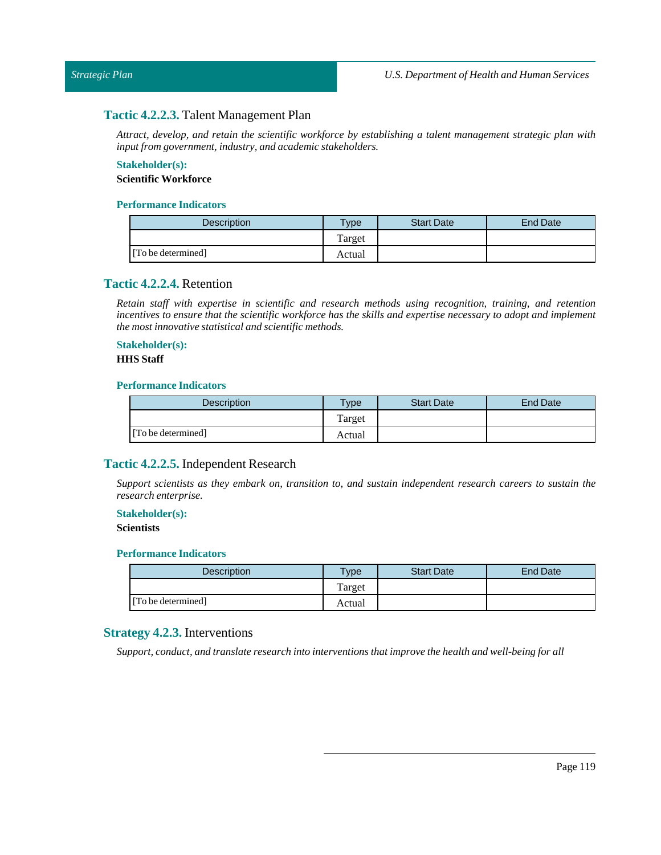# **Tactic 4.2.2.3.** Talent Management Plan

*Attract, develop, and retain the scientific workforce by establishing a talent management strategic plan with inputfrom government,industry, and academic stakeholders.*

#### **Stakeholder(s): Scientific Workforce**

#### **Performance Indicators**

| <b>Description</b> | $T$ <sub>V</sub> pe | <b>Start Date</b> | End Date |
|--------------------|---------------------|-------------------|----------|
|                    | Target              |                   |          |
| [To be determined] | Actual              |                   |          |

# **Tactic 4.2.2.4.** Retention

*Retain staff with expertise in scientific and research methods using recognition, training, and retention* incentives to ensure that the scientific workforce has the skills and expertise necessary to adopt and implement *the mostinnovative statistical and scientific methods.*

# **Stakeholder(s):**

#### **HHS** Staff

## **Performance Indicators**

| <b>Description</b> | <b>Type</b> | <b>Start Date</b> | <b>End Date</b> |
|--------------------|-------------|-------------------|-----------------|
|                    | Target      |                   |                 |
| [To be determined] | Actual      |                   |                 |

# **Tactic 4.2.2.5.** Independent Research

*Support scientists as they embark on, transition to, and sustain independent research careers to sustain the research enterprise.*

# **Stakeholder(s):**

## **Scientists**

## **Performance Indicators**

| <b>Description</b> | Type   | <b>Start Date</b> | End Date |
|--------------------|--------|-------------------|----------|
|                    | Target |                   |          |
| [To be determined] | Actual |                   |          |

# **Strategy 4.2.3.** Interventions

*Support, conduct, and translate research into interventions thatimprove the health and well-being for all*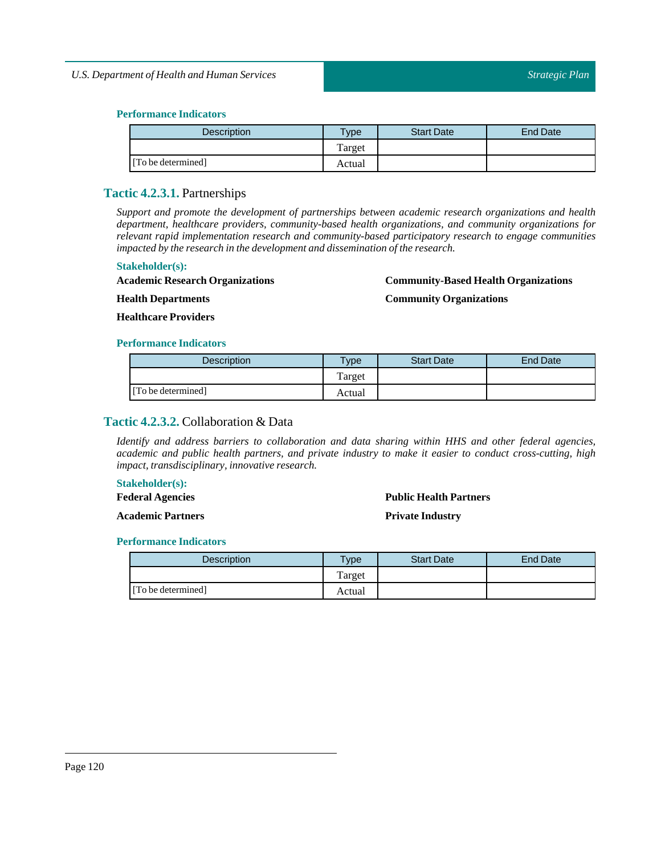| <b>Description</b> | $T$ <sub>ype</sub> | <b>Start Date</b> | End Date |
|--------------------|--------------------|-------------------|----------|
|                    | Target             |                   |          |
| [To be determined] | Actual             |                   |          |

# **Tactic 4.2.3.1.** Partnerships

*Support and promote the development of partnerships between academic research organizations and health department, healthcare providers, community-based health organizations, and community organizations for relevant rapid implementation research and community-based participatory research to engage communities impacted by the research in the development and dissemination ofthe research.*

#### **Stakeholder(s):**

**Academic Research Organizations**

#### **Community-Based Health Organizations**

**Community Organizations**

**Health Departments Healthcare Providers**

#### **Performance Indicators**

| <b>Description</b> | $T$ vpe | <b>Start Date</b> | <b>End Date</b> |
|--------------------|---------|-------------------|-----------------|
|                    | Target  |                   |                 |
| [To be determined] | Actual  |                   |                 |

# **Tactic 4.2.3.2.** Collaboration & Data

*Identify and address barriers to collaboration and data sharing within HHS and other federal agencies, academic and public health partners, and private industry to make it easier to conduct cross-cutting, high impact, transdisciplinary, innovative research.* 

#### **Stakeholder(s):**

**Federal Agencies**

**Academic Partners**

# **Public Health Partners**

**Private Industry**

| <b>Description</b> | Type   | <b>Start Date</b> | <b>End Date</b> |
|--------------------|--------|-------------------|-----------------|
|                    | Target |                   |                 |
| [To be determined] | Actual |                   |                 |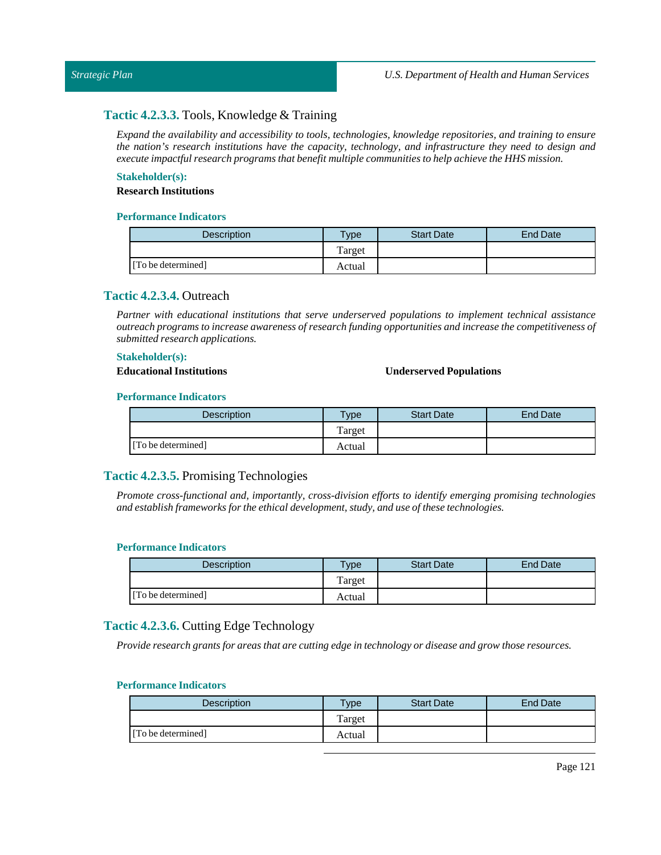# **Tactic 4.2.3.3.** Tools, Knowledge & Training

*Expand the availability and accessibility to tools, technologies, knowledge repositories, and training to ensure the nation's research institutions have the capacity, technology, and infrastructure they need to design and execute impactful research programs that benefit multiple communities to help achieve the HHS mission.*

# **Stakeholder(s):**

## **Research Institutions**

### **Performance Indicators**

| <b>Description</b> | $T$ <sub>V</sub> pe | <b>Start Date</b> | <b>End Date</b> |
|--------------------|---------------------|-------------------|-----------------|
|                    | Target              |                   |                 |
| [To be determined] | Actual              |                   |                 |

# **Tactic 4.2.3.4.** Outreach

*Partner with educational institutions that serve underserved populations to implement technical assistance outreach programs to increase awareness of research funding opportunities and increase the competitiveness of submitted research applications.*

#### **Stakeholder(s):**

#### **Educational Institutions Underserved Populations**

#### **Performance Indicators**

| <b>Description</b> | Type   | <b>Start Date</b> | End Date |
|--------------------|--------|-------------------|----------|
|                    | Target |                   |          |
| [To be determined] | Actual |                   |          |

# **Tactic 4.2.3.5.** Promising Technologies

*Promote cross-functional and, importantly, cross-division efforts to identify emerging promising technologies and establish frameworks for the ethical development, study, and use ofthese technologies.*

#### **Performance Indicators**

| <b>Description</b> | $v_{\rm p}$ | <b>Start Date</b> | <b>End Date</b> |
|--------------------|-------------|-------------------|-----------------|
|                    | Target      |                   |                 |
| [To be determined] | Actual      |                   |                 |

# **Tactic 4.2.3.6.** Cutting Edge Technology

Provide research grants for areas that are cutting edge in technology or disease and grow those resources.

| <b>Description</b> | <b>Vpe</b> | <b>Start Date</b> | End Date |
|--------------------|------------|-------------------|----------|
|                    | Target     |                   |          |
| [To be determined] | Actual     |                   |          |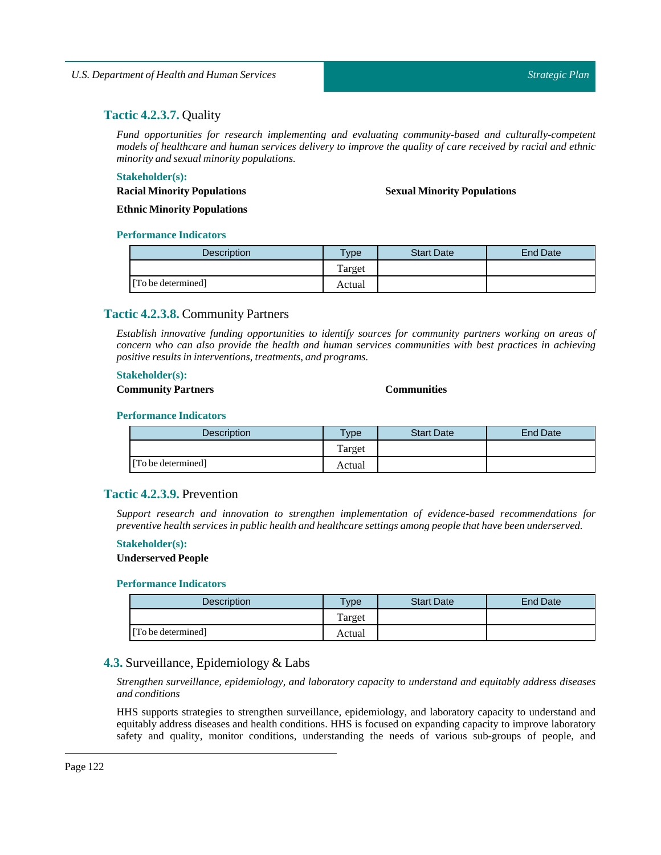# **Tactic 4.2.3.7.** Quality

*Fund opportunities for research implementing and evaluating community-based and culturally-competent* models of healthcare and human services delivery to improve the quality of care received by racial and ethnic *minority and sexual minority populations.*

#### **Stakeholder(s):**

**Sexual Minority Populations**

**Racial Minority Populations Ethnic Minority Populations**

#### **Performance Indicators**

| <b>Description</b> | <b>Type</b> | <b>Start Date</b> | <b>End Date</b> |
|--------------------|-------------|-------------------|-----------------|
|                    | Target      |                   |                 |
| [To be determined] | Actual      |                   |                 |

# **Tactic 4.2.3.8.** Community Partners

*Establish innovative funding opportunities to identify sources for community partners working on areas of concern who can also provide the health and human services communities with best practices in achieving positive results in interventions,treatments, and programs.*

#### **Stakeholder(s):**

## **Community Partners Communities**

## **Performance Indicators**

| <b>Description</b> | $T$ vpe | <b>Start Date</b> | <b>End Date</b> |
|--------------------|---------|-------------------|-----------------|
|                    | Target  |                   |                 |
| [To be determined] | Actual  |                   |                 |

#### **Tactic 4.2.3.9.** Prevention

*Support research and innovation to strengthen implementation of evidence-based recommendations for preventive health services in public health and healthcare settings among people that have been underserved.*

#### **Stakeholder(s):**

## **Underserved People**

#### **Performance Indicators**

| <b>Description</b> | $v$ pe | <b>Start Date</b> | <b>End Date</b> |
|--------------------|--------|-------------------|-----------------|
|                    | Target |                   |                 |
| [To be determined] | Actual |                   |                 |

# **4.3.** Surveillance, Epidemiology & Labs

*Strengthen surveillance, epidemiology, and laboratory capacity to understand and equitably address diseases and conditions*

HHS supports strategies to strengthen surveillance, epidemiology, and laboratory capacity to understand and equitably address diseases and health conditions. HHS is focused on expanding capacity to improve laboratory safety and quality, monitor conditions, understanding the needs of various sub-groups of people, and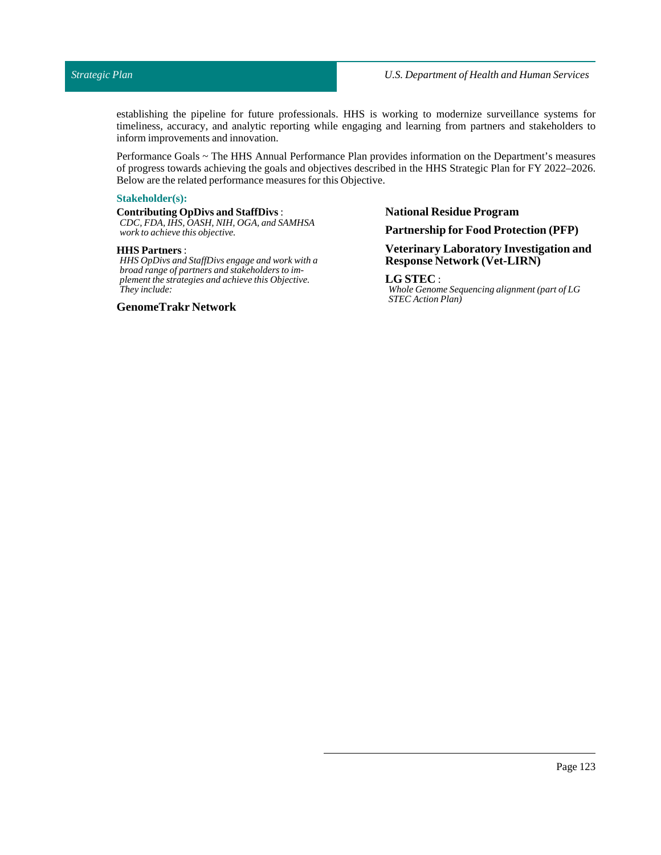establishing the pipeline for future professionals. HHS is working to modernize surveillance systems for timeliness, accuracy, and analytic reporting while engaging and learning from partners and stakeholders to inform improvements and innovation.

Performance Goals ~ The HHS Annual Performance Plan provides information on the Department's measures of progress towards achieving the goals and objectives described in the HHS Strategic Plan for FY 2022–2026. Below are the related performance measures for this Objective.

#### **Stakeholder(s):**

#### **Contributing OpDivs and StaffDivs**:

*CDC, FDA, IHS, OASH, NIH, OGA, and SAMHSA work to achieve this objective.*

#### **HHS Partners** :

*HHS OpDivs and StaffDivs engage and work with a broad range of partners and stakeholders to implement the strategies and achieve this Objective. They include:*

#### **GenomeTrakr Network**

#### **National Residue Program**

#### **Partnership for Food Protection (PFP)**

# **Veterinary Laboratory Investigation and Response Network (Vet-LIRN)**

## **LG STEC** :

*Whole Genome Sequencing alignment (part of LG STEC Action Plan)*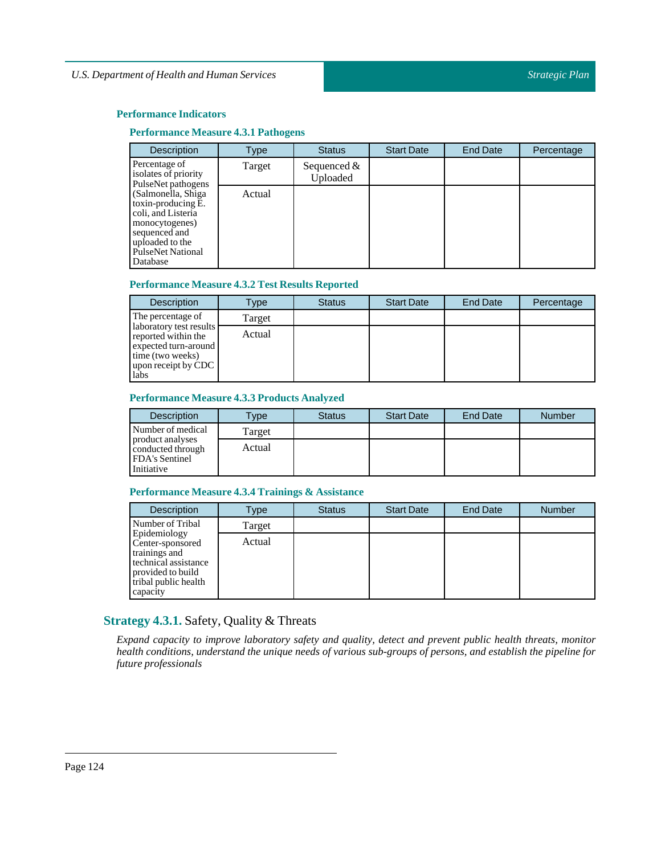## **Performance Measure 4.3.1 Pathogens**

| <b>Description</b>                                                                                                                                            | Type   | <b>Status</b>             | <b>Start Date</b> | <b>End Date</b> | Percentage |
|---------------------------------------------------------------------------------------------------------------------------------------------------------------|--------|---------------------------|-------------------|-----------------|------------|
| Percentage of<br>isolates of priority<br>PulseNet pathogens                                                                                                   | Target | Sequenced $&$<br>Uploaded |                   |                 |            |
| (Salmonella, Shiga)<br>toxin-producing E.<br>coli, and Listeria<br>monocytogenes)<br>sequenced and<br>uploaded to the<br><b>PulseNet National</b><br>Database | Actual |                           |                   |                 |            |

## **Performance Measure 4.3.2 Test Results Reported**

| <b>Description</b>                                                                                                        | Type   | <b>Status</b> | <b>Start Date</b> | End Date | Percentage |
|---------------------------------------------------------------------------------------------------------------------------|--------|---------------|-------------------|----------|------------|
| The percentage of                                                                                                         | Target |               |                   |          |            |
| laboratory test results<br>reported within the<br>expected turn-around<br>time (two weeks)<br>upon receipt by CDC<br>labs | Actual |               |                   |          |            |

## **Performance Measure 4.3.3 Products Analyzed**

| <b>Description</b>                                                           | <b>Type</b> | <b>Status</b> | <b>Start Date</b> | <b>End Date</b> | <b>Number</b> |
|------------------------------------------------------------------------------|-------------|---------------|-------------------|-----------------|---------------|
| Number of medical                                                            | Target      |               |                   |                 |               |
| product analyses<br>conducted through<br><b>FDA's Sentinel</b><br>Initiative | Actual      |               |                   |                 |               |

## **Performance Measure 4.3.4 Trainings & Assistance**

| <b>Description</b>                                                                                                                 | Type   | <b>Status</b> | <b>Start Date</b> | End Date | Number |
|------------------------------------------------------------------------------------------------------------------------------------|--------|---------------|-------------------|----------|--------|
| Number of Tribal                                                                                                                   | Target |               |                   |          |        |
| Epidemiology<br>Center-sponsored<br>trainings and<br>technical assistance<br>provided to build<br>tribal public health<br>capacity | Actual |               |                   |          |        |

# **Strategy 4.3.1.** Safety, Quality & Threats

*Expand capacity to improve laboratory safety and quality, detect and prevent public health threats, monitor health conditions, understand the unique needs of various sub-groups of persons, and establish the pipeline for future professionals*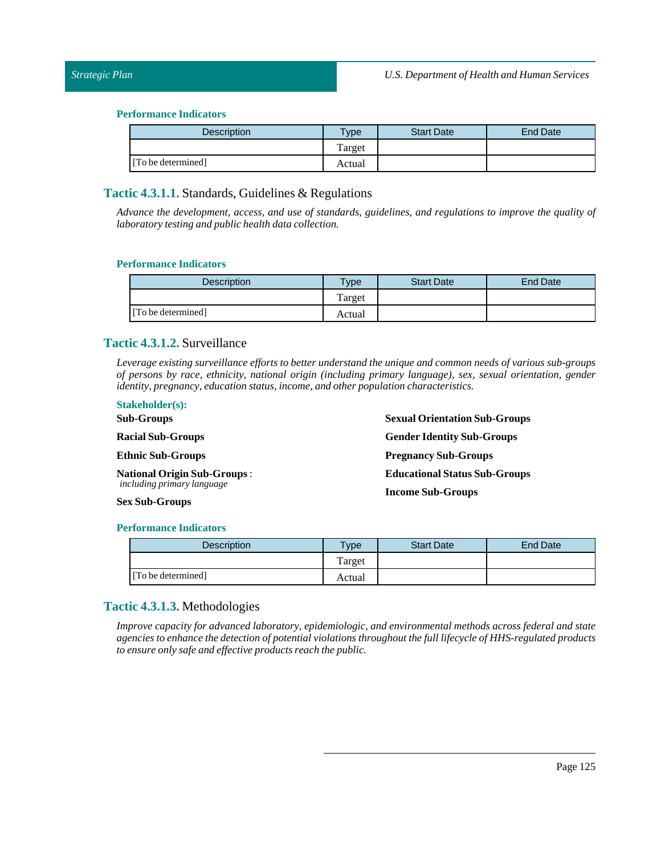| <b>Description</b> | $T$ ype | <b>Start Date</b> | End Date |
|--------------------|---------|-------------------|----------|
|                    | Target  |                   |          |
| [To be determined] | Actual  |                   |          |

# **Tactic 4.3.1.1.** Standards, Guidelines & Regulations

*Advance the development, access, and use of standards, guidelines, and regulations to improve the quality of laboratory testing and public health data collection.*

#### **Performance Indicators**

| <b>Description</b> | Type   | <b>Start Date</b> | <b>End Date</b> |
|--------------------|--------|-------------------|-----------------|
|                    | Target |                   |                 |
| [To be determined] | Actual |                   |                 |

# **Tactic 4.3.1.2.** Surveillance

*Leverage existing surveillance efforts to better understand the unique and common needs of various sub-groups of persons by race, ethnicity, national origin (including primary language), sex, sexual orientation, gender identity, pregnancy, education status,income, and other population characteristics.*

#### **Stakeholder(s):**

| <b>Sub-Groups</b>                  | <b>Sexual Orientation Sub-Groups</b> |
|------------------------------------|--------------------------------------|
| <b>Racial Sub-Groups</b>           | <b>Gender Identity Sub-Groups</b>    |
| <b>Ethnic Sub-Groups</b>           | <b>Pregnancy Sub-Groups</b>          |
| <b>National Origin Sub-Groups:</b> | <b>Educational Status Sub-Groups</b> |
| <i>including primary language</i>  | <b>Income Sub-Groups</b>             |
| <b>Sex Sub-Groups</b>              |                                      |

#### **Performance Indicators**

| Description        | Type <sub>o</sub> | <b>Start Date</b> | <b>End Date</b> |
|--------------------|-------------------|-------------------|-----------------|
|                    | Target            |                   |                 |
| [To be determined] | Actual            |                   |                 |

# **Tactic 4.3.1.3.** Methodologies

*Improve capacity for advanced laboratory, epidemiologic, and environmental methods across federal and state agencies to enhance the detection of potential violations throughout the full lifecycle of HHS-regulated products to ensure only safe and effective products reach the public.*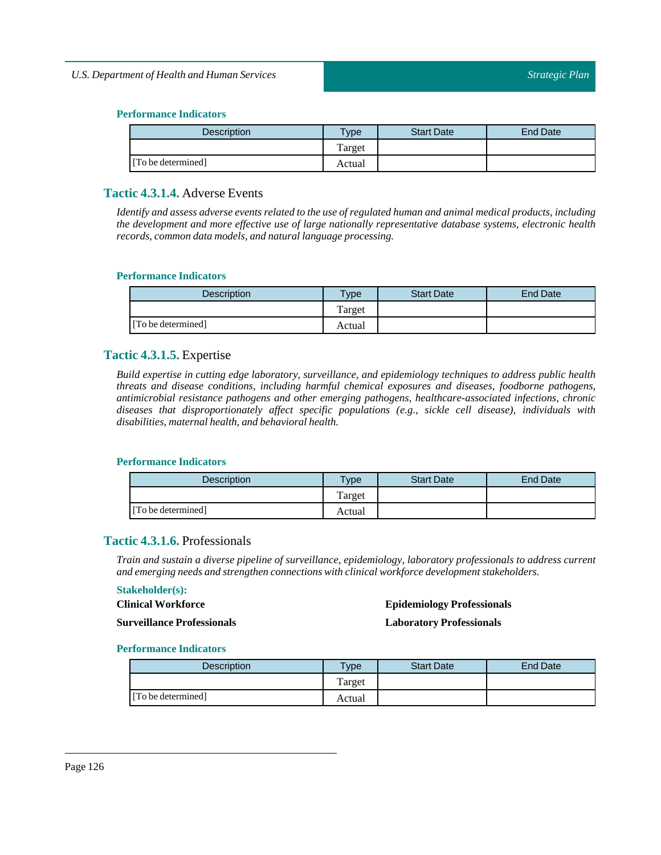| <b>Description</b> | $T$ ype | <b>Start Date</b> | End Date |
|--------------------|---------|-------------------|----------|
|                    | Target  |                   |          |
| [To be determined] | Actual  |                   |          |

# **Tactic 4.3.1.4.** Adverse Events

Identify and assess adverse events related to the use of regulated human and animal medical products, including *the development and more effective use of large nationally representative database systems, electronic health records, common data models, and naturallanguage processing.*

#### **Performance Indicators**

| <b>Description</b> | vpe    | <b>Start Date</b> | <b>End Date</b> |
|--------------------|--------|-------------------|-----------------|
|                    | Target |                   |                 |
| [To be determined] | Actual |                   |                 |

# **Tactic 4.3.1.5.** Expertise

*Build expertise in cutting edge laboratory, surveillance, and epidemiology techniques to address public health threats and disease conditions, including harmful chemical exposures and diseases, foodborne pathogens, antimicrobial resistance pathogens and other emerging pathogens, healthcare-associated infections, chronic diseases that disproportionately affect specific populations (e.g., sickle cell disease), individuals with disabilities, maternal health, and behavioral health.*

#### **Performance Indicators**

| Description        | $v$ pe | <b>Start Date</b> | <b>End Date</b> |
|--------------------|--------|-------------------|-----------------|
|                    | Target |                   |                 |
| [To be determined] | Actual |                   |                 |

# **Tactic 4.3.1.6.** Professionals

*Train and sustain a diverse pipeline of surveillance, epidemiology, laboratory professionals to address current and emerging needs and strengthen connections with clinical workforce development stakeholders.*

#### **Stakeholder(s):**

#### **Clinical Workforce**

#### **Epidemiology Professionals**

**Surveillance Professionals**

**Laboratory Professionals**

| Description        | $T$ ype | <b>Start Date</b> | <b>End Date</b> |
|--------------------|---------|-------------------|-----------------|
|                    | Target  |                   |                 |
| [To be determined] | Actual  |                   |                 |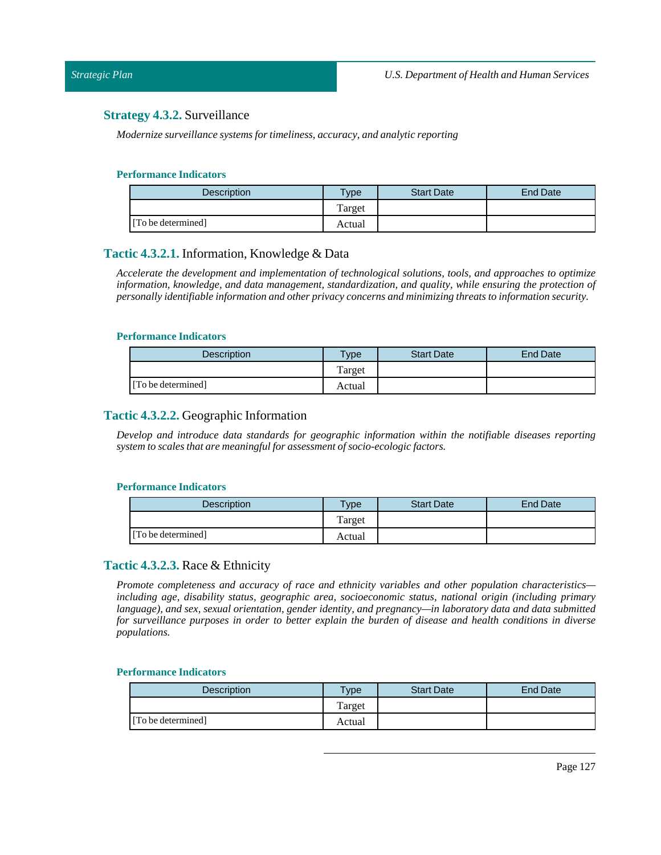# **Strategy 4.3.2.** Surveillance

*Modernize surveillance systems for timeliness, accuracy, and analytic reporting*

#### **Performance Indicators**

| <b>Description</b> | Type   | <b>Start Date</b> | End Date |
|--------------------|--------|-------------------|----------|
|                    | Target |                   |          |
| [To be determined] | Actual |                   |          |

## **Tactic 4.3.2.1.** Information, Knowledge & Data

*Accelerate the development and implementation of technological solutions, tools, and approaches to optimize information, knowledge, and data management, standardization, and quality, while ensuring the protection of personally identifiable information and other privacy concerns and minimizing threats to information security.*

#### **Performance Indicators**

| <b>Description</b> | $T$ ype | <b>Start Date</b> | <b>End Date</b> |
|--------------------|---------|-------------------|-----------------|
|                    | Target  |                   |                 |
| [To be determined] | Actual  |                   |                 |

# **Tactic 4.3.2.2.** Geographic Information

*Develop and introduce data standards for geographic information within the notifiable diseases reporting system to scales that are meaningfulfor assessment of socio-ecologic factors.*

#### **Performance Indicators**

| <b>Description</b> | $T$ vpe | <b>Start Date</b> | End Date |
|--------------------|---------|-------------------|----------|
|                    | Target  |                   |          |
| [To be determined] | Actual  |                   |          |

# **Tactic 4.3.2.3.** Race & Ethnicity

*Promote completeness and accuracy of race and ethnicity variables and other population characteristics including age, disability status, geographic area, socioeconomic status, national origin (including primary language), and sex, sexual orientation, gender identity, and pregnancy—in laboratory data and data submitted* for surveillance purposes in order to better explain the burden of disease and health conditions in diverse *populations.*

| <b>Description</b> | $T$ vpe | <b>Start Date</b> | <b>End Date</b> |
|--------------------|---------|-------------------|-----------------|
|                    | Target  |                   |                 |
| [To be determined] | Actual  |                   |                 |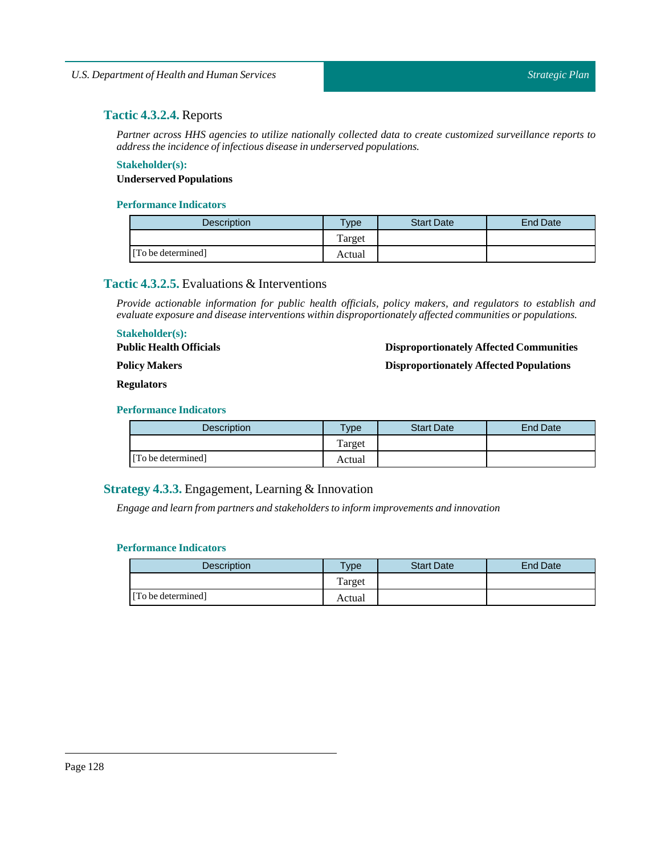# **Tactic 4.3.2.4.** Reports

*Partner across HHS agencies to utilize nationally collected data to create customized surveillance reports to address the incidence ofinfectious disease in underserved populations.*

# **Stakeholder(s): Underserved Populations**

## **Performance Indicators**

| <b>Description</b> | <b>Type</b> | <b>Start Date</b> | <b>End Date</b> |
|--------------------|-------------|-------------------|-----------------|
|                    | Target      |                   |                 |
| [To be determined] | Actual      |                   |                 |

# **Tactic 4.3.2.5.** Evaluations & Interventions

*Provide actionable information for public health officials, policy makers, and regulators to establish and evaluate exposure and disease interventions within disproportionately affected communities or populations.*

## **Stakeholder(s):**

**Public Health Officials**

## **Disproportionately Affected Communities**

**Policy Makers**

**Disproportionately Affected Populations**

#### **Regulators**

## **Performance Indicators**

| <b>Description</b> | <b>Type</b> | <b>Start Date</b> | End Date |
|--------------------|-------------|-------------------|----------|
|                    | Target      |                   |          |
| [To be determined] | Actual      |                   |          |

# **Strategy 4.3.3.** Engagement, Learning & Innovation

*Engage and learn from partners and stakeholders to inform improvements and innovation*

| <b>Description</b> | <b>Vpe</b> | <b>Start Date</b> | End Date |
|--------------------|------------|-------------------|----------|
|                    | Target     |                   |          |
| [To be determined] | Actual     |                   |          |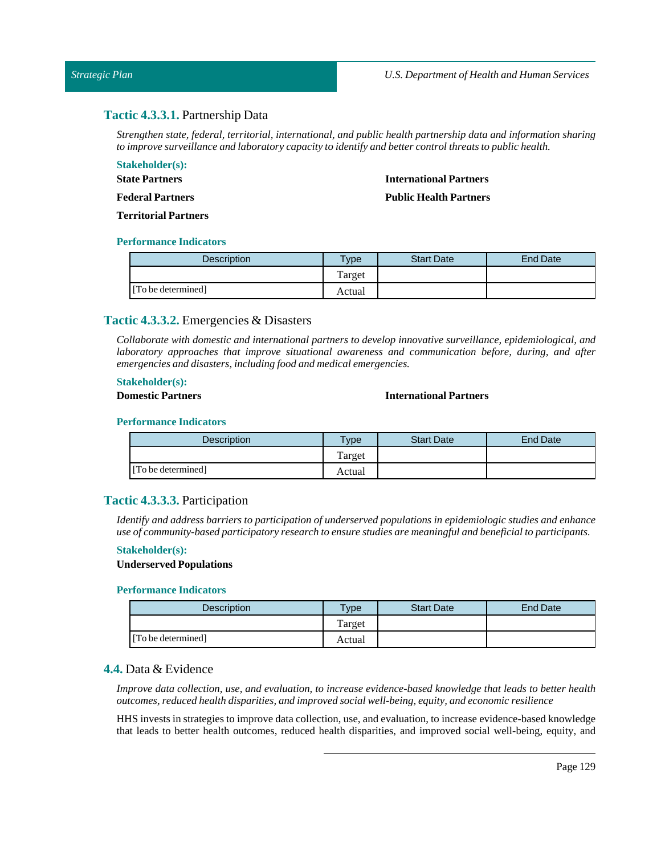# **Tactic 4.3.3.1.** Partnership Data

*Strengthen state, federal, territorial, international, and public health partnership data and information sharing to improve surveillance and laboratory capacity to identify and better controlthreats to public health.*

#### **Stakeholder(s):**

**State Partners Federal Partners**

## **International Partners**

**Public Health Partners**

**Territorial Partners**

#### **Performance Indicators**

| <b>Description</b> | Type   | <b>Start Date</b> | End Date |
|--------------------|--------|-------------------|----------|
|                    | Target |                   |          |
| [To be determined] | Actual |                   |          |

# **Tactic 4.3.3.2.** Emergencies & Disasters

*Collaborate with domestic and international partners to develop innovative surveillance, epidemiological, and laboratory approaches that improve situational awareness and communication before, during, and after emergencies and disasters,including food and medical emergencies.*

#### **Stakeholder(s):**

#### **Domestic Partners International Partners**

#### **Performance Indicators**

| <b>Description</b> | $T$ <sub>V</sub> $pe$ | <b>Start Date</b> | <b>End Date</b> |
|--------------------|-----------------------|-------------------|-----------------|
|                    | Target                |                   |                 |
| [To be determined] | Actual                |                   |                 |

# **Tactic 4.3.3.3.** Participation

*Identify and address barriers to participation of underserved populations in epidemiologic studies and enhance use of community-based participatory research to ensure studies are meaningful and beneficialto participants.*

## **Stakeholder(s):**

#### **Underserved Populations**

#### **Performance Indicators**

| <b>Description</b> | <b>Type</b> | <b>Start Date</b> | End Date |
|--------------------|-------------|-------------------|----------|
|                    | Target      |                   |          |
| [To be determined] | Actual      |                   |          |

# **4.4.** Data & Evidence

*Improve data collection, use, and evaluation, to increase evidence-based knowledge that leads to better health outcomes, reduced health disparities, and improved social well-being, equity, and economic resilience*

HHS invests in strategies to improve data collection, use, and evaluation, to increase evidence-based knowledge that leads to better health outcomes, reduced health disparities, and improved social well-being, equity, and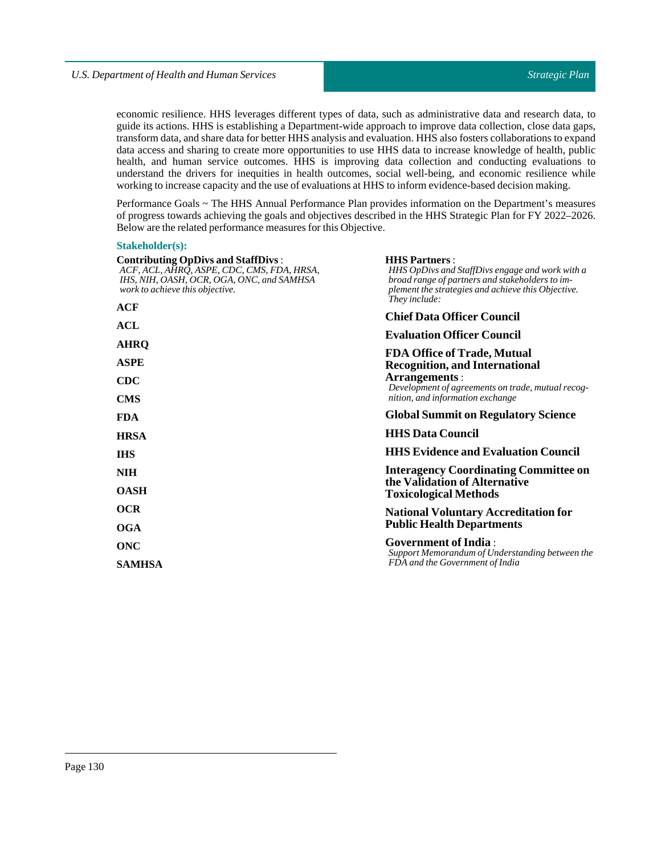economic resilience. HHS leverages different types of data, such as administrative data and research data, to guide its actions. HHS is establishing a Department-wide approach to improve data collection, close data gaps, transform data, and share data for better HHS analysis and evaluation. HHS also fosters collaborations to expand data access and sharing to create more opportunities to use HHS data to increase knowledge of health, public health, and human service outcomes. HHS is improving data collection and conducting evaluations to understand the drivers for inequities in health outcomes, social well-being, and economic resilience while working to increase capacity and the use of evaluations at HHS to inform evidence-based decision making.

Performance Goals ~ The HHS Annual Performance Plan provides information on the Department's measures of progress towards achieving the goals and objectives described in the HHS Strategic Plan for FY 2022–2026. Below are the related performance measures for this Objective.

#### **Stakeholder(s):**

| <b>Contributing OpDivs and StaffDivs:</b><br>ACF, ACL, AHRO, ASPE, CDC, CMS, FDA, HRSA,<br>IHS, NIH, OASH, OCR, OGA, ONC, and SAMHSA<br>work to achieve this objective. | <b>HHS Partners:</b><br>HHS OpDivs and StaffDivs engage and work with a<br>broad range of partners and stakeholders to im-<br>plement the strategies and achieve this Objective.<br>They include: |  |  |
|-------------------------------------------------------------------------------------------------------------------------------------------------------------------------|---------------------------------------------------------------------------------------------------------------------------------------------------------------------------------------------------|--|--|
| ACF                                                                                                                                                                     | <b>Chief Data Officer Council</b>                                                                                                                                                                 |  |  |
| <b>ACL</b>                                                                                                                                                              | <b>Evaluation Officer Council</b>                                                                                                                                                                 |  |  |
| <b>AHRQ</b>                                                                                                                                                             | <b>FDA Office of Trade, Mutual</b>                                                                                                                                                                |  |  |
| <b>ASPE</b>                                                                                                                                                             | <b>Recognition, and International</b>                                                                                                                                                             |  |  |
| <b>CDC</b>                                                                                                                                                              | Arrangements:<br>Development of agreements on trade, mutual recog-                                                                                                                                |  |  |
| <b>CMS</b>                                                                                                                                                              | nition, and information exchange                                                                                                                                                                  |  |  |
| <b>FDA</b>                                                                                                                                                              | <b>Global Summit on Regulatory Science</b>                                                                                                                                                        |  |  |
| <b>HRSA</b>                                                                                                                                                             | <b>HHS Data Council</b>                                                                                                                                                                           |  |  |
| <b>IHS</b>                                                                                                                                                              | <b>HHS Evidence and Evaluation Council</b>                                                                                                                                                        |  |  |
| <b>NIH</b>                                                                                                                                                              | <b>Interagency Coordinating Committee on</b>                                                                                                                                                      |  |  |
| <b>OASH</b>                                                                                                                                                             | the Validation of Alternative<br><b>Toxicological Methods</b>                                                                                                                                     |  |  |
| <b>OCR</b>                                                                                                                                                              | <b>National Voluntary Accreditation for</b>                                                                                                                                                       |  |  |
| <b>OGA</b>                                                                                                                                                              | <b>Public Health Departments</b>                                                                                                                                                                  |  |  |
| <b>ONC</b>                                                                                                                                                              | <b>Government of India:</b><br>Support Memorandum of Understanding between the                                                                                                                    |  |  |
| <b>SAMHSA</b>                                                                                                                                                           | FDA and the Government of India                                                                                                                                                                   |  |  |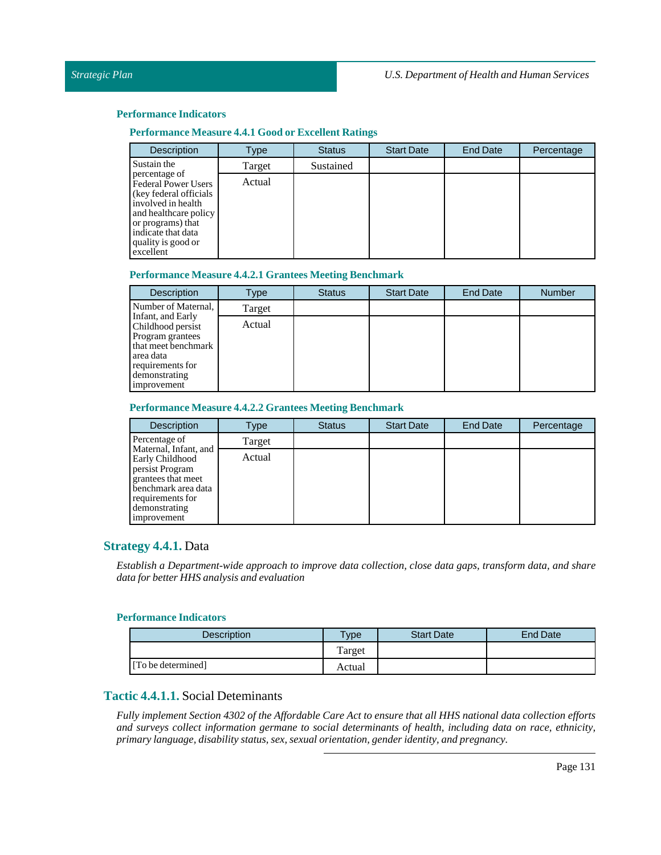## **Performance Measure 4.4.1 Goodor Excellent Ratings**

| <b>Description</b>                                                                                                                                                                           | Type   | <b>Status</b> | <b>Start Date</b> | <b>End Date</b> | Percentage |
|----------------------------------------------------------------------------------------------------------------------------------------------------------------------------------------------|--------|---------------|-------------------|-----------------|------------|
| Sustain the                                                                                                                                                                                  | Target | Sustained     |                   |                 |            |
| percentage of<br>Federal Power Users<br>(key federal officials)<br>involved in health<br>and healthcare policy<br>or programs) that<br>indicate that data<br>quality is good or<br>excellent | Actual |               |                   |                 |            |

#### **Performance Measure 4.4.2.1 Grantees Meeting Benchmark**

| <b>Description</b>                                                                                                            | Type   | <b>Status</b> | <b>Start Date</b> | <b>End Date</b> | <b>Number</b> |
|-------------------------------------------------------------------------------------------------------------------------------|--------|---------------|-------------------|-----------------|---------------|
| Number of Maternal,<br>Infant, and Early                                                                                      | Target |               |                   |                 |               |
| Childhood persist<br>Program grantees<br>that meet benchmark<br>area data<br>requirements for<br>demonstrating<br>improvement | Actual |               |                   |                 |               |

#### **Performance Measure 4.4.2.2 Grantees Meeting Benchmark**

| <b>Description</b>                                                                                                                                           | Type   | <b>Status</b> | <b>Start Date</b> | <b>End Date</b> | Percentage |
|--------------------------------------------------------------------------------------------------------------------------------------------------------------|--------|---------------|-------------------|-----------------|------------|
| Percentage of                                                                                                                                                | Target |               |                   |                 |            |
| Maternal, Infant, and<br>Early Childhood<br>persist Program<br>grantees that meet<br>benchmark area data<br>requirements for<br>demonstrating<br>improvement | Actual |               |                   |                 |            |

# **Strategy 4.4.1.** Data

*Establish a Department-wide approach to improve data collection, close data gaps, transform data, and share data for better HHS analysis and evaluation*

# **Performance Indicators**

| Description        | $v$ pe | <b>Start Date</b> | <b>End Date</b> |
|--------------------|--------|-------------------|-----------------|
|                    | Target |                   |                 |
| [To be determined] | Actual |                   |                 |

# **Tactic 4.4.1.1.** Social Deteminants

Fully implement Section 4302 of the Affordable Care Act to ensure that all HHS national data collection efforts *and surveys collect information germane to social determinants of health, including data on race, ethnicity, primary language, disability status, sex, sexual orientation, gender identity, and pregnancy.*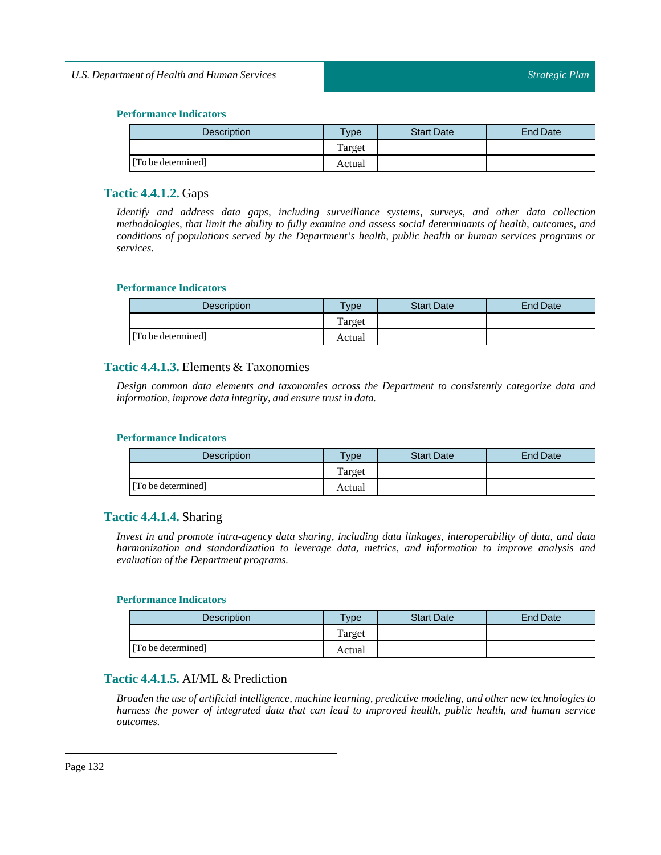| <b>Description</b> | $T$ ype | <b>Start Date</b> | End Date |
|--------------------|---------|-------------------|----------|
|                    | Target  |                   |          |
| [To be determined] | Actual  |                   |          |

# **Tactic 4.4.1.2.** Gaps

*Identify and address data gaps, including surveillance systems, surveys, and other data collection methodologies, that limit the ability to fully examine and assess social determinants of health, outcomes, and conditions of populations served by the Department's health, public health or human services programs or services.*

#### **Performance Indicators**

| <b>Description</b> | Type   | <b>Start Date</b> | End Date |
|--------------------|--------|-------------------|----------|
|                    | Target |                   |          |
| [To be determined] | Actual |                   |          |

# **Tactic 4.4.1.3.** Elements & Taxonomies

*Design common data elements and taxonomies across the Department to consistently categorize data and information,improve data integrity, and ensure trustin data.*

### **Performance Indicators**

| <b>Description</b> | $T$ <sub>ype</sub> | <b>Start Date</b> | End Date |
|--------------------|--------------------|-------------------|----------|
|                    | Target             |                   |          |
| [To be determined] | Actual             |                   |          |

# **Tactic 4.4.1.4.** Sharing

*Invest in and promote intra-agency data sharing, including data linkages, interoperability of data, and data harmonization and standardization to leverage data, metrics, and information to improve analysis and*  $e$ *valuation of the Department programs.* 

## **Performance Indicators**

| <b>Description</b> | <b>Type</b> | <b>Start Date</b> | <b>End Date</b> |
|--------------------|-------------|-------------------|-----------------|
|                    | Target      |                   |                 |
| [To be determined] | Actual      |                   |                 |

# **Tactic 4.4.1.5.** AI/ML & Prediction

*Broaden the use of artificial intelligence, machine learning, predictive modeling, and other new technologies to harness the power of integrated data that can lead to improved health, public health, and human service outcomes.*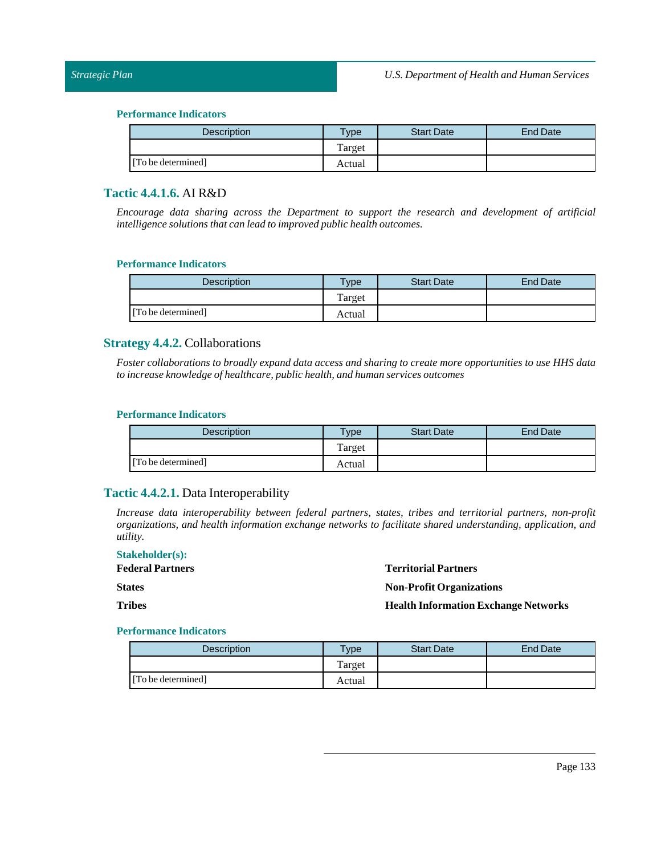## *Strategic Plan*

#### **Performance Indicators**

| <b>Description</b> | <b>Type</b> | <b>Start Date</b> | End Date |
|--------------------|-------------|-------------------|----------|
|                    | Target      |                   |          |
| [To be determined] | Actual      |                   |          |

# **Tactic 4.4.1.6.** AI R&D

*Encourage data sharing across the Department to support the research and development of artificial intelligence solutions that can lead to improved public health outcomes.*

#### **Performance Indicators**

| <b>Description</b> | $T$ ype | <b>Start Date</b> | <b>End Date</b> |
|--------------------|---------|-------------------|-----------------|
|                    | Target  |                   |                 |
| [To be determined] | Actual  |                   |                 |

## **Strategy 4.4.2.** Collaborations

Foster collaborations to broadly expand data access and sharing to create more opportunities to use HHS data *to increase knowledge of healthcare, public health, and human services outcomes*

#### **Performance Indicators**

| Description        | $v_{\rm p}$ | <b>Start Date</b> | <b>End Date</b> |
|--------------------|-------------|-------------------|-----------------|
|                    | Target      |                   |                 |
| [To be determined] | Actual      |                   |                 |

# **Tactic 4.4.2.1.** Data Interoperability

*Increase data interoperability between federal partners, states, tribes and territorial partners, non-profit organizations, and health information exchange networks to facilitate shared understanding, application, and utility.*

| <b>Stakeholder(s):</b>  |
|-------------------------|
| <b>Federal Partners</b> |
| <b>States</b>           |
| Tribes                  |

**Territorial Partners**

**Non-Profit Organizations**

**Health Information Exchange Networks** 

| <b>Description</b> | $T$ <sub>ype</sub> | <b>Start Date</b> | End Date |
|--------------------|--------------------|-------------------|----------|
|                    | Target             |                   |          |
| [To be determined] | Actual             |                   |          |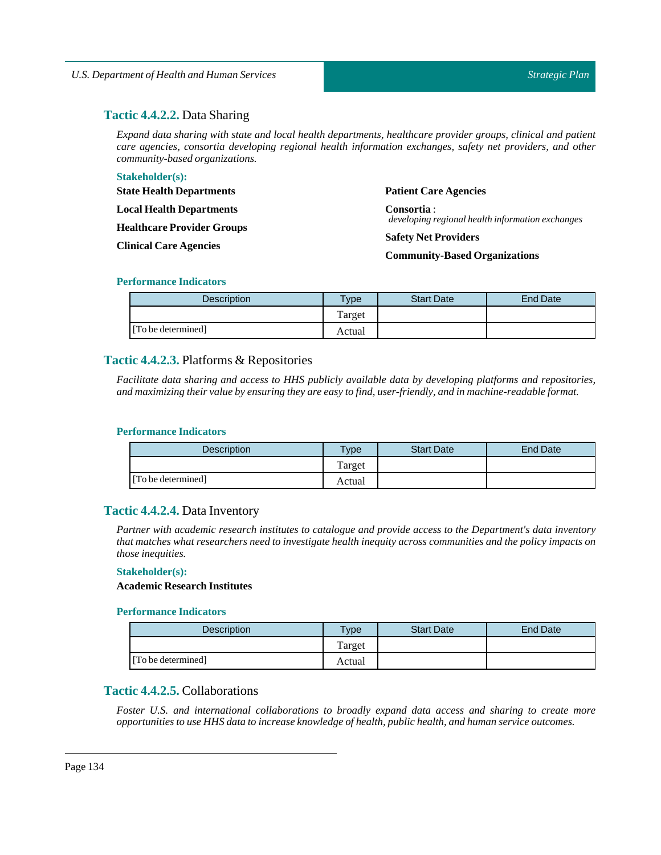# **Tactic 4.4.2.2.** Data Sharing

*Expand data sharing with state and local health departments, healthcare provider groups, clinical and patient care agencies, consortia developing regional health information exchanges, safety net providers, and other community-based organizations.*

| <b>Stakeholder(s):</b>            |                                                                 |
|-----------------------------------|-----------------------------------------------------------------|
| <b>State Health Departments</b>   | <b>Patient Care Agencies</b>                                    |
| <b>Local Health Departments</b>   | Consortia :<br>developing regional health information exchanges |
| <b>Healthcare Provider Groups</b> |                                                                 |
| <b>Clinical Care Agencies</b>     | <b>Safety Net Providers</b>                                     |
|                                   | <b>Community-Based Organizations</b>                            |

#### **Performance Indicators**

| Description        | $v$ pe | <b>Start Date</b> | End Date |
|--------------------|--------|-------------------|----------|
|                    | Target |                   |          |
| [To be determined] | Actual |                   |          |

# **Tactic 4.4.2.3.** Platforms & Repositories

*Facilitate data sharing and access to HHS publicly available data by developing platforms and repositories, and maximizing their value by ensuring they are easy to find, user-friendly, and in machine-readable format.*

#### **Performance Indicators**

| <b>Description</b> | $T$ <sub>V</sub> pe | <b>Start Date</b> | <b>End Date</b> |
|--------------------|---------------------|-------------------|-----------------|
|                    | Target              |                   |                 |
| [To be determined] | Actual              |                   |                 |

# **Tactic 4.4.2.4.** Data Inventory

*Partner with academic research institutes to catalogue and provide access to the Department's data inventory that matches what researchers need to investigate health inequity across communities and the policy impacts on those inequities.*

#### **Stakeholder(s):**

# **Academic Research Institutes**

#### **Performance Indicators**

| Description        | $T$ <sub>V</sub> pe | <b>Start Date</b> | <b>End Date</b> |
|--------------------|---------------------|-------------------|-----------------|
|                    | Target              |                   |                 |
| [To be determined] | Actual              |                   |                 |

# **Tactic 4.4.2.5.** Collaborations

*Foster U.S. and international collaborations to broadly expand data access and sharing to create more opportunities to use HHS data to increase knowledge of health, public health, and human service outcomes.*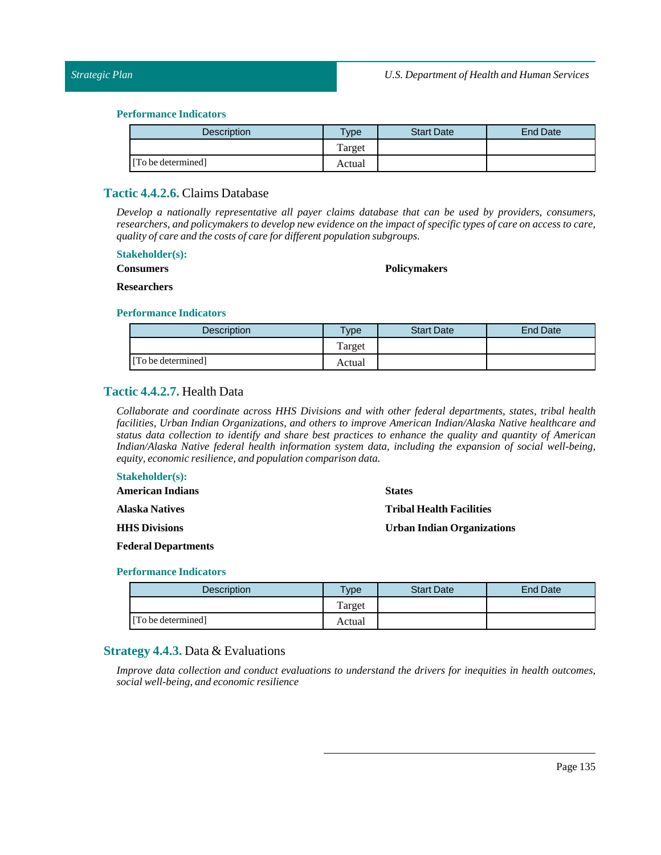| <b>Description</b> | Type <sub>o</sub> | <b>Start Date</b> | <b>End Date</b> |
|--------------------|-------------------|-------------------|-----------------|
|                    | Target            |                   |                 |
| [To be determined] | Actual            |                   |                 |

# **Tactic 4.4.2.6.** Claims Database

*Develop a nationally representative all payer claims database that can be used by providers, consumers,* researchers, and policymakers to develop new evidence on the impact of specific types of care on access to care, *quality of care and the costs of care for different population subgroups.*

#### **Stakeholder(s):**

# **Consumers**

## **Policymakers**

#### **Researchers**

#### **Performance Indicators**

| <b>Description</b> | <b>Type</b> | <b>Start Date</b> | <b>End Date</b> |
|--------------------|-------------|-------------------|-----------------|
|                    | Target      |                   |                 |
| [To be determined] | Actual      |                   |                 |

# **Tactic 4.4.2.7.** Health Data

*Collaborate and coordinate across HHS Divisions and with other federal departments, states, tribal health facilities, Urban Indian Organizations, and others to improve American Indian/Alaska Native healthcare and* status data collection to identify and share best practices to enhance the quality and quantity of American *Indian/Alaska Native federal health information system data, including the expansion of social well-being, equity, economic resilience, and population comparison data.*

#### **Stakeholder(s):**

| <b>American Indians</b> | <b>States</b>                     |  |
|-------------------------|-----------------------------------|--|
| Alaska Natives          | <b>Tribal Health Facilities</b>   |  |
| <b>HHS Divisions</b>    | <b>Urban Indian Organizations</b> |  |

**Federal Departments**

#### **Performance Indicators**

| Description        | <b>VDe</b> | <b>Start Date</b> | End Date |
|--------------------|------------|-------------------|----------|
|                    | Target     |                   |          |
| [To be determined] | Actual     |                   |          |

# **Strategy 4.4.3.** Data & Evaluations

*Improve data collection and conduct evaluations to understand the drivers for inequities in health outcomes, social well-being, and economic resilience*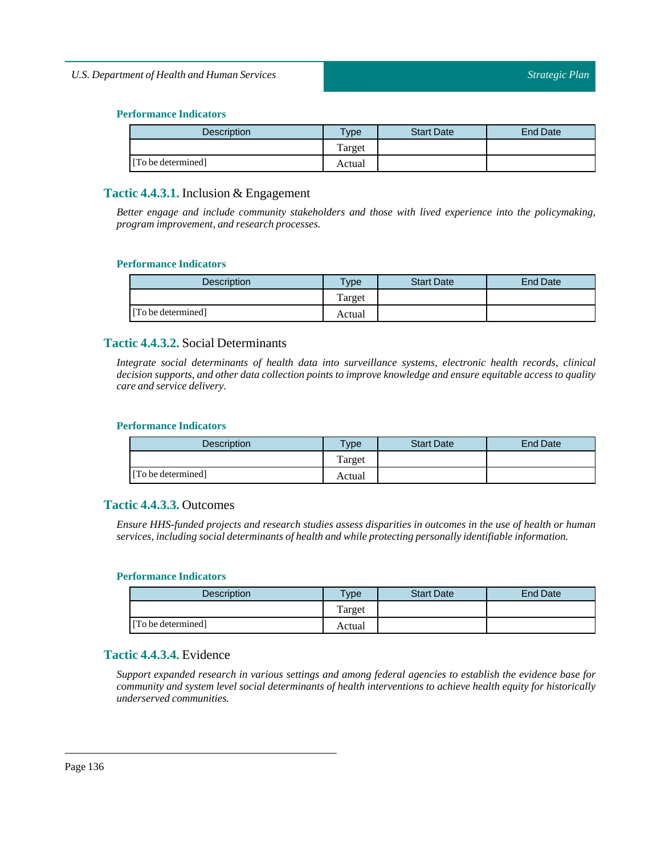| <b>Description</b> | $T$ ype | <b>Start Date</b> | End Date |
|--------------------|---------|-------------------|----------|
|                    | Target  |                   |          |
| [To be determined] | Actual  |                   |          |

# **Tactic 4.4.3.1.** Inclusion & Engagement

*Better engage and include community stakeholders and those with lived experience into the policymaking, program improvement, and research processes.*

# **Performance Indicators**

| <b>Description</b> | $T$ <sub>ype</sub> | <b>Start Date</b> | End Date |
|--------------------|--------------------|-------------------|----------|
|                    | Target             |                   |          |
| [To be determined] | Actual             |                   |          |

# **Tactic 4.4.3.2.** Social Determinants

*Integrate social determinants of health data into surveillance systems, electronic health records, clinical decision supports, and other data collection points to improve knowledge and ensure equitable access to quality care and service delivery.*

## **Performance Indicators**

| Description        | $T$ <sub>V</sub> pe | <b>Start Date</b> | <b>End Date</b> |
|--------------------|---------------------|-------------------|-----------------|
|                    | Target              |                   |                 |
| [To be determined] | Actual              |                   |                 |

# **Tactic 4.4.3.3.** Outcomes

Ensure HHS-funded projects and research studies assess disparities in outcomes in the use of health or human *services,including social determinants of health and while protecting personally identifiable information.*

# **Performance Indicators**

| <b>Description</b> | <b>Type</b> | <b>Start Date</b> | <b>End Date</b> |
|--------------------|-------------|-------------------|-----------------|
|                    | Target      |                   |                 |
| [To be determined] | Actual      |                   |                 |

# **Tactic 4.4.3.4.** Evidence

*Support expanded research in various settings and among federal agencies to establish the evidence base for community and system level social determinants of health interventions to achieve health equity for historically underserved communities.*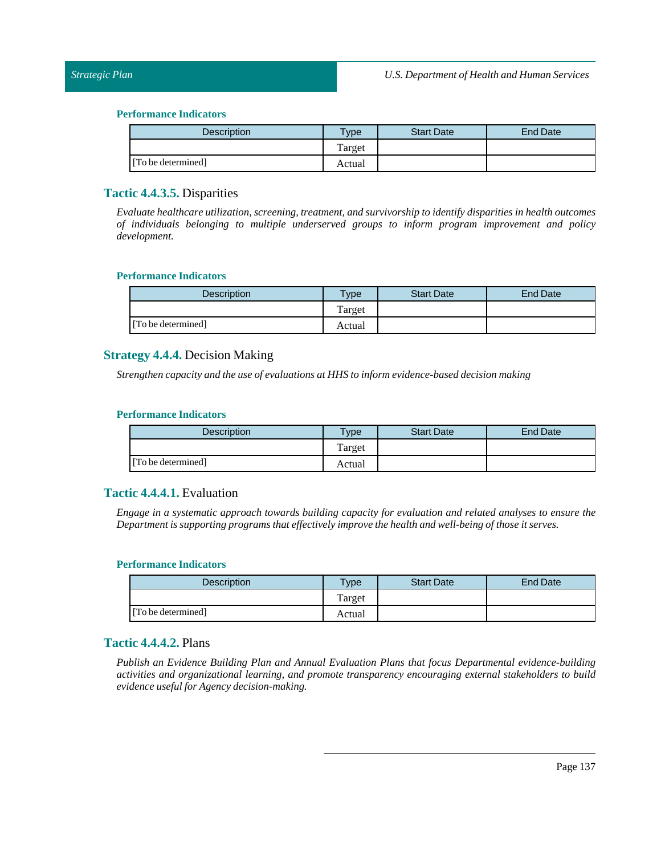| <b>Description</b> | $T$ <sub>ype</sub> | <b>Start Date</b> | End Date |
|--------------------|--------------------|-------------------|----------|
|                    | Target             |                   |          |
| [To be determined] | Actual             |                   |          |

# **Tactic 4.4.3.5.** Disparities

*Evaluate healthcare utilization, screening,treatment, and survivorship to identify disparities in health outcomes of individuals belonging to multiple underserved groups to inform program improvement and policy development.*

#### **Performance Indicators**

| <b>Description</b> | Type   | <b>Start Date</b> | End Date |
|--------------------|--------|-------------------|----------|
|                    | Target |                   |          |
| [To be determined] | Actual |                   |          |

# **Strategy 4.4.4.** Decision Making

*Strengthen capacity and the use of evaluations at HHS to inform evidence-based decision making*

#### **Performance Indicators**

| <b>Description</b> | <b>Type</b> | <b>Start Date</b> | End Date |
|--------------------|-------------|-------------------|----------|
|                    | Target      |                   |          |
| [To be determined] | Actual      |                   |          |

# **Tactic 4.4.4.1.** Evaluation

*Engage in a systematic approach towards building capacity for evaluation and related analyses to ensure the Departmentis supporting programs that effectively improve the health and well-being ofthose it serves.*

#### **Performance Indicators**

| <b>Description</b> | <b>Type</b> | <b>Start Date</b> | <b>End Date</b> |
|--------------------|-------------|-------------------|-----------------|
|                    | Target      |                   |                 |
| [To be determined] | Actual      |                   |                 |

# **Tactic 4.4.4.2.** Plans

*Publish an Evidence Building Plan and Annual Evaluation Plans that focus Departmental evidence-building activities and organizational learning, and promote transparency encouraging external stakeholders to build evidence usefulfor Agency decision-making.*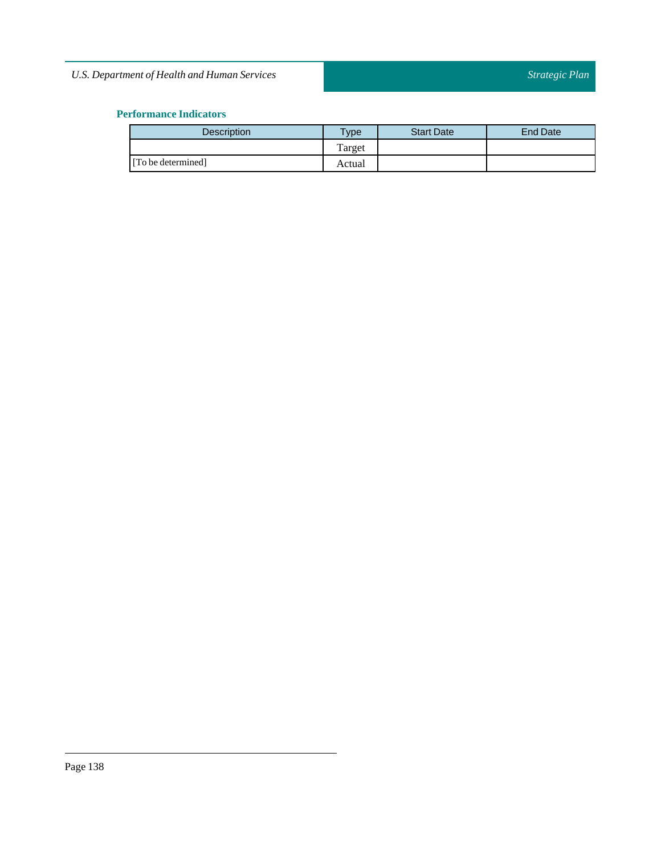| <b>Description</b> | vpe    | <b>Start Date</b> | End Date |
|--------------------|--------|-------------------|----------|
|                    | Target |                   |          |
| [To be determined] | Actual |                   |          |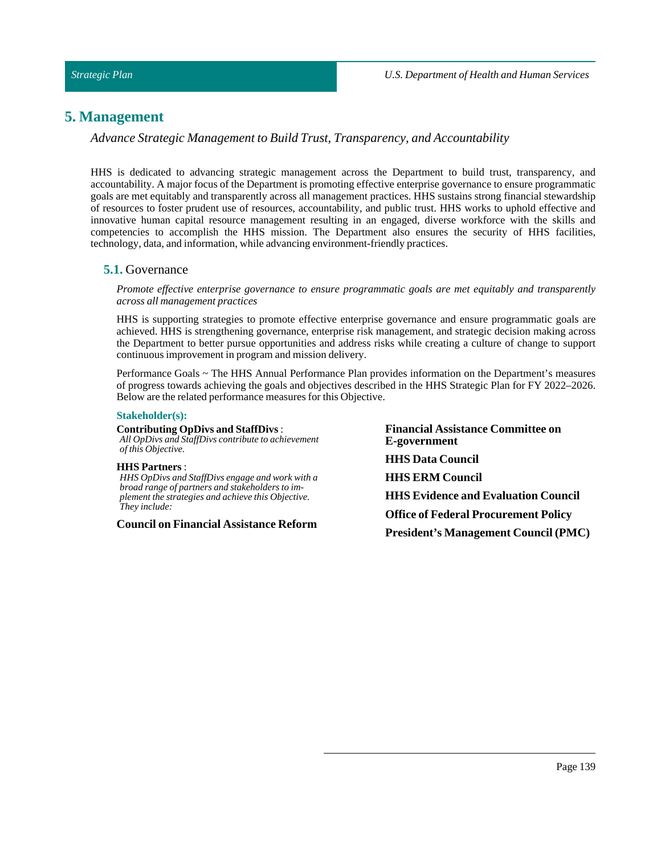# **5. Management**

*Advance Strategic Management to Build Trust, Transparency, and Accountability*

HHS is dedicated to advancing strategic management across the Department to build trust, transparency, and accountability. A major focus of the Department is promoting effective enterprise governance to ensure programmatic goals are met equitably and transparently across all management practices. HHS sustains strong financial stewardship of resources to foster prudent use of resources, accountability, and public trust. HHS works to uphold effective and innovative human capital resource management resulting in an engaged, diverse workforce with the skills and competencies to accomplish the HHS mission. The Department also ensures the security of HHS facilities, technology, data, and information, while advancing environment-friendly practices.

## **5.1.** Governance

*Promote effective enterprise governance to ensure programmatic goals are met equitably and transparently across all management practices*

HHS is supporting strategies to promote effective enterprise governance and ensure programmatic goals are achieved. HHS is strengthening governance, enterprise risk management, and strategic decision making across the Department to better pursue opportunities and address risks while creating a culture of change to support continuous improvement in program and mission delivery.

Performance Goals ~ The HHS Annual Performance Plan provides information on the Department's measures of progress towards achieving the goals and objectives described in the HHS Strategic Plan for FY 2022–2026. Below are the related performance measures for this Objective.

#### **Stakeholder(s):**

**Contributing OpDivs and StaffDivs**: *All OpDivs and StaffDivs contribute to achievement of this Objective.*

#### **HHS Partners** :

*HHS OpDivs and StaffDivs engage and work with a broad range of partners and stakeholders to implement the strategies and achieve this Objective. They include:*

**Council on Financial Assistance Reform**

**Financial Assistance Committee on E-government HHS Data Council HHS ERM Council HHS Evidence and Evaluation Council Office of Federal Procurement Policy President's Management Council (PMC)**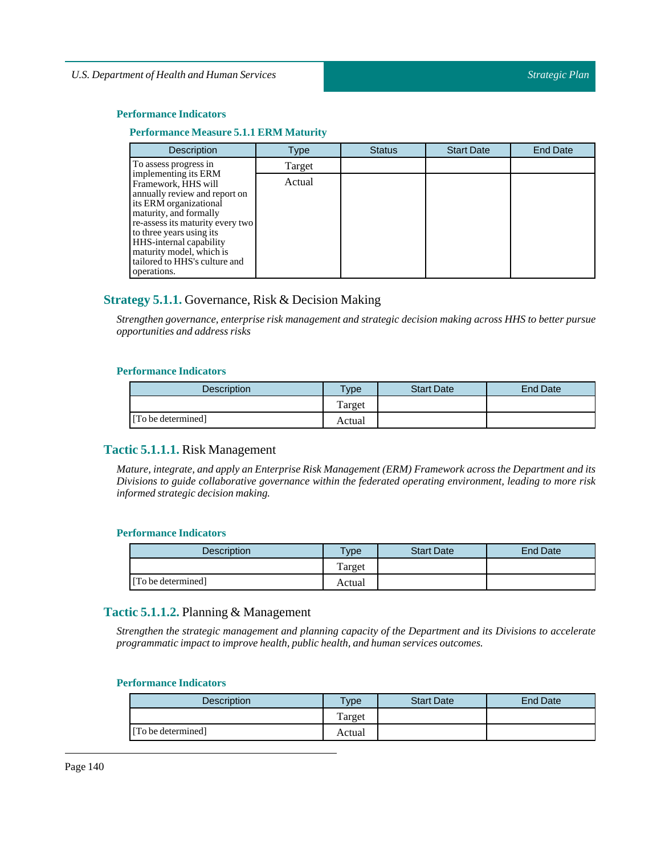### **Performance Indicators**

## **Performance Measure 5.1.1 ERM Maturity**

| <b>Description</b>                                                                                                                                                                                                          | Type   | <b>Status</b> | <b>Start Date</b> | <b>End Date</b> |
|-----------------------------------------------------------------------------------------------------------------------------------------------------------------------------------------------------------------------------|--------|---------------|-------------------|-----------------|
| To assess progress in                                                                                                                                                                                                       | Target |               |                   |                 |
| implementing its ERM<br>Framework, HHS will<br>annually review and report on<br>its ERM organizational<br>maturity, and formally<br>re-assess its maturity every two<br>to three years using its<br>HHS-internal capability | Actual |               |                   |                 |
| maturity model, which is<br>tailored to HHS's culture and<br>operations.                                                                                                                                                    |        |               |                   |                 |

# **Strategy 5.1.1.** Governance, Risk & Decision Making

*Strengthen governance, enterprise risk management and strategic decision making across HHS to better pursue opportunities and address risks*

#### **Performance Indicators**

| <b>Description</b> | <b>Type</b> | <b>Start Date</b> | <b>End Date</b> |
|--------------------|-------------|-------------------|-----------------|
|                    | Target      |                   |                 |
| [To be determined] | Actual      |                   |                 |

# **Tactic 5.1.1.1.** Risk Management

*Mature, integrate, and apply an Enterprise Risk Management (ERM) Framework across the Department and its Divisions to guide collaborative governance within the federated operating environment, leading to more risk informed strategic decision making.*

## **Performance Indicators**

| <b>Description</b> | <b>Type</b> | <b>Start Date</b> | <b>End Date</b> |
|--------------------|-------------|-------------------|-----------------|
|                    | l'arget     |                   |                 |
| [To be determined] | Actual      |                   |                 |

# **Tactic 5.1.1.2.** Planning & Management

*Strengthen the strategic management and planning capacity of the Department and its Divisions to accelerate programmatic impactto improve health, public health, and human services outcomes.*

| <b>Description</b> | Type   | <b>Start Date</b> | <b>End Date</b> |
|--------------------|--------|-------------------|-----------------|
|                    | Target |                   |                 |
| [To be determined] | Actual |                   |                 |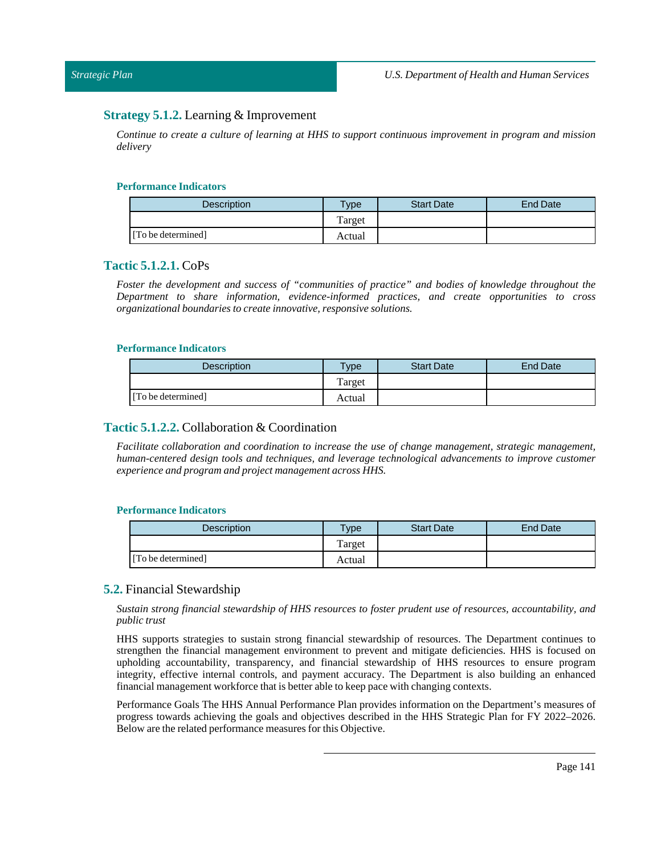# **Strategy 5.1.2.** Learning & Improvement

*Continue to create a culture of learning at HHS to support continuous improvement in program and mission delivery*

## **Performance Indicators**

| Description        | $v$ pe | <b>Start Date</b> | <b>End Date</b> |
|--------------------|--------|-------------------|-----------------|
|                    | Target |                   |                 |
| [To be determined] | Actual |                   |                 |

## **Tactic 5.1.2.1.** CoPs

*Foster the development and success of "communities of practice" and bodies of knowledge throughout the Department to share information, evidence-informed practices, and create opportunities to cross organizational boundaries to create innovative, responsive solutions.*

#### **Performance Indicators**

| Description.       | $v$ pe | <b>Start Date</b> | End Date |
|--------------------|--------|-------------------|----------|
|                    | Target |                   |          |
| [To be determined] | Actual |                   |          |

# **Tactic 5.1.2.2.** Collaboration & Coordination

*Facilitate collaboration and coordination to increase the use of change management, strategic management, human-centered design tools and techniques, and leverage technological advancements to improve customer experience and program and project management across HHS.*

#### **Performance Indicators**

| Description        | $T$ <sub>V</sub> $pe$ | <b>Start Date</b> | <b>End Date</b> |
|--------------------|-----------------------|-------------------|-----------------|
|                    | Target                |                   |                 |
| [To be determined] | Actual                |                   |                 |

#### **5.2.** Financial Stewardship

*Sustain strong financial stewardship of HHS resources to foster prudent use of resources, accountability, and public trust*

HHS supports strategies to sustain strong financial stewardship of resources. The Department continues to strengthen the financial management environment to prevent and mitigate deficiencies. HHS is focused on upholding accountability, transparency, and financial stewardship of HHS resources to ensure program integrity, effective internal controls, and payment accuracy. The Department is also building an enhanced financial management workforce that is better able to keep pace with changing contexts.

Performance Goals The HHS Annual Performance Plan provides information on the Department's measures of progress towards achieving the goals and objectives described in the HHS Strategic Plan for FY 2022–2026. Below are the related performance measures for this Objective.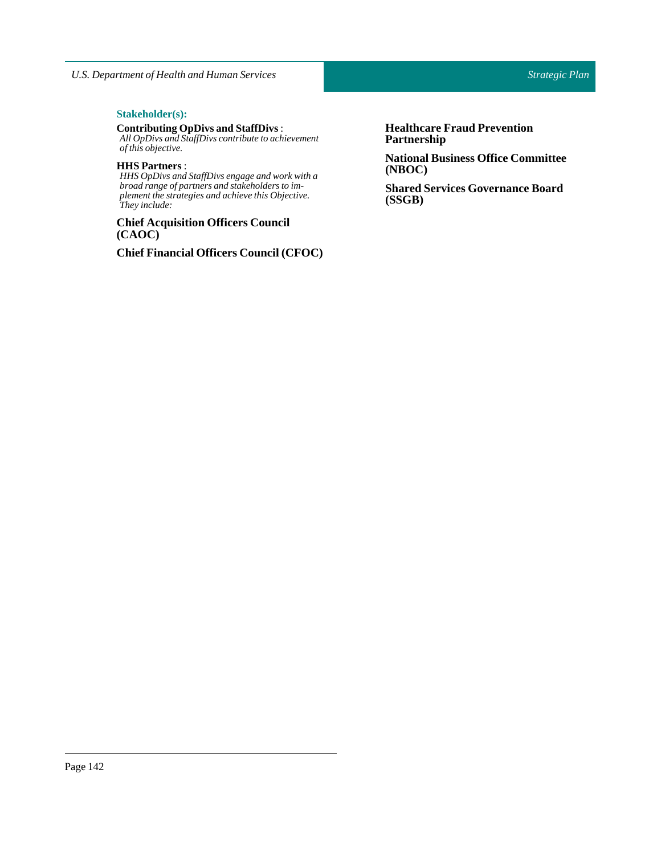# $Stakeholder(s):$

#### **Contributing OpDivs and StaffDivs**: *All OpDivs and StaffDivs contribute to achievement*

*of this objective.*

# **HHS Partners** :

*HHS OpDivs and StaffDivs engage and work with a broad range of partners and stakeholders to implement the strategies and achieve this Objective. They include:*

# **Chief Acquisition Officers Council (CAOC)**

**Chief Financial Officers Council (CFOC)**

**Healthcare Fraud Prevention Partnership**

**National Business Office Committee (NBOC)**

**Shared Services Governance Board (SSGB)**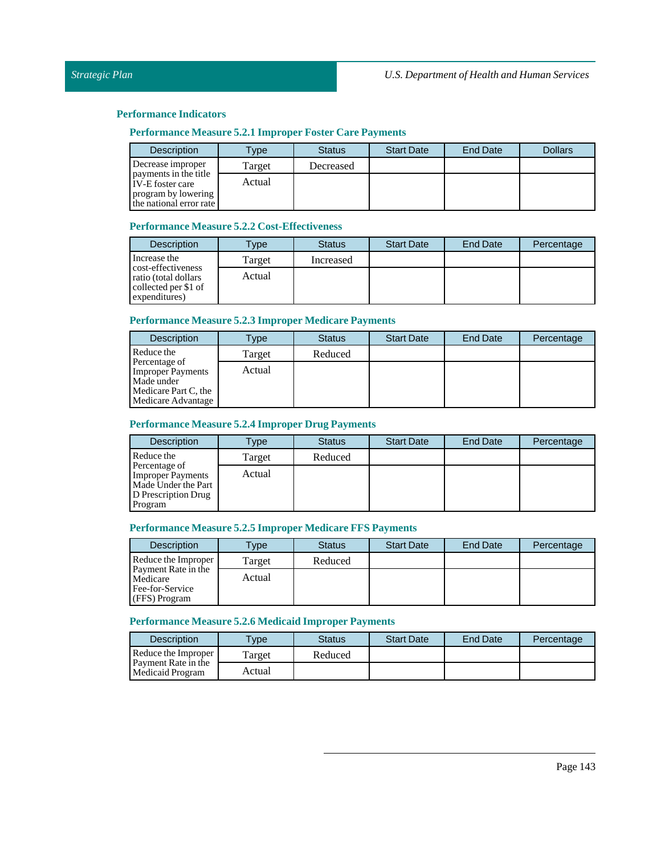# **Performance Measure 5.2.1 Improper Foster Care Payments**

| <b>Description</b>                               | $T$ <sub>V</sub> $pe$ | <b>Status</b> | <b>Start Date</b> | <b>End Date</b> | <b>Dollars</b> |
|--------------------------------------------------|-----------------------|---------------|-------------------|-----------------|----------------|
| Decrease improper                                | Target                | Decreased     |                   |                 |                |
| payments in the title<br><b>IV-E</b> foster care | Actual                |               |                   |                 |                |
| program by lowering<br>the national error rate   |                       |               |                   |                 |                |

# **Performance Measure 5.2.2 Cost-Effectiveness**

| <b>Description</b>                                                                  | Type   | <b>Status</b> | <b>Start Date</b> | <b>End Date</b> | Percentage |
|-------------------------------------------------------------------------------------|--------|---------------|-------------------|-----------------|------------|
| Increase the                                                                        | Target | Increased     |                   |                 |            |
| cost-effectiveness<br>ratio (total dollars<br>collected per \$1 of<br>expenditures) | Actual |               |                   |                 |            |

# **Performance Measure 5.2.3 Improper Medicare Payments**

| <b>Description</b>                        | Type   | <b>Status</b> | <b>Start Date</b> | End Date | Percentage |
|-------------------------------------------|--------|---------------|-------------------|----------|------------|
| Reduce the                                | Target | Reduced       |                   |          |            |
| Percentage of<br><b>Improper Payments</b> | Actual |               |                   |          |            |
| Made under<br>Medicare Part C, the        |        |               |                   |          |            |
| Medicare Advantage                        |        |               |                   |          |            |

# **Performance Measure 5.2.4 Improper Drug Payments**

| <b>Description</b>                                                                                 | Type   | <b>Status</b> | <b>Start Date</b> | <b>End Date</b> | Percentage |
|----------------------------------------------------------------------------------------------------|--------|---------------|-------------------|-----------------|------------|
| Reduce the                                                                                         | Target | Reduced       |                   |                 |            |
| Percentage of<br><b>Improper Payments</b><br>Made Under the Part<br>D Prescription Drug<br>Program | Actual |               |                   |                 |            |

## **Performance Measure 5.2.5 Improper Medicare FFS Payments**

| <b>Description</b>                                                         | <b>Type</b> | <b>Status</b> | <b>Start Date</b> | End Date | Percentage |
|----------------------------------------------------------------------------|-------------|---------------|-------------------|----------|------------|
| Reduce the Improper                                                        | Target      | Reduced       |                   |          |            |
| <b>Payment Rate in the</b><br>Medicare<br>Fee-for-Service<br>(FFS) Program | Actual      |               |                   |          |            |

## **Performance Measure 5.2.6 MedicaidImproper Payments**

| Description                                                           | <b>Type</b> | <b>Status</b> | <b>Start Date</b> | <b>End Date</b> | Percentage |
|-----------------------------------------------------------------------|-------------|---------------|-------------------|-----------------|------------|
| Reduce the Improper<br><b>Payment Rate in the</b><br>Medicaid Program | Target      | Reduced       |                   |                 |            |
|                                                                       | Actual      |               |                   |                 |            |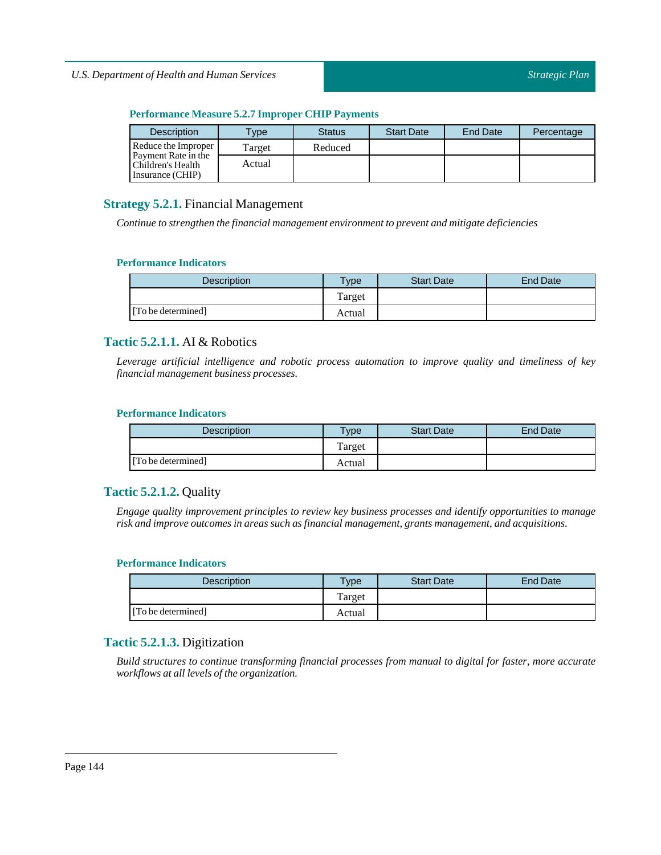# **Performance Measure 5.2.7 Improper CHIP Payments**

| <b>Description</b>                                                                  | <b>Type</b> | <b>Status</b> | <b>Start Date</b> | End Date | Percentage |
|-------------------------------------------------------------------------------------|-------------|---------------|-------------------|----------|------------|
| Reduce the Improper<br>Payment Rate in the<br>Children's Health<br>Insurance (CHIP) | Target      | Reduced       |                   |          |            |
|                                                                                     | Actual      |               |                   |          |            |

# **Strategy 5.2.1.** Financial Management

*Continue to strengthen the financial management environmentto prevent and mitigate deficiencies*

# **Performance Indicators**

| <b>Description</b> | <b>Type</b> | <b>Start Date</b> | <b>End Date</b> |
|--------------------|-------------|-------------------|-----------------|
|                    | Target      |                   |                 |
| [To be determined] | Actual      |                   |                 |

# **Tactic 5.2.1.1.** AI & Robotics

*Leverage artificial intelligence and robotic process automation to improve quality and timeliness of key financial management business processes.*

# **Performance Indicators**

| Description        | vpe    | <b>Start Date</b> | End Date |
|--------------------|--------|-------------------|----------|
|                    | Target |                   |          |
| [To be determined] | Actual |                   |          |

# **Tactic 5.2.1.2.** Quality

*Engage quality improvement principles to review key business processes and identify opportunities to manage risk and improve outcomes in areas such as financial management, grants management, and acquisitions.*

# **Performance Indicators**

| <b>Description</b> | <b>Type</b> | <b>Start Date</b> | End Date |
|--------------------|-------------|-------------------|----------|
|                    | Target      |                   |          |
| [To be determined] | Actual      |                   |          |

# **Tactic 5.2.1.3.** Digitization

*Build structures to continue transforming financial processes from manual to digital for faster, more accurate workflows at all levels of the organization.*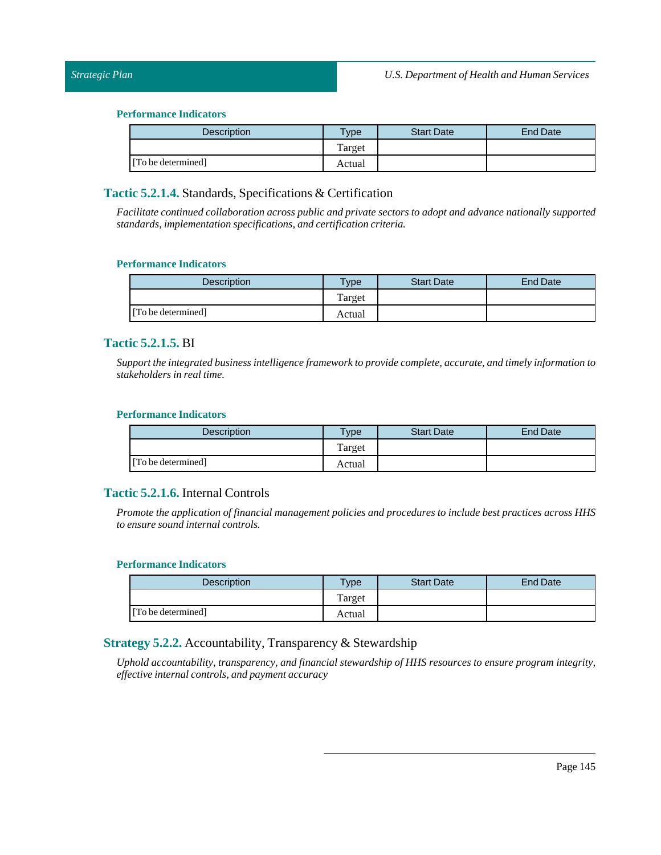| <b>Description</b> | <b>Type</b> | <b>Start Date</b> | <b>End Date</b> |
|--------------------|-------------|-------------------|-----------------|
|                    | Target      |                   |                 |
| [To be determined] | Actual      |                   |                 |

## **Tactic 5.2.1.4.** Standards, Specifications & Certification

*Facilitate continued collaboration across public and private sectors to adopt and advance nationally supported standards,implementation specifications, and certification criteria.*

#### **Performance Indicators**

| <b>Description</b> | $v$ pe | <b>Start Date</b> | <b>End Date</b> |
|--------------------|--------|-------------------|-----------------|
|                    | Target |                   |                 |
| [To be determined] | Actual |                   |                 |

### **Tactic 5.2.1.5.** BI

*Supportthe integrated business intelligence framework to provide complete, accurate, and timely information to*  $stackholders in real time.$ 

#### **Performance Indicators**

| <b>Description</b> | $T$ <sub>ype</sub> | <b>Start Date</b> | <b>End Date</b> |
|--------------------|--------------------|-------------------|-----------------|
|                    | Target             |                   |                 |
| [To be determined] | Actual             |                   |                 |

## **Tactic 5.2.1.6.** Internal Controls

*Promote the application of financial management policies and procedures to include best practices across HHS to ensure sound internal controls.*

#### **Performance Indicators**

| <b>Description</b> | <b>Type</b> | <b>Start Date</b> | End Date |
|--------------------|-------------|-------------------|----------|
|                    | Target      |                   |          |
| [To be determined] | Actual      |                   |          |

## **Strategy 5.2.2.** Accountability, Transparency & Stewardship

*Uphold accountability, transparency, and financial stewardship of HHS resources to ensure program integrity, effective internal controls, and payment accuracy*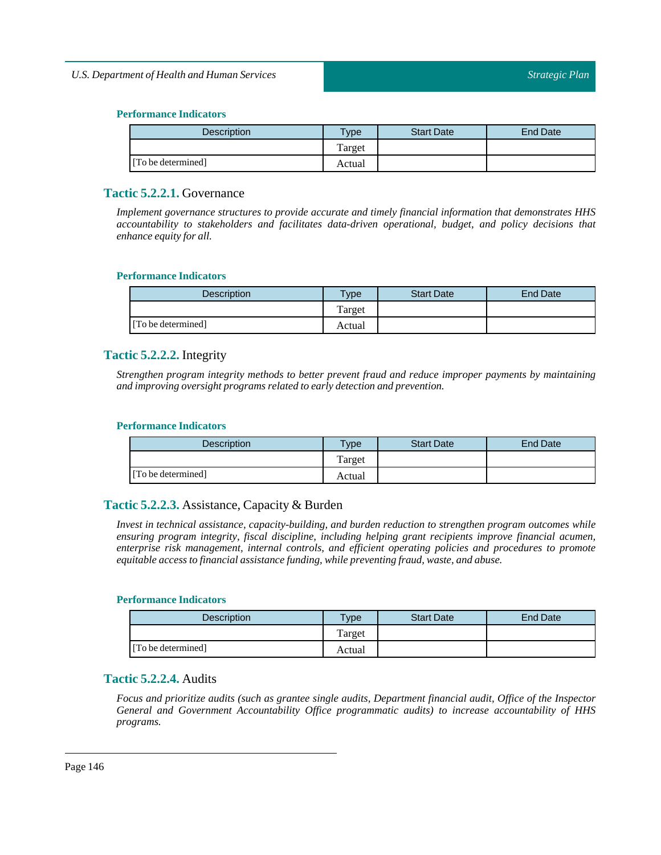| <b>Description</b> | <b>Type</b> | <b>Start Date</b> | End Date |
|--------------------|-------------|-------------------|----------|
|                    | Target      |                   |          |
| [To be determined] | Actual      |                   |          |

## **Tactic 5.2.2.1.** Governance

*Implement governance structures to provide accurate and timely financial information that demonstrates HHS accountability to stakeholders and facilitates data-driven operational, budget, and policy decisions that enhance equity for all.*

#### **Performance Indicators**

| <b>Description</b> | <b>Type</b> | <b>Start Date</b> | <b>End Date</b> |
|--------------------|-------------|-------------------|-----------------|
|                    | Target      |                   |                 |
| [To be determined] | Actual      |                   |                 |

### **Tactic 5.2.2.2.** Integrity

*Strengthen program integrity methods to better prevent fraud and reduce improper payments by maintaining and improving oversight programs related to early detection and prevention.*

### **Performance Indicators**

| Description        | <b>Type</b> | <b>Start Date</b> | <b>End Date</b> |
|--------------------|-------------|-------------------|-----------------|
|                    | Target      |                   |                 |
| [To be determined] | Actual      |                   |                 |

## **Tactic 5.2.2.3.** Assistance, Capacity & Burden

*Invest in technical assistance, capacity-building, and burden reduction to strengthen program outcomes while ensuring program integrity, fiscal discipline, including helping grant recipients improve financial acumen, enterprise risk management, internal controls, and efficient operating policies and procedures to promote equitable access to financial assistance funding, while preventing fraud, waste, and abuse.*

#### **Performance Indicators**

| Description        | $T$ ype | <b>Start Date</b> | End Date |
|--------------------|---------|-------------------|----------|
|                    | Target  |                   |          |
| [To be determined] | Actual  |                   |          |

## **Tactic 5.2.2.4.** Audits

*Focus and prioritize audits (such as grantee single audits, Department financial audit, Office of the Inspector General and Government Accountability Office programmatic audits) to increase accountability of HHS programs.*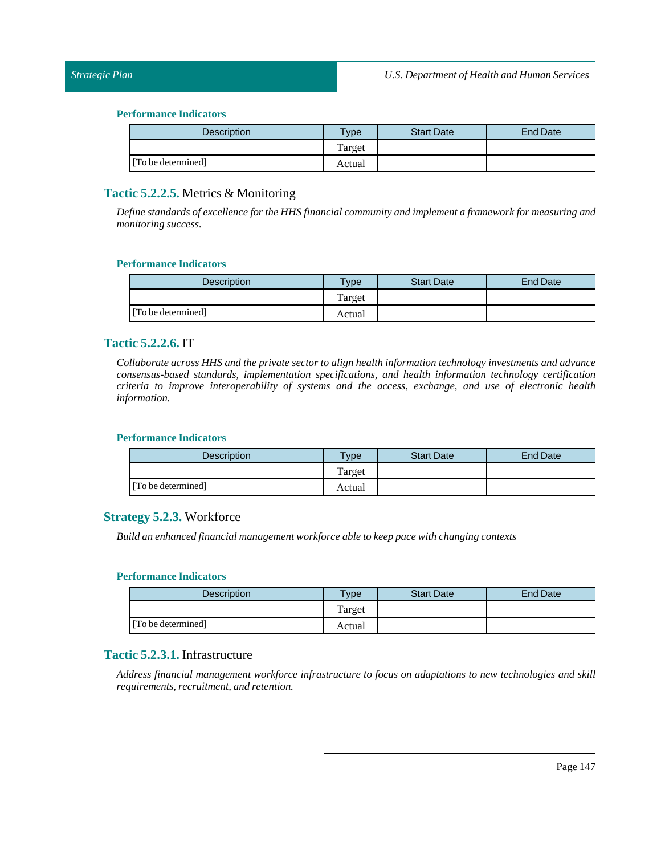| Description        | <b>Type</b> | <b>Start Date</b> | <b>End Date</b> |
|--------------------|-------------|-------------------|-----------------|
|                    | Target      |                   |                 |
| [To be determined] | Actual      |                   |                 |

## **Tactic 5.2.2.5.** Metrics & Monitoring

*Define standards of excellence for the HHS financial community and implement a framework for measuring and monitoring success.*

#### **Performance Indicators**

| <b>Description</b> | <b>Type</b> | <b>Start Date</b> | <b>End Date</b> |
|--------------------|-------------|-------------------|-----------------|
|                    | Target      |                   |                 |
| [To be determined] | Actual      |                   |                 |

### **Tactic 5.2.2.6.** IT

*Collaborate across HHS and the private sector to align health information technology investments and advance consensus-based standards, implementation specifications, and health information technology certification criteria to improve interoperability of systems and the access, exchange, and use of electronic health information.*

#### **Performance Indicators**

| <b>Description</b> | $v_{\rm p}$ | <b>Start Date</b> | End Date |
|--------------------|-------------|-------------------|----------|
|                    | Target      |                   |          |
| [To be determined] | Actual      |                   |          |

## **Strategy 5.2.3.** Workforce

*Build an enhanced financial management workforce able to keep pace with changing contexts*

#### **Performance Indicators**

| <b>Description</b> | Type   | <b>Start Date</b> | End Date |
|--------------------|--------|-------------------|----------|
|                    | Target |                   |          |
| [To be determined] | Actual |                   |          |

## **Tactic 5.2.3.1.** Infrastructure

*Address financial management workforce infrastructure to focus on adaptations to new technologies and skill requirements, recruitment, and retention.*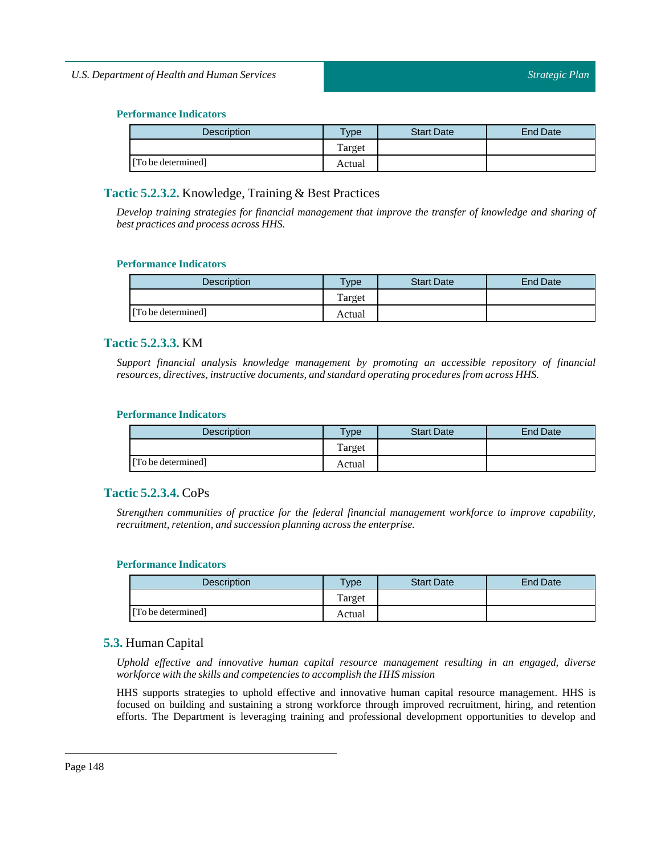| <b>Description</b> | <b>Type</b> | <b>Start Date</b> | End Date |
|--------------------|-------------|-------------------|----------|
|                    | Target      |                   |          |
| [To be determined] | Actual      |                   |          |

## **Tactic 5.2.3.2.** Knowledge, Training & Best Practices

*Develop training strategies for financial management that improve the transfer of knowledge and sharing of best practices and process across HHS.*

### **Performance Indicators**

| <b>Description</b> | <b>Vpe</b> | <b>Start Date</b> | <b>End Date</b> |
|--------------------|------------|-------------------|-----------------|
|                    | Target     |                   |                 |
| [To be determined] | Actual     |                   |                 |

## **Tactic 5.2.3.3.** KM

*Support financial analysis knowledge management by promoting an accessible repository of financial resources, directives,instructive documents, and standard operating procedures from across HHS.*

### **Performance Indicators**

| <b>Description</b> | $T$ <sub>ype</sub> | <b>Start Date</b> | <b>End Date</b> |
|--------------------|--------------------|-------------------|-----------------|
|                    | Target             |                   |                 |
| [To be determined] | Actual             |                   |                 |

## **Tactic 5.2.3.4.** CoPs

*Strengthen communities of practice for the federal financial management workforce to improve capability, recruitment, retention, and succession planning across the enterprise.*

### **Performance Indicators**

| <b>Description</b> | Type   | <b>Start Date</b> | <b>End Date</b> |
|--------------------|--------|-------------------|-----------------|
|                    | Target |                   |                 |
| [To be determined] | Actual |                   |                 |

## **5.3.** Human Capital

*Uphold effective and innovative human capital resource management resulting in an engaged, diverse workforce with the skills and competencies to accomplish the HHS mission*

HHS supports strategies to uphold effective and innovative human capital resource management. HHS is focused on building and sustaining a strong workforce through improved recruitment, hiring, and retention efforts. The Department is leveraging training and professional development opportunities to develop and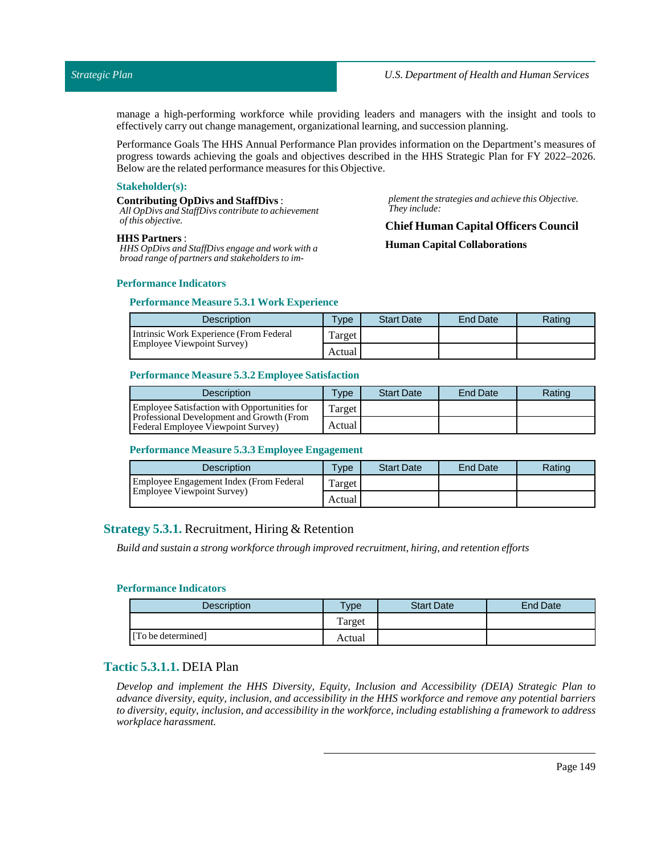*plement the strategies and achieve this Objective.*

manage a high-performing workforce while providing leaders and managers with the insight and tools to effectively carry out change management, organizationallearning, and succession planning.

Performance Goals The HHS Annual Performance Plan provides information on the Department's measures of progress towards achieving the goals and objectives described in the HHS Strategic Plan for FY 2022–2026. Below are the related performance measures for this Objective.

#### **Stakeholder(s):**

#### **Contributing OpDivs and StaffDivs**:

*All OpDivs and StaffDivs contribute to achievement of this objective.*

## *They include:* **Chief Human Capital Officers Council**

#### **HHS Partners** :

*HHS OpDivs and StaffDivs engage and work with a broad range of partners and stakeholders to im-* **Human Capital Collaborations**

#### **Performance Indicators**

#### **Performance Measure 5.3.1 Work Experience**

| <b>Description</b>                      | $T$ <sub>V</sub> pe | <b>Start Date</b> | <b>End Date</b> | Rating |
|-----------------------------------------|---------------------|-------------------|-----------------|--------|
| Intrinsic Work Experience (From Federal | Target,             |                   |                 |        |
| <b>Employee Viewpoint Survey</b>        | Actual              |                   |                 |        |

#### **Performance Measure 5.3.2 Employee Satisfaction**

| <b>Description</b>                                                                     | Type   | <b>Start Date</b> | End Date | Rating |
|----------------------------------------------------------------------------------------|--------|-------------------|----------|--------|
| Employee Satisfaction with Opportunities for                                           | Target |                   |          |        |
| <b>Professional Development and Growth (From</b><br>Federal Employee Viewpoint Survey) | Actual |                   |          |        |

#### **Performance Measure 5.3.3 Employee Engagement**

| <b>Description</b>                      | Type    | <b>Start Date</b> | End Date | Rating |
|-----------------------------------------|---------|-------------------|----------|--------|
| Employee Engagement Index (From Federal | Target, |                   |          |        |
| Employee Viewpoint Survey)              | Actual  |                   |          |        |

## **Strategy 5.3.1.** Recruitment, Hiring & Retention

*Build and sustain a strong workforce through improved recruitment, hiring, and retention efforts*

#### **Performance Indicators**

| Description        | $T$ ype | <b>Start Date</b> | End Date |
|--------------------|---------|-------------------|----------|
|                    | Target  |                   |          |
| [To be determined] | Actual  |                   |          |

## **Tactic 5.3.1.1.** DEIA Plan

*Develop and implement the HHS Diversity, Equity, Inclusion and Accessibility (DEIA) Strategic Plan to advance diversity, equity, inclusion, and accessibility in the HHS workforce and remove any potential barriers to diversity, equity, inclusion, and accessibility in the workforce, including establishing a framework to address workplace harassment.*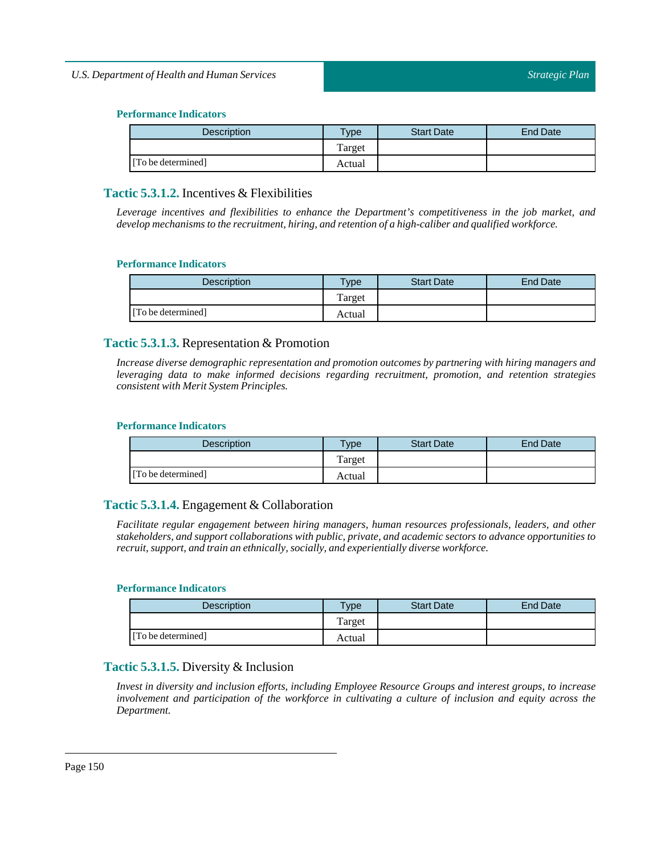| <b>Description</b> | $T$ ype | <b>Start Date</b> | End Date |
|--------------------|---------|-------------------|----------|
|                    | Target  |                   |          |
| [To be determined] | Actual  |                   |          |

## **Tactic 5.3.1.2.** Incentives & Flexibilities

*Leverage incentives and flexibilities to enhance the Department's competitiveness in the job market, and develop mechanisms to the recruitment, hiring, and retention of a high-caliber and qualified workforce.*

### **Performance Indicators**

| <b>Description</b> | Type   | <b>Start Date</b> | <b>End Date</b> |
|--------------------|--------|-------------------|-----------------|
|                    | Target |                   |                 |
| [To be determined] | Actual |                   |                 |

## **Tactic 5.3.1.3.** Representation & Promotion

*Increase diverse demographic representation and promotion outcomes by partnering with hiring managers and leveraging data to make informed decisions regarding recruitment, promotion, and retention strategies consistent with Merit System Principles.*

### **Performance Indicators**

| <b>Description</b> | $T$ <sub>V</sub> $pe$ | <b>Start Date</b> | <b>End Date</b> |
|--------------------|-----------------------|-------------------|-----------------|
|                    | Target                |                   |                 |
| [To be determined] | Actual                |                   |                 |

## **Tactic 5.3.1.4.** Engagement & Collaboration

*Facilitate regular engagement between hiring managers, human resources professionals, leaders, and other stakeholders, and support collaborations with public, private, and academic sectors to advance opportunities to recruit, support, and train an ethnically, socially, and experientially diverse workforce.*

### **Performance Indicators**

| Description        | $T$ <sub>ype</sub> | <b>Start Date</b> | <b>End Date</b> |
|--------------------|--------------------|-------------------|-----------------|
|                    | Target             |                   |                 |
| [To be determined] | Actual             |                   |                 |

## **Tactic 5.3.1.5.** Diversity & Inclusion

*Invest in diversity and inclusion efforts, including Employee Resource Groups and interest groups, to increase involvement and participation of the workforce in cultivating a culture of inclusion and equity across the Department.*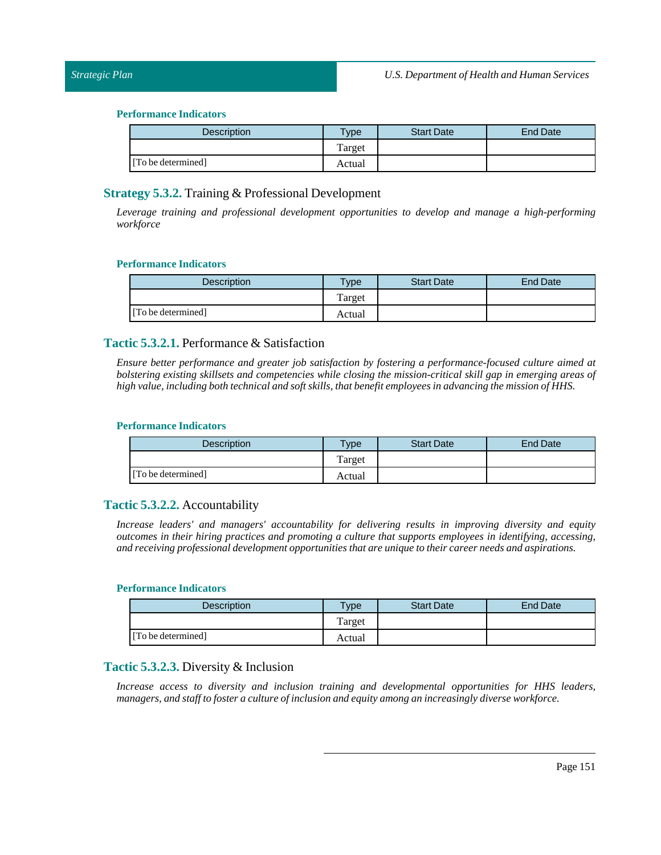| Description        | $T$ ype | <b>Start Date</b> | <b>End Date</b> |
|--------------------|---------|-------------------|-----------------|
|                    | Target  |                   |                 |
| [To be determined] | Actual  |                   |                 |

## **Strategy 5.3.2.** Training & Professional Development

*Leverage training and professional development opportunities to develop and manage a high-performing workforce*

#### **Performance Indicators**

| <b>Description</b> | <b>Type</b> | <b>Start Date</b> | <b>End Date</b> |
|--------------------|-------------|-------------------|-----------------|
|                    | Target      |                   |                 |
| [To be determined] | Actual      |                   |                 |

### **Tactic 5.3.2.1.** Performance & Satisfaction

*Ensure better performance and greater job satisfaction by fostering a performance-focused culture aimed at bolstering existing skillsets and competencies while closing the mission-critical skill gap in emerging areas of high value,including both technical and soft skills,that benefit employees in advancing the mission of HHS.*

### **Performance Indicators**

| <b>Description</b> | <b>Type</b> | <b>Start Date</b> | End Date |
|--------------------|-------------|-------------------|----------|
|                    | Target      |                   |          |
| [To be determined] | Actual      |                   |          |

### **Tactic 5.3.2.2.** Accountability

*Increase leaders' and managers' accountability for delivering results in improving diversity and equity outcomes in their hiring practices and promoting a culture that supports employees in identifying, accessing, and receiving professional development opportunities that are unique to their career needs and aspirations.*

#### **Performance Indicators**

| <b>Description</b> | Type   | <b>Start Date</b> | End Date |
|--------------------|--------|-------------------|----------|
|                    | Target |                   |          |
| [To be determined] | Actual |                   |          |

## **Tactic 5.3.2.3.** Diversity & Inclusion

*Increase access to diversity and inclusion training and developmental opportunities for HHS leaders, managers, and staffto foster a culture ofinclusion and equity among an increasingly diverse workforce.*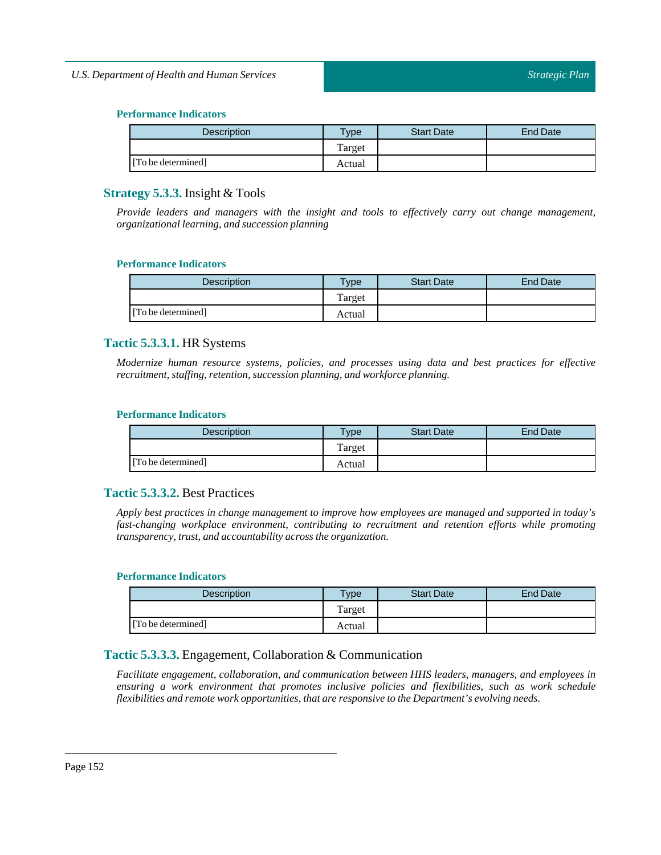| Description        | <b>Type</b> | <b>Start Date</b> | <b>End Date</b> |
|--------------------|-------------|-------------------|-----------------|
|                    | Target      |                   |                 |
| [To be determined] | Actual      |                   |                 |

## **Strategy 5.3.3.** Insight & Tools

*Provide leaders and managers with the insight and tools to effectively carry out change management, organizationallearning, and succession planning*

### **Performance Indicators**

| <b>Description</b> | <b>Vpe</b> | <b>Start Date</b> | <b>End Date</b> |
|--------------------|------------|-------------------|-----------------|
|                    | Target     |                   |                 |
| [To be determined] | Actual     |                   |                 |

## **Tactic 5.3.3.1.** HR Systems

*Modernize human resource systems, policies, and processes using data and best practices for effective recruitment, staffing, retention, succession planning, and workforce planning.*

### **Performance Indicators**

| <b>Description</b> | <b>Type</b> | <b>Start Date</b> | <b>End Date</b> |
|--------------------|-------------|-------------------|-----------------|
|                    | Target      |                   |                 |
| [To be determined] | Actual      |                   |                 |

## **Tactic 5.3.3.2.** Best Practices

*Apply best practices in change management to improve how employees are managed and supported in today's fast-changing workplace environment, contributing to recruitment and retention efforts while promoting transparency, trust, and accountability across the organization.* 

### **Performance Indicators**

| <b>Description</b> | Type   | <b>Start Date</b> | End Date |
|--------------------|--------|-------------------|----------|
|                    | Target |                   |          |
| [To be determined] | Actual |                   |          |

## **Tactic 5.3.3.3.** Engagement, Collaboration & Communication

*Facilitate engagement, collaboration, and communication between HHS leaders, managers, and employees in ensuring a work environment that promotes inclusive policies and flexibilities, such as work schedule flexibilities and remote work opportunities,that are responsive to the Department's evolving needs.*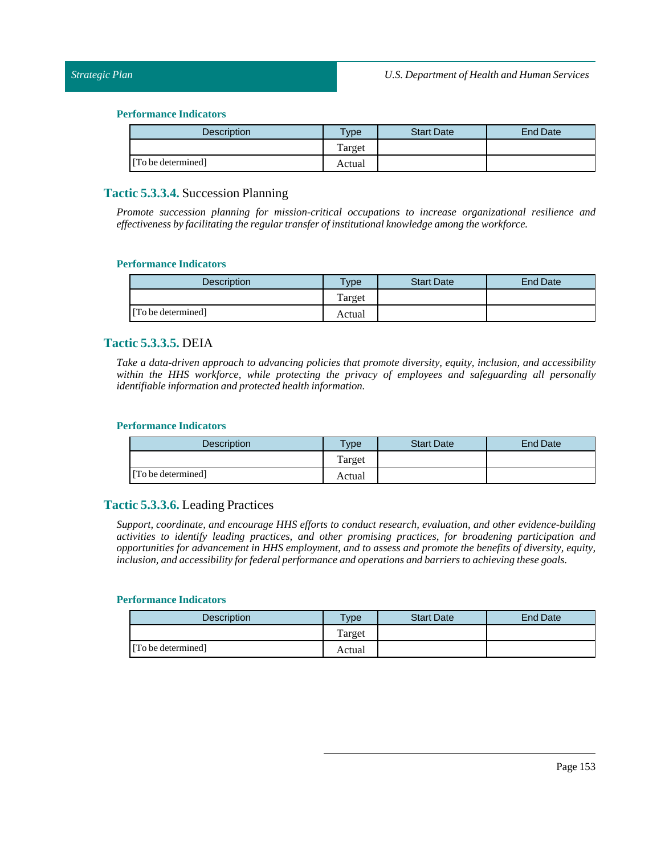| <b>Description</b> | $T$ ype | <b>Start Date</b> | End Date |
|--------------------|---------|-------------------|----------|
|                    | Target  |                   |          |
| [To be determined] | Actual  |                   |          |

### **Tactic 5.3.3.4.** Succession Planning

*Promote succession planning for mission-critical occupations to increase organizational resilience and effectiveness by facilitating the regular transfer ofinstitutional knowledge among the workforce.*

#### **Performance Indicators**

| <b>Description</b> | vpe    | <b>Start Date</b> | <b>End Date</b> |
|--------------------|--------|-------------------|-----------------|
|                    | Target |                   |                 |
| [To be determined] | Actual |                   |                 |

### **Tactic 5.3.3.5.** DEIA

*Take a data-driven approach to advancing policies that promote diversity, equity, inclusion, and accessibility within the HHS workforce, while protecting the privacy of employees and safeguarding all personally identifiable information and protected health information.*

#### **Performance Indicators**

| <b>Description</b> | <b>Vpe</b> | <b>Start Date</b> | End Date |
|--------------------|------------|-------------------|----------|
|                    | Target     |                   |          |
| [To be determined] | Actual     |                   |          |

### **Tactic 5.3.3.6.** Leading Practices

*Support, coordinate, and encourage HHS efforts to conduct research, evaluation, and other evidence-building activities to identify leading practices, and other promising practices, for broadening participation and opportunities for advancement in HHS employment, and to assess and promote the benefits of diversity, equity, inclusion, and accessibility for federal performance and operations and barriers to achieving these goals.*

### **Performance Indicators**

| Description        | $T$ <sub>ype</sub> | <b>Start Date</b> | End Date |
|--------------------|--------------------|-------------------|----------|
|                    | Target             |                   |          |
| [To be determined] | Actual             |                   |          |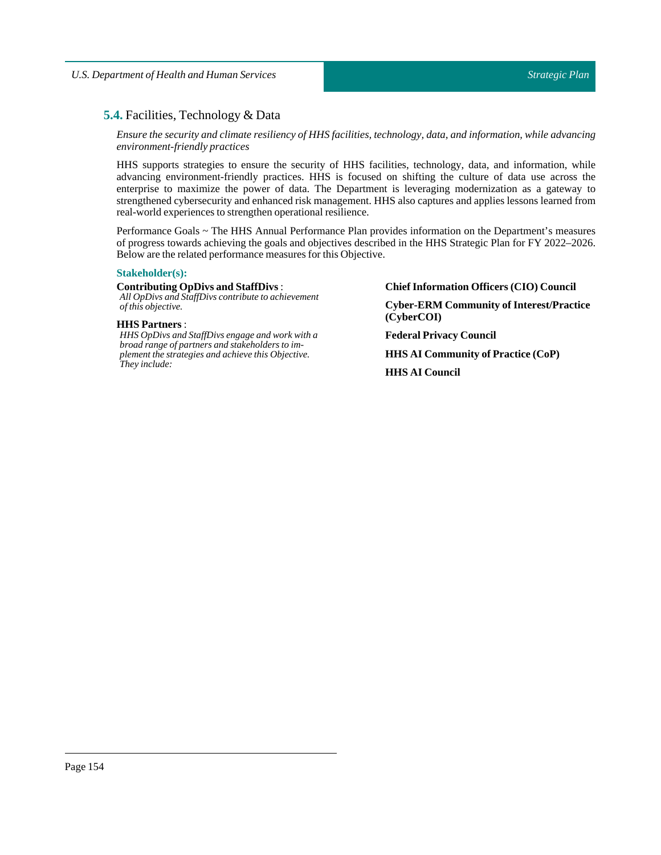## **5.4.** Facilities, Technology & Data

*Ensure the security and climate resiliency of HHS facilities, technology, data, and information, while advancing environment-friendly practices*

HHS supports strategies to ensure the security of HHS facilities, technology, data, and information, while advancing environment-friendly practices. HHS is focused on shifting the culture of data use across the enterprise to maximize the power of data. The Department is leveraging modernization as a gateway to strengthened cybersecurity and enhanced risk management. HHS also captures and applies lessons learned from real-world experiences to strengthen operational resilience.

Performance Goals ~ The HHS Annual Performance Plan provides information on the Department's measures of progress towards achieving the goals and objectives described in the HHS Strategic Plan for FY 2022–2026. Below are the related performance measures for this Objective.

#### **Stakeholder(s):**

#### **Contributing OpDivs and StaffDivs**:

*All OpDivs and StaffDivs contribute to achievement of this objective.*

#### **HHS Partners** :

*HHS OpDivs and StaffDivs engage and work with a broad range of partners and stakeholders to implement the strategies and achieve this Objective. They include:*

**Chief Information Officers (CIO) Council**

**Cyber-ERM Community of Interest/Practice (CyberCOI)**

**Federal Privacy Council**

**HHS AI Community of Practice (CoP)**

**HHS AI Council**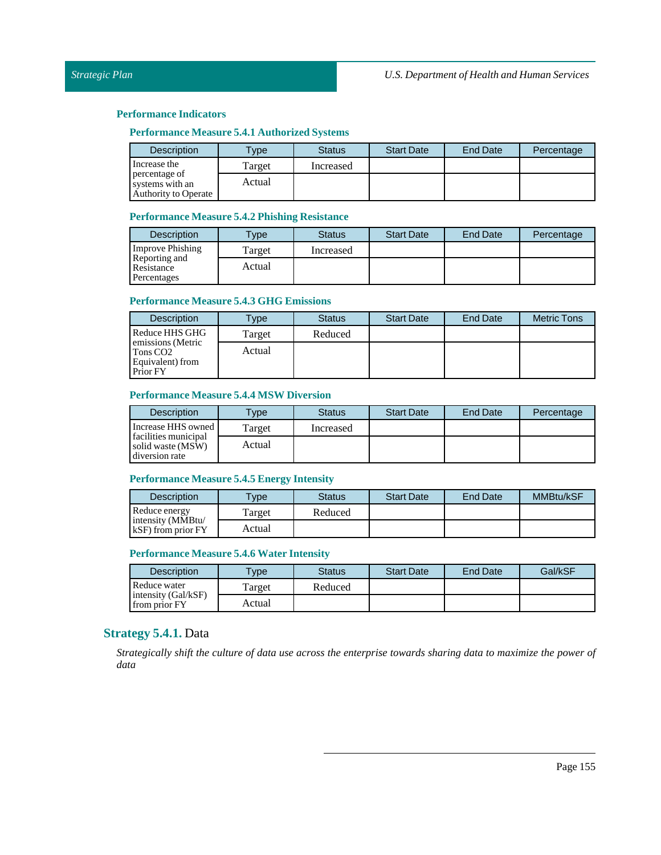#### **Performance Measure 5.4.1 Authorized Systems**

| <b>Description</b>                                              | <b>Type</b> | <b>Status</b> | <b>Start Date</b> | <b>End Date</b> | Percentage |
|-----------------------------------------------------------------|-------------|---------------|-------------------|-----------------|------------|
| Increase the                                                    | Target      | Increased     |                   |                 |            |
| percentage of<br>systems with an<br><b>Authority to Operate</b> | Actual      |               |                   |                 |            |

#### **Performance Measure 5.4.2 Phishing Resistance**

| <b>Description</b>                         | $T$ <sub>V</sub> $pe$ | <b>Status</b> | <b>Start Date</b> | <b>End Date</b> | Percentage |
|--------------------------------------------|-----------------------|---------------|-------------------|-----------------|------------|
| <b>Improve Phishing</b>                    | Target                | Increased     |                   |                 |            |
| Reporting and<br>Resistance<br>Percentages | Actual                |               |                   |                 |            |

### **Performance Measure 5.4.3 GHG Emissions**

| <b>Description</b>                                                        | Type   | <b>Status</b> | <b>Start Date</b> | <b>End Date</b> | <b>Metric Tons</b> |
|---------------------------------------------------------------------------|--------|---------------|-------------------|-----------------|--------------------|
| Reduce HHS GHG                                                            | Target | Reduced       |                   |                 |                    |
| emissions (Metric<br>Tons CO <sub>2</sub><br>Equivalent) from<br>Prior FY | Actual |               |                   |                 |                    |

### **Performance Measure 5.4.4 MSW Diversion**

| <b>Description</b>                                          | <b>Type</b> | <b>Status</b> | <b>Start Date</b> | End Date | Percentage |
|-------------------------------------------------------------|-------------|---------------|-------------------|----------|------------|
| Increase HHS owned                                          | Target      | Increased     |                   |          |            |
| facilities municipal<br>solid waste (MSW)<br>diversion rate | Actual      |               |                   |          |            |

### **Performance Measure 5.4.5 Energy Intensity**

| <b>Description</b>                           | $T$ vpe | Status  | <b>Start Date</b> | <b>End Date</b> | MMBtu/kSF |
|----------------------------------------------|---------|---------|-------------------|-----------------|-----------|
| Reduce energy                                | Target  | Reduced |                   |                 |           |
| intensity (MMBtu/<br>$kSF$ ) from prior $FY$ | Actual  |         |                   |                 |           |

## **Performance Measure 5.4.6 Water Intensity**

| <b>Description</b>                   | vpe     | Status  | <b>Start Date</b> | <b>End Date</b> | Gal/kSF |
|--------------------------------------|---------|---------|-------------------|-----------------|---------|
| Reduce water                         | l'arget | Reduced |                   |                 |         |
| intensity (Gal/kSF)<br>from prior FY | Actual  |         |                   |                 |         |

### **Strategy 5.4.1.** Data

Strategically shift the culture of data use across the enterprise towards sharing data to maximize the power of *data*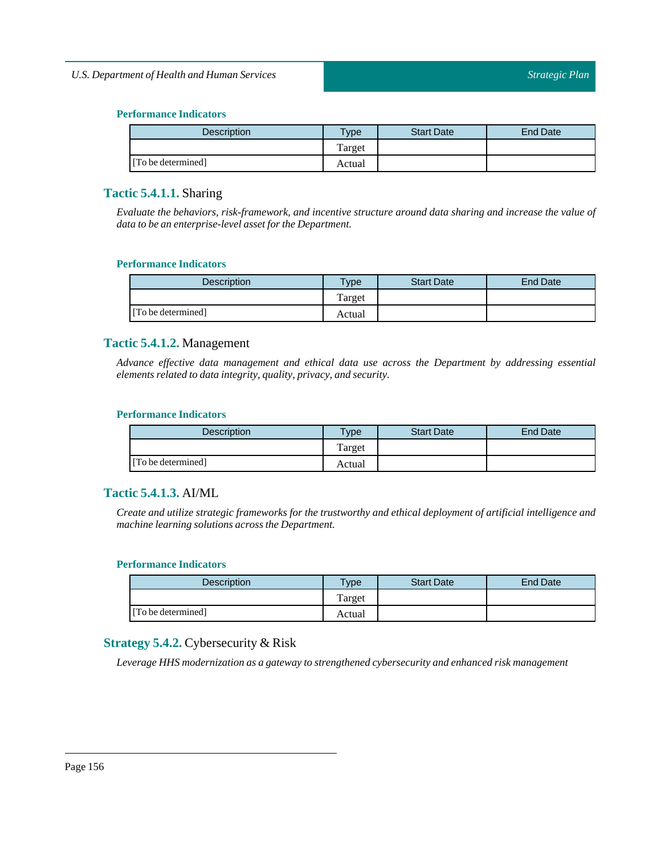| <b>Description</b> | $T$ <sub>ype</sub> | <b>Start Date</b> | End Date |
|--------------------|--------------------|-------------------|----------|
|                    | Target             |                   |          |
| [To be determined] | Actual             |                   |          |

## **Tactic 5.4.1.1.** Sharing

*Evaluate the behaviors, risk-framework, and incentive structure around data sharing and increase the value of data to be an enterprise-level assetfor the Department.*

### **Performance Indicators**

| <b>Description</b> | Type   | <b>Start Date</b> | <b>End Date</b> |
|--------------------|--------|-------------------|-----------------|
|                    | Target |                   |                 |
| [To be determined] | Actual |                   |                 |

## **Tactic 5.4.1.2.** Management

*Advance effective data management and ethical data use across the Department by addressing essential elements related to data integrity, quality, privacy, and security.*

### **Performance Indicators**

| <b>Description</b> | <b>Vpe</b> | <b>Start Date</b> | <b>End Date</b> |
|--------------------|------------|-------------------|-----------------|
|                    | Target     |                   |                 |
| [To be determined] | Actual     |                   |                 |

## **Tactic 5.4.1.3.** AI/ML

*Create and utilize strategic frameworks for the trustworthy and ethical deployment of artificial intelligence and machine learning solutions across the Department.*

### **Performance Indicators**

| <b>Description</b> | Type   | <b>Start Date</b> | End Date |
|--------------------|--------|-------------------|----------|
|                    | Target |                   |          |
| [To be determined] | Actual |                   |          |

## **Strategy 5.4.2.** Cybersecurity & Risk

*Leverage HHS modernization as a gateway to strengthened cybersecurity and enhanced risk management*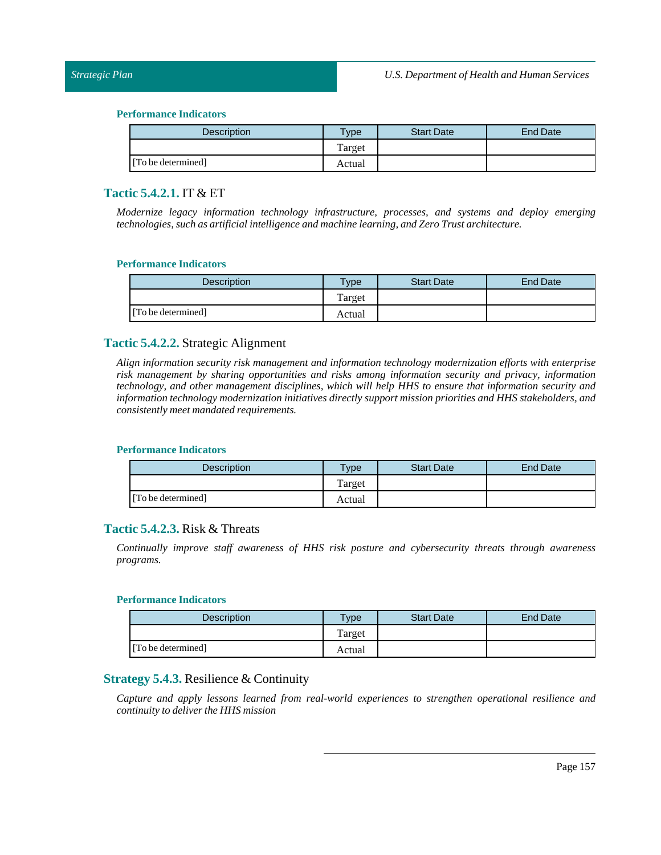### *Strategic Plan*

#### **Performance Indicators**

| <b>Description</b> | Type <sub>1</sub> | <b>Start Date</b> | End Date |
|--------------------|-------------------|-------------------|----------|
|                    | Target            |                   |          |
| [To be determined] | Actual            |                   |          |

## **Tactic 5.4.2.1.** IT & ET

*Modernize legacy information technology infrastructure, processes, and systems and deploy emerging technologies, such as artificialintelligence and machine learning, andZeroTrust architecture.*

#### **Performance Indicators**

| <b>Description</b> | $T$ ype | <b>Start Date</b> | End Date |
|--------------------|---------|-------------------|----------|
|                    | Target  |                   |          |
| [To be determined] | Actual  |                   |          |

### **Tactic 5.4.2.2.** Strategic Alignment

*Align information security risk management and information technology modernization efforts with enterprise risk management by sharing opportunities and risks among information security and privacy, information technology, and other management disciplines, which will help HHS to ensure that information security and information technology modernization initiatives directly support mission priorities and HHS stakeholders, and consistently meet mandated requirements.*

#### **Performance Indicators**

| Description        | $T$ <sub>V</sub> pe | <b>Start Date</b> | End Date |
|--------------------|---------------------|-------------------|----------|
|                    | Target              |                   |          |
| [To be determined] | Actual              |                   |          |

## **Tactic 5.4.2.3.** Risk & Threats

*Continually improve staff awareness of HHS risk posture and cybersecurity threats through awareness programs.*

### **Performance Indicators**

| Description        | $v$ pe | <b>Start Date</b> | End Date |
|--------------------|--------|-------------------|----------|
|                    | Target |                   |          |
| [To be determined] | Actual |                   |          |

## **Strategy 5.4.3.** Resilience & Continuity

*Capture and apply lessons learned from real-world experiences to strengthen operational resilience and continuity to deliver the HHS mission*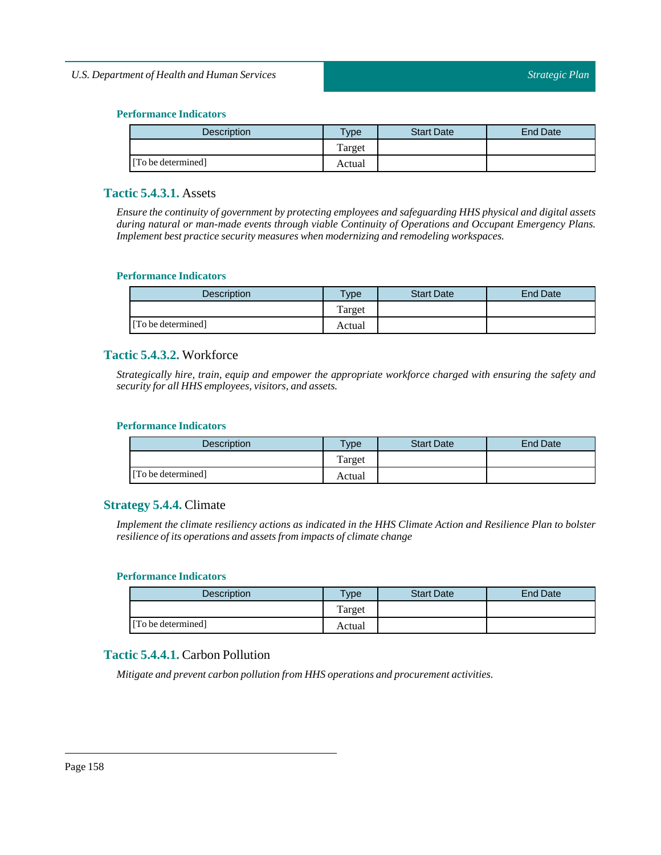| <b>Description</b> | Type <sub>1</sub> | <b>Start Date</b> | End Date |
|--------------------|-------------------|-------------------|----------|
|                    | Target            |                   |          |
| [To be determined] | Actual            |                   |          |

## **Tactic 5.4.3.1.** Assets

*Ensure the continuity of government by protecting employees and safeguarding HHS physical and digital assets during natural or man-made events through viable Continuity of Operations and Occupant Emergency Plans. Implement best practice security measures when modernizing and remodeling workspaces.*

### **Performance Indicators**

| <b>Description</b> | Type   | <b>Start Date</b> | End Date |
|--------------------|--------|-------------------|----------|
|                    | Target |                   |          |
| [To be determined] | Actual |                   |          |

## **Tactic 5.4.3.2.** Workforce

*Strategically hire, train, equip and empower the appropriate workforce charged with ensuring the safety and security for all HHS employees, visitors, and assets.*

#### **Performance Indicators**

| <b>Description</b> | <b>Type</b> | <b>Start Date</b> | End Date |
|--------------------|-------------|-------------------|----------|
|                    | Target      |                   |          |
| [To be determined] | Actual      |                   |          |

## **Strategy 5.4.4.** Climate

Implement the climate resiliency actions as indicated in the HHS Climate Action and Resilience Plan to bolster *resilience ofits operations and assets from impacts of climate change*

#### **Performance Indicators**

| <b>Description</b> | $T$ vpe | <b>Start Date</b> | End Date |
|--------------------|---------|-------------------|----------|
|                    | Target  |                   |          |
| [To be determined] | Actual  |                   |          |

## **Tactic 5.4.4.1.** Carbon Pollution

*Mitigate and prevent carbon pollution from HHS operations and procurement activities.*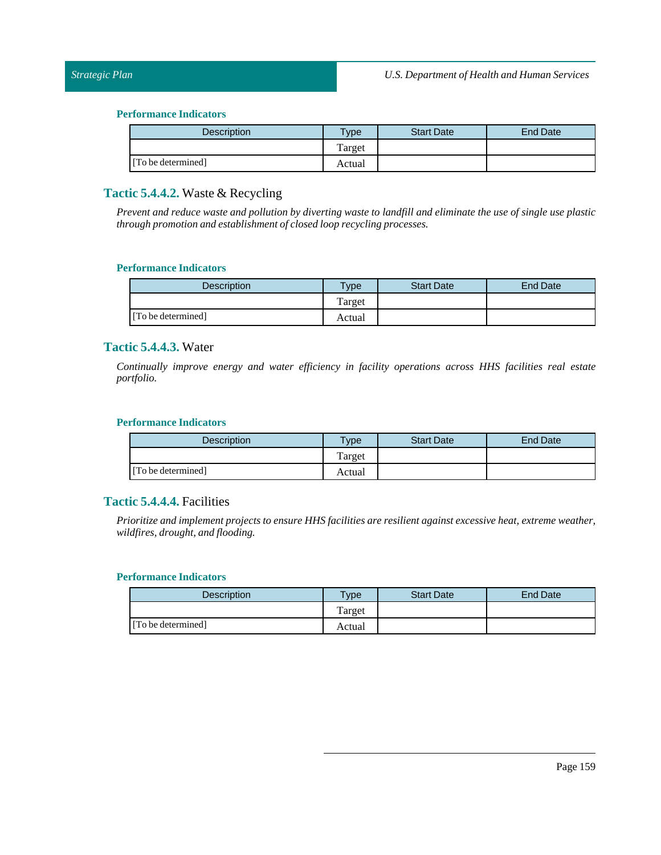### *Strategic Plan*

#### **Performance Indicators**

| <b>Description</b> | $T$ ype | <b>Start Date</b> | End Date |
|--------------------|---------|-------------------|----------|
|                    | Target  |                   |          |
| [To be determined] | Actual  |                   |          |

## **Tactic 5.4.4.2.** Waste & Recycling

Prevent and reduce waste and pollution by diverting waste to landfill and eliminate the use of single use plastic *through promotion and establishment of closed loop recycling processes.*

#### **Performance Indicators**

| <b>Description</b> | $v_{\rm p}$ | <b>Start Date</b> | End Date |
|--------------------|-------------|-------------------|----------|
|                    | Target      |                   |          |
| [To be determined] | Actual      |                   |          |

## **Tactic 5.4.4.3.** Water

*Continually improve energy and water efficiency in facility operations across HHS facilities real estate portfolio.*

#### **Performance Indicators**

| Description        | $T$ <sub>V</sub> $pe$ | <b>Start Date</b> | End Date |
|--------------------|-----------------------|-------------------|----------|
|                    | Target                |                   |          |
| [To be determined] | Actual                |                   |          |

## **Tactic 5.4.4.4.** Facilities

*Prioritize and implement projects to ensure HHS facilities are resilient against excessive heat, extreme weather, wildfires, drought, and flooding.*

#### **Performance Indicators**

| <b>Description</b> | $T$ ype     | <b>Start Date</b> | End Date |
|--------------------|-------------|-------------------|----------|
|                    | m<br>Target |                   |          |
| [To be determined] | Actual      |                   |          |